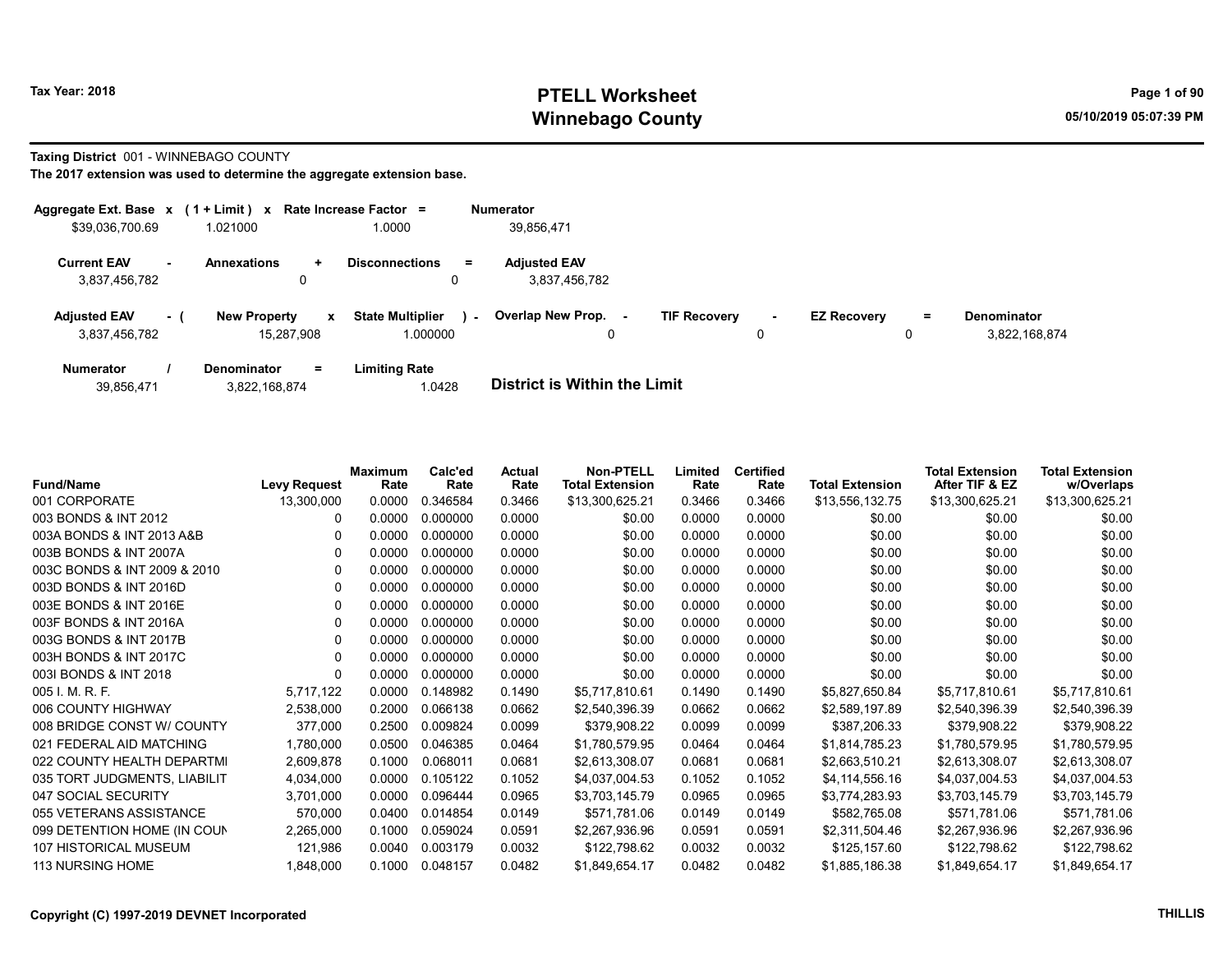### Tax Year: 2018 **PTELL Worksheet** Page 1 of 90 Winnebago County and the County of the County of the County of the County of the County of the County of the County of the County of the County of the County of the County of the County of the County of the County of the C

#### Taxing District 001 - WINNEBAGO COUNTY

| Aggregate Ext. Base $x$ (1 + Limit) $x$ |     |                                   |              | Rate Increase Factor =              |        | <b>Numerator</b>                     |                     |             |                    |          |                              |
|-----------------------------------------|-----|-----------------------------------|--------------|-------------------------------------|--------|--------------------------------------|---------------------|-------------|--------------------|----------|------------------------------|
| \$39,036,700.69                         |     | 1.021000                          |              | 1.0000                              |        | 39,856,471                           |                     |             |                    |          |                              |
| <b>Current EAV</b><br>3,837,456,782     |     | <b>Annexations</b>                | ÷.<br>0      | <b>Disconnections</b><br>0          | $=$    | <b>Adjusted EAV</b><br>3,837,456,782 |                     |             |                    |          |                              |
| <b>Adjusted EAV</b><br>3,837,456,782    | - 1 | <b>New Property</b><br>15.287.908 | $\mathbf{x}$ | <b>State Multiplier</b><br>1.000000 | $\sim$ | <b>Overlap New Prop.</b><br>0        | <b>TIF Recovery</b> | $\sim$<br>0 | <b>EZ Recovery</b> | $=$<br>0 | Denominator<br>3,822,168,874 |
| <b>Numerator</b>                        |     | <b>Denominator</b>                | Ξ.           | <b>Limiting Rate</b>                |        |                                      |                     |             |                    |          |                              |

| 39,856,471 | 3,822,168,874 | 1.0428 | <b>District is Within the Limit</b> |
|------------|---------------|--------|-------------------------------------|

| <b>Fund/Name</b>             | <b>Levy Request</b> | <b>Maximum</b><br>Rate | Calc'ed<br>Rate | Actual<br>Rate | <b>Non-PTELL</b><br><b>Total Extension</b> | Limited<br>Rate | <b>Certified</b><br>Rate | <b>Total Extension</b> | <b>Total Extension</b><br>After TIF & EZ | <b>Total Extension</b><br>w/Overlaps |
|------------------------------|---------------------|------------------------|-----------------|----------------|--------------------------------------------|-----------------|--------------------------|------------------------|------------------------------------------|--------------------------------------|
| 001 CORPORATE                | 13,300,000          | 0.0000                 | 0.346584        | 0.3466         | \$13,300,625.21                            | 0.3466          | 0.3466                   | \$13,556,132.75        | \$13,300,625.21                          | \$13,300,625.21                      |
| 003 BONDS & INT 2012         | 0                   | 0.0000                 | 0.000000        | 0.0000         | \$0.00                                     | 0.0000          | 0.0000                   | \$0.00                 | \$0.00                                   | \$0.00                               |
| 003A BONDS & INT 2013 A&B    | 0                   | 0.0000                 | 0.000000        | 0.0000         | \$0.00                                     | 0.0000          | 0.0000                   | \$0.00                 | \$0.00                                   | \$0.00                               |
| 003B BONDS & INT 2007A       | 0                   | 0.0000                 | 0.000000        | 0.0000         | \$0.00                                     | 0.0000          | 0.0000                   | \$0.00                 | \$0.00                                   | \$0.00                               |
| 003C BONDS & INT 2009 & 2010 | 0                   | 0.0000                 | 0.000000        | 0.0000         | \$0.00                                     | 0.0000          | 0.0000                   | \$0.00                 | \$0.00                                   | \$0.00                               |
| 003D BONDS & INT 2016D       |                     | 0.0000                 | 0.000000        | 0.0000         | \$0.00                                     | 0.0000          | 0.0000                   | \$0.00                 | \$0.00                                   | \$0.00                               |
| 003E BONDS & INT 2016E       | 0                   | 0.0000                 | 0.000000        | 0.0000         | \$0.00                                     | 0.0000          | 0.0000                   | \$0.00                 | \$0.00                                   | \$0.00                               |
| 003F BONDS & INT 2016A       | 0                   | 0.0000                 | 0.000000        | 0.0000         | \$0.00                                     | 0.0000          | 0.0000                   | \$0.00                 | \$0.00                                   | \$0.00                               |
| 003G BONDS & INT 2017B       | 0                   | 0.0000                 | 0.000000        | 0.0000         | \$0.00                                     | 0.0000          | 0.0000                   | \$0.00                 | \$0.00                                   | \$0.00                               |
| 003H BONDS & INT 2017C       | 0                   | 0.0000                 | 0.000000        | 0.0000         | \$0.00                                     | 0.0000          | 0.0000                   | \$0.00                 | \$0.00                                   | \$0.00                               |
| 0031 BONDS & INT 2018        | 0                   | 0.0000                 | 0.000000        | 0.0000         | \$0.00                                     | 0.0000          | 0.0000                   | \$0.00                 | \$0.00                                   | \$0.00                               |
| 005 I. M. R. F.              | 5,717,122           | 0.0000                 | 0.148982        | 0.1490         | \$5,717,810.61                             | 0.1490          | 0.1490                   | \$5,827,650.84         | \$5,717,810.61                           | \$5,717,810.61                       |
| 006 COUNTY HIGHWAY           | 2,538,000           | 0.2000                 | 0.066138        | 0.0662         | \$2,540,396.39                             | 0.0662          | 0.0662                   | \$2,589,197.89         | \$2,540,396.39                           | \$2,540,396.39                       |
| 008 BRIDGE CONST W/ COUNTY   | 377,000             | 0.2500                 | 0.009824        | 0.0099         | \$379,908.22                               | 0.0099          | 0.0099                   | \$387,206.33           | \$379,908.22                             | \$379,908.22                         |
| 021 FEDERAL AID MATCHING     | 1,780,000           | 0.0500                 | 0.046385        | 0.0464         | \$1,780,579.95                             | 0.0464          | 0.0464                   | \$1,814,785.23         | \$1,780,579.95                           | \$1,780,579.95                       |
| 022 COUNTY HEALTH DEPARTMI   | 2,609,878           | 0.1000                 | 0.068011        | 0.0681         | \$2,613,308.07                             | 0.0681          | 0.0681                   | \$2,663,510.21         | \$2,613,308.07                           | \$2,613,308.07                       |
| 035 TORT JUDGMENTS, LIABILIT | 4,034,000           | 0.0000                 | 0.105122        | 0.1052         | \$4,037,004.53                             | 0.1052          | 0.1052                   | \$4,114,556.16         | \$4,037,004.53                           | \$4,037,004.53                       |
| 047 SOCIAL SECURITY          | 3.701.000           | 0.0000                 | 0.096444        | 0.0965         | \$3,703,145.79                             | 0.0965          | 0.0965                   | \$3,774,283.93         | \$3,703,145.79                           | \$3,703,145.79                       |
| 055 VETERANS ASSISTANCE      | 570,000             | 0.0400                 | 0.014854        | 0.0149         | \$571,781.06                               | 0.0149          | 0.0149                   | \$582,765.08           | \$571,781.06                             | \$571,781.06                         |
| 099 DETENTION HOME (IN COUN  | 2,265,000           | 0.1000                 | 0.059024        | 0.0591         | \$2,267,936.96                             | 0.0591          | 0.0591                   | \$2,311,504.46         | \$2,267,936.96                           | \$2,267,936.96                       |
| 107 HISTORICAL MUSEUM        | 121,986             | 0.0040                 | 0.003179        | 0.0032         | \$122,798.62                               | 0.0032          | 0.0032                   | \$125,157.60           | \$122,798.62                             | \$122,798.62                         |
| 113 NURSING HOME             | 1,848,000           | 0.1000                 | 0.048157        | 0.0482         | \$1,849,654.17                             | 0.0482          | 0.0482                   | \$1,885,186.38         | \$1,849,654.17                           | \$1,849,654.17                       |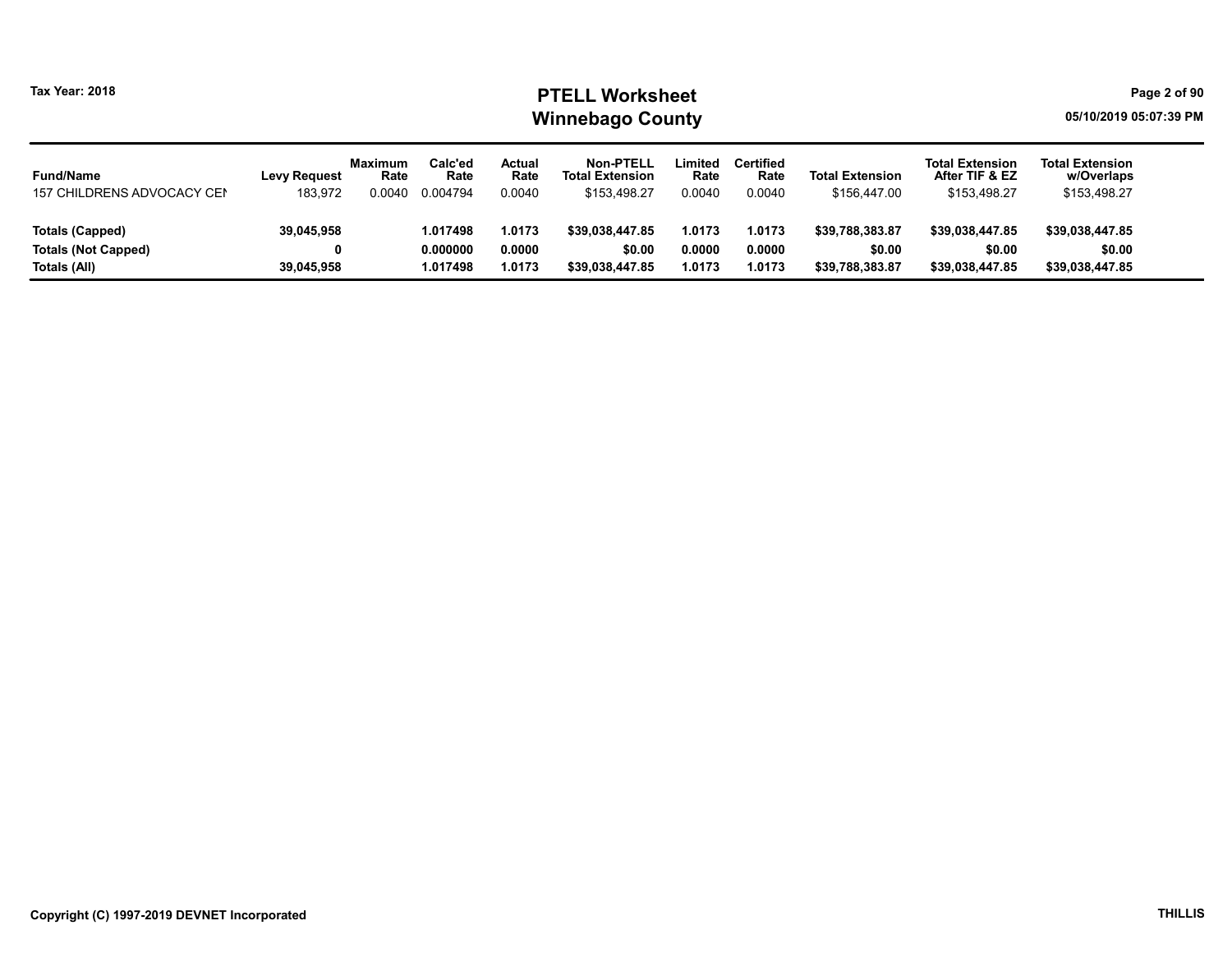### Tax Year: 2018 **PTELL Worksheet** Page 2 of 90 Winnebago County and the county of the county of the county of the county of the county of the county of the county

| <b>Fund/Name</b>           | <b>Levy Request</b> | <b>Maximum</b><br>Rate | Calc'ed<br>Rate | Actual<br>Rate | Non-PTELL<br><b>Total Extension</b> | Limited<br>Rate | <b>Certified</b><br>Rate | <b>Total Extension</b> | <b>Total Extension</b><br>After TIF & EZ | <b>Total Extension</b><br>w/Overlaps |
|----------------------------|---------------------|------------------------|-----------------|----------------|-------------------------------------|-----------------|--------------------------|------------------------|------------------------------------------|--------------------------------------|
| 157 CHILDRENS ADVOCACY CEN | 183,972             | 0.0040                 | 0.004794        | 0.0040         | \$153.498.27                        | 0.0040          | 0.0040                   | \$156,447.00           | \$153,498.27                             | \$153,498.27                         |
|                            |                     |                        |                 |                |                                     |                 |                          |                        |                                          |                                      |
| Totals (Capped)            | 39,045,958          |                        | 1.017498        | 1.0173         | \$39.038.447.85                     | 1.0173          | 1.0173                   | \$39.788.383.87        | \$39.038.447.85                          | \$39.038.447.85                      |
| <b>Totals (Not Capped)</b> |                     |                        | 0.000000        | 0.0000         | \$0.00                              | 0.0000          | 0.0000                   | \$0.00                 | \$0.00                                   | \$0.00                               |
| Totals (All)               | 39,045,958          |                        | 1.017498        | 1.0173         | \$39.038.447.85                     | 1.0173          | 1.0173                   | \$39.788.383.87        | \$39,038,447.85                          | \$39,038,447.85                      |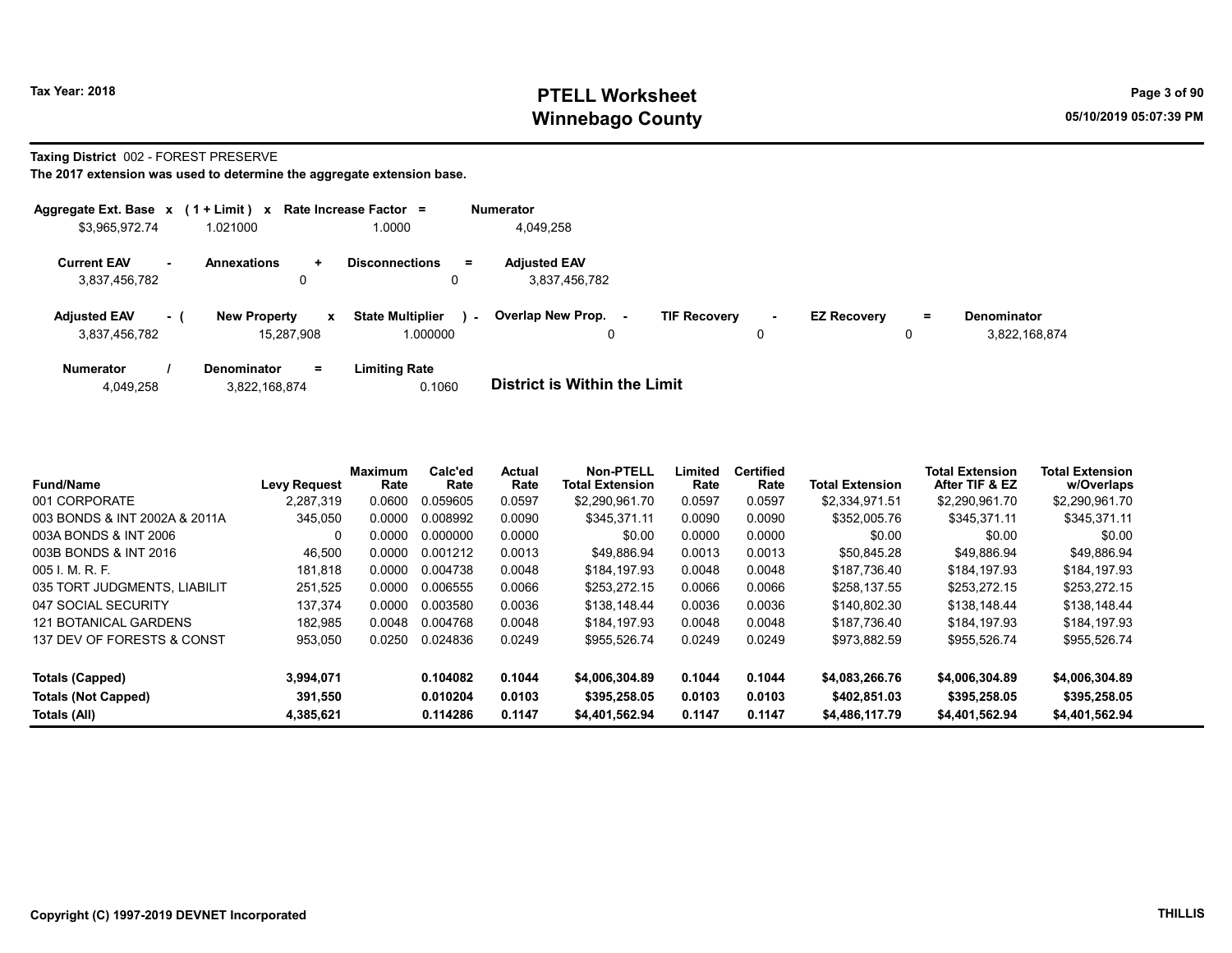### Tax Year: 2018 **PTELL Worksheet** Page 3 of 90 Winnebago County and the County of the County of the County of the County of the County of the County of the County of the County of the County of the County of the County of the County of the County of the County of the C

#### Taxing District 002 - FOREST PRESERVE

| Aggregate Ext. Base $x$ (1 + Limit) x Rate Increase Factor = |      |                                   |              |                                     |        | <b>Numerator</b>                     |                     |             |                    |         |                                     |
|--------------------------------------------------------------|------|-----------------------------------|--------------|-------------------------------------|--------|--------------------------------------|---------------------|-------------|--------------------|---------|-------------------------------------|
| \$3,965,972.74                                               |      | 1.021000                          |              | 1.0000                              |        | 4.049.258                            |                     |             |                    |         |                                     |
| <b>Current EAV</b><br>3,837,456,782                          | . —  | <b>Annexations</b><br>0           | $\ddotmark$  | <b>Disconnections</b><br>0          | $=$    | <b>Adjusted EAV</b><br>3,837,456,782 |                     |             |                    |         |                                     |
| <b>Adjusted EAV</b><br>3,837,456,782                         | $-1$ | <b>New Property</b><br>15.287.908 | $\mathbf{x}$ | <b>State Multiplier</b><br>1.000000 | $\sim$ | Overlap New Prop.<br>0               | <b>TIF Recovery</b> | $\sim$<br>0 | <b>EZ Recovery</b> | Ξ.<br>o | <b>Denominator</b><br>3.822.168.874 |
| <b>Numerator</b>                                             |      | <b>Denominator</b>                | $=$          | <b>Limiting Rate</b>                |        | _ _ _ _ _ _ _ _ _ _ _ _ _ _ _ _      |                     |             |                    |         |                                     |

| 4,049,258 | 3,822,168,874 | 0.1060 | <b>District is Within the Limit</b> |
|-----------|---------------|--------|-------------------------------------|

| <b>Fund/Name</b>              | <b>Levy Request</b> | <b>Maximum</b><br>Rate | Calc'ed<br>Rate | <b>Actual</b><br>Rate | Non-PTELL<br><b>Total Extension</b> | ∟imited<br>Rate | <b>Certified</b><br>Rate | <b>Total Extension</b> | <b>Total Extension</b><br>After TIF & EZ | <b>Total Extension</b><br>w/Overlaps |
|-------------------------------|---------------------|------------------------|-----------------|-----------------------|-------------------------------------|-----------------|--------------------------|------------------------|------------------------------------------|--------------------------------------|
| 001 CORPORATE                 | 2.287.319           | 0.0600                 | 0.059605        | 0.0597                | \$2,290,961.70                      | 0.0597          | 0.0597                   | \$2,334,971.51         | \$2,290,961.70                           | \$2,290,961.70                       |
| 003 BONDS & INT 2002A & 2011A | 345,050             | 0.0000                 | 0.008992        | 0.0090                | \$345.371.11                        | 0.0090          | 0.0090                   | \$352,005.76           | \$345.371.11                             | \$345,371.11                         |
| 003A BONDS & INT 2006         | 0                   | 0.0000                 | 0.000000        | 0.0000                | \$0.00                              | 0.0000          | 0.0000                   | \$0.00                 | \$0.00                                   | \$0.00                               |
| 003B BONDS & INT 2016         | 46,500              | 0.0000                 | 0.001212        | 0.0013                | \$49.886.94                         | 0.0013          | 0.0013                   | \$50.845.28            | \$49.886.94                              | \$49.886.94                          |
| $005$ J. M. R. F.             | 181.818             | 0.0000                 | 0.004738        | 0.0048                | \$184.197.93                        | 0.0048          | 0.0048                   | \$187.736.40           | \$184.197.93                             | \$184.197.93                         |
| 035 TORT JUDGMENTS, LIABILIT  | 251.525             | 0.0000                 | 0.006555        | 0.0066                | \$253.272.15                        | 0.0066          | 0.0066                   | \$258.137.55           | \$253.272.15                             | \$253.272.15                         |
| 047 SOCIAL SECURITY           | 137.374             | 0.0000                 | 0.003580        | 0.0036                | \$138,148.44                        | 0.0036          | 0.0036                   | \$140.802.30           | \$138,148.44                             | \$138,148.44                         |
| <b>121 BOTANICAL GARDENS</b>  | 182.985             | 0.0048                 | 0.004768        | 0.0048                | \$184.197.93                        | 0.0048          | 0.0048                   | \$187.736.40           | \$184.197.93                             | \$184.197.93                         |
| 137 DEV OF FORESTS & CONST    | 953,050             | 0.0250                 | 0.024836        | 0.0249                | \$955.526.74                        | 0.0249          | 0.0249                   | \$973.882.59           | \$955.526.74                             | \$955.526.74                         |
| Totals (Capped)               | 3.994.071           |                        | 0.104082        | 0.1044                | \$4,006,304.89                      | 0.1044          | 0.1044                   | \$4,083,266.76         | \$4,006,304.89                           | \$4,006,304.89                       |
| <b>Totals (Not Capped)</b>    | 391.550             |                        | 0.010204        | 0.0103                | \$395,258.05                        | 0.0103          | 0.0103                   | \$402.851.03           | \$395,258.05                             | \$395,258.05                         |
| Totals (All)                  | 4,385,621           |                        | 0.114286        | 0.1147                | \$4,401,562.94                      | 0.1147          | 0.1147                   | \$4,486,117.79         | \$4,401,562.94                           | \$4,401,562.94                       |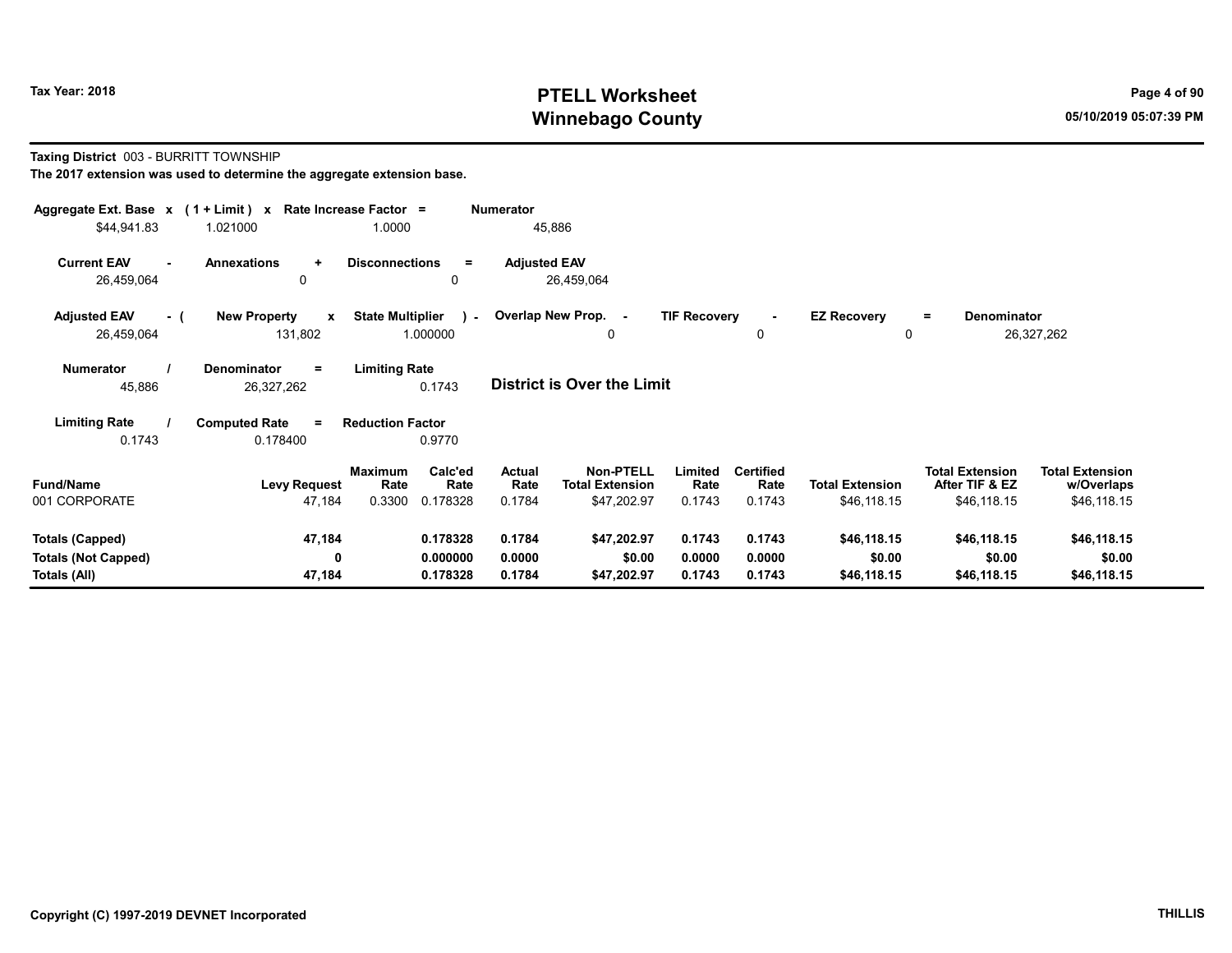### Tax Year: 2018 **PTELL Worksheet** Page 4 of 90 Winnebago County and the County of the County of the County of the County of the County of the County of the County of the County of the County of the County of the County of the County of the County of the County of the C

#### Taxing District 003 - BURRITT TOWNSHIP

| Aggregate Ext. Base $x$ (1 + Limit) $x$<br>\$44,941.83 | 1.021000                                       | Rate Increase Factor =<br>1.0000    | <b>Numerator</b>      | 45,886                                     |                     |                          |                         |                                          |                                      |  |
|--------------------------------------------------------|------------------------------------------------|-------------------------------------|-----------------------|--------------------------------------------|---------------------|--------------------------|-------------------------|------------------------------------------|--------------------------------------|--|
| <b>Current EAV</b><br>$\blacksquare$<br>26,459,064     | <b>Annexations</b><br>$\ddot{}$<br>0           | <b>Disconnections</b><br>Ξ<br>0     | <b>Adjusted EAV</b>   | 26,459,064                                 |                     |                          |                         |                                          |                                      |  |
| <b>Adjusted EAV</b><br>- (<br>26,459,064               | <b>New Property</b><br>$\mathbf{x}$<br>131,802 | <b>State Multiplier</b><br>1.000000 | - Overlap New Prop. - | 0                                          | <b>TIF Recovery</b> | 0                        | <b>EZ Recovery</b><br>0 | <b>Denominator</b><br>$=$                | 26,327,262                           |  |
| <b>Numerator</b><br>45,886                             | Denominator<br>$\equiv$<br>26,327,262          | <b>Limiting Rate</b><br>0.1743      |                       | <b>District is Over the Limit</b>          |                     |                          |                         |                                          |                                      |  |
| <b>Limiting Rate</b>                                   | <b>Computed Rate</b><br>$\equiv$               | <b>Reduction Factor</b>             |                       |                                            |                     |                          |                         |                                          |                                      |  |
| 0.1743                                                 | 0.178400                                       | 0.9770                              |                       |                                            |                     |                          |                         |                                          |                                      |  |
| <b>Fund/Name</b>                                       | <b>Levy Request</b>                            | Calc'ed<br>Maximum<br>Rate<br>Rate  | Actual<br>Rate        | <b>Non-PTELL</b><br><b>Total Extension</b> | Limited<br>Rate     | <b>Certified</b><br>Rate | <b>Total Extension</b>  | <b>Total Extension</b><br>After TIF & EZ | <b>Total Extension</b><br>w/Overlaps |  |
| 001 CORPORATE                                          | 47,184                                         | 0.3300<br>0.178328                  | 0.1784                | \$47,202.97                                | 0.1743              | 0.1743                   | \$46,118.15             | \$46,118.15                              | \$46,118.15                          |  |
| <b>Totals (Capped)</b>                                 | 47,184                                         | 0.178328                            | 0.1784                | \$47,202.97                                | 0.1743              | 0.1743                   | \$46,118.15             | \$46,118.15                              | \$46,118.15                          |  |
| <b>Totals (Not Capped)</b>                             | $\mathbf 0$                                    | 0.000000                            | 0.0000                | \$0.00                                     | 0.0000              | 0.0000                   | \$0.00                  | \$0.00                                   | \$0.00                               |  |
| Totals (All)                                           | 47,184                                         | 0.178328                            | 0.1784                | \$47,202.97                                | 0.1743              | 0.1743                   | \$46,118.15             | \$46,118.15                              | \$46,118.15                          |  |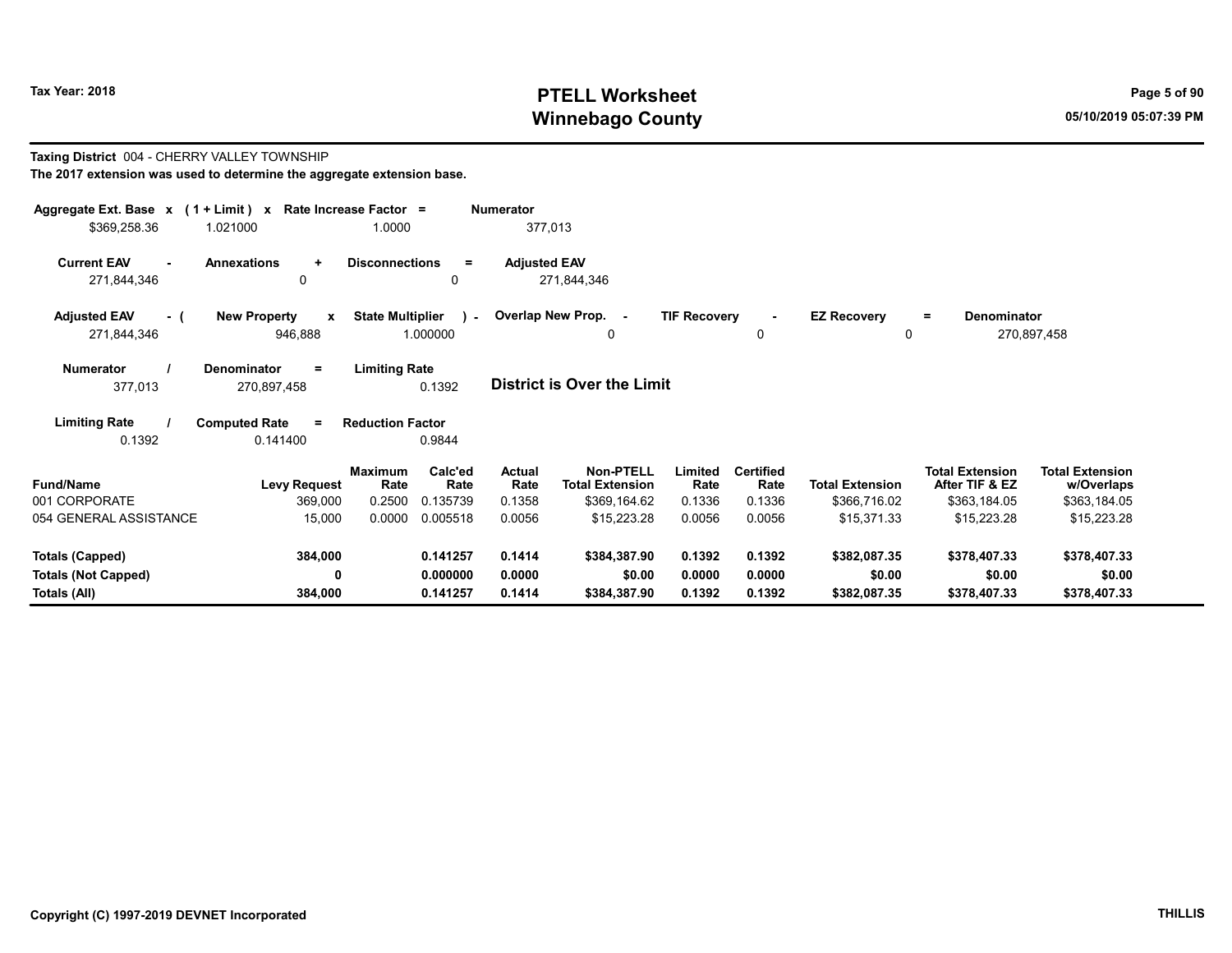Taxing District 004 - CHERRY VALLEY TOWNSHIP

## Tax Year: 2018 **PTELL Worksheet** Page 5 of 90 Winnebago County and the county of the county of the county of the county of the county of the county of the county of the county of the county of the county of the county of the county of the county of the county of the c

#### The 2017 extension was used to determine the aggregate extension base. Aggregate Ext. Base x ( 1 + Limit ) x Rate Increase Factor = Numerator \$369,258.36 1.021000 1.0000 377,013 Current EAV - Annexations + Disconnections = Adjusted EAV 271,844,346 0 0 271,844,346 Adjusted EAV - ( New Property x State Multiplier 271,844,346 946,888 1.000000 Numerator / Denominator = Limiting Rate District is Over the Limit Limiting Rate / Computed Rate = 377,013 270,897,458 0.1392 0.1392 0.141400 Reduction Factor 0.9844 Fund/Name Levy Request Rate Rate Total Extension Total Extension Limited<br>Rate w/Overlaps Total Extension After TIF & EZ Total Extension Maximum Calc'ed Actual<br>Rate Rate Rate **Rate** Calc'ed Rate Non-PTELL Limited Certified 001 CORPORATE 369,000 0.2500 0.135739 0.1358 \$369,164.62 0.1336 0.1336 \$366,716.02 \$363,184.05 \$363,184.05 054 GENERAL ASSISTANCE 15,000 0.0000 0.005518 0.0056 \$15,223.28 0.0056 0.0056 \$15,371.33 \$15,223.28 \$15,223.28 Totals (Capped) 384,000 0.141257 0.1414 \$384,387.90 0.1392 0.1392 \$382,087.35 \$378,407.33 \$378,407.33 Totals (Not Capped) 0 0.000000 0.0000 \$0.00 0.0000 0.0000 \$0.00 \$0.00 \$0.00 Totals (All) 384,000 0.141257 0.1414 \$384,387.90 0.1392 0.1392 \$382,087.35 \$378,407.33 \$378,407.33 0 Overlap New Prop. - TIF Recovery - EZ Recovery 0 0 = Denominator 270,897,458  $\cdot$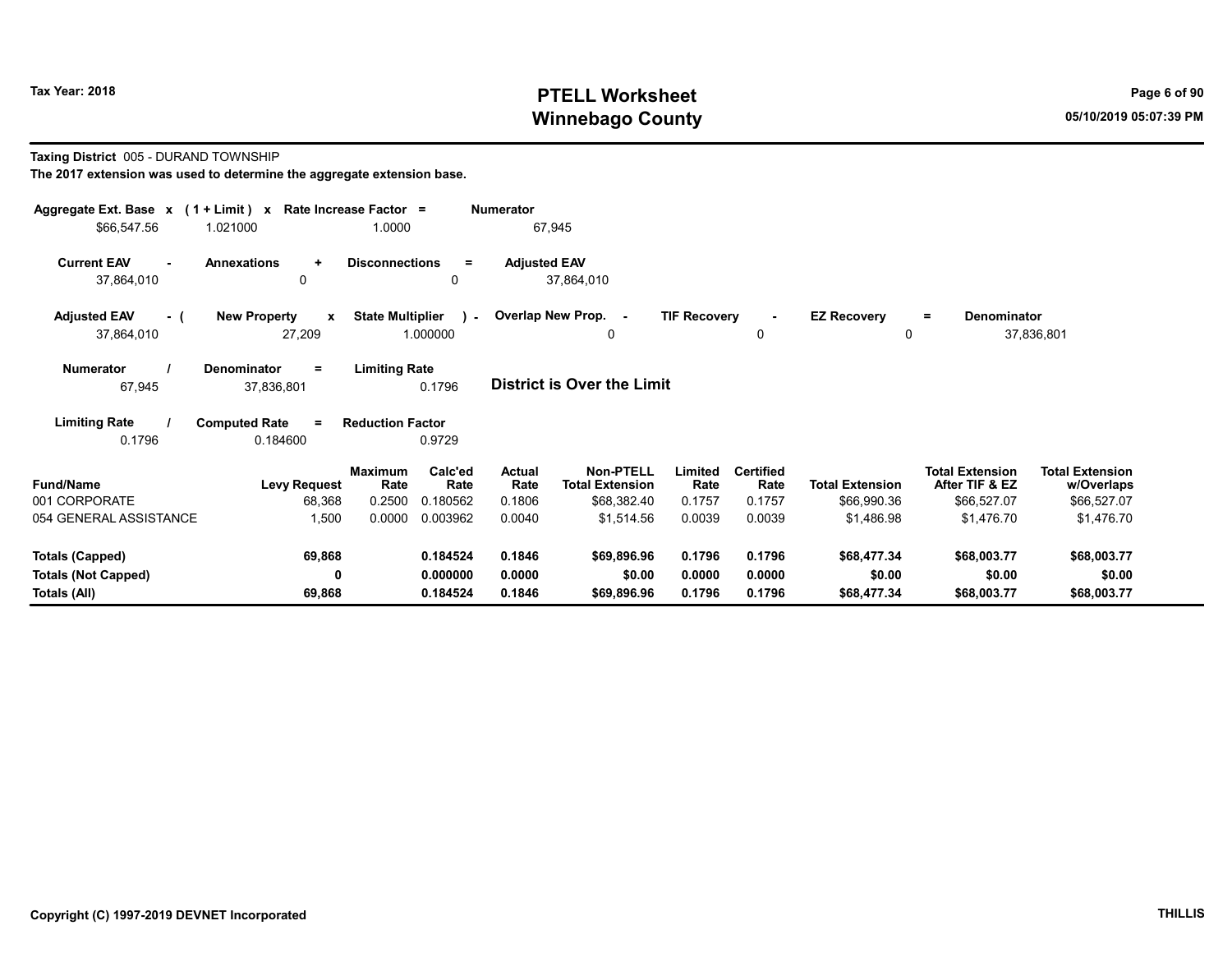## Tax Year: 2018 **PTELL Worksheet** Page 6 of 90 Winnebago County and the County of the County of the County of the County of the County of the County of the County of the County of the County of the County of the County of the County of the County of the County of the C

#### Taxing District 005 - DURAND TOWNSHIP

| Aggregate Ext. Base $x$ (1 + Limit) x Rate Increase Factor =<br>\$66,547.56 | 1.021000                                      | 1.0000                  |                      | <b>Numerator</b>    | 67,945                                     |                     |                               |                                    |                                          |                                      |
|-----------------------------------------------------------------------------|-----------------------------------------------|-------------------------|----------------------|---------------------|--------------------------------------------|---------------------|-------------------------------|------------------------------------|------------------------------------------|--------------------------------------|
| <b>Current EAV</b><br>$\sim$<br>37,864,010                                  | <b>Annexations</b><br>$\ddot{}$<br>$\Omega$   | <b>Disconnections</b>   | $\equiv$<br>0        | <b>Adjusted EAV</b> | 37,864,010                                 |                     |                               |                                    |                                          |                                      |
| <b>Adjusted EAV</b><br>- (<br>37,864,010                                    | <b>New Property</b><br>$\mathbf{x}$<br>27,209 | <b>State Multiplier</b> | 1.000000             |                     | ) - Overlap New Prop. -<br>0               | <b>TIF Recovery</b> | $\blacksquare$<br>$\mathbf 0$ | <b>EZ Recovery</b><br>$\mathbf{0}$ | <b>Denominator</b><br>$\equiv$           | 37,836,801                           |
| <b>Numerator</b><br>67,945                                                  | <b>Denominator</b><br>$\equiv$<br>37,836,801  | <b>Limiting Rate</b>    | 0.1796               |                     | <b>District is Over the Limit</b>          |                     |                               |                                    |                                          |                                      |
| <b>Limiting Rate</b><br>0.1796                                              | <b>Computed Rate</b><br>$\equiv$<br>0.184600  | <b>Reduction Factor</b> | 0.9729               |                     |                                            |                     |                               |                                    |                                          |                                      |
| <b>Fund/Name</b>                                                            | <b>Levy Request</b>                           | <b>Maximum</b><br>Rate  | Calc'ed<br>Rate      | Actual<br>Rate      | <b>Non-PTELL</b><br><b>Total Extension</b> | Limited<br>Rate     | <b>Certified</b><br>Rate      | <b>Total Extension</b>             | <b>Total Extension</b><br>After TIF & EZ | <b>Total Extension</b><br>w/Overlaps |
| 001 CORPORATE<br>054 GENERAL ASSISTANCE                                     | 68,368<br>1,500                               | 0.2500<br>0.0000        | 0.180562<br>0.003962 | 0.1806<br>0.0040    | \$68,382.40<br>\$1,514.56                  | 0.1757<br>0.0039    | 0.1757<br>0.0039              | \$66,990.36<br>\$1,486.98          | \$66,527.07<br>\$1,476.70                | \$66,527.07<br>\$1,476.70            |
| <b>Totals (Capped)</b>                                                      | 69,868                                        |                         | 0.184524             | 0.1846              | \$69,896.96                                | 0.1796              | 0.1796                        | \$68,477.34                        | \$68,003.77                              | \$68,003.77                          |
| <b>Totals (Not Capped)</b><br>Totals (All)                                  | 0<br>69,868                                   |                         | 0.000000<br>0.184524 | 0.0000<br>0.1846    | \$0.00<br>\$69,896.96                      | 0.0000<br>0.1796    | 0.0000<br>0.1796              | \$0.00<br>\$68,477.34              | \$0.00<br>\$68,003.77                    | \$0.00<br>\$68,003.77                |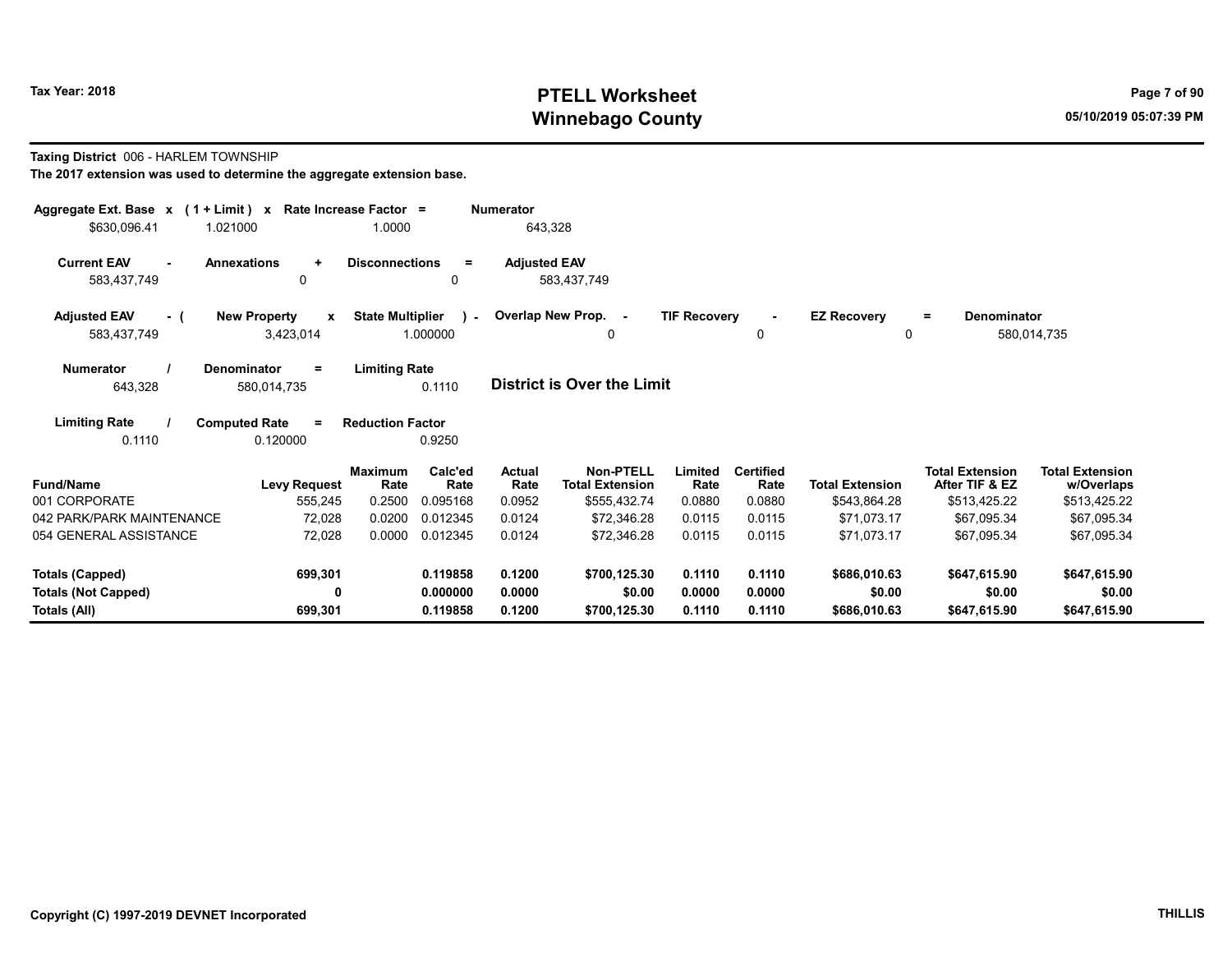## Tax Year: 2018 **PTELL Worksheet** Page 7 of 90 Winnebago County and the County of the County of the County of the County of the County of the County of the County of the County of the County of the County of the County of the County of the County of the County of the C

#### Taxing District 006 - HARLEM TOWNSHIP

| Aggregate Ext. Base $x$ (1 + Limit) $x$ Rate Increase Factor =<br>\$630,096.41 | 1.021000                                         | 1.0000                  |                          | Numerator<br>643,328 |                                            |                     |                          |                        |                                          |                                      |
|--------------------------------------------------------------------------------|--------------------------------------------------|-------------------------|--------------------------|----------------------|--------------------------------------------|---------------------|--------------------------|------------------------|------------------------------------------|--------------------------------------|
| <b>Current EAV</b><br>$\sim$<br>583,437,749                                    | <b>Annexations</b><br>$\ddot{}$<br>0             | <b>Disconnections</b>   | $\equiv$<br>$\mathbf{0}$ | <b>Adjusted EAV</b>  | 583.437.749                                |                     |                          |                        |                                          |                                      |
| <b>Adjusted EAV</b><br>- (<br>583,437,749                                      | <b>New Property</b><br>$\mathbf{x}$<br>3,423,014 | <b>State Multiplier</b> | $\mathbf{1}$<br>1.000000 |                      | Overlap New Prop. -<br>0                   | <b>TIF Recovery</b> | 0                        | <b>EZ Recovery</b>     | Denominator<br>$=$<br>$\Omega$           | 580,014,735                          |
| <b>Numerator</b><br>643,328                                                    | Denominator<br>$=$<br>580,014,735                | <b>Limiting Rate</b>    | 0.1110                   |                      | <b>District is Over the Limit</b>          |                     |                          |                        |                                          |                                      |
| <b>Limiting Rate</b><br>0.1110                                                 | <b>Computed Rate</b><br>$\equiv$<br>0.120000     | <b>Reduction Factor</b> | 0.9250                   |                      |                                            |                     |                          |                        |                                          |                                      |
| <b>Fund/Name</b>                                                               | <b>Levy Request</b>                              | <b>Maximum</b><br>Rate  | Calc'ed<br>Rate          | Actual<br>Rate       | <b>Non-PTELL</b><br><b>Total Extension</b> | Limited<br>Rate     | <b>Certified</b><br>Rate | <b>Total Extension</b> | <b>Total Extension</b><br>After TIF & EZ | <b>Total Extension</b><br>w/Overlaps |
| 001 CORPORATE                                                                  | 555,245                                          | 0.2500                  | 0.095168                 | 0.0952               | \$555,432.74                               | 0.0880              | 0.0880                   | \$543,864.28           | \$513,425.22                             | \$513,425.22                         |
| 042 PARK/PARK MAINTENANCE                                                      | 72,028                                           | 0.0200                  | 0.012345                 | 0.0124               | \$72,346.28                                | 0.0115              | 0.0115                   | \$71,073.17            | \$67,095.34                              | \$67,095.34                          |
| 054 GENERAL ASSISTANCE                                                         | 72,028                                           | 0.0000                  | 0.012345                 | 0.0124               | \$72.346.28                                | 0.0115              | 0.0115                   | \$71.073.17            | \$67.095.34                              | \$67,095.34                          |
| <b>Totals (Capped)</b>                                                         | 699,301                                          |                         | 0.119858                 | 0.1200               | \$700,125.30                               | 0.1110              | 0.1110                   | \$686,010.63           | \$647,615.90                             | \$647,615.90                         |
| <b>Totals (Not Capped)</b><br>Totals (All)                                     | 0<br>699,301                                     |                         | 0.000000<br>0.119858     | 0.0000<br>0.1200     | \$0.00<br>\$700,125.30                     | 0.0000<br>0.1110    | 0.0000<br>0.1110         | \$0.00<br>\$686,010.63 | \$0.00<br>\$647,615.90                   | \$0.00<br>\$647,615.90               |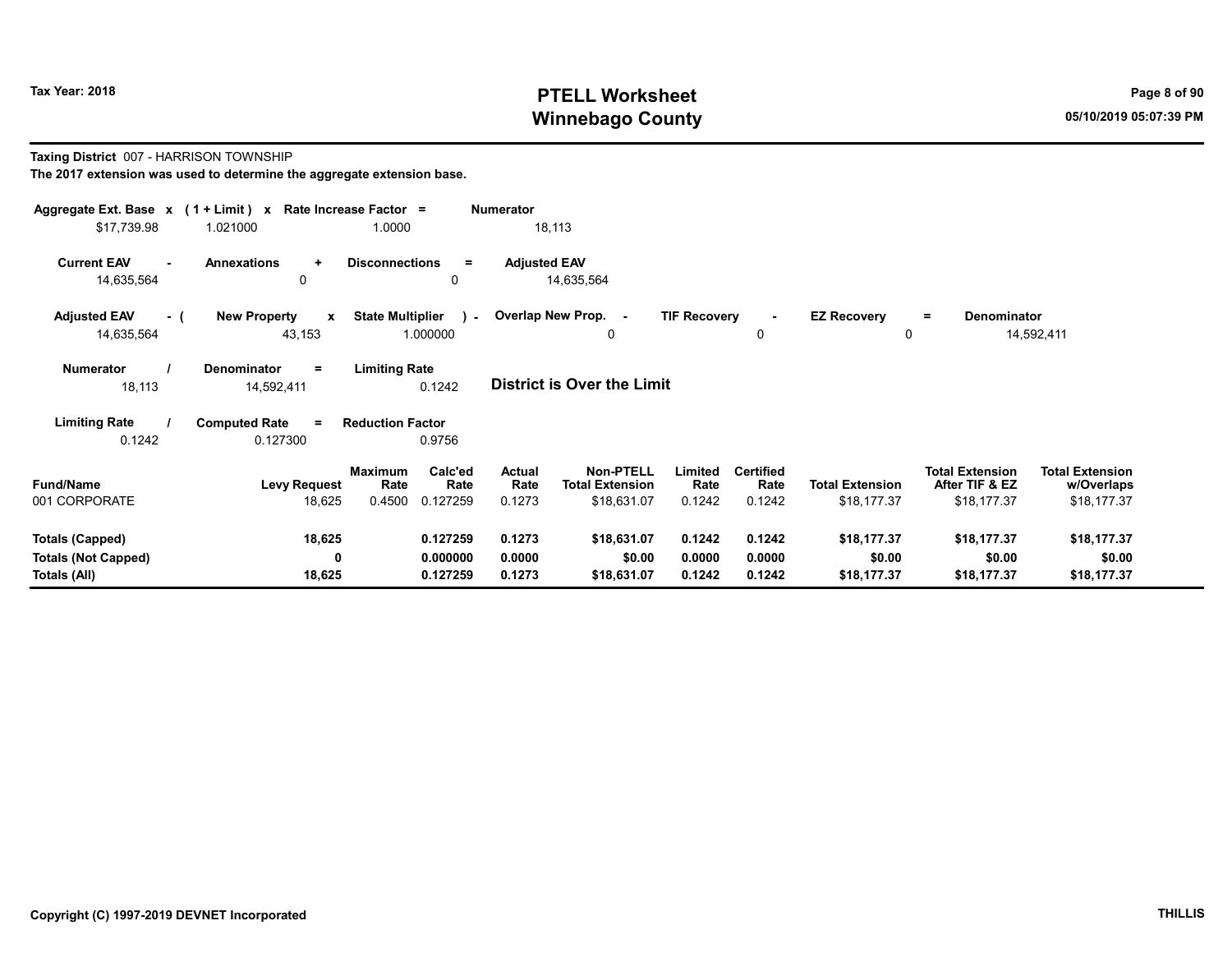## Tax Year: 2018 **PTELL Worksheet** Page 8 of 90 Winnebago County and the County of the County of the County of the County of the County of the County of the County of the County of the County of the County of the County of the County of the County of the County of the C

#### Taxing District 007 - HARRISON TOWNSHIP

| Aggregate Ext. Base $x$ (1 + Limit) $x$<br>\$17,739.98 | 1.021000                                      | Rate Increase Factor =<br>1.0000    |                      | <b>Numerator</b>    | 18,113                              |                     |                          |                                |                                          |                                      |  |
|--------------------------------------------------------|-----------------------------------------------|-------------------------------------|----------------------|---------------------|-------------------------------------|---------------------|--------------------------|--------------------------------|------------------------------------------|--------------------------------------|--|
| <b>Current EAV</b><br>14,635,564                       | <b>Annexations</b><br>٠<br>0                  | <b>Disconnections</b>               | $=$<br>0             | <b>Adjusted EAV</b> | 14,635,564                          |                     |                          |                                |                                          |                                      |  |
| <b>Adjusted EAV</b><br>- (<br>14,635,564               | <b>New Property</b><br>$\mathbf{x}$<br>43,153 | <b>State Multiplier</b><br>1.000000 | $\mathbf{r}$         |                     | Overlap New Prop. -<br>0            | <b>TIF Recovery</b> | 0                        | <b>EZ Recovery</b><br>$\Omega$ | Denominator<br>$=$                       | 14,592,411                           |  |
| <b>Numerator</b><br>18,113                             | <b>Denominator</b><br>Ξ<br>14,592,411         | <b>Limiting Rate</b>                | 0.1242               |                     | <b>District is Over the Limit</b>   |                     |                          |                                |                                          |                                      |  |
| <b>Limiting Rate</b>                                   | <b>Computed Rate</b><br>$\equiv$              | <b>Reduction Factor</b>             |                      |                     |                                     |                     |                          |                                |                                          |                                      |  |
| 0.1242                                                 | 0.127300                                      |                                     | 0.9756               |                     |                                     |                     |                          |                                |                                          |                                      |  |
| <b>Fund/Name</b>                                       | <b>Levy Request</b>                           | <b>Maximum</b><br>Rate              | Calc'ed<br>Rate      | Actual<br>Rate      | Non-PTELL<br><b>Total Extension</b> | Limited<br>Rate     | <b>Certified</b><br>Rate | <b>Total Extension</b>         | <b>Total Extension</b><br>After TIF & EZ | <b>Total Extension</b><br>w/Overlaps |  |
| 001 CORPORATE                                          | 18,625                                        | 0.4500                              | 0.127259             | 0.1273              | \$18,631.07                         | 0.1242              | 0.1242                   | \$18,177.37                    | \$18,177.37                              | \$18,177.37                          |  |
| <b>Totals (Capped)</b>                                 | 18,625                                        |                                     | 0.127259             | 0.1273              | \$18,631.07                         | 0.1242              | 0.1242                   | \$18,177.37                    | \$18,177.37                              | \$18,177.37                          |  |
| <b>Totals (Not Capped)</b><br>Totals (All)             | 0<br>18,625                                   |                                     | 0.000000<br>0.127259 | 0.0000<br>0.1273    | \$0.00<br>\$18,631.07               | 0.0000<br>0.1242    | 0.0000<br>0.1242         | \$0.00<br>\$18,177.37          | \$0.00<br>\$18,177.37                    | \$0.00<br>\$18,177.37                |  |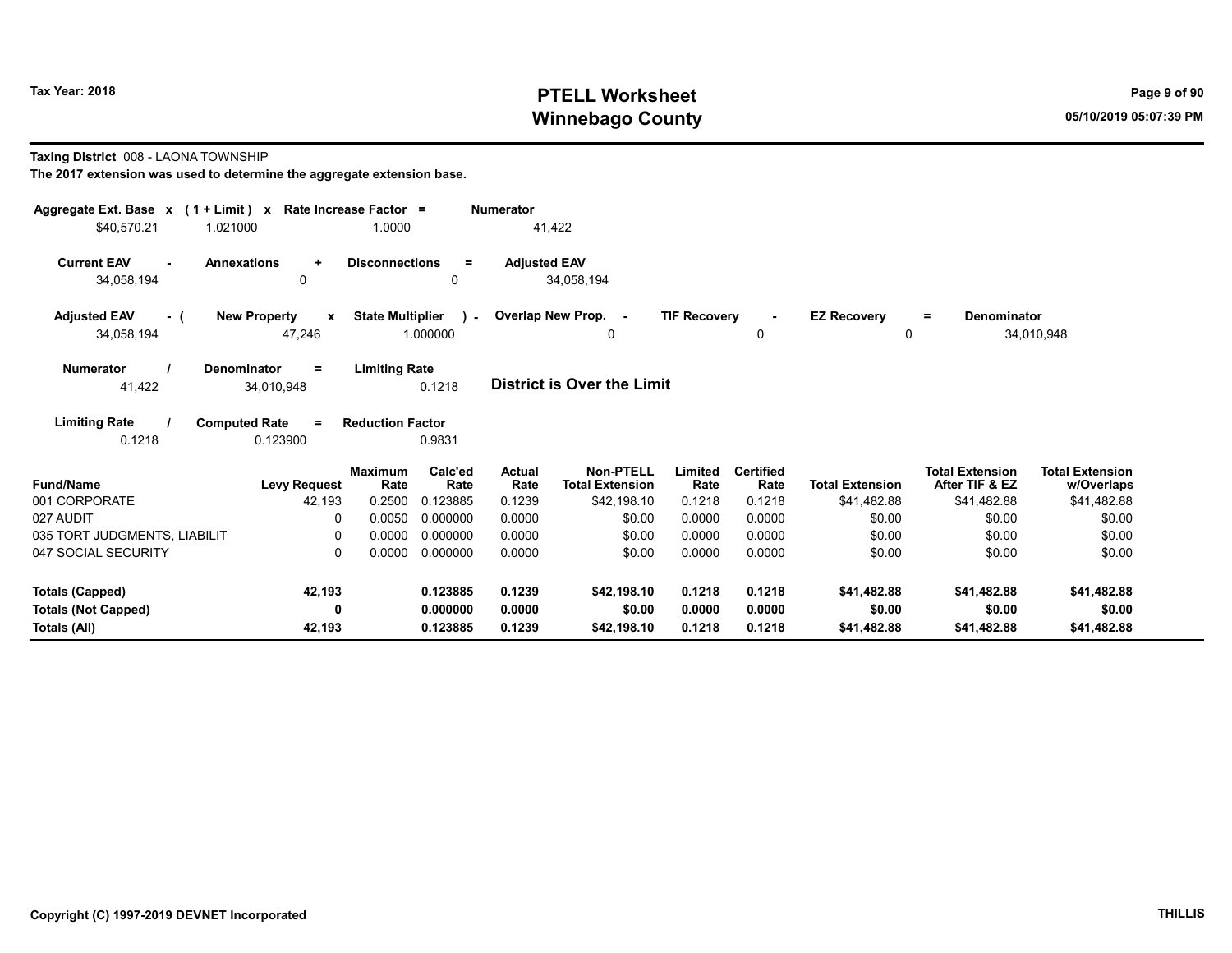## Tax Year: 2018 **PTELL Worksheet** Page 9 of 90 Winnebago County and the County of the County of the County of the County of the County of the County of the County of the County of the County of the County of the County of the County of the County of the County of the C

#### Taxing District 008 - LAONA TOWNSHIP

| Aggregate Ext. Base x (1 + Limit) x<br>\$40.570.21<br>1.021000 | Rate Increase Factor =<br>1.0000              |                                     | Numerator             | 41,422                                     |                     |                          |                         |                                          |                                      |
|----------------------------------------------------------------|-----------------------------------------------|-------------------------------------|-----------------------|--------------------------------------------|---------------------|--------------------------|-------------------------|------------------------------------------|--------------------------------------|
| <b>Current EAV</b><br>34,058,194                               | <b>Annexations</b><br>$\ddot{}$<br>$\Omega$   | <b>Disconnections</b><br>$=$<br>0   | <b>Adjusted EAV</b>   | 34,058,194                                 |                     |                          |                         |                                          |                                      |
| <b>Adjusted EAV</b><br>- (<br>34,058,194                       | <b>New Property</b><br>$\mathbf{x}$<br>47,246 | <b>State Multiplier</b><br>1.000000 |                       | ) - Overlap New Prop. -<br>0               | <b>TIF Recovery</b> | $\sim$<br>0              | <b>EZ Recovery</b><br>0 | Denominator<br>$=$                       | 34,010,948                           |
| <b>Numerator</b><br>41,422                                     | <b>Denominator</b><br>$\equiv$<br>34,010,948  | <b>Limiting Rate</b><br>0.1218      |                       | <b>District is Over the Limit</b>          |                     |                          |                         |                                          |                                      |
| <b>Limiting Rate</b><br>0.1218                                 | <b>Computed Rate</b><br>$\equiv$<br>0.123900  | <b>Reduction Factor</b><br>0.9831   |                       |                                            |                     |                          |                         |                                          |                                      |
| <b>Fund/Name</b>                                               | <b>Maximum</b><br><b>Levy Request</b>         | Calc'ed<br>Rate<br>Rate             | <b>Actual</b><br>Rate | <b>Non-PTELL</b><br><b>Total Extension</b> | Limited<br>Rate     | <b>Certified</b><br>Rate | <b>Total Extension</b>  | <b>Total Extension</b><br>After TIF & EZ | <b>Total Extension</b><br>w/Overlaps |
| 001 CORPORATE                                                  | 42,193<br>0.2500                              | 0.123885                            | 0.1239                | \$42,198.10                                | 0.1218              | 0.1218                   | \$41,482.88             | \$41,482.88                              | \$41,482.88                          |
| 027 AUDIT                                                      | 0.0050                                        | 0.000000                            | 0.0000                | \$0.00                                     | 0.0000              | 0.0000                   | \$0.00                  | \$0.00                                   | \$0.00                               |
| 035 TORT JUDGMENTS, LIABILIT                                   | 0.0000<br>0                                   | 0.000000                            | 0.0000                | \$0.00                                     | 0.0000              | 0.0000                   | \$0.00                  | \$0.00                                   | \$0.00                               |
| 047 SOCIAL SECURITY                                            | 0.0000<br>0                                   | 0.000000                            | 0.0000                | \$0.00                                     | 0.0000              | 0.0000                   | \$0.00                  | \$0.00                                   | \$0.00                               |
| <b>Totals (Capped)</b>                                         | 42,193                                        | 0.123885                            | 0.1239                | \$42,198.10                                | 0.1218              | 0.1218                   | \$41,482.88             | \$41,482.88                              | \$41,482.88                          |
| <b>Totals (Not Capped)</b>                                     | 0                                             | 0.000000                            | 0.0000                | \$0.00                                     | 0.0000              | 0.0000                   | \$0.00                  | \$0.00                                   | \$0.00                               |
| Totals (All)                                                   | 42,193                                        | 0.123885                            | 0.1239                | \$42,198.10                                | 0.1218              | 0.1218                   | \$41,482.88             | \$41,482.88                              | \$41,482.88                          |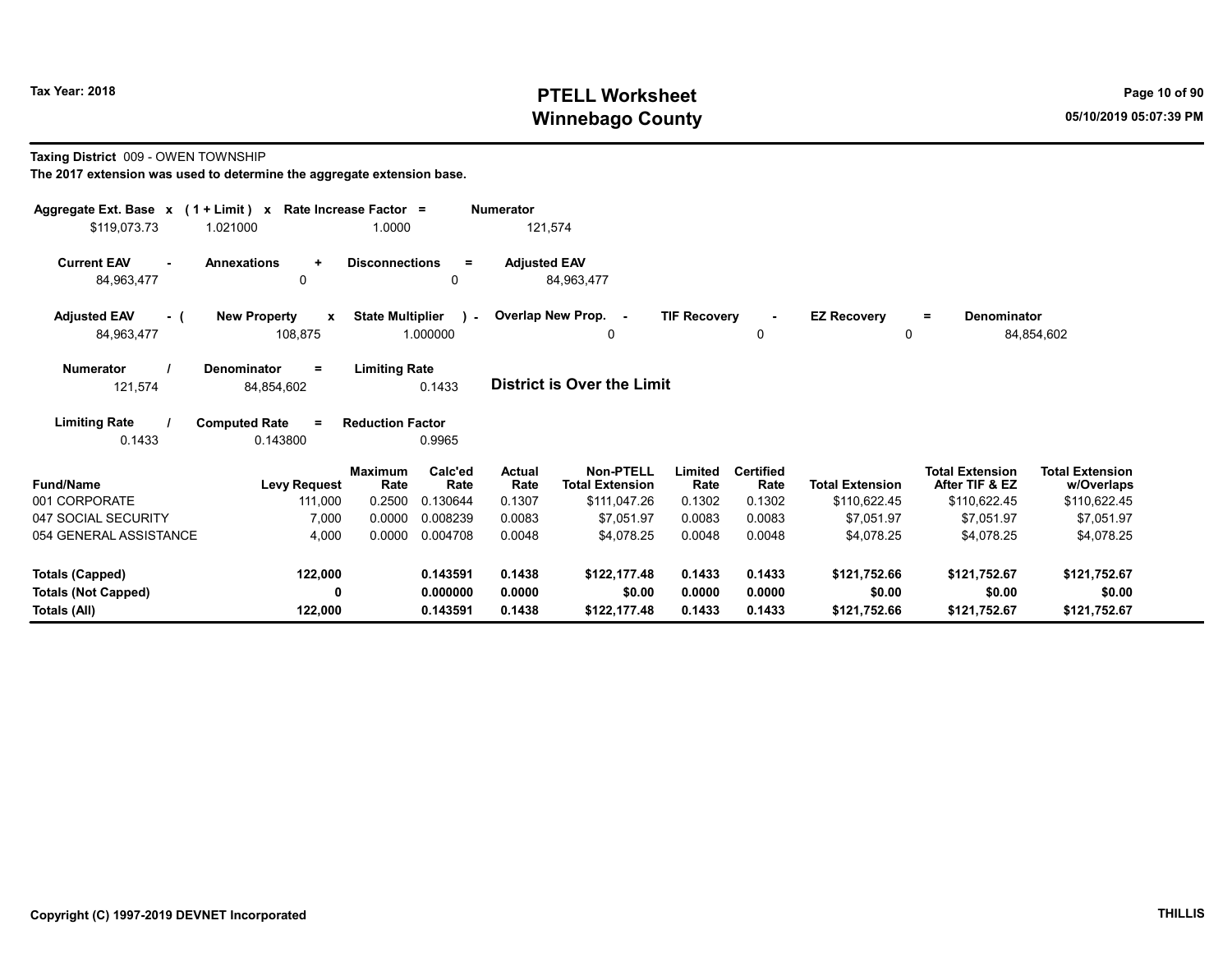## Tax Year: 2018 **PTELL Worksheet** Page 10 of 90 Winnebago County and the County of the County of the County of the County of the County of the County of the County of the County of the County of the County of the County of the County of the County of the County of the C

#### Taxing District 009 - OWEN TOWNSHIP

| Aggregate Ext. Base x (1 + Limit) x<br>\$119,073.73 | 1.021000                                       | Rate Increase Factor =<br>1.0000 |                             | <b>Numerator</b><br>121,574     |                                                            |                           |                                    |                                        |                                                          |                                                      |
|-----------------------------------------------------|------------------------------------------------|----------------------------------|-----------------------------|---------------------------------|------------------------------------------------------------|---------------------------|------------------------------------|----------------------------------------|----------------------------------------------------------|------------------------------------------------------|
| <b>Current EAV</b><br>$\blacksquare$<br>84,963,477  | <b>Annexations</b><br>$\ddot{}$<br>0           | <b>Disconnections</b>            | $\equiv$<br>0               | <b>Adjusted EAV</b>             | 84,963,477                                                 |                           |                                    |                                        |                                                          |                                                      |
| <b>Adjusted EAV</b><br>- (<br>84,963,477            | <b>New Property</b><br>$\mathbf{x}$<br>108,875 | <b>State Multiplier</b>          | $\lambda$ -<br>1.000000     |                                 | Overlap New Prop. -<br>0                                   | <b>TIF Recovery</b>       | 0                                  | <b>EZ Recovery</b><br>0                | <b>Denominator</b><br>Ξ.                                 | 84,854,602                                           |
| <b>Numerator</b><br>121,574                         | <b>Denominator</b><br>$\equiv$<br>84,854,602   | <b>Limiting Rate</b>             | 0.1433                      |                                 | District is Over the Limit                                 |                           |                                    |                                        |                                                          |                                                      |
| <b>Limiting Rate</b><br>0.1433                      | <b>Computed Rate</b><br>$\equiv$<br>0.143800   | <b>Reduction Factor</b>          | 0.9965                      |                                 |                                                            |                           |                                    |                                        |                                                          |                                                      |
| <b>Fund/Name</b><br>001 CORPORATE                   | <b>Levy Request</b><br>111,000                 | <b>Maximum</b><br>Rate<br>0.2500 | Calc'ed<br>Rate<br>0.130644 | <b>Actual</b><br>Rate<br>0.1307 | <b>Non-PTELL</b><br><b>Total Extension</b><br>\$111,047.26 | Limited<br>Rate<br>0.1302 | <b>Certified</b><br>Rate<br>0.1302 | <b>Total Extension</b><br>\$110,622.45 | <b>Total Extension</b><br>After TIF & EZ<br>\$110,622.45 | <b>Total Extension</b><br>w/Overlaps<br>\$110,622.45 |
| 047 SOCIAL SECURITY<br>054 GENERAL ASSISTANCE       | 7,000<br>4,000                                 | 0.0000<br>0.0000                 | 0.008239<br>0.004708        | 0.0083<br>0.0048                | \$7,051.97<br>\$4,078.25                                   | 0.0083<br>0.0048          | 0.0083<br>0.0048                   | \$7,051.97<br>\$4,078.25               | \$7,051.97<br>\$4,078.25                                 | \$7,051.97<br>\$4,078.25                             |
| <b>Totals (Capped)</b>                              | 122,000                                        |                                  | 0.143591                    | 0.1438                          | \$122,177.48                                               | 0.1433                    | 0.1433                             | \$121,752.66                           | \$121,752.67                                             | \$121,752.67                                         |
| <b>Totals (Not Capped)</b><br>Totals (All)          | 0<br>122,000                                   |                                  | 0.000000<br>0.143591        | 0.0000<br>0.1438                | \$0.00<br>\$122,177.48                                     | 0.0000<br>0.1433          | 0.0000<br>0.1433                   | \$0.00<br>\$121,752.66                 | \$0.00<br>\$121,752.67                                   | \$0.00<br>\$121,752.67                               |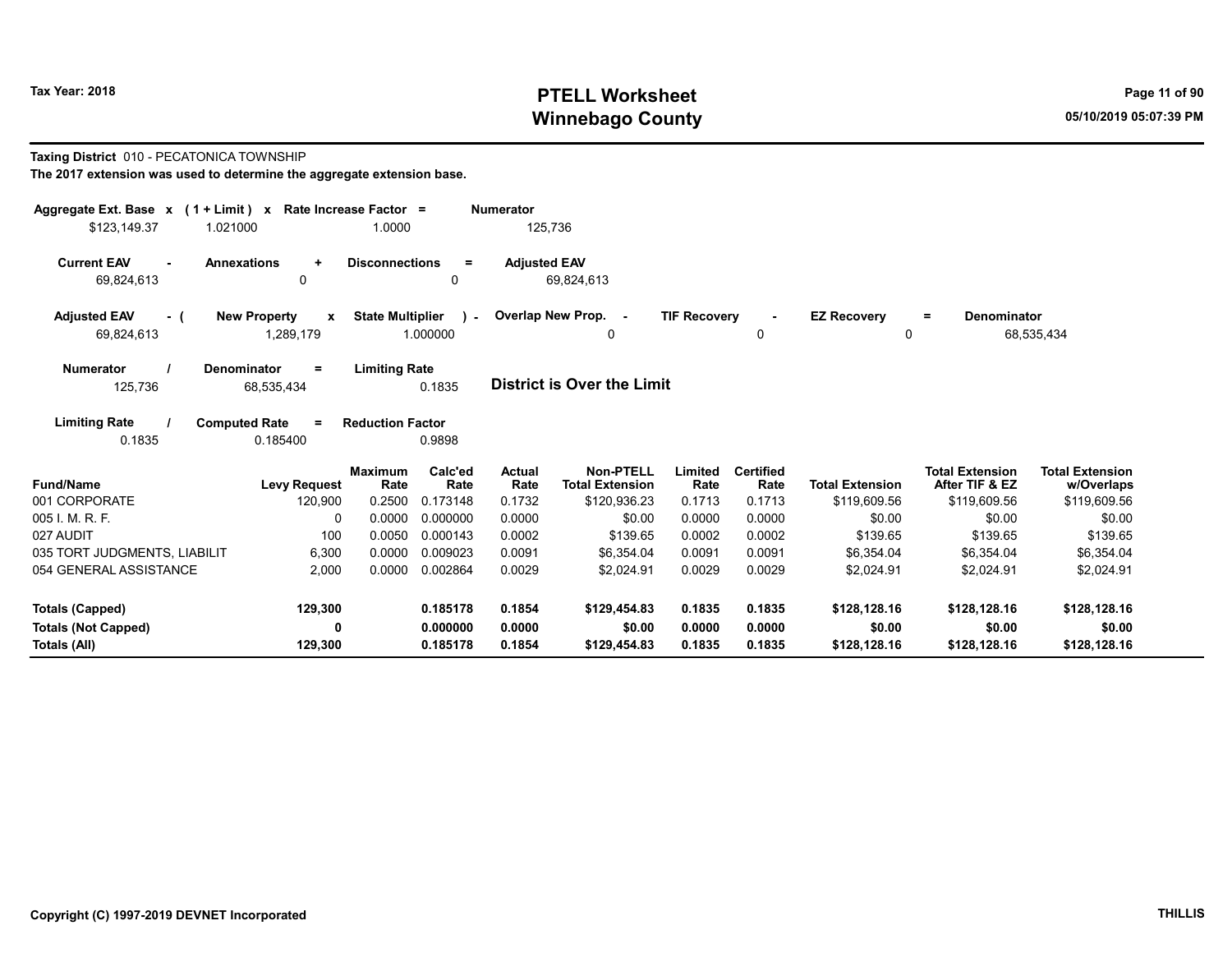## Tax Year: 2018 **PTELL Worksheet** Page 11 of 90 Winnebago County and the County of the County of the County of the County of the County of the County of the County of the County of the County of the County of the County of the County of the County of the County of the C

#### Taxing District 010 - PECATONICA TOWNSHIP

| Aggregate Ext. Base $x$ (1 + Limit) $x$    |                                                  | Rate Increase Factor =           |                             | <b>Numerator</b>         |                                                            |                           |                                    |                                        |                                                          |                                                      |
|--------------------------------------------|--------------------------------------------------|----------------------------------|-----------------------------|--------------------------|------------------------------------------------------------|---------------------------|------------------------------------|----------------------------------------|----------------------------------------------------------|------------------------------------------------------|
| 1.021000<br>\$123,149.37                   |                                                  | 1.0000                           |                             | 125,736                  |                                                            |                           |                                    |                                        |                                                          |                                                      |
| <b>Current EAV</b><br>$\sim$<br>69,824,613 | <b>Annexations</b><br>$\ddot{}$<br>0             | <b>Disconnections</b>            | $\equiv$<br>0               | <b>Adjusted EAV</b>      | 69,824,613                                                 |                           |                                    |                                        |                                                          |                                                      |
| <b>Adjusted EAV</b><br>- (<br>69,824,613   | <b>New Property</b><br>$\mathbf{x}$<br>1,289,179 | <b>State Multiplier</b>          | $\rightarrow$<br>1.000000   |                          | Overlap New Prop. -<br>0                                   | <b>TIF Recovery</b>       | $\sim$<br>0                        | <b>EZ Recovery</b><br>$\Omega$         | Denominator<br>$=$                                       | 68,535,434                                           |
| <b>Numerator</b><br>125,736                | Denominator<br>Ξ<br>68,535,434                   | <b>Limiting Rate</b>             | 0.1835                      |                          | <b>District is Over the Limit</b>                          |                           |                                    |                                        |                                                          |                                                      |
| <b>Limiting Rate</b><br>0.1835             | <b>Computed Rate</b><br>$\equiv$<br>0.185400     | <b>Reduction Factor</b>          | 0.9898                      |                          |                                                            |                           |                                    |                                        |                                                          |                                                      |
| <b>Fund/Name</b><br>001 CORPORATE          | <b>Levy Request</b><br>120,900                   | <b>Maximum</b><br>Rate<br>0.2500 | Calc'ed<br>Rate<br>0.173148 | Actual<br>Rate<br>0.1732 | <b>Non-PTELL</b><br><b>Total Extension</b><br>\$120,936.23 | Limited<br>Rate<br>0.1713 | <b>Certified</b><br>Rate<br>0.1713 | <b>Total Extension</b><br>\$119,609.56 | <b>Total Extension</b><br>After TIF & EZ<br>\$119,609.56 | <b>Total Extension</b><br>w/Overlaps<br>\$119,609.56 |
| 005 I. M. R. F.                            | $\Omega$                                         | 0.0000                           | 0.000000                    | 0.0000                   | \$0.00                                                     | 0.0000                    | 0.0000                             | \$0.00                                 | \$0.00                                                   | \$0.00                                               |
| 027 AUDIT                                  | 100                                              | 0.0050                           | 0.000143                    | 0.0002                   | \$139.65                                                   | 0.0002                    | 0.0002                             | \$139.65                               | \$139.65                                                 | \$139.65                                             |
| 035 TORT JUDGMENTS, LIABILIT               | 6,300                                            | 0.0000                           | 0.009023                    | 0.0091                   | \$6,354.04                                                 | 0.0091                    | 0.0091                             | \$6,354.04                             | \$6,354.04                                               | \$6,354.04                                           |
| 054 GENERAL ASSISTANCE                     | 2.000                                            | 0.0000                           | 0.002864                    | 0.0029                   | \$2.024.91                                                 | 0.0029                    | 0.0029                             | \$2.024.91                             | \$2.024.91                                               | \$2.024.91                                           |
| <b>Totals (Capped)</b>                     | 129,300                                          |                                  | 0.185178                    | 0.1854                   | \$129,454.83                                               | 0.1835                    | 0.1835                             | \$128,128.16                           | \$128,128.16                                             | \$128,128.16                                         |
| <b>Totals (Not Capped)</b>                 | $\mathbf 0$                                      |                                  | 0.000000                    | 0.0000                   | \$0.00                                                     | 0.0000                    | 0.0000                             | \$0.00                                 | \$0.00                                                   | \$0.00                                               |
| Totals (All)                               | 129,300                                          |                                  | 0.185178                    | 0.1854                   | \$129,454.83                                               | 0.1835                    | 0.1835                             | \$128,128.16                           | \$128,128.16                                             | \$128,128.16                                         |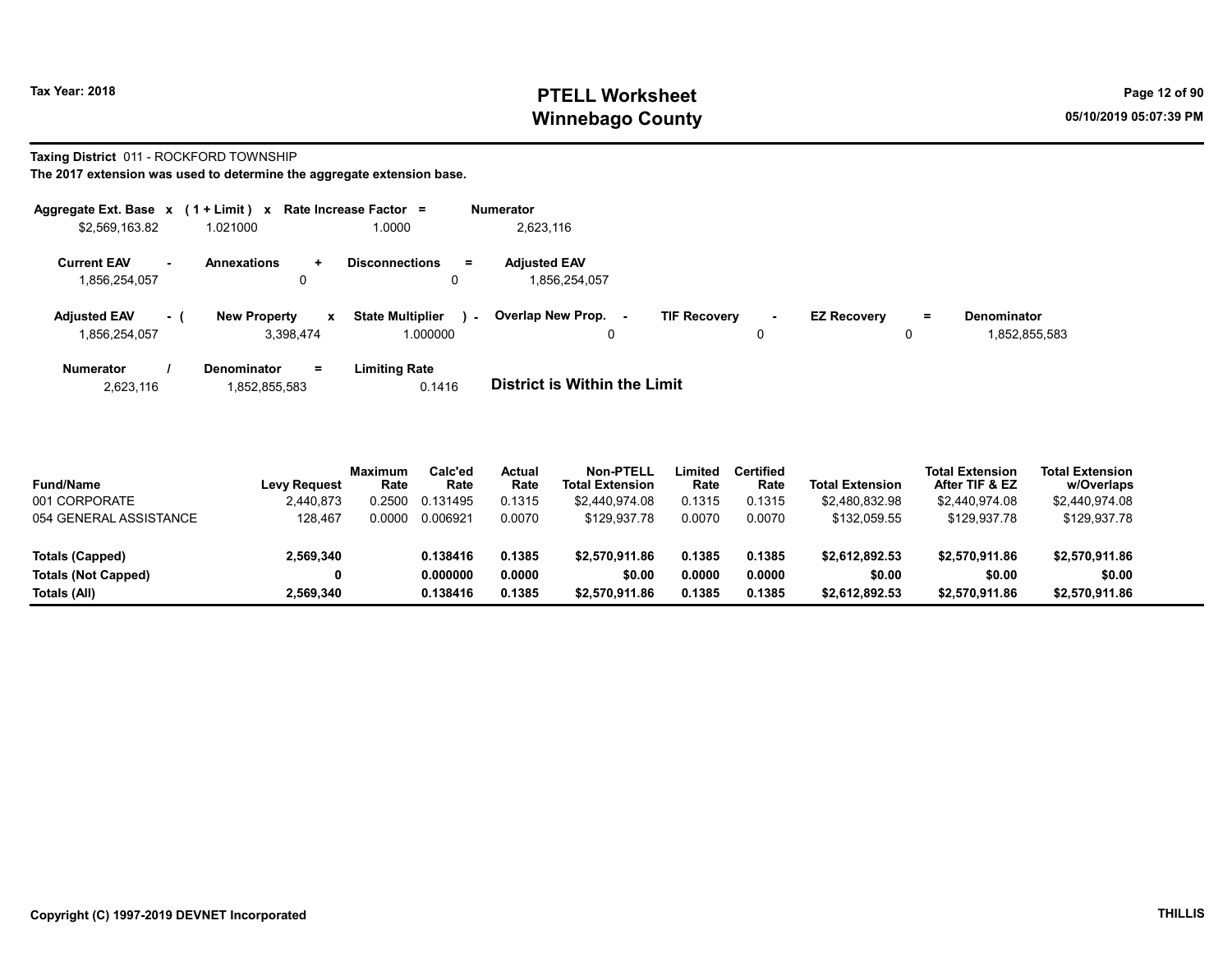### Tax Year: 2018 **PTELL Worksheet** Page 12 of 90 Winnebago County and the County of the County of the County of the County of the County of the County of the County of the County of the County of the County of the County of the County of the County of the County of the C

#### Taxing District 011 - ROCKFORD TOWNSHIP

| Aggregate Ext. Base $x$ (1 + Limit) $x$ |        |                                  |              | Rate Increase Factor $=$            |        | <b>Numerator</b>                     |                     |         |                    |               |                                     |
|-----------------------------------------|--------|----------------------------------|--------------|-------------------------------------|--------|--------------------------------------|---------------------|---------|--------------------|---------------|-------------------------------------|
| \$2,569,163.82                          |        | 1.021000                         |              | 1.0000                              |        | 2,623,116                            |                     |         |                    |               |                                     |
| <b>Current EAV</b><br>1,856,254,057     | $\sim$ | <b>Annexations</b><br>÷.<br>0    |              | <b>Disconnections</b><br>$=$<br>0   |        | <b>Adiusted EAV</b><br>1.856.254.057 |                     |         |                    |               |                                     |
| <b>Adiusted EAV</b><br>1,856,254,057    | - 1    | <b>New Property</b><br>3.398.474 | $\mathbf{x}$ | <b>State Multiplier</b><br>1.000000 | $\sim$ | Overlap New Prop.<br>$\sim$<br>0     | <b>TIF Recovery</b> | ۰.<br>0 | <b>EZ Recovery</b> | $\equiv$<br>0 | <b>Denominator</b><br>1,852,855,583 |
| <b>Numerator</b>                        |        | <b>Denominator</b><br>Ξ.         |              | Limiting Rate                       |        | _                                    |                     |         |                    |               |                                     |

| 1,852,855,583<br>2.623.116 | 0.1416 | <b>District is Within the Limit</b> |
|----------------------------|--------|-------------------------------------|

| <b>Fund/Name</b>           | Levy Request | <b>Maximum</b><br>Rate | Calc'ed<br>Rate | Actual<br>Rate | <b>Non-PTELL</b><br><b>Total Extension</b> | Limited<br>Rate | <b>Certified</b><br>Rate | <b>Total Extension</b> | <b>Total Extension</b><br>After TIF & EZ | <b>Total Extension</b><br>w/Overlaps |  |
|----------------------------|--------------|------------------------|-----------------|----------------|--------------------------------------------|-----------------|--------------------------|------------------------|------------------------------------------|--------------------------------------|--|
| 001 CORPORATE              | 2.440.873    | 0.2500                 | 0.131495        | 0.1315         | \$2.440.974.08                             | 0.1315          | 0.1315                   | \$2.480.832.98         | \$2,440,974.08                           | \$2,440,974.08                       |  |
| 054 GENERAL ASSISTANCE     | 128.467      | 0.0000                 | 0.006921        | 0.0070         | \$129.937.78                               | 0.0070          | 0.0070                   | \$132.059.55           | \$129,937.78                             | \$129,937.78                         |  |
| Totals (Capped)            | 2.569.340    |                        | 0.138416        | 0.1385         | \$2,570,911.86                             | 0.1385          | 0.1385                   | \$2.612.892.53         | \$2,570,911.86                           | \$2.570.911.86                       |  |
| <b>Totals (Not Capped)</b> |              |                        | 0.000000        | 0.0000         | \$0.00                                     | 0.0000          | 0.0000                   | \$0.00                 | \$0.00                                   | \$0.00                               |  |
| Totals (All)               | 2.569.340    |                        | 0.138416        | 0.1385         | \$2,570,911.86                             | 0.1385          | 0.1385                   | \$2,612,892.53         | \$2,570,911.86                           | \$2,570,911.86                       |  |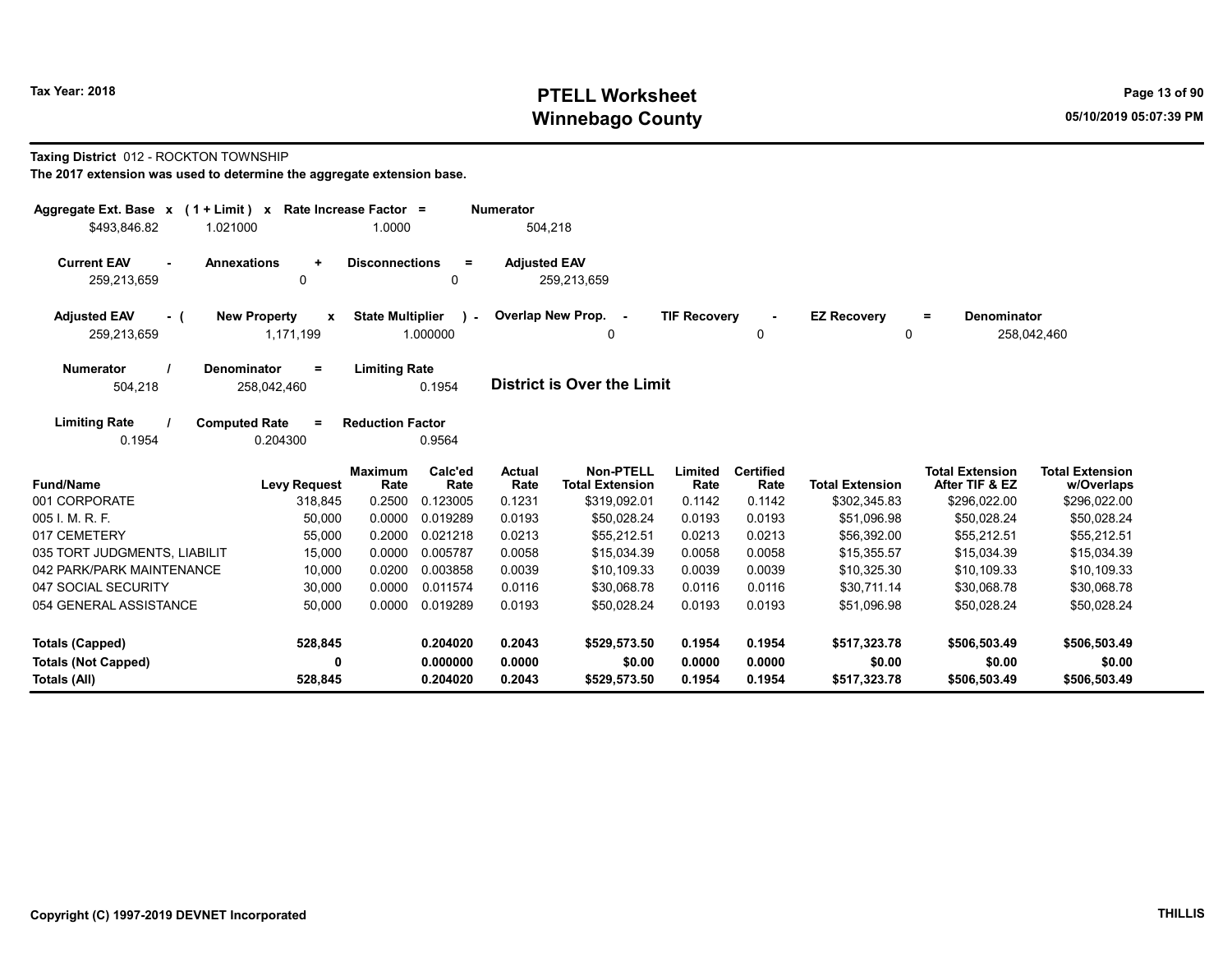## Tax Year: 2018 **PTELL Worksheet** Page 13 of 90 Winnebago County and the County of the County of the County of the County of the County of the County of the County of the County of the County of the County of the County of the County of the County of the County of the C

#### Taxing District 012 - ROCKTON TOWNSHIP

| Aggregate Ext. Base $x$ (1 + Limit) x Rate Increase Factor =      |                                                 |                                                     | <b>Numerator</b>    |                                            |                     |                          |                         |                                          |                                      |
|-------------------------------------------------------------------|-------------------------------------------------|-----------------------------------------------------|---------------------|--------------------------------------------|---------------------|--------------------------|-------------------------|------------------------------------------|--------------------------------------|
| \$493,846.82<br>1.021000                                          |                                                 | 1.0000                                              | 504,218             |                                            |                     |                          |                         |                                          |                                      |
| <b>Current EAV</b><br><b>Annexations</b><br>$\sim$<br>259,213,659 | $\ddot{}$<br>$\mathbf 0$                        | <b>Disconnections</b><br>$=$<br>0                   | <b>Adjusted EAV</b> | 259,213,659                                |                     |                          |                         |                                          |                                      |
| <b>Adjusted EAV</b><br>- (<br>259,213,659                         | <b>New Property</b><br>$\mathbf x$<br>1,171,199 | <b>State Multiplier</b><br>$\mathbf{r}$<br>1.000000 | Overlap New Prop. - | 0                                          | <b>TIF Recovery</b> | 0                        | <b>EZ Recovery</b><br>0 | <b>Denominator</b><br>$=$                | 258,042,460                          |
| <b>Denominator</b><br><b>Numerator</b><br>504,218                 | $=$<br>258,042,460                              | <b>Limiting Rate</b><br>0.1954                      |                     | <b>District is Over the Limit</b>          |                     |                          |                         |                                          |                                      |
| <b>Limiting Rate</b><br><b>Computed Rate</b><br>0.1954            | $=$<br>0.204300                                 | <b>Reduction Factor</b><br>0.9564                   |                     |                                            |                     |                          |                         |                                          |                                      |
| <b>Fund/Name</b>                                                  | <b>Levy Request</b>                             | Calc'ed<br><b>Maximum</b><br>Rate<br>Rate           | Actual<br>Rate      | <b>Non-PTELL</b><br><b>Total Extension</b> | Limited<br>Rate     | <b>Certified</b><br>Rate | <b>Total Extension</b>  | <b>Total Extension</b><br>After TIF & EZ | <b>Total Extension</b><br>w/Overlaps |
| 001 CORPORATE                                                     | 318,845                                         | 0.2500<br>0.123005                                  | 0.1231              | \$319,092.01                               | 0.1142              | 0.1142                   | \$302,345.83            | \$296,022.00                             | \$296,022.00                         |
| 005 I. M. R. F.                                                   | 50,000                                          | 0.0000<br>0.019289                                  | 0.0193              | \$50,028.24                                | 0.0193              | 0.0193                   | \$51,096.98             | \$50,028.24                              | \$50,028.24                          |
| 017 CEMETERY                                                      | 55,000                                          | 0.2000<br>0.021218                                  | 0.0213              | \$55,212.51                                | 0.0213              | 0.0213                   | \$56,392.00             | \$55,212.51                              | \$55,212.51                          |
| 035 TORT JUDGMENTS, LIABILIT                                      | 15,000                                          | 0.0000<br>0.005787                                  | 0.0058              | \$15.034.39                                | 0.0058              | 0.0058                   | \$15,355.57             | \$15,034.39                              | \$15,034.39                          |
| 042 PARK/PARK MAINTENANCE                                         | 10,000                                          | 0.0200<br>0.003858                                  | 0.0039              | \$10,109.33                                | 0.0039              | 0.0039                   | \$10,325.30             | \$10,109.33                              | \$10,109.33                          |
| 047 SOCIAL SECURITY                                               | 30,000                                          | 0.0000<br>0.011574                                  | 0.0116              | \$30,068.78                                | 0.0116              | 0.0116                   | \$30,711.14             | \$30,068.78                              | \$30,068.78                          |
| 054 GENERAL ASSISTANCE                                            | 50,000                                          | 0.0000<br>0.019289                                  | 0.0193              | \$50,028.24                                | 0.0193              | 0.0193                   | \$51,096.98             | \$50,028.24                              | \$50,028.24                          |
| Totals (Capped)                                                   | 528,845                                         | 0.204020                                            | 0.2043              | \$529,573.50                               | 0.1954              | 0.1954                   | \$517,323.78            | \$506,503.49                             | \$506,503.49                         |
| <b>Totals (Not Capped)</b><br>Totals (All)                        | 0<br>528,845                                    | 0.000000<br>0.204020                                | 0.0000<br>0.2043    | \$0.00<br>\$529,573.50                     | 0.0000<br>0.1954    | 0.0000<br>0.1954         | \$0.00<br>\$517,323.78  | \$0.00<br>\$506,503.49                   | \$0.00<br>\$506,503.49               |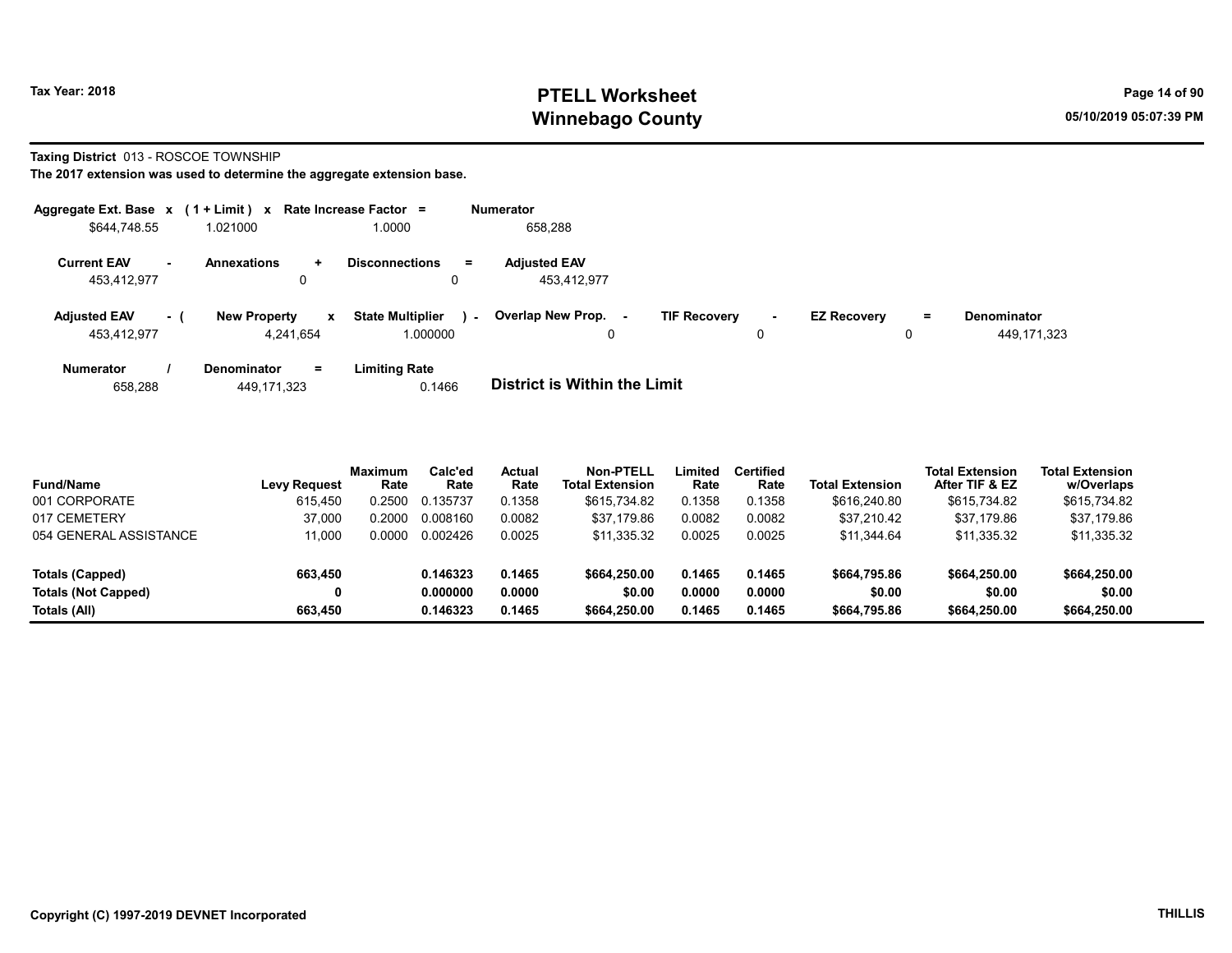## Tax Year: 2018 **PTELL Worksheet** Page 14 of 90 Winnebago County and the County of the County of the County of the County of the County of the County of the County of the County of the County of the County of the County of the County of the County of the County of the C

#### Taxing District 013 - ROSCOE TOWNSHIP

| Aggregate Ext. Base x (1 + Limit) x Rate Increase Factor = |        |                                  |              |                                     |        | <b>Numerator</b>                   |                     |             |                    |          |                                   |
|------------------------------------------------------------|--------|----------------------------------|--------------|-------------------------------------|--------|------------------------------------|---------------------|-------------|--------------------|----------|-----------------------------------|
| \$644,748.55                                               |        | 1.021000                         |              | .0000                               |        | 658,288                            |                     |             |                    |          |                                   |
| <b>Current EAV</b><br>453,412,977                          | $\sim$ | <b>Annexations</b><br>0          | $\ddot{}$    | <b>Disconnections</b><br>0          | $=$    | <b>Adjusted EAV</b><br>453.412.977 |                     |             |                    |          |                                   |
| <b>Adjusted EAV</b><br>453,412,977                         | $-1$   | <b>New Property</b><br>4.241.654 | $\mathbf{x}$ | <b>State Multiplier</b><br>1.000000 | $\sim$ | Overlap New Prop.<br>۰.            | <b>TIF Recovery</b> | $\sim$<br>0 | <b>EZ Recovery</b> | $=$<br>0 | <b>Denominator</b><br>449,171,323 |
| <b>Numerator</b>                                           |        | <b>Denominator</b>               | Ξ.           | <b>Limiting Rate</b>                |        | _                                  |                     |             |                    |          |                                   |

| 658.288 | 449, 171, 323 | 0.1466 | <b>District is Within the Limit</b> |
|---------|---------------|--------|-------------------------------------|

| <b>Fund/Name</b>           | <b>Levy Request</b> | Maximum<br>Rate | Calc'ed<br>Rate | <b>Actual</b><br>Rate | <b>Non-PTELL</b><br><b>Total Extension</b> | Limited<br>Rate | <b>Certified</b><br>Rate | <b>Total Extension</b> | <b>Total Extension</b><br>After TIF & EZ | <b>Total Extension</b><br>w/Overlaps |  |
|----------------------------|---------------------|-----------------|-----------------|-----------------------|--------------------------------------------|-----------------|--------------------------|------------------------|------------------------------------------|--------------------------------------|--|
| 001 CORPORATE              | 615.450             | .2500           | 0.135737        | 0.1358                | \$615.734.82                               | 0.1358          | 0.1358                   | \$616,240.80           | \$615,734.82                             | \$615,734.82                         |  |
| 017 CEMETERY               | 37.000              | .2000           | 0.008160        | 0.0082                | \$37.179.86                                | 0.0082          | 0.0082                   | \$37.210.42            | \$37.179.86                              | \$37.179.86                          |  |
| 054 GENERAL ASSISTANCE     | 11.000              | .0000           | 0.002426        | 0.0025                | \$11,335.32                                | 0.0025          | 0.0025                   | \$11.344.64            | \$11,335.32                              | \$11,335.32                          |  |
| Totals (Capped)            | 663.450             |                 | 0.146323        | 0.1465                | \$664,250.00                               | 0.1465          | 0.1465                   | \$664,795.86           | \$664,250.00                             | \$664,250.00                         |  |
| <b>Totals (Not Capped)</b> | 0                   |                 | 0.000000        | 0.0000                | \$0.00                                     | 0.0000          | 0.0000                   | \$0.00                 | \$0.00                                   | \$0.00                               |  |
| Totals (All)               | 663.450             |                 | 0.146323        | 0.1465                | \$664,250.00                               | 0.1465          | 0.1465                   | \$664,795.86           | \$664,250,00                             | \$664,250.00                         |  |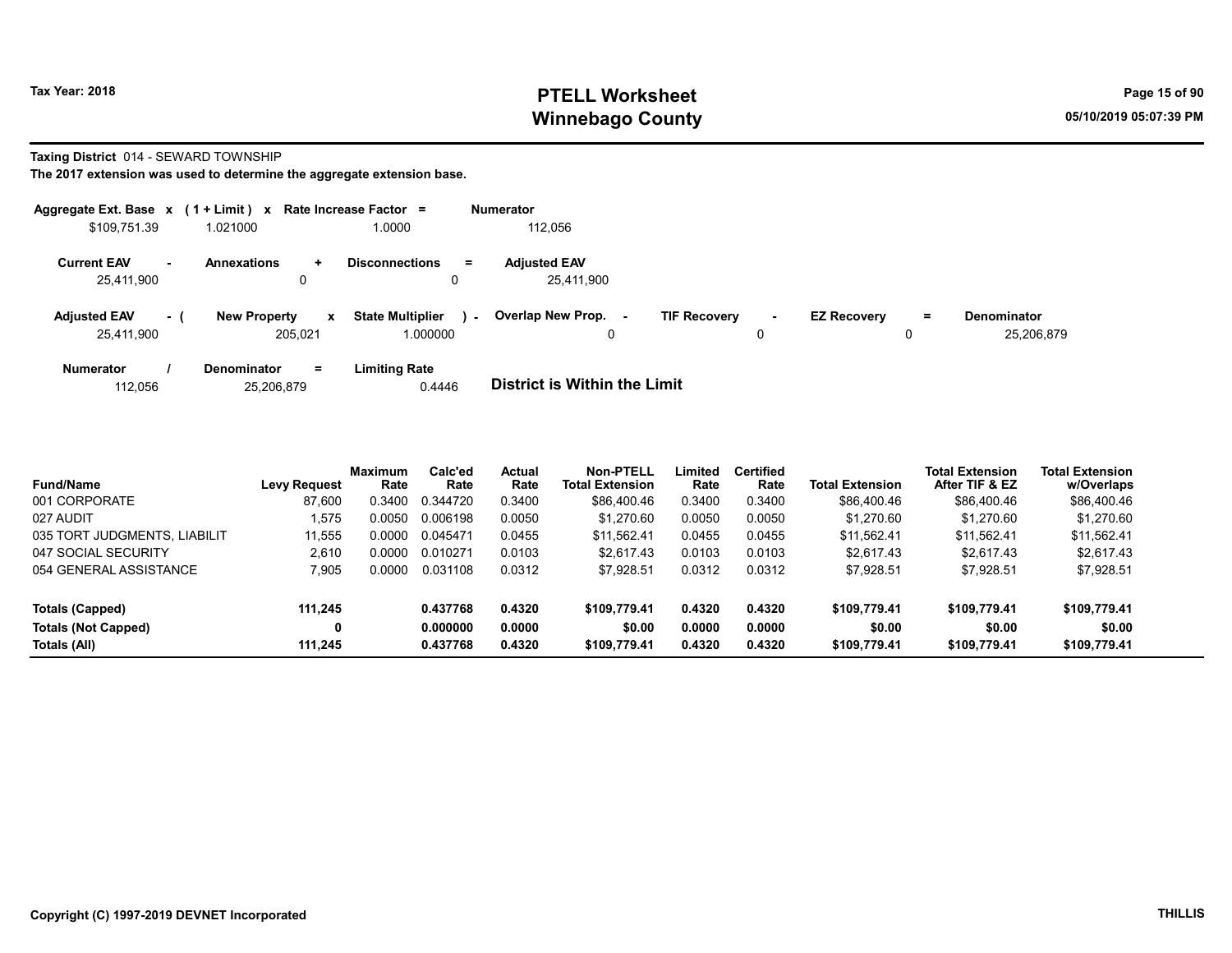### Tax Year: 2018 **PTELL Worksheet** Page 15 of 90 Winnebago County and the County of the County of the County of the County of the County of the County of the County of the County of the County of the County of the County of the County of the County of the County of the C

#### Taxing District 014 - SEWARD TOWNSHIP

|                                   |     | Aggregate Ext. Base $x$ (1 + Limit) $x$ Rate Increase Factor = |                                     | <b>Numerator</b>                                                                                                                                               |
|-----------------------------------|-----|----------------------------------------------------------------|-------------------------------------|----------------------------------------------------------------------------------------------------------------------------------------------------------------|
| \$109,751.39                      |     | 1.021000                                                       | 1.0000                              | 112,056                                                                                                                                                        |
| <b>Current EAV</b><br>25,411,900  | н.  | <b>Annexations</b><br>$\ddot{}$<br>0                           | <b>Disconnections</b><br>Ξ.         | <b>Adjusted EAV</b><br>25.411.900                                                                                                                              |
| <b>Adjusted EAV</b><br>25,411,900 | - ( | <b>New Property</b><br>$\mathbf{x}$<br>205.021                 | <b>State Multiplier</b><br>1.000000 | Overlap New Prop.<br><b>TIF Recovery</b><br><b>EZ Recovery</b><br><b>Denominator</b><br>$=$<br>$\sim$<br>$\sim$<br>$\blacksquare$<br>25.206.879<br>0<br>0<br>0 |
| <b>Numerator</b><br>112.056       |     | $=$<br><b>Denominator</b><br>25,206,879                        | <b>Limiting Rate</b><br>0.4446      | <b>District is Within the Limit</b>                                                                                                                            |

| <b>Fund/Name</b>             | <b>Levy Request</b> | Maximum<br>Rate | Calc'ed<br>Rate | Actual<br>Rate | <b>Non-PTELL</b><br><b>Total Extension</b> | Limited<br>Rate | <b>Certified</b><br>Rate | <b>Total Extension</b> | <b>Total Extension</b><br>After TIF & EZ | <b>Total Extension</b><br>w/Overlaps |
|------------------------------|---------------------|-----------------|-----------------|----------------|--------------------------------------------|-----------------|--------------------------|------------------------|------------------------------------------|--------------------------------------|
| 001 CORPORATE                | 87.600              | 0.3400          | 0.344720        | 0.3400         | \$86,400.46                                | 0.3400          | 0.3400                   | \$86,400.46            | \$86,400.46                              | \$86,400.46                          |
| 027 AUDIT                    | .575                | 0.0050          | 0.006198        | 0.0050         | \$1.270.60                                 | 0.0050          | 0.0050                   | \$1.270.60             | \$1.270.60                               | \$1,270.60                           |
| 035 TORT JUDGMENTS, LIABILIT | 11.555              | 0.0000          | 0.045471        | 0.0455         | \$11.562.41                                | 0.0455          | 0.0455                   | \$11.562.41            | \$11.562.41                              | \$11,562.41                          |
| 047 SOCIAL SECURITY          | 2.610               | 0.0000          | 0.010271        | 0.0103         | \$2.617.43                                 | 0.0103          | 0.0103                   | \$2.617.43             | \$2.617.43                               | \$2.617.43                           |
| 054 GENERAL ASSISTANCE       | 7,905               | 0.0000          | 0.031108        | 0.0312         | \$7,928.51                                 | 0.0312          | 0.0312                   | \$7.928.51             | \$7,928.51                               | \$7,928.51                           |
| Totals (Capped)              | 111,245             |                 | 0.437768        | 0.4320         | \$109.779.41                               | 0.4320          | 0.4320                   | \$109,779.41           | \$109,779.41                             | \$109,779.41                         |
| <b>Totals (Not Capped)</b>   | 0                   |                 | 0.000000        | 0.0000         | \$0.00                                     | 0.0000          | 0.0000                   | \$0.00                 | \$0.00                                   | \$0.00                               |
| Totals (All)                 | 111.245             |                 | 0.437768        | 0.4320         | \$109.779.41                               | 0.4320          | 0.4320                   | \$109.779.41           | \$109,779.41                             | \$109,779.41                         |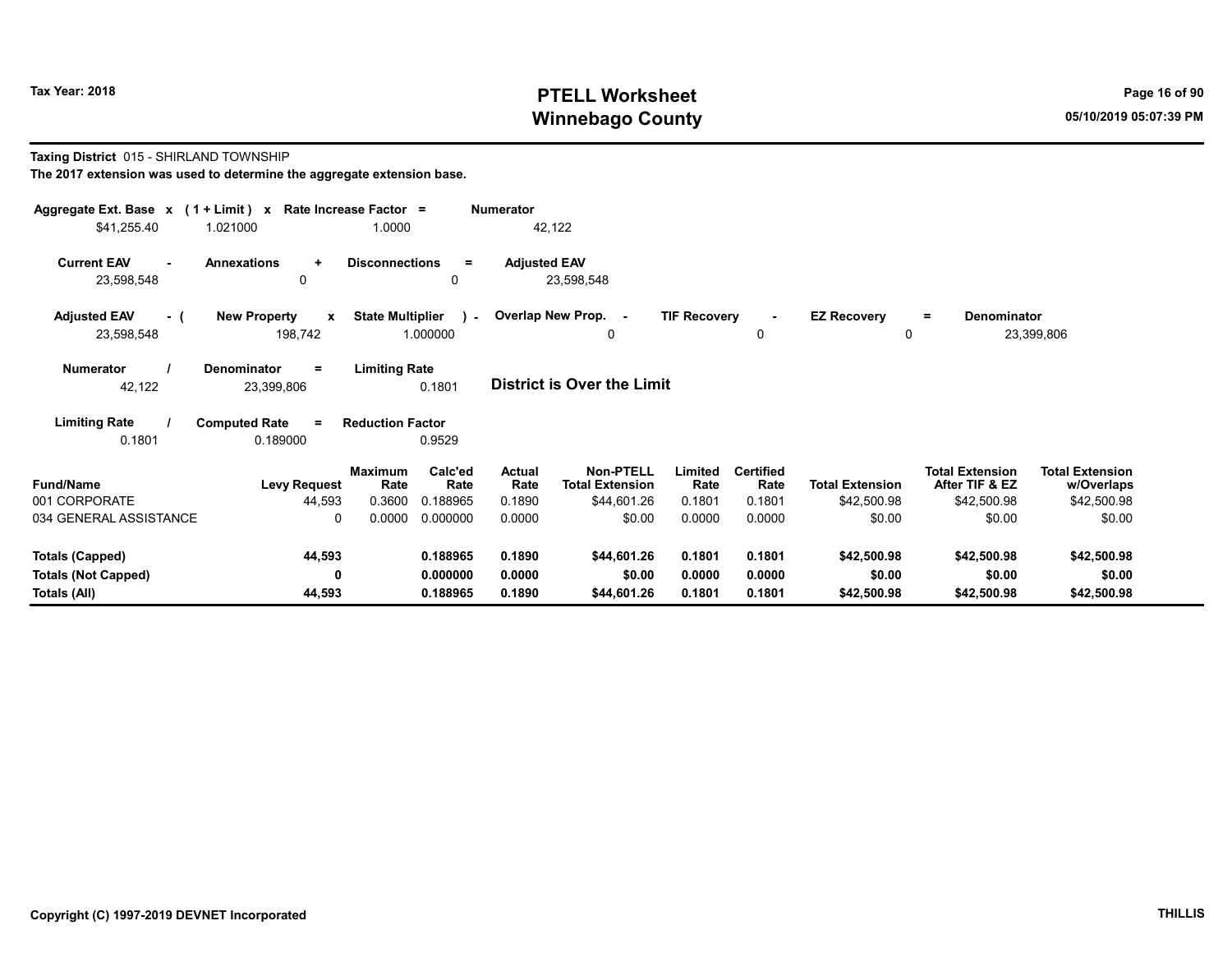## Tax Year: 2018 **PTELL Worksheet** Page 16 of 90 Winnebago County and the County of the County of the County of the County of the County of the County of the County of the County of the County of the County of the County of the County of the County of the County of the C

#### Taxing District 015 - SHIRLAND TOWNSHIP

| The 2017 extension was used to determine the aggregate extension base. |  |
|------------------------------------------------------------------------|--|
|------------------------------------------------------------------------|--|

| Aggregate Ext. Base $x$ (1 + Limit) x Rate Increase Factor = |                                                |                         |                 | <b>Numerator</b>    |                                            |                     |                          |                         |                                          |                                      |  |
|--------------------------------------------------------------|------------------------------------------------|-------------------------|-----------------|---------------------|--------------------------------------------|---------------------|--------------------------|-------------------------|------------------------------------------|--------------------------------------|--|
| \$41,255.40                                                  | 1.021000                                       | 1.0000                  |                 |                     | 42,122                                     |                     |                          |                         |                                          |                                      |  |
| <b>Current EAV</b><br>$\sim$<br>23,598,548                   | <b>Annexations</b><br>$\ddot{}$<br>0           | <b>Disconnections</b>   | $\equiv$<br>0   | <b>Adjusted EAV</b> | 23,598,548                                 |                     |                          |                         |                                          |                                      |  |
| <b>Adjusted EAV</b><br>- 0<br>23,598,548                     | <b>New Property</b><br>$\mathbf{x}$<br>198,742 | <b>State Multiplier</b> | 1.000000        |                     | - Overlap New Prop. -<br>0                 | <b>TIF Recovery</b> | $\sim$<br>0              | <b>EZ Recovery</b><br>0 | Denominator<br>Ξ.                        | 23,399,806                           |  |
| <b>Numerator</b><br>42,122                                   | <b>Denominator</b><br>Ξ<br>23,399,806          | <b>Limiting Rate</b>    | 0.1801          |                     | <b>District is Over the Limit</b>          |                     |                          |                         |                                          |                                      |  |
| <b>Limiting Rate</b>                                         | <b>Computed Rate</b><br>$\equiv$               | <b>Reduction Factor</b> |                 |                     |                                            |                     |                          |                         |                                          |                                      |  |
| 0.1801                                                       | 0.189000                                       |                         | 0.9529          |                     |                                            |                     |                          |                         |                                          |                                      |  |
| <b>Fund/Name</b>                                             | <b>Levy Request</b>                            | <b>Maximum</b><br>Rate  | Calc'ed<br>Rate | Actual<br>Rate      | <b>Non-PTELL</b><br><b>Total Extension</b> | Limited<br>Rate     | <b>Certified</b><br>Rate | <b>Total Extension</b>  | <b>Total Extension</b><br>After TIF & EZ | <b>Total Extension</b><br>w/Overlaps |  |
| 001 CORPORATE                                                | 44,593                                         | 0.3600                  | 0.188965        | 0.1890              | \$44,601.26                                | 0.1801              | 0.1801                   | \$42,500.98             | \$42,500.98                              | \$42,500.98                          |  |
| 034 GENERAL ASSISTANCE                                       | $\mathbf{0}$                                   | 0.0000                  | 0.000000        | 0.0000              | \$0.00                                     | 0.0000              | 0.0000                   | \$0.00                  | \$0.00                                   | \$0.00                               |  |
| Totals (Capped)                                              | 44,593                                         |                         | 0.188965        | 0.1890              | \$44,601.26                                | 0.1801              | 0.1801                   | \$42,500.98             | \$42,500.98                              | \$42,500.98                          |  |
| <b>Totals (Not Capped)</b>                                   | 0                                              |                         | 0.000000        | 0.0000              | \$0.00                                     | 0.0000              | 0.0000                   | \$0.00                  | \$0.00                                   | \$0.00                               |  |
| Totals (All)                                                 | 44,593                                         |                         | 0.188965        | 0.1890              | \$44,601.26                                | 0.1801              | 0.1801                   | \$42,500.98             | \$42,500.98                              | \$42,500.98                          |  |

-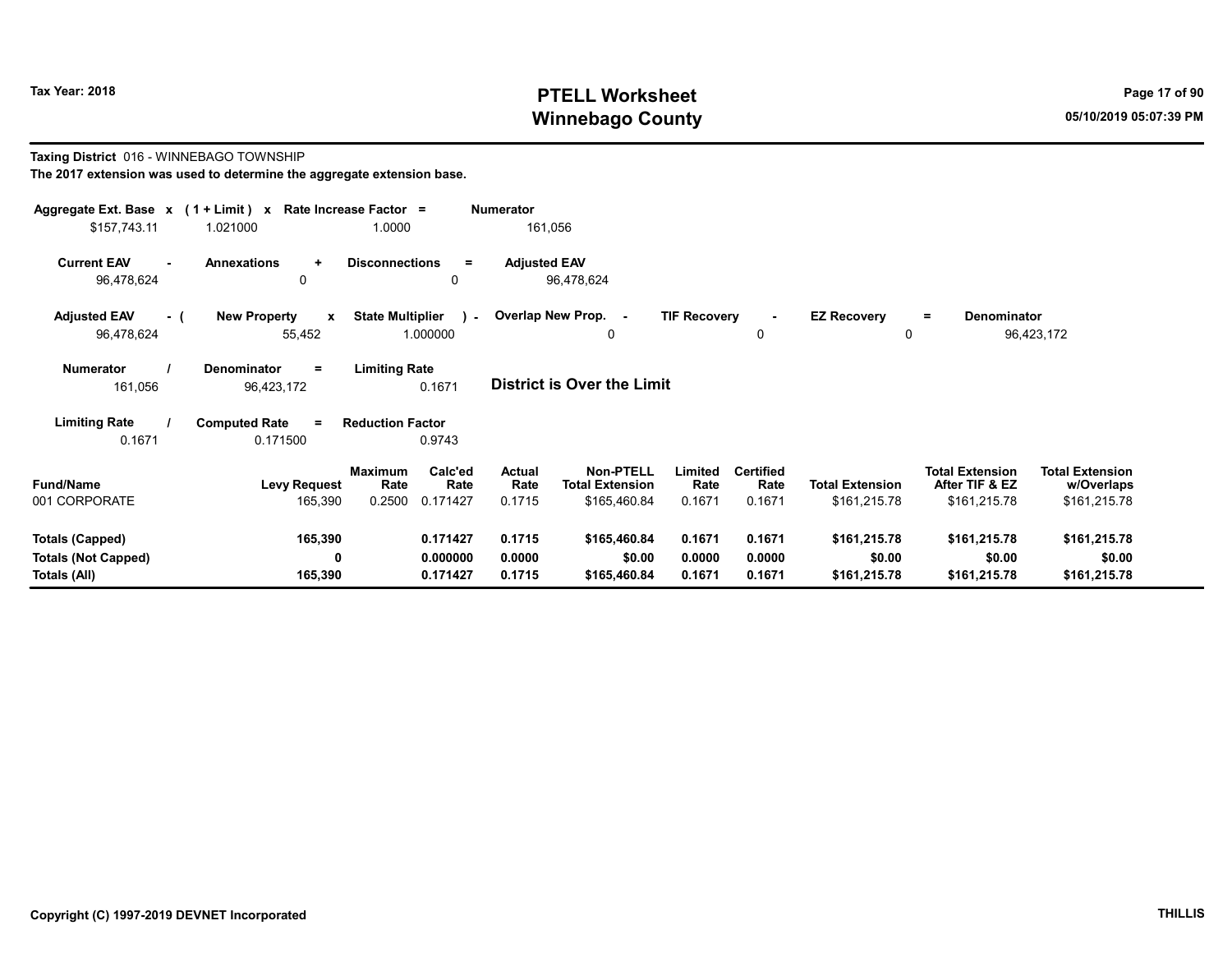## Tax Year: 2018 **PTELL Worksheet** Page 17 of 90 Winnebago County and the County of the County of the County of the County of the County of the County of the County of the County of the County of the County of the County of the County of the County of the County of the C

#### Taxing District 016 - WINNEBAGO TOWNSHIP The 2017 extension was used to determine the aggregate extension base.

| Aggregate Ext. Base x (1 + Limit) x Rate Increase Factor =<br>\$157,743.11 | 1.021000                                      | 1.0000                                                   | <b>Numerator</b><br>161,056       |                                                                                         |                                    |                                        |                                                          |                                                      |
|----------------------------------------------------------------------------|-----------------------------------------------|----------------------------------------------------------|-----------------------------------|-----------------------------------------------------------------------------------------|------------------------------------|----------------------------------------|----------------------------------------------------------|------------------------------------------------------|
| <b>Current EAV</b><br>96,478,624                                           | <b>Annexations</b><br>$\ddot{}$<br>0          | <b>Disconnections</b><br>$\equiv$<br>0                   | <b>Adjusted EAV</b><br>96,478,624 |                                                                                         |                                    |                                        |                                                          |                                                      |
| <b>Adjusted EAV</b><br>- (<br>96,478,624                                   | <b>New Property</b><br>$\mathbf{x}$<br>55,452 | <b>State Multiplier</b><br>$\sim$<br>1.000000            | Overlap New Prop. -               | <b>TIF Recovery</b><br>0                                                                | $\blacksquare$<br>0                | <b>EZ Recovery</b><br>0                | Denominator<br>$\equiv$                                  | 96,423,172                                           |
| <b>Numerator</b><br>161,056                                                | Denominator<br>$=$<br>96,423,172              | <b>Limiting Rate</b><br>0.1671                           | District is Over the Limit        |                                                                                         |                                    |                                        |                                                          |                                                      |
| <b>Limiting Rate</b><br>0.1671                                             | <b>Computed Rate</b><br>$=$<br>0.171500       | <b>Reduction Factor</b><br>0.9743                        |                                   |                                                                                         |                                    |                                        |                                                          |                                                      |
| <b>Fund/Name</b><br>001 CORPORATE                                          | <b>Levy Request</b><br>165,390                | Calc'ed<br>Maximum<br>Rate<br>Rate<br>0.2500<br>0.171427 | Actual<br>Rate<br>0.1715          | <b>Non-PTELL</b><br>Limited<br><b>Total Extension</b><br>Rate<br>\$165,460.84<br>0.1671 | <b>Certified</b><br>Rate<br>0.1671 | <b>Total Extension</b><br>\$161,215.78 | <b>Total Extension</b><br>After TIF & EZ<br>\$161,215.78 | <b>Total Extension</b><br>w/Overlaps<br>\$161,215.78 |
| Totals (Capped)<br><b>Totals (Not Capped)</b><br>Totals (All)              | 165,390<br>0<br>165,390                       | 0.171427<br>0.000000<br>0.171427                         | 0.1715<br>0.0000<br>0.1715        | \$165,460.84<br>0.1671<br>\$0.00<br>0.0000<br>\$165,460.84<br>0.1671                    | 0.1671<br>0.0000<br>0.1671         | \$161,215.78<br>\$0.00<br>\$161,215.78 | \$161,215.78<br>\$0.00<br>\$161,215.78                   | \$161,215.78<br>\$0.00<br>\$161,215.78               |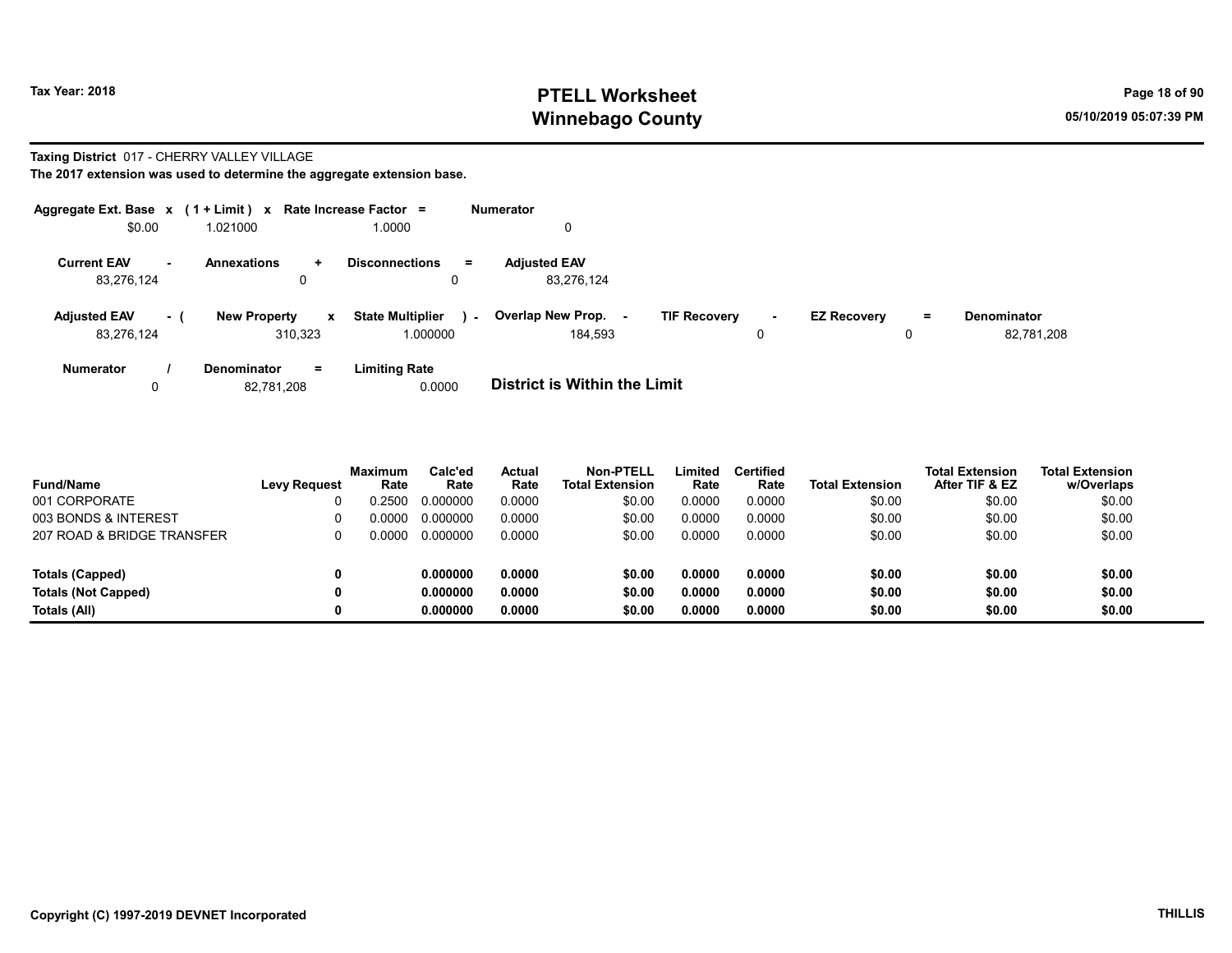### Tax Year: 2018 **PTELL Worksheet** Page 18 of 90 Winnebago County and the County of the County of the County of the County of the County of the County of the County of the County of the County of the County of the County of the County of the County of the County of the C

#### Taxing District 017 - CHERRY VALLEY VILLAGE

| Aggregate Ext. Base $x$ (1 + Limit) $x$ |                                     | Rate Increase Factor =            | <b>Numerator</b>                         |        |                    |     |                    |
|-----------------------------------------|-------------------------------------|-----------------------------------|------------------------------------------|--------|--------------------|-----|--------------------|
| \$0.00                                  | 1.021000                            | 1.0000                            |                                          |        |                    |     |                    |
| <b>Current EAV</b><br>$\sim$            | <b>Annexations</b><br>÷             | <b>Disconnections</b><br>$=$      | <b>Adiusted EAV</b>                      |        |                    |     |                    |
| 83,276,124                              | 0                                   | 0                                 | 83,276,124                               |        |                    |     |                    |
| <b>Adjusted EAV</b><br>- (              | <b>New Property</b><br>$\mathbf{x}$ | <b>State Multiplier</b><br>$\sim$ | Overlap New Prop.<br><b>TIF Recovery</b> | $\sim$ | <b>EZ Recovery</b> | $=$ | <b>Denominator</b> |
| 83,276,124                              | 310.323                             | 1.000000                          | 184.593                                  | 0      |                    | 0   | 82,781,208         |
| <b>Numerator</b>                        | $=$<br><b>Denominator</b>           | <b>Limiting Rate</b>              |                                          |        |                    |     |                    |
|                                         | 82,781,208                          | 0.0000                            | <b>District is Within the Limit</b>      |        |                    |     |                    |

| <b>Fund/Name</b>           | Levy Request | <b>Maximum</b><br>Rate | Calc'ed<br>Rate | Actual<br>Rate | Non-PTELL<br><b>Total Extension</b> | Limited<br>Rate | <b>Certified</b><br>Rate | <b>Total Extension</b> | <b>Total Extension</b><br>After TIF & EZ | Total Extension<br>w/Overlaps |
|----------------------------|--------------|------------------------|-----------------|----------------|-------------------------------------|-----------------|--------------------------|------------------------|------------------------------------------|-------------------------------|
| 001 CORPORATE              |              | 0.2500                 | 0.000000        | 0.0000         | \$0.00                              | 0.0000          | 0.0000                   | \$0.00                 | \$0.00                                   | \$0.00                        |
| 003 BONDS & INTEREST       |              | 0.0000                 | 0.000000        | 0.0000         | \$0.00                              | 0.0000          | 0.0000                   | \$0.00                 | \$0.00                                   | \$0.00                        |
| 207 ROAD & BRIDGE TRANSFER |              | 0.0000                 | 0.000000        | 0.0000         | \$0.00                              | 0.0000          | 0.0000                   | \$0.00                 | \$0.00                                   | \$0.00                        |
| Totals (Capped)            |              |                        | 0.000000        | 0.0000         | \$0.00                              | 0.0000          | 0.0000                   | \$0.00                 | \$0.00                                   | \$0.00                        |
| <b>Totals (Not Capped)</b> |              |                        | 0.000000        | 0.0000         | \$0.00                              | 0.0000          | 0.0000                   | \$0.00                 | \$0.00                                   | \$0.00                        |
| Totals (All)               |              |                        | 0.000000        | 0.0000         | \$0.00                              | 0.0000          | 0.0000                   | \$0.00                 | \$0.00                                   | \$0.00                        |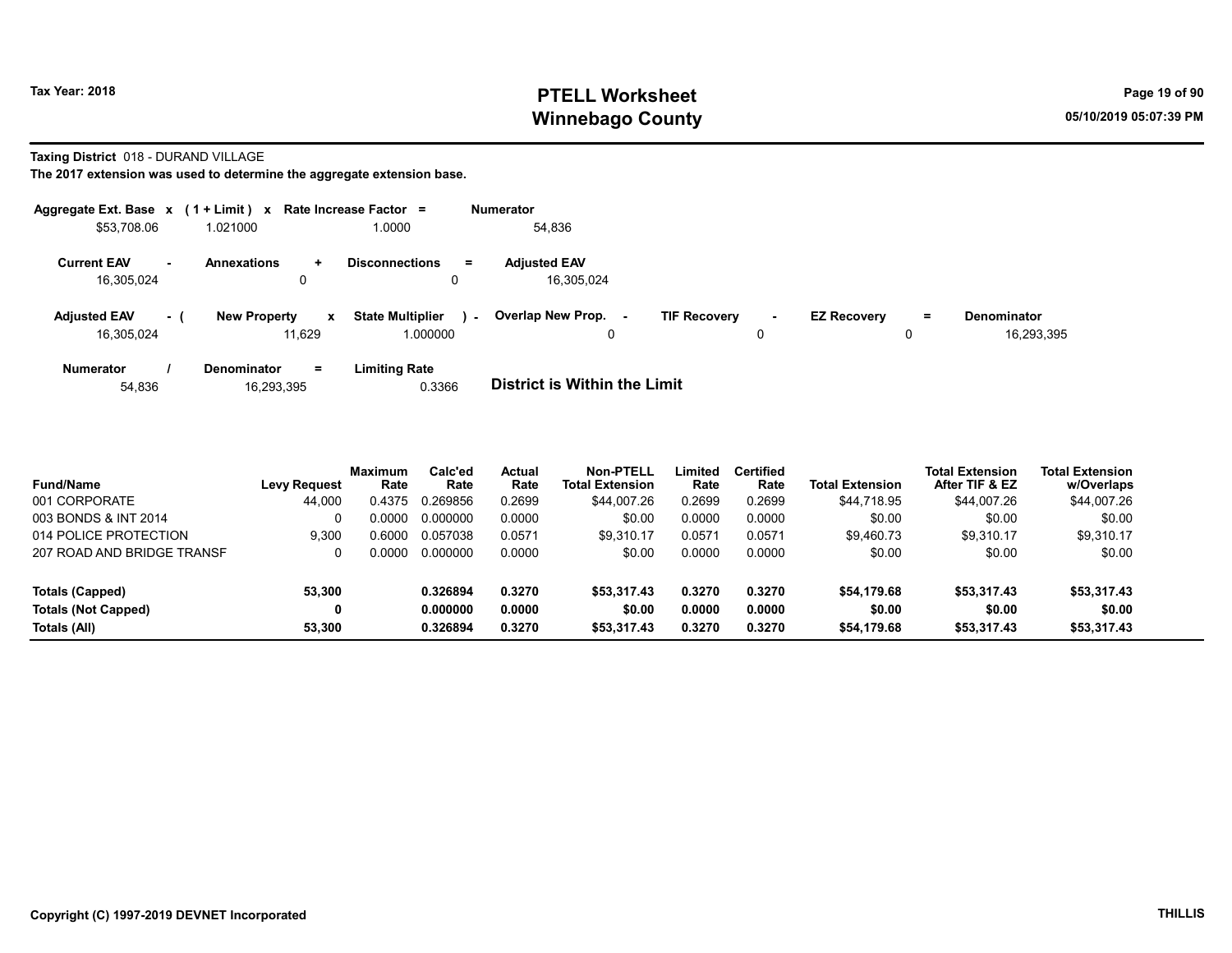## Tax Year: 2018 **PTELL Worksheet** Page 19 of 90 Winnebago County and the County of the County of the County of the County of the County of the County of the County of the County of the County of the County of the County of the County of the County of the County of the C

#### Taxing District 018 - DURAND VILLAGE

|                                   |        | Aggregate Ext. Base $x$ (1 + Limit) $x$ Rate Increase Factor = |                                                     | <b>Numerator</b> |                                     |                     |             |                    |               |                           |
|-----------------------------------|--------|----------------------------------------------------------------|-----------------------------------------------------|------------------|-------------------------------------|---------------------|-------------|--------------------|---------------|---------------------------|
| \$53,708.06                       |        | 1.021000                                                       | 1.0000                                              |                  | 54,836                              |                     |             |                    |               |                           |
| <b>Current EAV</b><br>16.305.024  | $\sim$ | <b>Annexations</b><br>$\ddot{}$<br>0                           | <b>Disconnections</b><br>Ξ.<br>0                    |                  | <b>Adjusted EAV</b><br>16.305.024   |                     |             |                    |               |                           |
| <b>Adjusted EAV</b><br>16.305.024 | - 1    | <b>New Property</b><br>11.629                                  | <b>State Multiplier</b><br>$\mathbf{x}$<br>1.000000 | $\sim$           | Overlap New Prop.<br>۰.<br>0        | <b>TIF Recovery</b> | $\sim$<br>0 | <b>EZ Recovery</b> | $\equiv$<br>0 | Denominator<br>16.293.395 |
| <b>Numerator</b><br>54,836        |        | $=$<br><b>Denominator</b><br>16,293,395                        | <b>Limiting Rate</b><br>0.3366                      |                  | <b>District is Within the Limit</b> |                     |             |                    |               |                           |

| <b>Fund/Name</b>           | <b>Levy Request</b> | <b>Maximum</b><br>Rate | Calc'ed<br>Rate | <b>Actual</b><br>Rate | <b>Non-PTELL</b><br><b>Total Extension</b> | ∟imited<br>Rate | <b>Certified</b><br>Rate | <b>Total Extension</b> | <b>Total Extension</b><br>After TIF & EZ | <b>Total Extension</b><br>w/Overlaps |
|----------------------------|---------------------|------------------------|-----------------|-----------------------|--------------------------------------------|-----------------|--------------------------|------------------------|------------------------------------------|--------------------------------------|
| 001 CORPORATE              | 44,000              | 0.4375                 | 0.269856        | 0.2699                | \$44.007.26                                | 0.2699          | 0.2699                   | \$44.718.95            | \$44.007.26                              | \$44,007.26                          |
| 003 BONDS & INT 2014       |                     | .0000                  | 0.000000        | 0.0000                | \$0.00                                     | 0.0000          | 0.0000                   | \$0.00                 | \$0.00                                   | \$0.00                               |
| 014 POLICE PROTECTION      | 9.300               | 0.6000                 | 0.057038        | 0.0571                | \$9.310.17                                 | 0.0571          | 0.0571                   | \$9.460.73             | \$9.310.17                               | \$9,310.17                           |
| 207 ROAD AND BRIDGE TRANSF |                     | 0000                   | 0.000000        | 0.0000                | \$0.00                                     | 0.0000          | 0.0000                   | \$0.00                 | \$0.00                                   | \$0.00                               |
| Totals (Capped)            | 53,300              |                        | 0.326894        | 0.3270                | \$53,317.43                                | 0.3270          | 0.3270                   | \$54.179.68            | \$53,317.43                              | \$53,317.43                          |
| <b>Totals (Not Capped)</b> | 0                   |                        | 0.000000        | 0.0000                | \$0.00                                     | 0.0000          | 0.0000                   | \$0.00                 | \$0.00                                   | \$0.00                               |
| Totals (All)               | 53.300              |                        | 0.326894        | 0.3270                | \$53.317.43                                | 0.3270          | 0.3270                   | \$54,179.68            | \$53,317.43                              | \$53,317.43                          |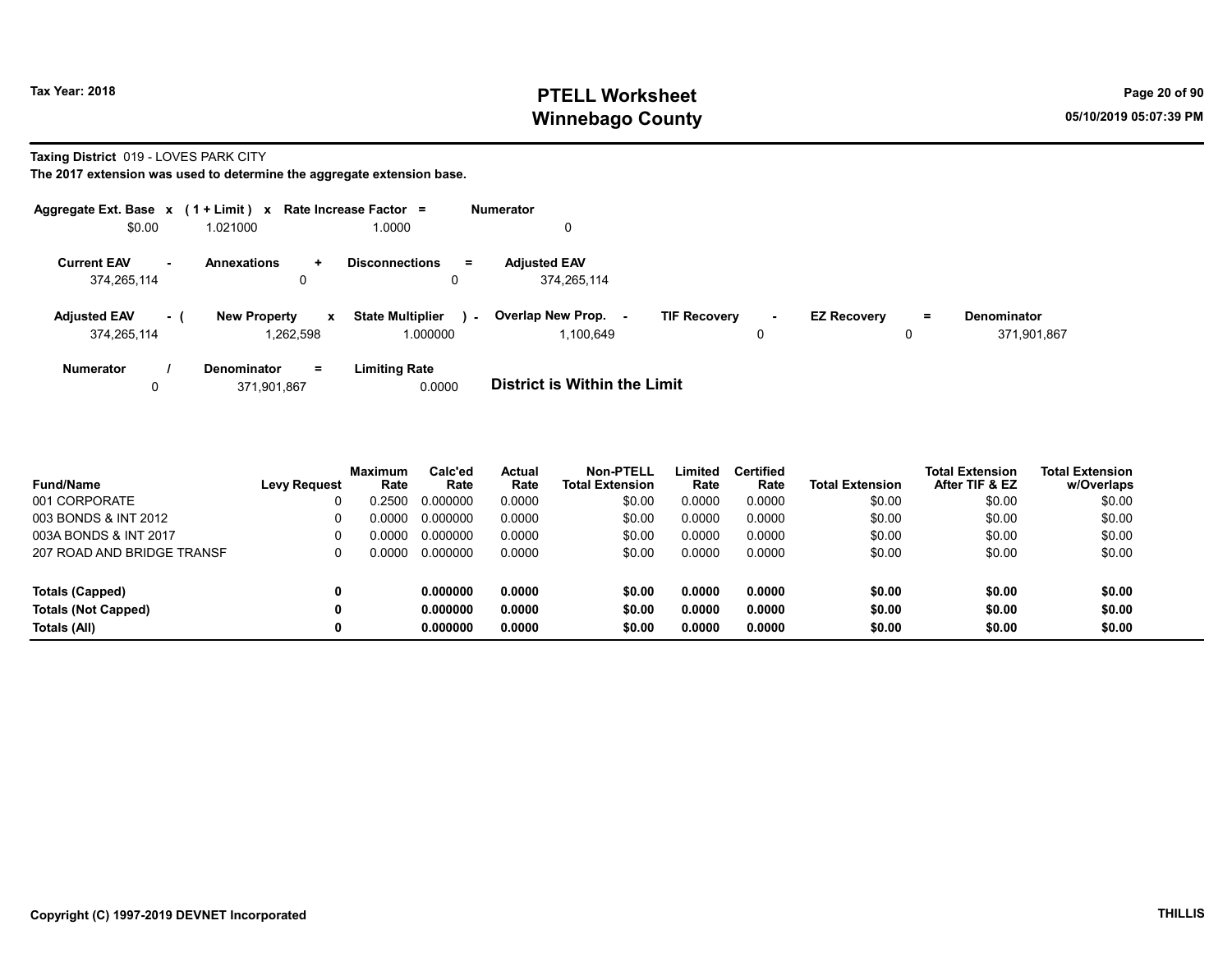### Tax Year: 2018 **PTELL Worksheet** Page 20 of 90 Winnebago County and the County of the County of the County of the County of the County of the County of the County of the County of the County of the County of the County of the County of the County of the County of the C

Taxing District 019 - LOVES PARK CITY

| Aggregate Ext. Base $x$ (1 + Limit) $x$ Rate Increase Factor = |                            |              |                                   | <b>Numerator</b>                    |                               |                    |    |                    |
|----------------------------------------------------------------|----------------------------|--------------|-----------------------------------|-------------------------------------|-------------------------------|--------------------|----|--------------------|
| \$0.00                                                         | 1.021000                   |              | 0000.1                            | 0                                   |                               |                    |    |                    |
| <b>Current EAV</b><br>$\sim$                                   | <b>Annexations</b>         | $\ddot{}$    | <b>Disconnections</b><br>$=$      | <b>Adjusted EAV</b>                 |                               |                    |    |                    |
| 374,265,114                                                    |                            | 0            | 0                                 | 374,265,114                         |                               |                    |    |                    |
| <b>Adjusted EAV</b>                                            | <b>New Property</b><br>- ( | $\mathbf{x}$ | <b>State Multiplier</b><br>$\sim$ | Overlap New Prop.                   | <b>TIF Recovery</b><br>$\sim$ | <b>EZ Recovery</b> | Ξ. | <b>Denominator</b> |
| 374,265,114                                                    |                            | 1.262.598    | 1.000000                          | 1.100.649                           | 0                             |                    | 0  | 371,901,867        |
| <b>Numerator</b>                                               | Denominator                | $=$          | <b>Limiting Rate</b>              |                                     |                               |                    |    |                    |
| 0                                                              | 371.901.867                |              | 0.0000                            | <b>District is Within the Limit</b> |                               |                    |    |                    |

| <b>Fund/Name</b>           | <b>Levy Request</b> | <b>Maximum</b><br>Rate | Calc'ed<br>Rate | Actual<br>Rate | <b>Non-PTELL</b><br><b>Total Extension</b> | Limited<br>Rate | <b>Certified</b><br>Rate | <b>Total Extension</b> | Total Extension<br>After TIF & EZ | <b>Total Extension</b><br>w/Overlaps |
|----------------------------|---------------------|------------------------|-----------------|----------------|--------------------------------------------|-----------------|--------------------------|------------------------|-----------------------------------|--------------------------------------|
| 001 CORPORATE              |                     | 0.2500                 | 0.000000        | 0.0000         | \$0.00                                     | 0.0000          | 0.0000                   | \$0.00                 | \$0.00                            | \$0.00                               |
| 003 BONDS & INT 2012       | 0                   | 0.0000                 | 0.000000        | 0.0000         | \$0.00                                     | 0.0000          | 0.0000                   | \$0.00                 | \$0.00                            | \$0.00                               |
| 003A BONDS & INT 2017      | 0                   | ი იიიი                 | 0.000000        | 0.0000         | \$0.00                                     | 0.0000          | 0.0000                   | \$0.00                 | \$0.00                            | \$0.00                               |
| 207 ROAD AND BRIDGE TRANSF |                     | 0.0000                 | 0.000000        | 0.0000         | \$0.00                                     | 0.0000          | 0.0000                   | \$0.00                 | \$0.00                            | \$0.00                               |
| Totals (Capped)            | 0                   |                        | 0.000000        | 0.0000         | \$0.00                                     | 0.0000          | 0.0000                   | \$0.00                 | \$0.00                            | \$0.00                               |
| <b>Totals (Not Capped)</b> | 0                   |                        | 0.000000        | 0.0000         | \$0.00                                     | 0.0000          | 0.0000                   | \$0.00                 | \$0.00                            | \$0.00                               |
| Totals (All)               | 0                   |                        | 0.000000        | 0.0000         | \$0.00                                     | 0.0000          | 0.0000                   | \$0.00                 | \$0.00                            | \$0.00                               |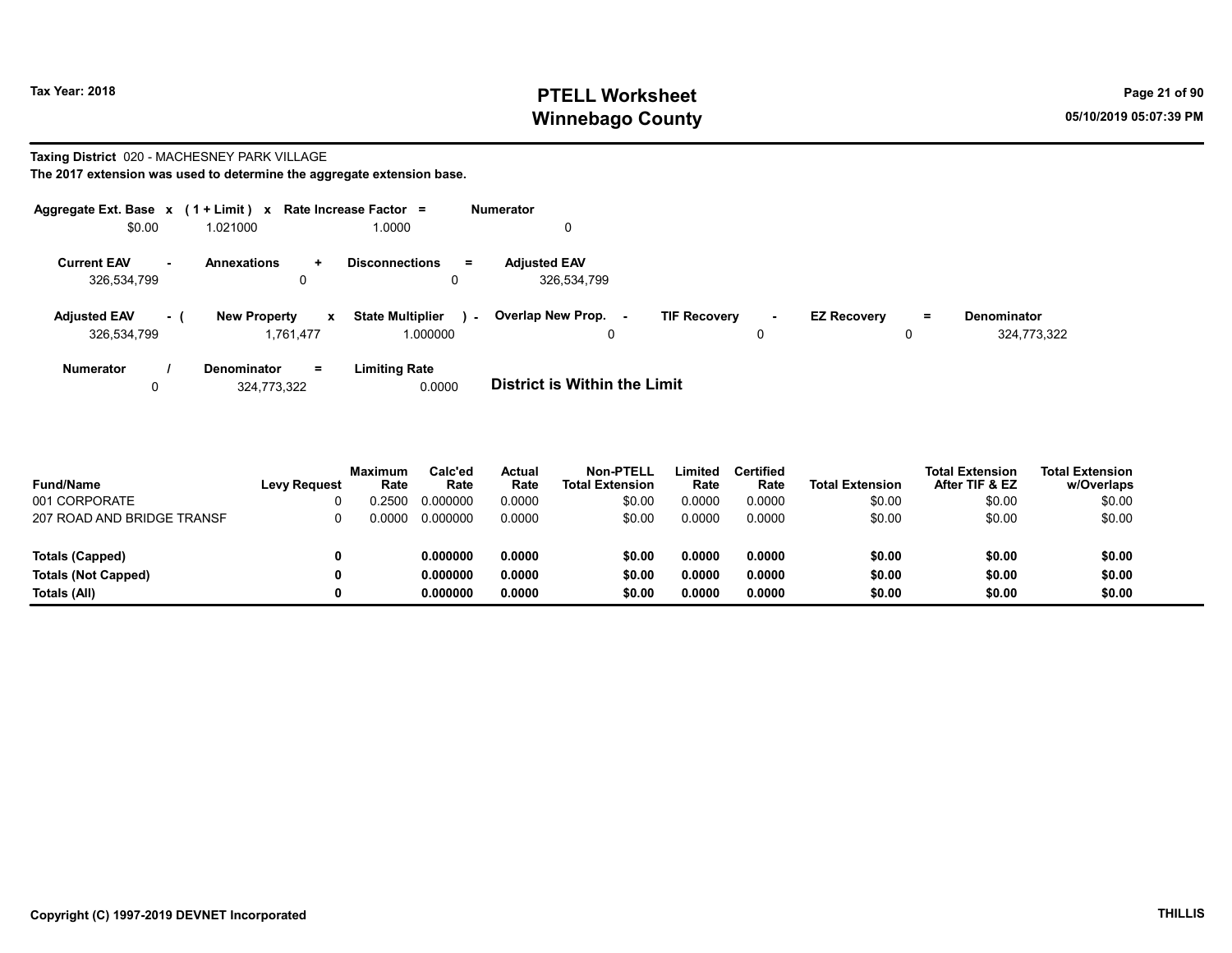### Tax Year: 2018 **PTELL Worksheet** Page 21 of 90 Winnebago County and the County of the County of the County of the County of the County of the County of the County of the County of the County of the County of the County of the County of the County of the County of the C

# Taxing District 020 - MACHESNEY PARK VILLAGE

|                                    |        | Aggregate Ext. Base $x$ (1 + Limit) $x$ Rate Increase Factor = |                                                               | <b>Numerator</b>                                                                                                                   |
|------------------------------------|--------|----------------------------------------------------------------|---------------------------------------------------------------|------------------------------------------------------------------------------------------------------------------------------------|
| \$0.00                             |        | 1.021000                                                       | 1.0000                                                        | 0                                                                                                                                  |
| <b>Current EAV</b><br>326,534,799  | $\sim$ | <b>Annexations</b><br>÷.<br>0                                  | <b>Disconnections</b><br>$\equiv$                             | <b>Adjusted EAV</b><br>326,534,799                                                                                                 |
| <b>Adjusted EAV</b><br>326,534,799 | - 1    | <b>New Property</b><br>1.761.477                               | <b>State Multiplier</b><br>$\mathbf{x}$<br>$\sim$<br>1.000000 | Overlap New Prop.<br><b>TIF Recovery</b><br><b>EZ Recovery</b><br><b>Denominator</b><br>Ξ.<br>$\sim$<br>324,773,322<br>0<br>0<br>0 |
| Numerator<br>0                     |        | Denominator<br>$=$<br>324.773.322                              | <b>Limiting Rate</b><br>0.0000                                | <b>District is Within the Limit</b>                                                                                                |

| <b>Fund/Name</b>           | <b>Levy Request</b> | Maximum<br>Rate | Calc'ed<br>Rate | Actual<br>Rate | Non-PTELL<br><b>Total Extension</b> | Limited<br>Rate | <b>Certified</b><br>Rate | <b>Total Extension</b> | <b>Total Extension</b><br>After TIF & EZ | <b>Total Extension</b><br>w/Overlaps |
|----------------------------|---------------------|-----------------|-----------------|----------------|-------------------------------------|-----------------|--------------------------|------------------------|------------------------------------------|--------------------------------------|
| 001 CORPORATE              |                     | 0.2500          | 0.000000        | 0.0000         | \$0.00                              | 0.0000          | 0.0000                   | \$0.00                 | \$0.00                                   | \$0.00                               |
| 207 ROAD AND BRIDGE TRANSF |                     | 0.0000          | 0.000000        | 0.0000         | \$0.00                              | 0.0000          | 0.0000                   | \$0.00                 | \$0.00                                   | \$0.00                               |
| Totals (Capped)            |                     |                 | 0.000000        | 0.0000         | \$0.00                              | 0.0000          | 0.0000                   | \$0.00                 | \$0.00                                   | \$0.00                               |
| <b>Totals (Not Capped)</b> |                     |                 | 0.000000        | 0.0000         | \$0.00                              | 0.0000          | 0.0000                   | \$0.00                 | \$0.00                                   | \$0.00                               |
| Totals (All)               |                     |                 | 0.000000        | 0.0000         | \$0.00                              | 0.0000          | 0.0000                   | \$0.00                 | \$0.00                                   | \$0.00                               |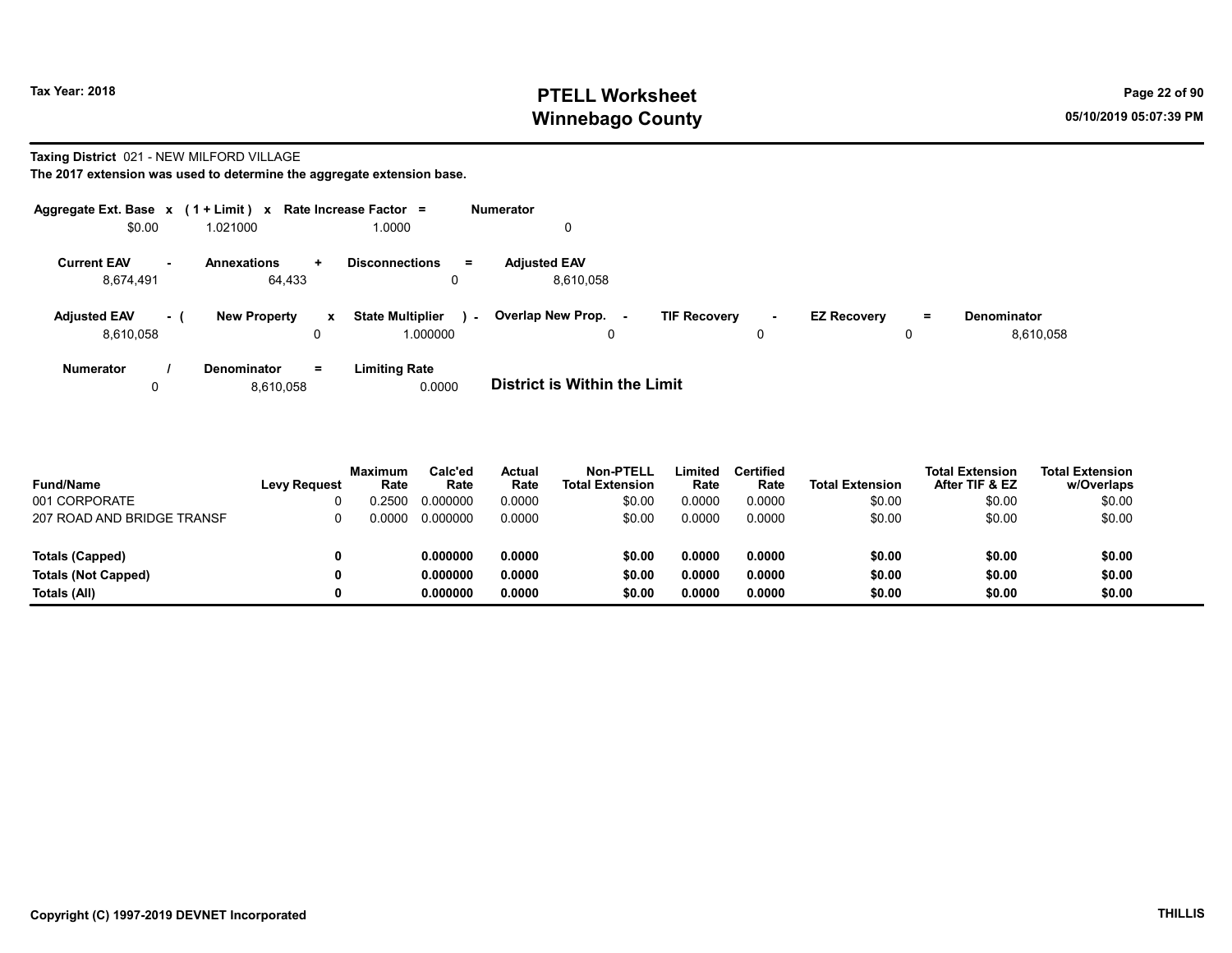### Tax Year: 2018 **PTELL Worksheet** Page 22 of 90 Winnebago County and the County of the County of the County of the County of the County of the County of the County of the County of the County of the County of the County of the County of the County of the County of the C

#### Taxing District 021 - NEW MILFORD VILLAGE

| Aggregate Ext. Base $x$ (1 + Limit) $x$ |           |                     |              | Rate Increase Factor =       |        | <b>Numerator</b>                    |                     |    |                    |     |                    |
|-----------------------------------------|-----------|---------------------|--------------|------------------------------|--------|-------------------------------------|---------------------|----|--------------------|-----|--------------------|
| \$0.00                                  |           | 1.021000            |              | 1.0000                       |        | 0                                   |                     |    |                    |     |                    |
| <b>Current EAV</b>                      | <b>м.</b> | <b>Annexations</b>  | ÷.           | <b>Disconnections</b><br>$=$ |        | <b>Adiusted EAV</b>                 |                     |    |                    |     |                    |
| 8,674,491                               |           | 64.433              |              |                              |        | 8.610.058                           |                     |    |                    |     |                    |
| <b>Adjusted EAV</b>                     | - 1       | <b>New Property</b> | $\mathbf{x}$ | <b>State Multiplier</b>      | $\sim$ | <b>Overlap New Prop. -</b>          | <b>TIF Recovery</b> | ۰. | <b>EZ Recovery</b> | $=$ | <b>Denominator</b> |
| 8.610.058                               |           |                     |              | 000000.                      |        | 0                                   |                     | 0  |                    | 0   | 8,610,058          |
| <b>Numerator</b>                        |           | <b>Denominator</b>  | $=$          | <b>Limiting Rate</b>         |        |                                     |                     |    |                    |     |                    |
|                                         |           | 8,610,058           |              | 0.0000                       |        | <b>District is Within the Limit</b> |                     |    |                    |     |                    |

| <b>Fund/Name</b>           | <b>Levy Request</b> | Maximum<br>Rate | Calc'ed<br>Rate | <b>Actual</b><br>Rate | Non-PTELL<br><b>Total Extension</b> | Limited<br>Rate | <b>Certified</b><br>Rate | <b>Total Extension</b> | <b>Total Extension</b><br>After TIF & EZ | <b>Total Extension</b><br>w/Overlaps |
|----------------------------|---------------------|-----------------|-----------------|-----------------------|-------------------------------------|-----------------|--------------------------|------------------------|------------------------------------------|--------------------------------------|
| 001 CORPORATE              |                     | 0.2500          | 0.000000        | 0.0000                | \$0.00                              | 0.0000          | 0.0000                   | \$0.00                 | \$0.00                                   | \$0.00                               |
| 207 ROAD AND BRIDGE TRANSF |                     | 0.0000          | 0.000000        | 0.0000                | \$0.00                              | 0.0000          | 0.0000                   | \$0.00                 | \$0.00                                   | \$0.00                               |
|                            |                     |                 |                 |                       |                                     |                 |                          |                        |                                          |                                      |
| <b>Totals (Capped)</b>     |                     |                 | 0.000000        | 0.0000                | \$0.00                              | 0.0000          | 0.0000                   | \$0.00                 | \$0.00                                   | \$0.00                               |
| <b>Totals (Not Capped)</b> |                     |                 | 0.000000        | 0.0000                | \$0.00                              | 0.0000          | 0.0000                   | \$0.00                 | \$0.00                                   | \$0.00                               |
| Totals (All)               |                     |                 | 0.000000        | 0.0000                | \$0.00                              | 0.0000          | 0.0000                   | \$0.00                 | \$0.00                                   | \$0.00                               |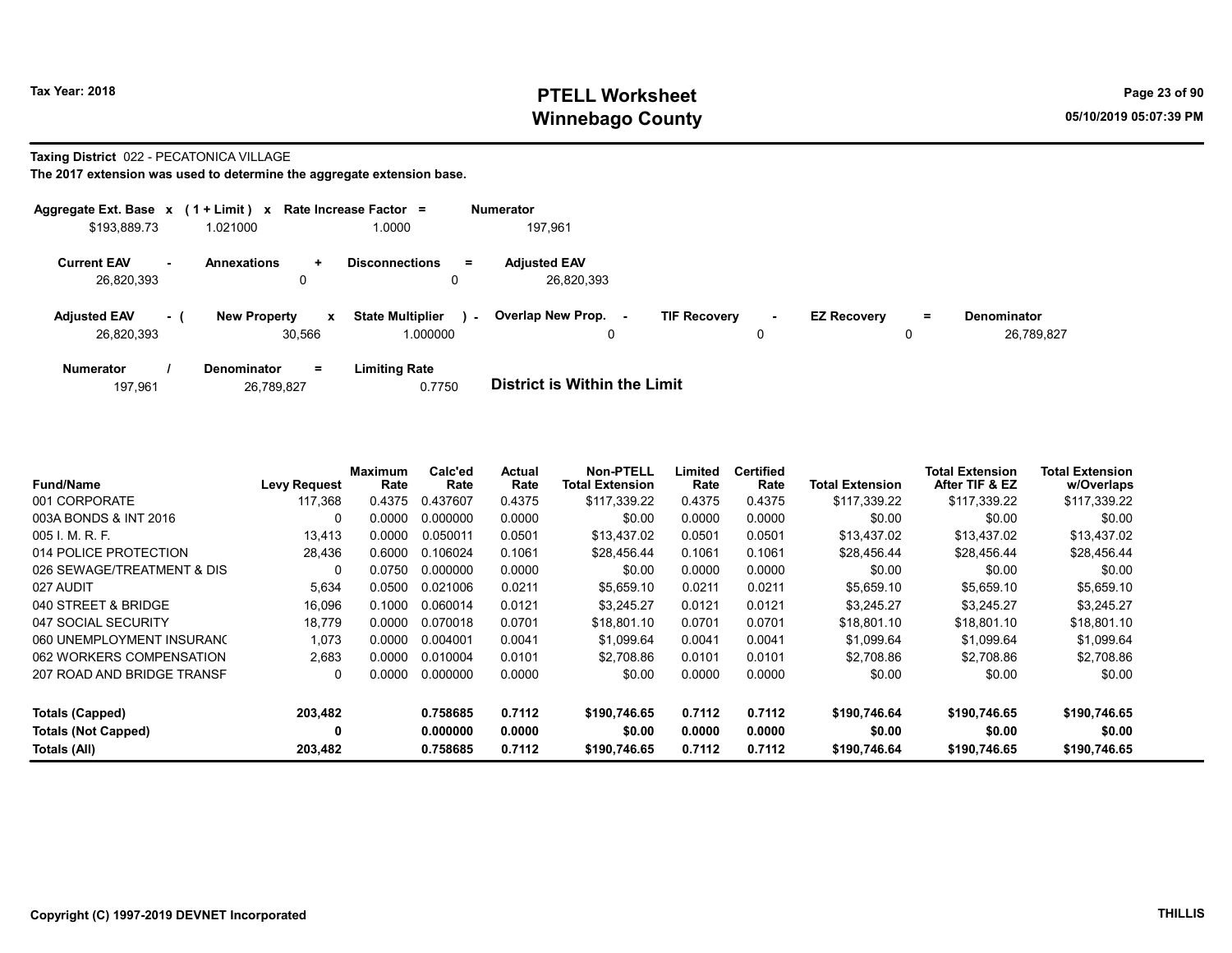### Tax Year: 2018 **PTELL Worksheet** Page 23 of 90 Winnebago County and the County of the County of the County of the County of the County of the County of the County of the County of the County of the County of the County of the County of the County of the County of the C

#### Taxing District 022 - PECATONICA VILLAGE

| Aggregate Ext. Base $x$ (1 + Limit) $x$ |           |                                              | Rate Increase Factor $=$            |        | <b>Numerator</b>                  |                     |             |                    |          |                                  |
|-----------------------------------------|-----------|----------------------------------------------|-------------------------------------|--------|-----------------------------------|---------------------|-------------|--------------------|----------|----------------------------------|
| \$193,889.73                            |           | 1.021000                                     | 0000.1                              |        | 197.961                           |                     |             |                    |          |                                  |
| <b>Current EAV</b><br>26,820,393        | <b>м.</b> | <b>Annexations</b><br>$\ddot{}$<br>0         | <b>Disconnections</b><br>0          | Ξ.     | <b>Adjusted EAV</b><br>26,820,393 |                     |             |                    |          |                                  |
| <b>Adjusted EAV</b><br>26,820,393       | - 1       | <b>New Property</b><br>$\mathbf x$<br>30.566 | <b>State Multiplier</b><br>1.000000 | $\sim$ | Overlap New Prop.<br>۰.<br>0      | <b>TIF Recovery</b> | $\sim$<br>0 | <b>EZ Recovery</b> | $=$<br>0 | <b>Denominator</b><br>26,789,827 |
| <b>Numerator</b>                        |           | <b>Denominator</b><br>$=$                    | <b>Limiting Rate</b>                |        |                                   |                     |             |                    |          |                                  |

| 26,789,827<br>197.961 | 0.7750 | <b>District is Within the Limit</b> |
|-----------------------|--------|-------------------------------------|

| <b>Fund/Name</b>           | <b>Levy Request</b> | <b>Maximum</b><br>Rate | Calc'ed<br>Rate | Actual<br>Rate | <b>Non-PTELL</b><br><b>Total Extension</b> | Limited<br>Rate | <b>Certified</b><br>Rate | <b>Total Extension</b> | <b>Total Extension</b><br>After TIF & EZ | <b>Total Extension</b><br>w/Overlaps |
|----------------------------|---------------------|------------------------|-----------------|----------------|--------------------------------------------|-----------------|--------------------------|------------------------|------------------------------------------|--------------------------------------|
| 001 CORPORATE              | 117,368             | 0.4375                 | 0.437607        | 0.4375         | \$117.339.22                               | 0.4375          | 0.4375                   | \$117.339.22           | \$117,339.22                             | \$117,339.22                         |
| 003A BONDS & INT 2016      | 0                   | 0.0000                 | 0.000000        | 0.0000         | \$0.00                                     | 0.0000          | 0.0000                   | \$0.00                 | \$0.00                                   | \$0.00                               |
| $005$ J. M. R. F.          | 13.413              | 0.0000                 | 0.050011        | 0.0501         | \$13.437.02                                | 0.0501          | 0.0501                   | \$13.437.02            | \$13.437.02                              | \$13,437.02                          |
| 014 POLICE PROTECTION      | 28,436              | 0.6000                 | 0.106024        | 0.1061         | \$28.456.44                                | 0.1061          | 0.1061                   | \$28,456.44            | \$28,456.44                              | \$28,456.44                          |
| 026 SEWAGE/TREATMENT & DIS | $\Omega$            | 0.0750                 | 0.000000        | 0.0000         | \$0.00                                     | 0.0000          | 0.0000                   | \$0.00                 | \$0.00                                   | \$0.00                               |
| 027 AUDIT                  | 5,634               | 0.0500                 | 0.021006        | 0.0211         | \$5,659.10                                 | 0.0211          | 0.0211                   | \$5,659.10             | \$5,659.10                               | \$5,659.10                           |
| 040 STREET & BRIDGE        | 16,096              | 0.1000                 | 0.060014        | 0.0121         | \$3,245.27                                 | 0.0121          | 0.0121                   | \$3.245.27             | \$3.245.27                               | \$3,245.27                           |
| 047 SOCIAL SECURITY        | 18.779              | 0.0000                 | 0.070018        | 0.0701         | \$18.801.10                                | 0.0701          | 0.0701                   | \$18,801.10            | \$18,801.10                              | \$18,801.10                          |
| 060 UNEMPLOYMENT INSURANC  | 1.073               | 0.0000                 | 0.004001        | 0.0041         | \$1,099.64                                 | 0.0041          | 0.0041                   | \$1,099.64             | \$1,099.64                               | \$1,099.64                           |
| 062 WORKERS COMPENSATION   | 2.683               | 0.0000                 | 0.010004        | 0.0101         | \$2.708.86                                 | 0.0101          | 0.0101                   | \$2.708.86             | \$2,708.86                               | \$2,708.86                           |
| 207 ROAD AND BRIDGE TRANSF | 0                   | 0.0000                 | 0.000000        | 0.0000         | \$0.00                                     | 0.0000          | 0.0000                   | \$0.00                 | \$0.00                                   | \$0.00                               |
| Totals (Capped)            | 203,482             |                        | 0.758685        | 0.7112         | \$190,746.65                               | 0.7112          | 0.7112                   | \$190,746.64           | \$190,746.65                             | \$190,746.65                         |
| <b>Totals (Not Capped)</b> | 0                   |                        | 0.000000        | 0.0000         | \$0.00                                     | 0.0000          | 0.0000                   | \$0.00                 | \$0.00                                   | \$0.00                               |
| Totals (All)               | 203,482             |                        | 0.758685        | 0.7112         | \$190,746.65                               | 0.7112          | 0.7112                   | \$190,746.64           | \$190,746.65                             | \$190,746.65                         |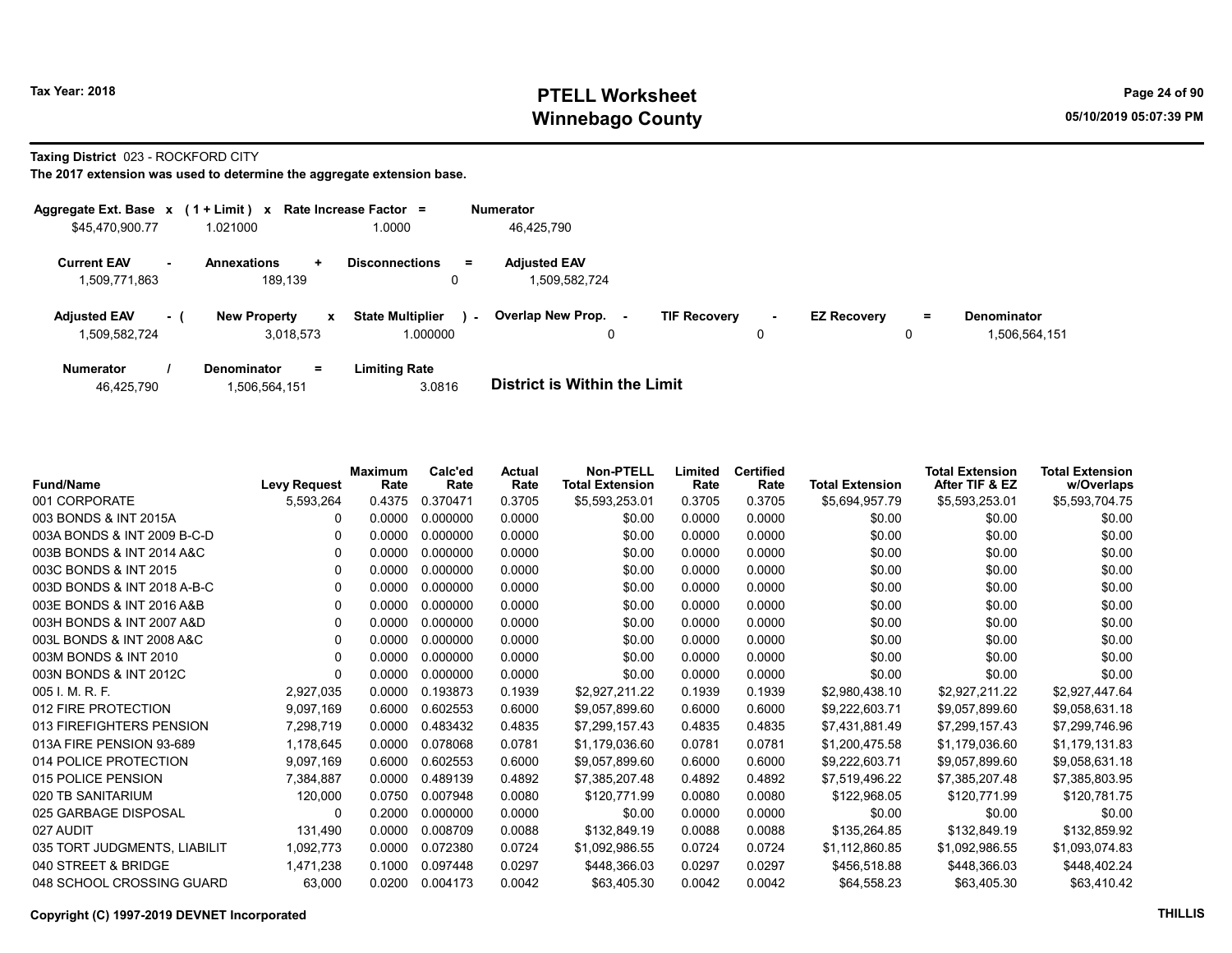## Tax Year: 2018 **PTELL Worksheet** Page 24 of 90 Winnebago County and the County of the County of the County of the County of the County of the County of the County of the County of the County of the County of the County of the County of the County of the County of the C

Taxing District 023 - ROCKFORD CITY

The 2017 extension was used to determine the aggregate extension base.

| Aggregate Ext. Base $x$ (1 + Limit) $x$       |     |                                     | Rate Increase Factor =     |        | <b>Numerator</b>                     |                     |        |                    |    |                    |
|-----------------------------------------------|-----|-------------------------------------|----------------------------|--------|--------------------------------------|---------------------|--------|--------------------|----|--------------------|
| \$45,470,900.77                               |     | 1.021000                            | 0000.1                     |        | 46,425,790                           |                     |        |                    |    |                    |
| <b>Current EAV</b><br>$\sim$<br>1,509,771,863 |     | <b>Annexations</b><br>÷.<br>189.139 | <b>Disconnections</b><br>0 | Ξ.     | <b>Adjusted EAV</b><br>1,509,582,724 |                     |        |                    |    |                    |
| <b>Adjusted EAV</b>                           | - 1 | <b>New Property</b><br>$\mathbf{x}$ | <b>State Multiplier</b>    | $\sim$ | <b>Overlap New Prop.</b><br>٠.       | <b>TIF Recovery</b> | $\sim$ | <b>EZ Recovery</b> | Ξ. | <b>Denominator</b> |
| 1,509,582,724                                 |     | 3.018.573                           | 1.000000                   |        | 0                                    |                     |        |                    | 0  | 1,506,564,151      |
| <b>Numerator</b>                              |     | <b>Denominator</b><br>Ξ.            | <b>Limiting Rate</b>       |        |                                      |                     |        |                    |    |                    |

46,425,790 1,506,564,151 3.0816 District is Within the Limit

| <b>Fund/Name</b>             | <b>Levy Request</b> | Maximum<br>Rate | Calc'ed<br>Rate | <b>Actual</b><br>Rate | <b>Non-PTELL</b><br><b>Total Extension</b> | Limited<br>Rate | <b>Certified</b><br>Rate | <b>Total Extension</b> | <b>Total Extension</b><br>After TIF & EZ | <b>Total Extension</b><br>w/Overlaps |
|------------------------------|---------------------|-----------------|-----------------|-----------------------|--------------------------------------------|-----------------|--------------------------|------------------------|------------------------------------------|--------------------------------------|
| 001 CORPORATE                | 5,593,264           | 0.4375          | 0.370471        | 0.3705                | \$5,593,253.01                             | 0.3705          | 0.3705                   | \$5,694,957.79         | \$5,593,253.01                           | \$5,593,704.75                       |
| 003 BONDS & INT 2015A        | 0                   | 0.0000          | 0.000000        | 0.0000                | \$0.00                                     | 0.0000          | 0.0000                   | \$0.00                 | \$0.00                                   | \$0.00                               |
| 003A BONDS & INT 2009 B-C-D  |                     | 0.0000          | 0.000000        | 0.0000                | \$0.00                                     | 0.0000          | 0.0000                   | \$0.00                 | \$0.00                                   | \$0.00                               |
| 003B BONDS & INT 2014 A&C    | 0                   | 0.0000          | 0.000000        | 0.0000                | \$0.00                                     | 0.0000          | 0.0000                   | \$0.00                 | \$0.00                                   | \$0.00                               |
| 003C BONDS & INT 2015        |                     | 0.0000          | 0.000000        | 0.0000                | \$0.00                                     | 0.0000          | 0.0000                   | \$0.00                 | \$0.00                                   | \$0.00                               |
| 003D BONDS & INT 2018 A-B-C  | 0                   | 0.0000          | 0.000000        | 0.0000                | \$0.00                                     | 0.0000          | 0.0000                   | \$0.00                 | \$0.00                                   | \$0.00                               |
| 003E BONDS & INT 2016 A&B    | 0                   | 0.0000          | 0.000000        | 0.0000                | \$0.00                                     | 0.0000          | 0.0000                   | \$0.00                 | \$0.00                                   | \$0.00                               |
| 003H BONDS & INT 2007 A&D    | 0                   | 0.0000          | 0.000000        | 0.0000                | \$0.00                                     | 0.0000          | 0.0000                   | \$0.00                 | \$0.00                                   | \$0.00                               |
| 003L BONDS & INT 2008 A&C    | 0                   | 0.0000          | 0.000000        | 0.0000                | \$0.00                                     | 0.0000          | 0.0000                   | \$0.00                 | \$0.00                                   | \$0.00                               |
| 003M BONDS & INT 2010        | 0                   | 0.0000          | 0.000000        | 0.0000                | \$0.00                                     | 0.0000          | 0.0000                   | \$0.00                 | \$0.00                                   | \$0.00                               |
| 003N BONDS & INT 2012C       | 0                   | 0.0000          | 0.000000        | 0.0000                | \$0.00                                     | 0.0000          | 0.0000                   | \$0.00                 | \$0.00                                   | \$0.00                               |
| 005 I. M. R. F.              | 2,927,035           | 0.0000          | 0.193873        | 0.1939                | \$2,927,211.22                             | 0.1939          | 0.1939                   | \$2,980,438.10         | \$2,927,211.22                           | \$2,927,447.64                       |
| 012 FIRE PROTECTION          | 9,097,169           | 0.6000          | 0.602553        | 0.6000                | \$9,057,899.60                             | 0.6000          | 0.6000                   | \$9,222,603.71         | \$9,057,899.60                           | \$9,058,631.18                       |
| 013 FIREFIGHTERS PENSION     | 7,298,719           | 0.0000          | 0.483432        | 0.4835                | \$7,299,157.43                             | 0.4835          | 0.4835                   | \$7,431,881.49         | \$7,299,157.43                           | \$7,299,746.96                       |
| 013A FIRE PENSION 93-689     | 1,178,645           | 0.0000          | 0.078068        | 0.0781                | \$1,179,036.60                             | 0.0781          | 0.0781                   | \$1,200,475.58         | \$1,179,036.60                           | \$1,179,131.83                       |
| 014 POLICE PROTECTION        | 9,097,169           | 0.6000          | 0.602553        | 0.6000                | \$9,057,899.60                             | 0.6000          | 0.6000                   | \$9,222,603.71         | \$9,057,899.60                           | \$9,058,631.18                       |
| 015 POLICE PENSION           | 7,384,887           | 0.0000          | 0.489139        | 0.4892                | \$7,385,207.48                             | 0.4892          | 0.4892                   | \$7,519,496.22         | \$7,385,207.48                           | \$7,385,803.95                       |
| 020 TB SANITARIUM            | 120,000             | 0.0750          | 0.007948        | 0.0080                | \$120,771.99                               | 0.0080          | 0.0080                   | \$122,968.05           | \$120,771.99                             | \$120,781.75                         |
| 025 GARBAGE DISPOSAL         | 0                   | 0.2000          | 0.000000        | 0.0000                | \$0.00                                     | 0.0000          | 0.0000                   | \$0.00                 | \$0.00                                   | \$0.00                               |
| 027 AUDIT                    | 131,490             | 0.0000          | 0.008709        | 0.0088                | \$132,849.19                               | 0.0088          | 0.0088                   | \$135,264.85           | \$132,849.19                             | \$132,859.92                         |
| 035 TORT JUDGMENTS, LIABILIT | 1,092,773           | 0.0000          | 0.072380        | 0.0724                | \$1,092,986.55                             | 0.0724          | 0.0724                   | \$1,112,860.85         | \$1,092,986.55                           | \$1,093,074.83                       |
| 040 STREET & BRIDGE          | 1,471,238           | 0.1000          | 0.097448        | 0.0297                | \$448,366.03                               | 0.0297          | 0.0297                   | \$456,518.88           | \$448,366.03                             | \$448,402.24                         |
| 048 SCHOOL CROSSING GUARD    | 63,000              | 0.0200          | 0.004173        | 0.0042                | \$63,405.30                                | 0.0042          | 0.0042                   | \$64,558.23            | \$63,405.30                              | \$63,410.42                          |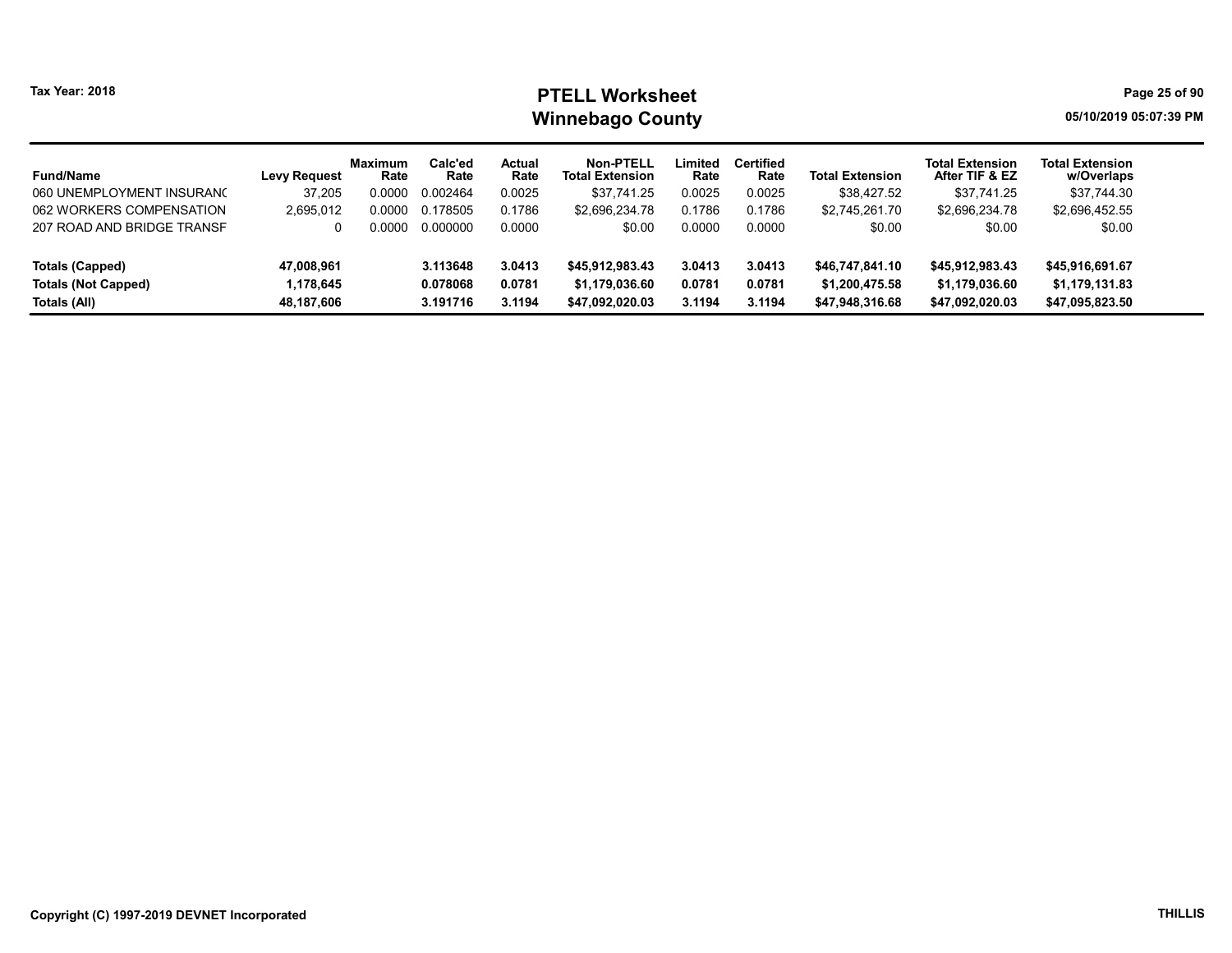### Tax Year: 2018 **PTELL Worksheet** Page 25 of 90 Winnebago County and the county of the county of the county of the county of the county of the county of the county

| <b>Fund/Name</b>           | <b>Levy Request</b> | <b>Maximum</b><br>Rate | Calc'ed<br>Rate | Actual<br>Rate | Non-PTELL<br><b>Total Extension</b> | Limited<br>Rate | <b>Certified</b><br>Rate | <b>Total Extension</b> | <b>Total Extension</b><br>After TIF & EZ | <b>Total Extension</b><br>w/Overlaps |
|----------------------------|---------------------|------------------------|-----------------|----------------|-------------------------------------|-----------------|--------------------------|------------------------|------------------------------------------|--------------------------------------|
| 060 UNEMPLOYMENT INSURANC  | 37.205              | 0.0000                 | 0.002464        | 0.0025         | \$37.741.25                         | 0.0025          | 0.0025                   | \$38,427.52            | \$37.741.25                              | \$37,744.30                          |
| 062 WORKERS COMPENSATION   | 2,695,012           | 0.0000                 | 0.178505        | 0.1786         | \$2,696,234.78                      | 0.1786          | 0.1786                   | \$2.745.261.70         | \$2,696,234.78                           | \$2,696,452.55                       |
| 207 ROAD AND BRIDGE TRANSF |                     | ი იიიი                 | 0.000000        | 0.0000         | \$0.00                              | 0.0000          | 0.0000                   | \$0.00                 | \$0.00                                   | \$0.00                               |
| Totals (Capped)            | 47,008,961          |                        | 3.113648        | 3.0413         | \$45,912,983.43                     | 3.0413          | 3.0413                   | \$46,747,841.10        | \$45,912,983.43                          | \$45,916,691.67                      |
| <b>Totals (Not Capped)</b> | 1.178.645           |                        | 0.078068        | 0.0781         | \$1,179,036.60                      | 0.0781          | 0.0781                   | \$1,200,475.58         | \$1,179,036.60                           | \$1,179,131.83                       |
| Totals (All)               | 48,187,606          |                        | 3.191716        | 3.1194         | \$47.092.020.03                     | 3.1194          | 3.1194                   | \$47,948,316.68        | \$47,092,020.03                          | \$47,095,823.50                      |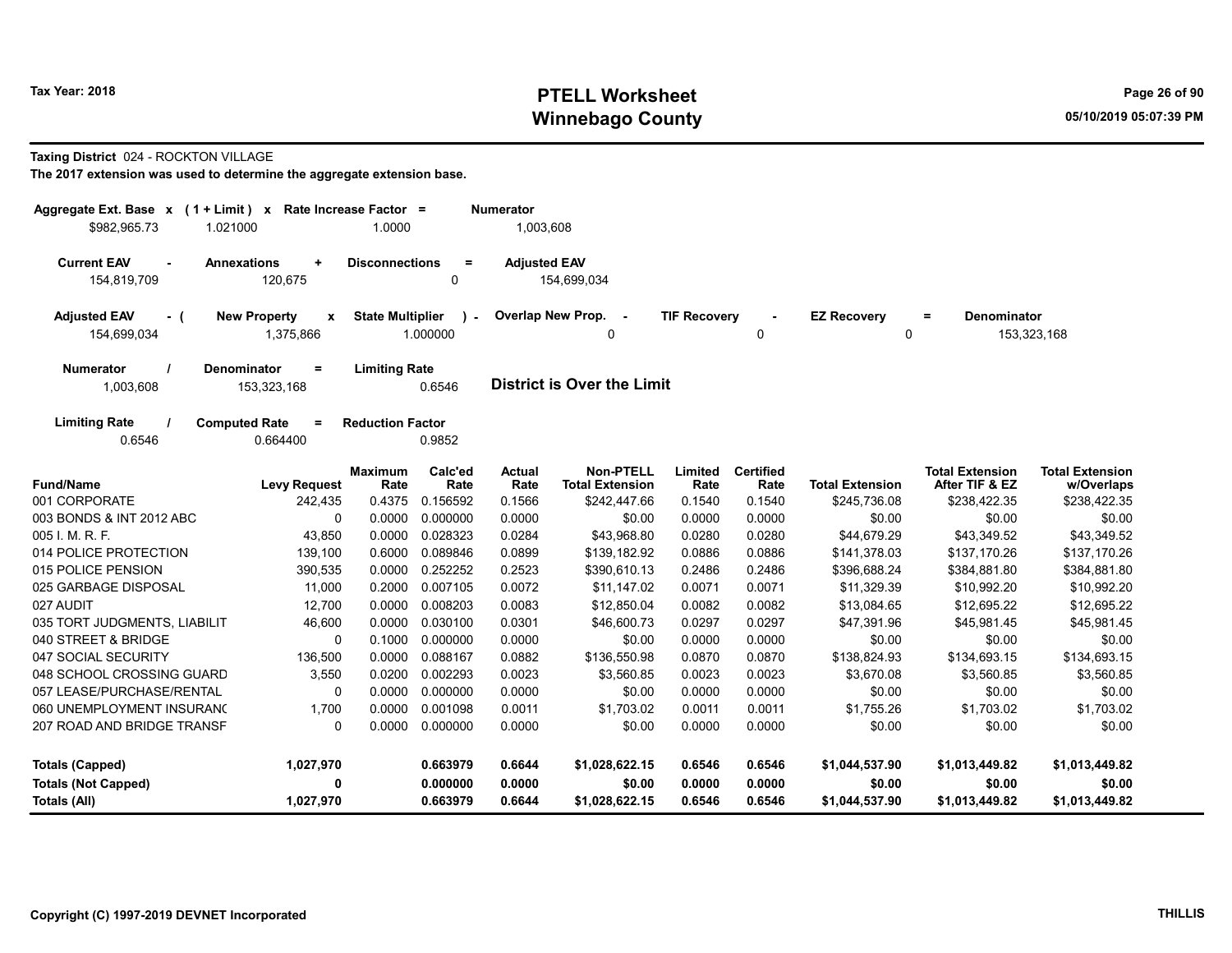### Tax Year: 2018 **PTELL Worksheet** Page 26 of 90 Winnebago County and the County of the County of the County of the County of the County of the County of the County of the County of the County of the County of the County of the County of the County of the County of the C

#### Taxing District 024 - ROCKTON VILLAGE

| Aggregate Ext. Base $x$ (1 + Limit) x Rate Increase Factor =<br>\$982,965.73<br>1.021000 |                                            | 1.0000                  |                 | <b>Numerator</b><br>1,003,608 |                                            |                     |                          |                        |                                          |                                      |
|------------------------------------------------------------------------------------------|--------------------------------------------|-------------------------|-----------------|-------------------------------|--------------------------------------------|---------------------|--------------------------|------------------------|------------------------------------------|--------------------------------------|
|                                                                                          |                                            |                         |                 |                               |                                            |                     |                          |                        |                                          |                                      |
| <b>Current EAV</b><br>$\sim$<br>154,819,709                                              | <b>Annexations</b><br>$\ddot{}$<br>120,675 | <b>Disconnections</b>   | $\equiv$<br>0   | <b>Adjusted EAV</b>           | 154,699,034                                |                     |                          |                        |                                          |                                      |
|                                                                                          |                                            |                         |                 |                               |                                            |                     |                          |                        |                                          |                                      |
| <b>Adjusted EAV</b><br>$-$ (                                                             | <b>New Property</b><br>$\mathbf{x}$        | <b>State Multiplier</b> | $\mathcal{L}$   |                               | Overlap New Prop. -                        | <b>TIF Recovery</b> |                          | <b>EZ Recovery</b>     | <b>Denominator</b><br>Ξ                  |                                      |
| 154,699,034                                                                              | 1,375,866                                  |                         | 1.000000        |                               | $\Omega$                                   |                     | 0                        | $\Omega$               |                                          | 153,323,168                          |
| <b>Numerator</b>                                                                         | <b>Denominator</b><br>$=$                  | <b>Limiting Rate</b>    |                 |                               |                                            |                     |                          |                        |                                          |                                      |
| 1,003,608                                                                                | 153,323,168                                |                         | 0.6546          |                               | <b>District is Over the Limit</b>          |                     |                          |                        |                                          |                                      |
| <b>Limiting Rate</b>                                                                     | <b>Computed Rate</b><br>$=$                | <b>Reduction Factor</b> |                 |                               |                                            |                     |                          |                        |                                          |                                      |
| 0.6546                                                                                   | 0.664400                                   |                         | 0.9852          |                               |                                            |                     |                          |                        |                                          |                                      |
| <b>Fund/Name</b>                                                                         | <b>Levy Request</b>                        | <b>Maximum</b><br>Rate  | Calc'ed<br>Rate | <b>Actual</b><br>Rate         | <b>Non-PTELL</b><br><b>Total Extension</b> | Limited<br>Rate     | <b>Certified</b><br>Rate | <b>Total Extension</b> | <b>Total Extension</b><br>After TIF & EZ | <b>Total Extension</b><br>w/Overlaps |
| 001 CORPORATE                                                                            | 242,435                                    | 0.4375                  | 0.156592        | 0.1566                        | \$242,447.66                               | 0.1540              | 0.1540                   | \$245,736.08           | \$238,422.35                             | \$238,422.35                         |
| 003 BONDS & INT 2012 ABC                                                                 | $\mathbf 0$                                | 0.0000                  | 0.000000        | 0.0000                        | \$0.00                                     | 0.0000              | 0.0000                   | \$0.00                 | \$0.00                                   | \$0.00                               |
| 005 I. M. R. F.                                                                          | 43,850                                     | 0.0000                  | 0.028323        | 0.0284                        | \$43,968.80                                | 0.0280              | 0.0280                   | \$44,679.29            | \$43,349.52                              | \$43,349.52                          |
| 014 POLICE PROTECTION                                                                    | 139,100                                    | 0.6000                  | 0.089846        | 0.0899                        | \$139,182.92                               | 0.0886              | 0.0886                   | \$141,378.03           | \$137,170.26                             | \$137,170.26                         |
| 015 POLICE PENSION                                                                       | 390,535                                    | 0.0000                  | 0.252252        | 0.2523                        | \$390,610.13                               | 0.2486              | 0.2486                   | \$396,688.24           | \$384,881.80                             | \$384,881.80                         |
| 025 GARBAGE DISPOSAL                                                                     | 11,000                                     |                         | 0.2000 0.007105 | 0.0072                        | \$11,147.02                                | 0.0071              | 0.0071                   | \$11,329.39            | \$10,992.20                              | \$10,992.20                          |
| 027 AUDIT                                                                                | 12,700                                     | 0.0000                  | 0.008203        | 0.0083                        | \$12,850.04                                | 0.0082              | 0.0082                   | \$13,084.65            | \$12,695.22                              | \$12,695.22                          |
| 035 TORT JUDGMENTS, LIABILIT                                                             | 46.600                                     | 0.0000                  | 0.030100        | 0.0301                        | \$46,600.73                                | 0.0297              | 0.0297                   | \$47,391.96            | \$45,981.45                              | \$45,981.45                          |
| 040 STREET & BRIDGE                                                                      | 0                                          | 0.1000                  | 0.000000        | 0.0000                        | \$0.00                                     | 0.0000              | 0.0000                   | \$0.00                 | \$0.00                                   | \$0.00                               |
| 047 SOCIAL SECURITY                                                                      | 136,500                                    | 0.0000                  | 0.088167        | 0.0882                        | \$136,550.98                               | 0.0870              | 0.0870                   | \$138,824.93           | \$134,693.15                             | \$134,693.15                         |
| 048 SCHOOL CROSSING GUARD                                                                | 3,550                                      | 0.0200                  | 0.002293        | 0.0023                        | \$3,560.85                                 | 0.0023              | 0.0023                   | \$3,670.08             | \$3,560.85                               | \$3,560.85                           |
| 057 LEASE/PURCHASE/RENTAL                                                                | 0                                          | 0.0000                  | 0.000000        | 0.0000                        | \$0.00                                     | 0.0000              | 0.0000                   | \$0.00                 | \$0.00                                   | \$0.00                               |
| 060 UNEMPLOYMENT INSURAN(                                                                | 1,700                                      | 0.0000                  | 0.001098        | 0.0011                        | \$1,703.02                                 | 0.0011              | 0.0011                   | \$1,755.26             | \$1,703.02                               | \$1,703.02                           |
| 207 ROAD AND BRIDGE TRANSF                                                               | $\mathbf{0}$                               | 0.0000                  | 0.000000        | 0.0000                        | \$0.00                                     | 0.0000              | 0.0000                   | \$0.00                 | \$0.00                                   | \$0.00                               |
| <b>Totals (Capped)</b>                                                                   | 1,027,970                                  |                         | 0.663979        | 0.6644                        | \$1,028,622.15                             | 0.6546              | 0.6546                   | \$1,044,537.90         | \$1,013,449.82                           | \$1,013,449.82                       |
| <b>Totals (Not Capped)</b>                                                               | 0                                          |                         | 0.000000        | 0.0000                        | \$0.00                                     | 0.0000              | 0.0000                   | \$0.00                 | \$0.00                                   | \$0.00                               |
| Totals (All)                                                                             | 1,027,970                                  |                         | 0.663979        | 0.6644                        | \$1,028,622.15                             | 0.6546              | 0.6546                   | \$1,044,537.90         | \$1,013,449.82                           | \$1,013,449.82                       |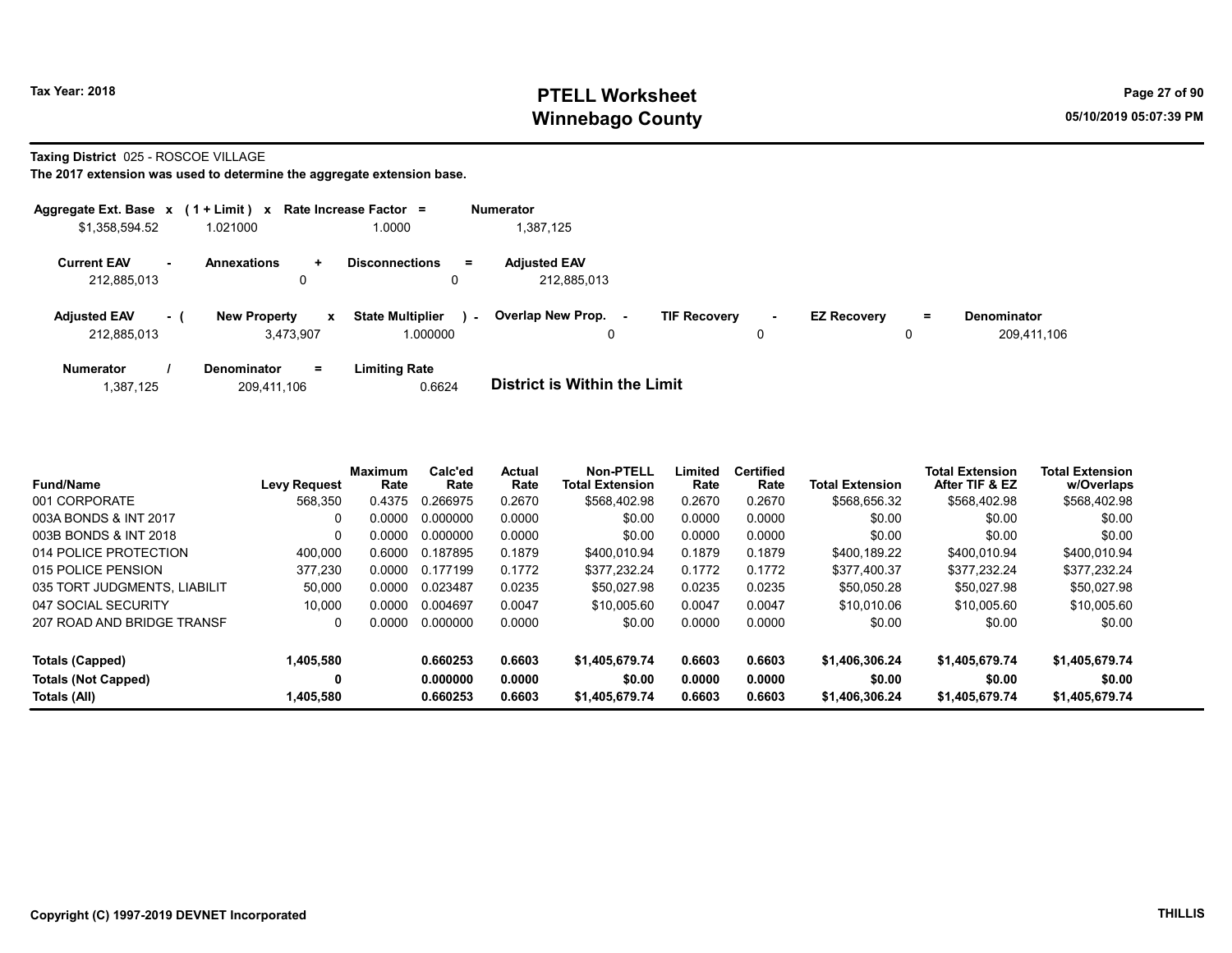### Tax Year: 2018 **PTELL Worksheet** Page 27 of 90 Winnebago County and the County of the County of the County of the County of the County of the County of the County of the County of the County of the County of the County of the County of the County of the County of the C

Taxing District 025 - ROSCOE VILLAGE

|                                    |           | Aggregate Ext. Base $x$ (1 + Limit) $x$ Rate Increase Factor = |                                     |        | <b>Numerator</b>                   |                     |                     |                    |    |                                   |
|------------------------------------|-----------|----------------------------------------------------------------|-------------------------------------|--------|------------------------------------|---------------------|---------------------|--------------------|----|-----------------------------------|
| \$1,358,594.52                     |           | 1.021000                                                       | 1.0000                              |        | 1,387,125                          |                     |                     |                    |    |                                   |
| <b>Current EAV</b><br>212.885.013  | <b>м.</b> | <b>Annexations</b><br>÷<br>0                                   | <b>Disconnections</b>               | $=$    | <b>Adjusted EAV</b><br>212,885,013 |                     |                     |                    |    |                                   |
| <b>Adjusted EAV</b><br>212,885,013 | - 1       | <b>New Property</b><br>$\mathbf{x}$<br>3,473,907               | <b>State Multiplier</b><br>1.000000 | $\sim$ | <b>Overlap New Prop.</b><br>0      | <b>TIF Recovery</b> | $\blacksquare$<br>0 | <b>EZ Recovery</b> | Ξ. | <b>Denominator</b><br>209,411,106 |
| <b>Numerator</b>                   |           | <b>Denominator</b><br>$=$                                      | <b>Limiting Rate</b>                |        |                                    |                     |                     |                    |    |                                   |

| 1,387,125 | 209,411,106 | 0.6624 | District is Within the Limit |
|-----------|-------------|--------|------------------------------|

| <b>Fund/Name</b>             | <b>Levy Request</b> | <b>Maximum</b><br>Rate | Calc'ed<br>Rate | <b>Actual</b><br>Rate | Non-PTELL<br><b>Total Extension</b> | Limited<br>Rate | <b>Certified</b><br>Rate | <b>Total Extension</b> | <b>Total Extension</b><br>After TIF & EZ | <b>Total Extension</b><br>w/Overlaps |
|------------------------------|---------------------|------------------------|-----------------|-----------------------|-------------------------------------|-----------------|--------------------------|------------------------|------------------------------------------|--------------------------------------|
| 001 CORPORATE                | 568.350             | 0.4375                 | 0.266975        | 0.2670                | \$568,402.98                        | 0.2670          | 0.2670                   | \$568,656.32           | \$568,402.98                             | \$568,402.98                         |
| 003A BONDS & INT 2017        | 0                   | 0.0000                 | 0.000000        | 0.0000                | \$0.00                              | 0.0000          | 0.0000                   | \$0.00                 | \$0.00                                   | \$0.00                               |
| 003B BONDS & INT 2018        | $\Omega$            | 0.0000                 | 0.000000        | 0.0000                | \$0.00                              | 0.0000          | 0.0000                   | \$0.00                 | \$0.00                                   | \$0.00                               |
| 014 POLICE PROTECTION        | 400.000             | 0.6000                 | 0.187895        | 0.1879                | \$400.010.94                        | 0.1879          | 0.1879                   | \$400.189.22           | \$400,010.94                             | \$400.010.94                         |
| 015 POLICE PENSION           | 377,230             | 0.0000                 | 0.177199        | 0.1772                | \$377.232.24                        | 0.1772          | 0.1772                   | \$377,400.37           | \$377.232.24                             | \$377.232.24                         |
| 035 TORT JUDGMENTS, LIABILIT | 50,000              | 0.0000                 | 0.023487        | 0.0235                | \$50.027.98                         | 0.0235          | 0.0235                   | \$50.050.28            | \$50.027.98                              | \$50,027.98                          |
| 047 SOCIAL SECURITY          | 10.000              | 0.0000                 | 0.004697        | 0.0047                | \$10,005.60                         | 0.0047          | 0.0047                   | \$10,010.06            | \$10,005.60                              | \$10,005.60                          |
| 207 ROAD AND BRIDGE TRANSF   | $\Omega$            | 0.0000                 | 0.000000        | 0.0000                | \$0.00                              | 0.0000          | 0.0000                   | \$0.00                 | \$0.00                                   | \$0.00                               |
| Totals (Capped)              | 1,405,580           |                        | 0.660253        | 0.6603                | \$1,405,679.74                      | 0.6603          | 0.6603                   | \$1,406,306,24         | \$1,405,679.74                           | \$1,405,679.74                       |
| <b>Totals (Not Capped)</b>   | 0                   |                        | 0.000000        | 0.0000                | \$0.00                              | 0.0000          | 0.0000                   | \$0.00                 | \$0.00                                   | \$0.00                               |
| Totals (All)                 | 1,405,580           |                        | 0.660253        | 0.6603                | \$1,405,679.74                      | 0.6603          | 0.6603                   | \$1,406,306,24         | \$1,405,679.74                           | \$1,405,679.74                       |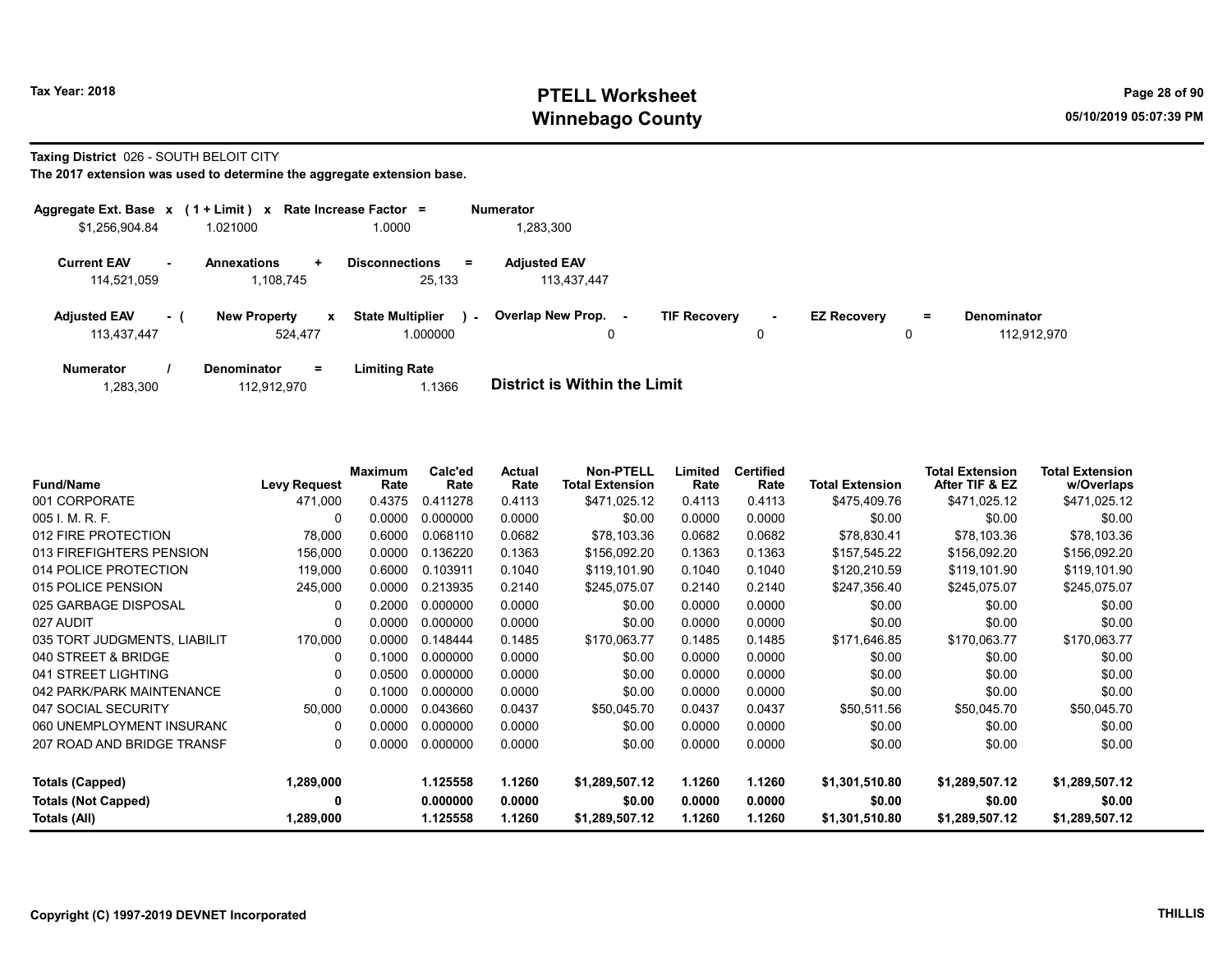### Tax Year: 2018 **PTELL Worksheet** Page 28 of 90 Winnebago County and the County of the County of the County of the County of the County of the County of the County of the County of the County of the County of the County of the County of the County of the County of the C

#### Taxing District 026 - SOUTH BELOIT CITY

|                                    |                | Aggregate Ext. Base x (1 + Limit) x Rate Increase Factor = |                                               | <b>Numerator</b>                         |                                    |                    |          |                            |
|------------------------------------|----------------|------------------------------------------------------------|-----------------------------------------------|------------------------------------------|------------------------------------|--------------------|----------|----------------------------|
| \$1,256,904.84                     |                | 1.021000                                                   | 1.0000                                        | 1,283,300                                |                                    |                    |          |                            |
| <b>Current EAV</b><br>114.521.059  | $\blacksquare$ | <b>Annexations</b><br>$\ddot{}$<br>1.108.745               | <b>Disconnections</b><br>$\equiv$<br>25.133   | <b>Adjusted EAV</b><br>113,437,447       |                                    |                    |          |                            |
| <b>Adjusted EAV</b><br>113,437,447 | - (            | <b>New Property</b><br>$\mathbf{x}$<br>524.477             | <b>State Multiplier</b><br>$\sim$<br>1.000000 | Overlap New Prop.<br>$\blacksquare$<br>0 | <b>TIF Recovery</b><br>$\sim$<br>0 | <b>EZ Recovery</b> | $=$<br>0 | Denominator<br>112.912.970 |
| <b>Numerator</b>                   |                | $=$<br><b>Denominator</b>                                  | <b>Limiting Rate</b>                          |                                          |                                    |                    |          |                            |

| 1,283,300 | 112.912.970 | 1.1366 | <b>District is Within the Limit</b> |
|-----------|-------------|--------|-------------------------------------|
|           |             |        |                                     |

| <b>Fund/Name</b>             | <b>Levy Request</b> | <b>Maximum</b><br>Rate | Calc'ed<br>Rate | Actual<br>Rate | <b>Non-PTELL</b><br><b>Total Extension</b> | Limited<br>Rate | <b>Certified</b><br>Rate | <b>Total Extension</b> | <b>Total Extension</b><br>After TIF & EZ | <b>Total Extension</b><br>w/Overlaps |
|------------------------------|---------------------|------------------------|-----------------|----------------|--------------------------------------------|-----------------|--------------------------|------------------------|------------------------------------------|--------------------------------------|
| 001 CORPORATE                | 471,000             | 0.4375                 | 0.411278        | 0.4113         | \$471,025.12                               | 0.4113          | 0.4113                   | \$475,409.76           | \$471,025.12                             | \$471,025.12                         |
| 005 I. M. R. F.              | 0                   | 0.0000                 | 0.000000        | 0.0000         | \$0.00                                     | 0.0000          | 0.0000                   | \$0.00                 | \$0.00                                   | \$0.00                               |
| 012 FIRE PROTECTION          | 78,000              | 0.6000                 | 0.068110        | 0.0682         | \$78,103.36                                | 0.0682          | 0.0682                   | \$78,830.41            | \$78,103.36                              | \$78,103.36                          |
| 013 FIREFIGHTERS PENSION     | 156,000             | 0.0000                 | 0.136220        | 0.1363         | \$156,092.20                               | 0.1363          | 0.1363                   | \$157,545.22           | \$156,092.20                             | \$156,092.20                         |
| 014 POLICE PROTECTION        | 119,000             | 0.6000                 | 0.103911        | 0.1040         | \$119,101.90                               | 0.1040          | 0.1040                   | \$120,210.59           | \$119,101.90                             | \$119,101.90                         |
| 015 POLICE PENSION           | 245,000             | 0.0000                 | 0.213935        | 0.2140         | \$245,075.07                               | 0.2140          | 0.2140                   | \$247,356.40           | \$245,075.07                             | \$245,075.07                         |
| 025 GARBAGE DISPOSAL         | $\Omega$            | 0.2000                 | 0.000000        | 0.0000         | \$0.00                                     | 0.0000          | 0.0000                   | \$0.00                 | \$0.00                                   | \$0.00                               |
| 027 AUDIT                    | 0                   | 0.0000                 | 0.000000        | 0.0000         | \$0.00                                     | 0.0000          | 0.0000                   | \$0.00                 | \$0.00                                   | \$0.00                               |
| 035 TORT JUDGMENTS, LIABILIT | 170,000             | 0.0000                 | 0.148444        | 0.1485         | \$170,063.77                               | 0.1485          | 0.1485                   | \$171,646.85           | \$170,063.77                             | \$170,063.77                         |
| 040 STREET & BRIDGE          | 0                   | 0.1000                 | 0.000000        | 0.0000         | \$0.00                                     | 0.0000          | 0.0000                   | \$0.00                 | \$0.00                                   | \$0.00                               |
| 041 STREET LIGHTING          | 0                   | 0.0500                 | 0.000000        | 0.0000         | \$0.00                                     | 0.0000          | 0.0000                   | \$0.00                 | \$0.00                                   | \$0.00                               |
| 042 PARK/PARK MAINTENANCE    | 0                   | 0.1000                 | 0.000000        | 0.0000         | \$0.00                                     | 0.0000          | 0.0000                   | \$0.00                 | \$0.00                                   | \$0.00                               |
| 047 SOCIAL SECURITY          | 50,000              | 0.0000                 | 0.043660        | 0.0437         | \$50,045.70                                | 0.0437          | 0.0437                   | \$50,511.56            | \$50,045.70                              | \$50,045.70                          |
| 060 UNEMPLOYMENT INSURANC    | 0                   | 0.0000                 | 0.000000        | 0.0000         | \$0.00                                     | 0.0000          | 0.0000                   | \$0.00                 | \$0.00                                   | \$0.00                               |
| 207 ROAD AND BRIDGE TRANSF   | 0                   | 0.0000                 | 0.000000        | 0.0000         | \$0.00                                     | 0.0000          | 0.0000                   | \$0.00                 | \$0.00                                   | \$0.00                               |
| Totals (Capped)              | 1,289,000           |                        | 1.125558        | 1.1260         | \$1,289,507.12                             | 1.1260          | 1.1260                   | \$1,301,510.80         | \$1,289,507.12                           | \$1,289,507.12                       |
| <b>Totals (Not Capped)</b>   | 0                   |                        | 0.000000        | 0.0000         | \$0.00                                     | 0.0000          | 0.0000                   | \$0.00                 | \$0.00                                   | \$0.00                               |
| Totals (All)                 | 1,289,000           |                        | 1.125558        | 1.1260         | \$1,289,507.12                             | 1.1260          | 1.1260                   | \$1,301,510.80         | \$1,289,507.12                           | \$1,289,507.12                       |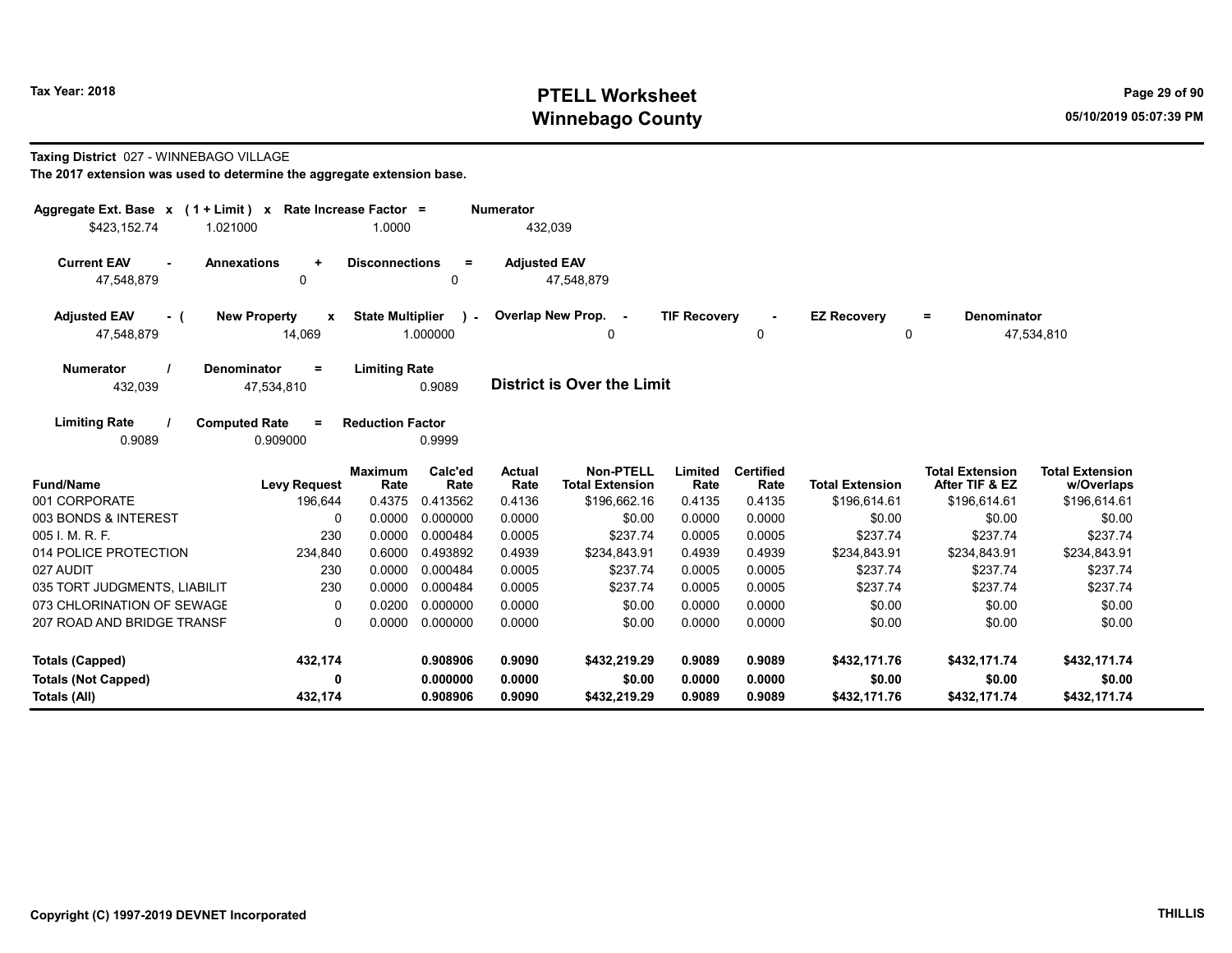## Tax Year: 2018 **PTELL Worksheet** Page 29 of 90 Winnebago County and the county of the county of the county of the control of the county of the control of the county of the control of the control of the control of the control of the control of the control of the control

#### Taxing District 027 - WINNEBAGO VILLAGE

| Aggregate Ext. Base $x$ (1 + Limit) x Rate Increase Factor = |                                              |                         |                          | <b>Numerator</b>      |                                            |                     |                          |                        |                                          |                                      |
|--------------------------------------------------------------|----------------------------------------------|-------------------------|--------------------------|-----------------------|--------------------------------------------|---------------------|--------------------------|------------------------|------------------------------------------|--------------------------------------|
| \$423,152.74<br>1.021000                                     |                                              | 1.0000                  |                          | 432,039               |                                            |                     |                          |                        |                                          |                                      |
| <b>Current EAV</b><br>47,548,879                             | <b>Annexations</b><br>$\ddot{}$<br>0         | <b>Disconnections</b>   | $\equiv$<br>$\mathbf{0}$ | <b>Adjusted EAV</b>   | 47,548,879                                 |                     |                          |                        |                                          |                                      |
| <b>Adjusted EAV</b><br>- (                                   | <b>New Property</b><br>$\mathbf{x}$          | <b>State Multiplier</b> | $\lambda$ -              |                       | Overlap New Prop. -                        | <b>TIF Recovery</b> |                          | <b>EZ Recovery</b>     | <b>Denominator</b><br>$\equiv$           |                                      |
| 47,548,879                                                   | 14,069                                       |                         | 1.000000                 |                       | 0                                          |                     | 0                        | 0                      |                                          | 47,534,810                           |
| <b>Numerator</b><br>432,039                                  | <b>Denominator</b><br>$\equiv$<br>47,534,810 | <b>Limiting Rate</b>    | 0.9089                   |                       | <b>District is Over the Limit</b>          |                     |                          |                        |                                          |                                      |
| <b>Limiting Rate</b><br>0.9089                               | <b>Computed Rate</b><br>$=$<br>0.909000      | <b>Reduction Factor</b> | 0.9999                   |                       |                                            |                     |                          |                        |                                          |                                      |
| <b>Fund/Name</b>                                             | <b>Levy Request</b>                          | <b>Maximum</b><br>Rate  | Calc'ed<br>Rate          | <b>Actual</b><br>Rate | <b>Non-PTELL</b><br><b>Total Extension</b> | Limited<br>Rate     | <b>Certified</b><br>Rate | <b>Total Extension</b> | <b>Total Extension</b><br>After TIF & EZ | <b>Total Extension</b><br>w/Overlaps |
| 001 CORPORATE                                                | 196,644                                      | 0.4375                  | 0.413562                 | 0.4136                | \$196,662.16                               | 0.4135              | 0.4135                   | \$196,614.61           | \$196,614.61                             | \$196,614.61                         |
| 003 BONDS & INTEREST                                         | 0                                            | 0.0000                  | 0.000000                 | 0.0000                | \$0.00                                     | 0.0000              | 0.0000                   | \$0.00                 | \$0.00                                   | \$0.00                               |
| 005 I. M. R. F.                                              | 230                                          | 0.0000                  | 0.000484                 | 0.0005                | \$237.74                                   | 0.0005              | 0.0005                   | \$237.74               | \$237.74                                 | \$237.74                             |
| 014 POLICE PROTECTION                                        | 234,840                                      | 0.6000                  | 0.493892                 | 0.4939                | \$234,843.91                               | 0.4939              | 0.4939                   | \$234,843.91           | \$234,843.91                             | \$234,843.91                         |
| 027 AUDIT                                                    | 230                                          | 0.0000                  | 0.000484                 | 0.0005                | \$237.74                                   | 0.0005              | 0.0005                   | \$237.74               | \$237.74                                 | \$237.74                             |
| 035 TORT JUDGMENTS, LIABILIT                                 | 230                                          | 0.0000                  | 0.000484                 | 0.0005                | \$237.74                                   | 0.0005              | 0.0005                   | \$237.74               | \$237.74                                 | \$237.74                             |
| 073 CHLORINATION OF SEWAGE                                   | 0                                            | 0.0200                  | 0.000000                 | 0.0000                | \$0.00                                     | 0.0000              | 0.0000                   | \$0.00                 | \$0.00                                   | \$0.00                               |
| 207 ROAD AND BRIDGE TRANSF                                   | $\Omega$                                     | 0.0000                  | 0.000000                 | 0.0000                | \$0.00                                     | 0.0000              | 0.0000                   | \$0.00                 | \$0.00                                   | \$0.00                               |
| <b>Totals (Capped)</b>                                       | 432,174                                      |                         | 0.908906                 | 0.9090                | \$432,219.29                               | 0.9089              | 0.9089                   | \$432,171.76           | \$432,171.74                             | \$432,171.74                         |
| <b>Totals (Not Capped)</b>                                   | 0                                            |                         | 0.000000                 | 0.0000                | \$0.00                                     | 0.0000              | 0.0000                   | \$0.00                 | \$0.00                                   | \$0.00                               |
| Totals (All)                                                 | 432,174                                      |                         | 0.908906                 | 0.9090                | \$432,219.29                               | 0.9089              | 0.9089                   | \$432,171.76           | \$432,171.74                             | \$432,171.74                         |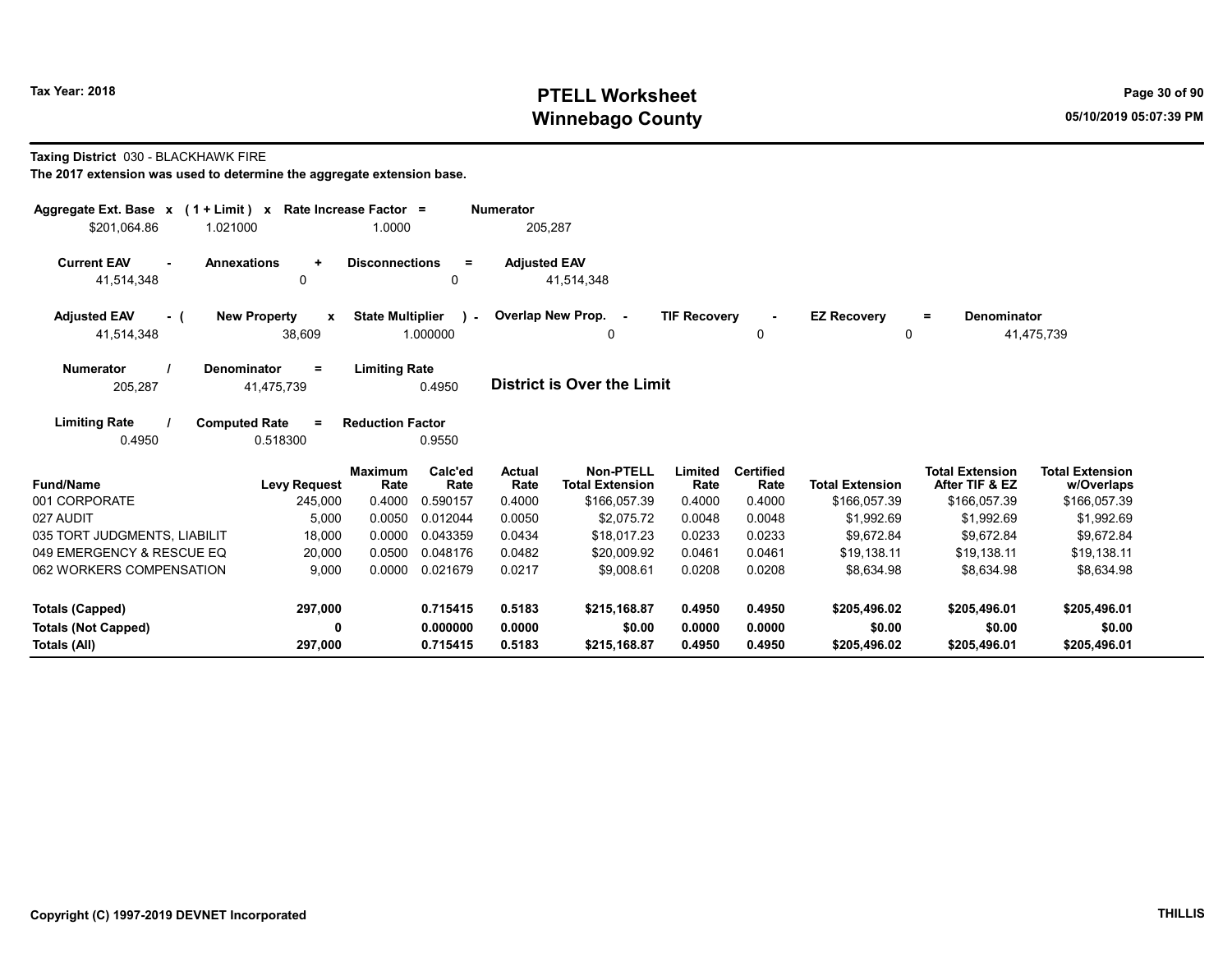## Tax Year: 2018 **PTELL Worksheet** Page 30 of 90 Winnebago County and the county of the county of the county of the control of the county of the control of the county of the control of the control of the control of the control of the control of the control of the control

#### Taxing District 030 - BLACKHAWK FIRE

| Aggregate Ext. Base $x$ (1 + Limit) $x$<br>\$201.064.86<br>1.021000 |                                               | Rate Increase Factor =<br>1.0000 |                          | <b>Numerator</b><br>205,287 |                                            |                     |                          |                            |                                          |                                      |
|---------------------------------------------------------------------|-----------------------------------------------|----------------------------------|--------------------------|-----------------------------|--------------------------------------------|---------------------|--------------------------|----------------------------|------------------------------------------|--------------------------------------|
| <b>Current EAV</b><br>$\sim$<br>41,514,348                          | <b>Annexations</b><br>$\ddot{}$<br>0          | <b>Disconnections</b>            | $=$<br>0                 | <b>Adjusted EAV</b>         | 41,514,348                                 |                     |                          |                            |                                          |                                      |
| <b>Adjusted EAV</b><br>- (<br>41,514,348                            | <b>New Property</b><br>$\mathbf{x}$<br>38,609 | <b>State Multiplier</b>          | $\mathbf{I}$<br>1.000000 |                             | Overlap New Prop. -<br>0                   | <b>TIF Recovery</b> | $\Omega$                 | <b>EZ Recovery</b><br>0    | <b>Denominator</b><br>$\equiv$           | 41,475,739                           |
| <b>Numerator</b><br>205,287                                         | <b>Denominator</b><br>Ξ<br>41,475,739         | <b>Limiting Rate</b>             | 0.4950                   |                             | <b>District is Over the Limit</b>          |                     |                          |                            |                                          |                                      |
| <b>Limiting Rate</b><br>0.4950                                      | <b>Computed Rate</b><br>$\equiv$<br>0.518300  | <b>Reduction Factor</b>          | 0.9550                   |                             |                                            |                     |                          |                            |                                          |                                      |
| <b>Fund/Name</b>                                                    | <b>Levy Request</b>                           | <b>Maximum</b><br>Rate           | Calc'ed<br>Rate          | <b>Actual</b><br>Rate       | <b>Non-PTELL</b><br><b>Total Extension</b> | Limited<br>Rate     | <b>Certified</b><br>Rate | <b>Total Extension</b>     | <b>Total Extension</b><br>After TIF & EZ | <b>Total Extension</b><br>w/Overlaps |
| 001 CORPORATE<br>027 AUDIT                                          | 245,000<br>5,000                              | 0.4000<br>0.0050                 | 0.590157<br>0.012044     | 0.4000<br>0.0050            | \$166,057.39<br>\$2,075.72                 | 0.4000<br>0.0048    | 0.4000<br>0.0048         | \$166,057.39<br>\$1,992.69 | \$166,057.39<br>\$1,992.69               | \$166,057.39<br>\$1,992.69           |
| 035 TORT JUDGMENTS, LIABILIT                                        | 18.000                                        | 0.0000                           | 0.043359                 | 0.0434                      | \$18.017.23                                | 0.0233              | 0.0233                   | \$9.672.84                 | \$9.672.84                               | \$9,672.84                           |
| 049 EMERGENCY & RESCUE EQ                                           | 20,000                                        | 0.0500                           | 0.048176                 | 0.0482                      | \$20,009.92                                | 0.0461              | 0.0461                   | \$19,138.11                | \$19,138.11                              | \$19,138.11                          |
| 062 WORKERS COMPENSATION                                            | 9,000                                         | 0.0000                           | 0.021679                 | 0.0217                      | \$9,008.61                                 | 0.0208              | 0.0208                   | \$8,634.98                 | \$8,634.98                               | \$8,634.98                           |
| <b>Totals (Capped)</b>                                              | 297,000                                       |                                  | 0.715415                 | 0.5183                      | \$215,168.87                               | 0.4950              | 0.4950                   | \$205,496.02               | \$205,496.01                             | \$205,496.01                         |
| <b>Totals (Not Capped)</b>                                          | 0                                             |                                  | 0.000000                 | 0.0000                      | \$0.00                                     | 0.0000              | 0.0000                   | \$0.00                     | \$0.00                                   | \$0.00                               |
| Totals (All)                                                        | 297,000                                       |                                  | 0.715415                 | 0.5183                      | \$215,168.87                               | 0.4950              | 0.4950                   | \$205,496.02               | \$205,496.01                             | \$205,496.01                         |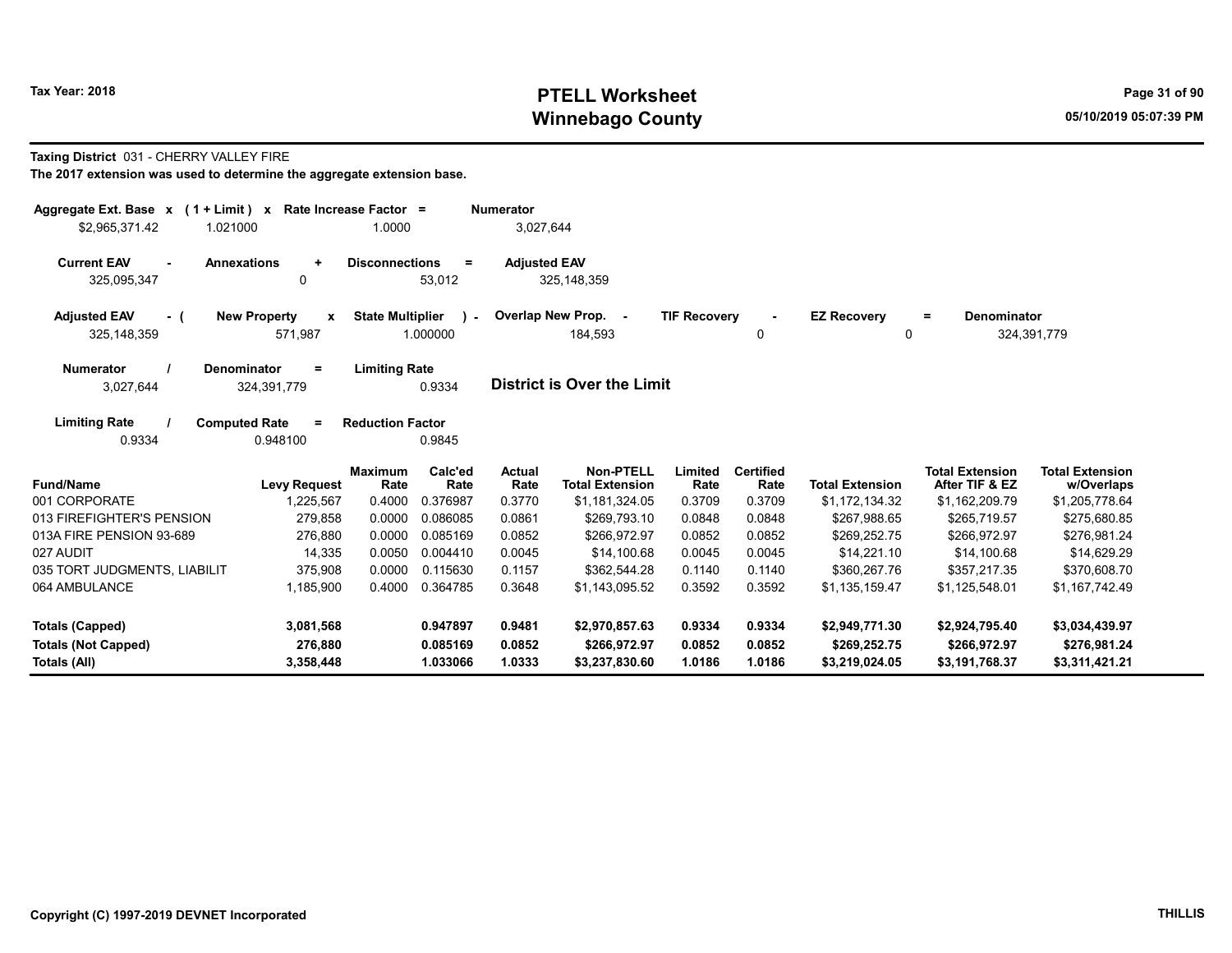## Tax Year: 2018 **PTELL Worksheet** Page 31 of 90 Winnebago County and the county of the county of the county of the control of the county of the control of the county of the control of the control of the control of the control of the control of the control of the control

#### Taxing District 031 - CHERRY VALLEY FIRE

| Aggregate Ext. Base $x$ (1 + Limit) $x$<br>\$2,965,371.42<br>1.021000 | Rate Increase Factor =                         | 1.0000                                     | <b>Numerator</b><br>3,027,644 |                                            |                     |                          |                         |                                          |                                      |
|-----------------------------------------------------------------------|------------------------------------------------|--------------------------------------------|-------------------------------|--------------------------------------------|---------------------|--------------------------|-------------------------|------------------------------------------|--------------------------------------|
| <b>Current EAV</b><br><b>Annexations</b><br>325,095,347               | ÷<br>$\mathbf 0$                               | <b>Disconnections</b><br>$=$<br>53,012     | <b>Adjusted EAV</b>           | 325, 148, 359                              |                     |                          |                         |                                          |                                      |
| <b>Adjusted EAV</b><br>- (<br>325, 148, 359                           | <b>New Property</b><br>$\mathbf{x}$<br>571,987 | <b>State Multiplier</b><br>) –<br>1.000000 |                               | Overlap New Prop. -<br>184,593             | <b>TIF Recovery</b> | 0                        | <b>EZ Recovery</b><br>0 | <b>Denominator</b><br>$\equiv$           | 324,391,779                          |
| <b>Numerator</b><br><b>Denominator</b><br>3,027,644                   | $=$<br>324,391,779                             | <b>Limiting Rate</b><br>0.9334             |                               | <b>District is Over the Limit</b>          |                     |                          |                         |                                          |                                      |
| <b>Limiting Rate</b><br><b>Computed Rate</b><br>0.9334                | $=$<br>0.948100                                | <b>Reduction Factor</b><br>0.9845          |                               |                                            |                     |                          |                         |                                          |                                      |
| <b>Fund/Name</b>                                                      | <b>Levy Request</b>                            | <b>Maximum</b><br>Calc'ed<br>Rate<br>Rate  | <b>Actual</b><br>Rate         | <b>Non-PTELL</b><br><b>Total Extension</b> | Limited<br>Rate     | <b>Certified</b><br>Rate | <b>Total Extension</b>  | <b>Total Extension</b><br>After TIF & EZ | <b>Total Extension</b><br>w/Overlaps |
| 001 CORPORATE                                                         | 1,225,567                                      | 0.4000<br>0.376987                         | 0.3770                        | \$1,181,324.05                             | 0.3709              | 0.3709                   | \$1,172,134.32          | \$1,162,209.79                           | \$1,205,778.64                       |
| 013 FIREFIGHTER'S PENSION                                             | 279,858                                        | 0.0000<br>0.086085                         | 0.0861                        | \$269.793.10                               | 0.0848              | 0.0848                   | \$267.988.65            | \$265.719.57                             | \$275,680.85                         |
| 013A FIRE PENSION 93-689                                              | 276,880                                        | 0.085169<br>0.0000                         | 0.0852                        | \$266,972.97                               | 0.0852              | 0.0852                   | \$269,252.75            | \$266,972.97                             | \$276,981.24                         |
| 027 AUDIT                                                             | 14,335                                         | 0.0050<br>0.004410                         | 0.0045                        | \$14,100.68                                | 0.0045              | 0.0045                   | \$14,221.10             | \$14,100.68                              | \$14,629.29                          |
| 035 TORT JUDGMENTS, LIABILIT                                          | 375,908                                        | 0.0000<br>0.115630                         | 0.1157                        | \$362,544.28                               | 0.1140              | 0.1140                   | \$360,267.76            | \$357,217.35                             | \$370,608.70                         |
| 064 AMBULANCE                                                         | 1,185,900                                      | 0.4000<br>0.364785                         | 0.3648                        | \$1,143,095.52                             | 0.3592              | 0.3592                   | \$1,135,159.47          | \$1,125,548.01                           | \$1,167,742.49                       |
| Totals (Capped)                                                       | 3,081,568                                      | 0.947897                                   | 0.9481                        | \$2,970,857.63                             | 0.9334              | 0.9334                   | \$2,949,771.30          | \$2,924,795.40                           | \$3,034,439.97                       |
| <b>Totals (Not Capped)</b>                                            | 276,880                                        | 0.085169                                   | 0.0852                        | \$266,972.97                               | 0.0852              | 0.0852                   | \$269,252.75            | \$266,972.97                             | \$276,981.24                         |
| Totals (All)                                                          | 3,358,448                                      | 1.033066                                   | 1.0333                        | \$3,237,830.60                             | 1.0186              | 1.0186                   | \$3,219,024.05          | \$3,191,768.37                           | \$3,311,421.21                       |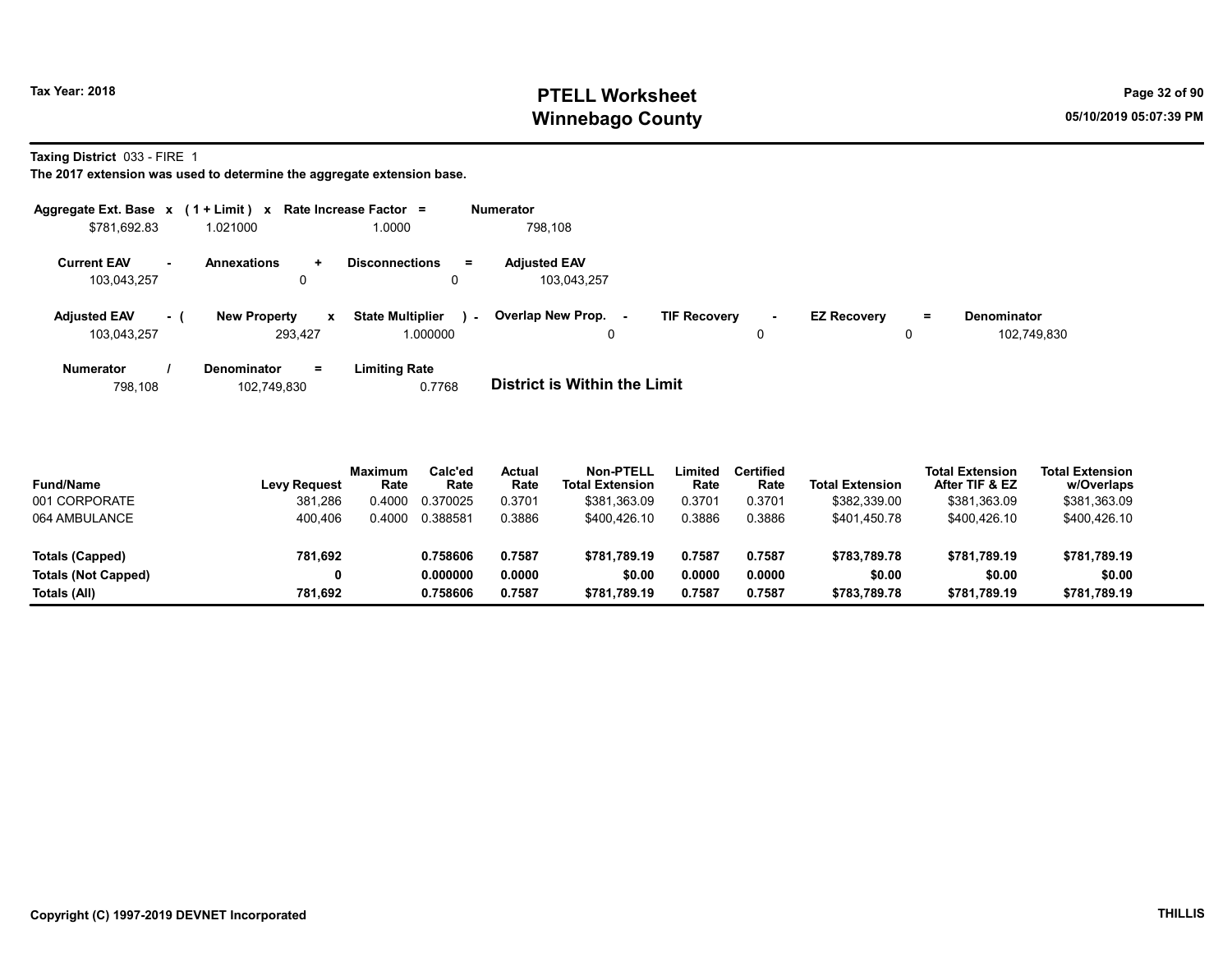## Tax Year: 2018 **PTELL Worksheet** Page 32 of 90 Winnebago County and the county of the county of the county of the control of the county of the control of the county of the control of the control of the control of the control of the control of the control of the control

Taxing District 033 - FIRE 1

| Aggregate Ext. Base $x$ (1 + Limit) x Rate Increase Factor = |     |                                |           |                                               | <b>Numerator</b>                   |                     |                        |                    |         |                                   |
|--------------------------------------------------------------|-----|--------------------------------|-----------|-----------------------------------------------|------------------------------------|---------------------|------------------------|--------------------|---------|-----------------------------------|
| \$781,692.83                                                 |     | 1.021000                       |           | 1.0000                                        | 798.108                            |                     |                        |                    |         |                                   |
| <b>Current EAV</b><br>103,043,257                            | н.  | <b>Annexations</b><br>0        | $\ddot{}$ | <b>Disconnections</b><br>$=$<br>0             | <b>Adjusted EAV</b><br>103.043.257 |                     |                        |                    |         |                                   |
| <b>Adjusted EAV</b><br>103,043,257                           | - 1 | <b>New Property</b><br>293.427 | x         | <b>State Multiplier</b><br>$\sim$<br>1.000000 | Overlap New Prop. -<br>0           | <b>TIF Recovery</b> | $\sim$<br>$\mathbf{0}$ | <b>EZ Recovery</b> | Ξ.<br>0 | <b>Denominator</b><br>102,749,830 |
| Numerator                                                    |     | <b>Denominator</b>             | $=$       | <b>Limiting Rate</b>                          |                                    |                     |                        |                    |         |                                   |

| 798.108 | 102,749,830 | 0.7768 | <b>District is Within the Limit</b> |
|---------|-------------|--------|-------------------------------------|
|         |             |        |                                     |

| <b>Fund/Name</b>           | <b>Levy Request</b> | Maximum<br>Rate | Calc'ed<br>Rate | Actual<br>Rate | <b>Non-PTELL</b><br><b>Total Extension</b> | Limited<br>Rate | <b>Certified</b><br>Rate | <b>Total Extension</b> | <b>Total Extension</b><br>After TIF & EZ | <b>Total Extension</b><br>w/Overlaps |
|----------------------------|---------------------|-----------------|-----------------|----------------|--------------------------------------------|-----------------|--------------------------|------------------------|------------------------------------------|--------------------------------------|
| 001 CORPORATE              | 381,286             | 0.4000          | 0.370025        | 0.3701         | \$381,363.09                               | 0.3701          | 0.3701                   | \$382,339.00           | \$381,363.09                             | \$381,363.09                         |
| 064 AMBULANCE              | 400.406             | 0.4000          | 0.388581        | 0.3886         | \$400.426.10                               | 0.3886          | 0.3886                   | \$401.450.78           | \$400.426.10                             | \$400.426.10                         |
| Totals (Capped)            | 781.692             |                 | 0.758606        | 0.7587         | \$781.789.19                               | 0.7587          | 0.7587                   | \$783.789.78           | \$781.789.19                             | \$781,789.19                         |
| <b>Totals (Not Capped)</b> |                     |                 | 0.000000        | 0.0000         | \$0.00                                     | 0.0000          | 0.0000                   | \$0.00                 | \$0.00                                   | \$0.00                               |
| Totals (All)               | 781.692             |                 | 0.758606        | 0.7587         | \$781.789.19                               | 0.7587          | 0.7587                   | \$783.789.78           | \$781.789.19                             | \$781.789.19                         |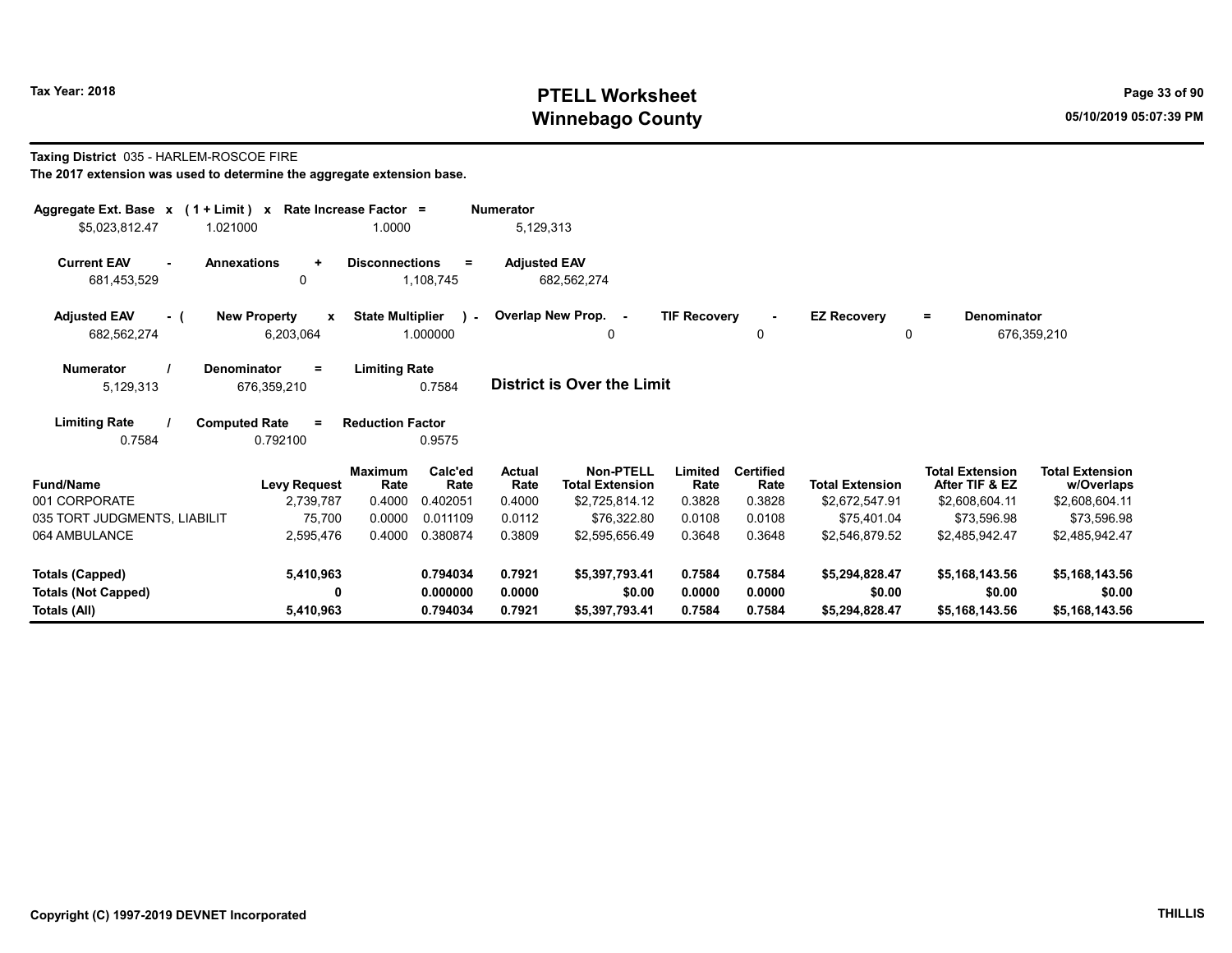## Tax Year: 2018 **PTELL Worksheet** Page 33 of 90 Winnebago County and the county of the county of the county of the control of the county of the control of the county of the control of the control of the control of the control of the control of the control of the control

## Taxing District 035 - HARLEM-ROSCOE FIRE

| Aggregate Ext. Base $x$ (1 + Limit) $x$<br>\$5,023,812.47<br>1.021000 |                                                 | Rate Increase Factor =<br>1.0000 |                 | <b>Numerator</b><br>5,129,313 |                                            |                     |                          |                        |                                          |                                      |
|-----------------------------------------------------------------------|-------------------------------------------------|----------------------------------|-----------------|-------------------------------|--------------------------------------------|---------------------|--------------------------|------------------------|------------------------------------------|--------------------------------------|
|                                                                       |                                                 |                                  |                 |                               |                                            |                     |                          |                        |                                          |                                      |
| <b>Current EAV</b><br>$\sim$<br>681,453,529                           | <b>Annexations</b><br>$\ddot{}$<br>$\mathbf{0}$ | <b>Disconnections</b>            | Ξ<br>1,108,745  | <b>Adiusted EAV</b>           | 682,562,274                                |                     |                          |                        |                                          |                                      |
|                                                                       | $\mathbf{x}$                                    | <b>State Multiplier</b>          |                 |                               | - Overlap New Prop. -                      | <b>TIF Recovery</b> | $\sim$                   | <b>EZ Recovery</b>     | Denominator<br>Ξ.                        |                                      |
| <b>Adjusted EAV</b><br>- (<br>682,562,274                             | <b>New Property</b><br>6,203,064                |                                  | 1.000000        |                               | 0                                          |                     | 0                        | $\Omega$               |                                          | 676,359,210                          |
| <b>Numerator</b>                                                      | <b>Denominator</b><br>$=$                       | <b>Limiting Rate</b>             |                 |                               |                                            |                     |                          |                        |                                          |                                      |
| 5,129,313                                                             | 676,359,210                                     |                                  | 0.7584          |                               | <b>District is Over the Limit</b>          |                     |                          |                        |                                          |                                      |
| <b>Limiting Rate</b>                                                  | <b>Computed Rate</b><br>$\equiv$                | <b>Reduction Factor</b>          |                 |                               |                                            |                     |                          |                        |                                          |                                      |
| 0.7584                                                                | 0.792100                                        |                                  | 0.9575          |                               |                                            |                     |                          |                        |                                          |                                      |
| <b>Fund/Name</b>                                                      | <b>Levy Request</b>                             | <b>Maximum</b><br>Rate           | Calc'ed<br>Rate | Actual<br>Rate                | <b>Non-PTELL</b><br><b>Total Extension</b> | Limited<br>Rate     | <b>Certified</b><br>Rate | <b>Total Extension</b> | <b>Total Extension</b><br>After TIF & EZ | <b>Total Extension</b><br>w/Overlaps |
| 001 CORPORATE                                                         | 2,739,787                                       | 0.4000                           | 0.402051        | 0.4000                        | \$2,725,814.12                             | 0.3828              | 0.3828                   | \$2,672,547.91         | \$2,608,604.11                           | \$2,608,604.11                       |
| 035 TORT JUDGMENTS, LIABILIT                                          | 75,700                                          | 0.0000                           | 0.011109        | 0.0112                        | \$76,322.80                                | 0.0108              | 0.0108                   | \$75,401.04            | \$73.596.98                              | \$73,596.98                          |
| 064 AMBULANCE                                                         | 2,595,476                                       | 0.4000                           | 0.380874        | 0.3809                        | \$2,595,656.49                             | 0.3648              | 0.3648                   | \$2,546,879.52         | \$2,485,942.47                           | \$2,485,942.47                       |
| <b>Totals (Capped)</b>                                                | 5,410,963                                       |                                  | 0.794034        | 0.7921                        | \$5,397,793.41                             | 0.7584              | 0.7584                   | \$5,294,828.47         | \$5,168,143.56                           | \$5,168,143.56                       |
| <b>Totals (Not Capped)</b>                                            | 0                                               |                                  | 0.000000        | 0.0000                        | \$0.00                                     | 0.0000              | 0.0000                   | \$0.00                 | \$0.00                                   | \$0.00                               |
| Totals (All)                                                          | 5,410,963                                       |                                  | 0.794034        | 0.7921                        | \$5,397,793.41                             | 0.7584              | 0.7584                   | \$5,294,828.47         | \$5,168,143.56                           | \$5,168,143.56                       |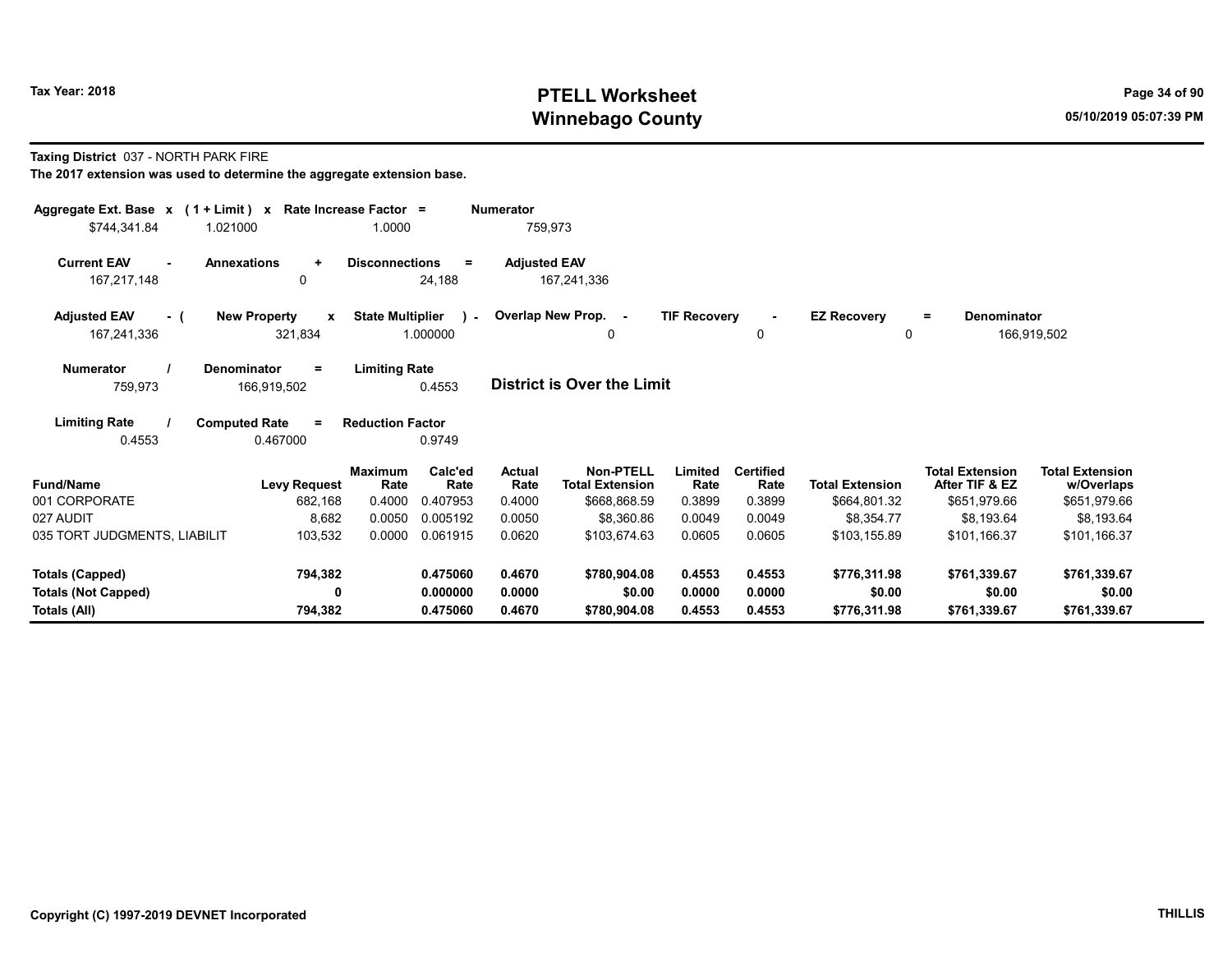## Tax Year: 2018 **PTELL Worksheet** Page 34 of 90 Winnebago County and the county of the county of the county of the control of the county of the control of the county of the control of the control of the control of the control of the control of the control of the control

#### Taxing District 037 - NORTH PARK FIRE

| Aggregate Ext. Base $x$ (1 + Limit) $x$<br>\$744,341.84<br>1.021000 | Rate Increase Factor =                         | 1.0000                                           | Numerator<br>759,973  |                                     |                     |                          |                         |                                          |                                      |
|---------------------------------------------------------------------|------------------------------------------------|--------------------------------------------------|-----------------------|-------------------------------------|---------------------|--------------------------|-------------------------|------------------------------------------|--------------------------------------|
| <b>Current EAV</b><br>$\sim$<br>167,217,148                         | <b>Annexations</b><br>$\ddot{}$<br>0           | <b>Disconnections</b><br>$\equiv$<br>24,188      | <b>Adjusted EAV</b>   | 167,241,336                         |                     |                          |                         |                                          |                                      |
| <b>Adjusted EAV</b><br>- (<br>167,241,336                           | <b>New Property</b><br>$\mathbf{x}$<br>321,834 | <b>State Multiplier</b><br>$\lambda$<br>1.000000 | Overlap New Prop. -   | 0                                   | <b>TIF Recovery</b> | 0                        | <b>EZ Recovery</b><br>0 | Denominator<br>Ξ.                        | 166,919,502                          |
| <b>Numerator</b><br>759,973                                         | Denominator<br>Ξ<br>166,919,502                | <b>Limiting Rate</b><br>0.4553                   |                       | <b>District is Over the Limit</b>   |                     |                          |                         |                                          |                                      |
| <b>Limiting Rate</b><br>0.4553                                      | <b>Computed Rate</b><br>$\equiv$<br>0.467000   | <b>Reduction Factor</b><br>0.9749                |                       |                                     |                     |                          |                         |                                          |                                      |
| <b>Fund/Name</b>                                                    | <b>Levy Request</b>                            | Calc'ed<br><b>Maximum</b><br>Rate<br>Rate        | <b>Actual</b><br>Rate | Non-PTELL<br><b>Total Extension</b> | Limited<br>Rate     | <b>Certified</b><br>Rate | <b>Total Extension</b>  | <b>Total Extension</b><br>After TIF & EZ | <b>Total Extension</b><br>w/Overlaps |
| 001 CORPORATE                                                       | 682,168                                        | 0.4000<br>0.407953                               | 0.4000                | \$668,868.59                        | 0.3899              | 0.3899                   | \$664,801.32            | \$651,979.66                             | \$651,979.66                         |
| 027 AUDIT                                                           | 8,682                                          | 0.0050<br>0.005192                               | 0.0050                | \$8,360.86                          | 0.0049              | 0.0049                   | \$8.354.77              | \$8.193.64                               | \$8,193.64                           |
| 035 TORT JUDGMENTS, LIABILIT                                        | 103,532                                        | 0.0000<br>0.061915                               | 0.0620                | \$103,674.63                        | 0.0605              | 0.0605                   | \$103,155.89            | \$101.166.37                             | \$101,166.37                         |
| <b>Totals (Capped)</b>                                              | 794,382                                        | 0.475060                                         | 0.4670                | \$780,904.08                        | 0.4553              | 0.4553                   | \$776,311.98            | \$761,339.67                             | \$761,339.67                         |
| <b>Totals (Not Capped)</b>                                          | 0                                              | 0.000000                                         | 0.0000                | \$0.00                              | 0.0000              | 0.0000                   | \$0.00                  | \$0.00                                   | \$0.00                               |
| Totals (All)                                                        |                                                |                                                  |                       |                                     |                     |                          |                         |                                          |                                      |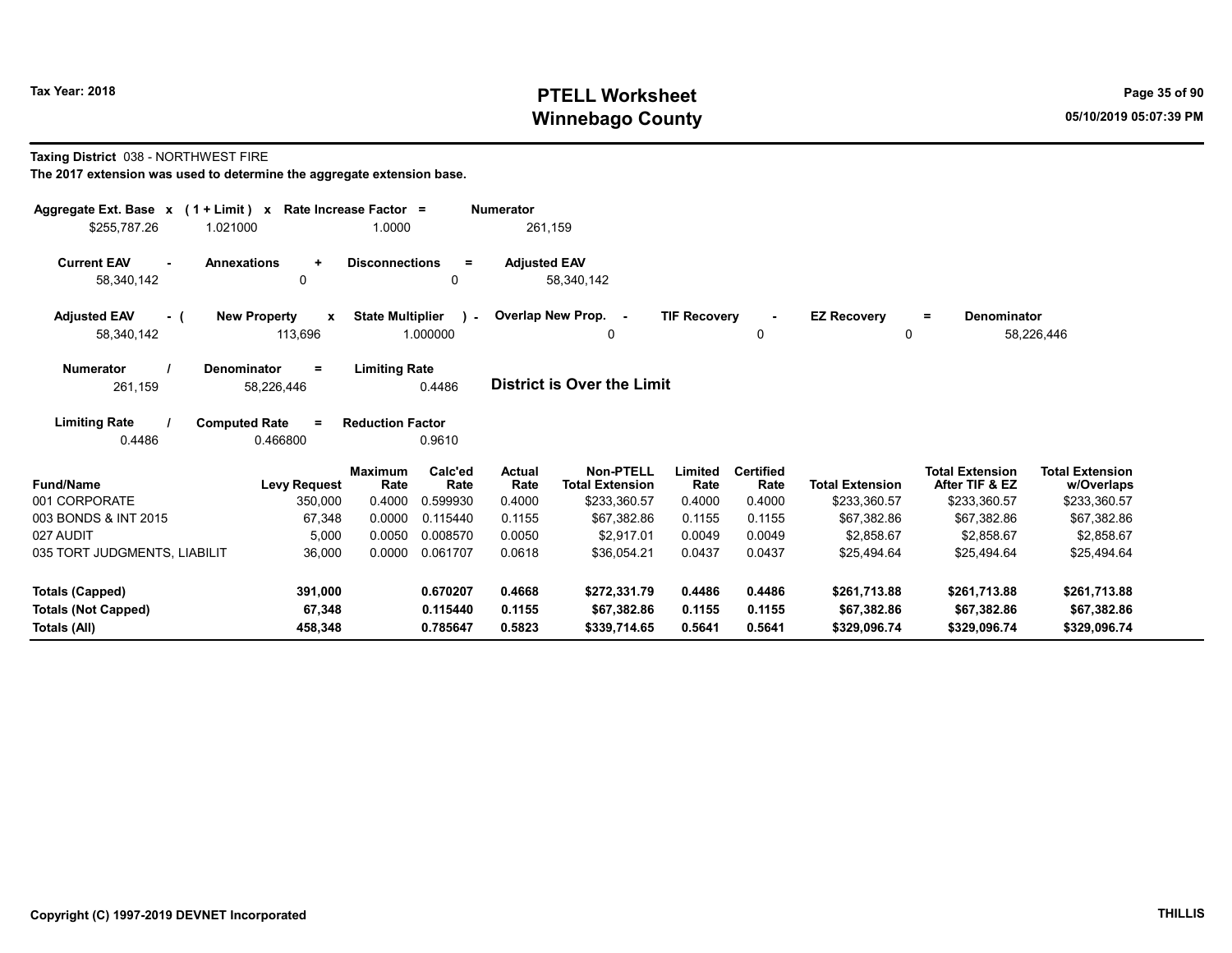## Tax Year: 2018 **PTELL Worksheet** Page 35 of 90 Winnebago County and the county of the county of the county of the control of the county of the control of the county of the control of the control of the control of the control of the control of the control of the control

#### Taxing District 038 - NORTHWEST FIRE

| Aggregate Ext. Base $x$ (1 + Limit) $x$<br>\$255.787.26<br>1.021000 | Rate Increase Factor =<br>1.0000             |                                                      | <b>Numerator</b><br>261,159 |                                            |                     |                          |                             |                                          |                                      |
|---------------------------------------------------------------------|----------------------------------------------|------------------------------------------------------|-----------------------------|--------------------------------------------|---------------------|--------------------------|-----------------------------|------------------------------------------|--------------------------------------|
| <b>Current EAV</b><br>58,340,142                                    | <b>Annexations</b><br>$\ddot{}$<br>0         | <b>Disconnections</b><br>$\equiv$<br>0               | <b>Adjusted EAV</b>         | 58,340,142                                 |                     |                          |                             |                                          |                                      |
| <b>Adjusted EAV</b><br>- (<br>58,340,142                            | <b>New Property</b><br>x<br>113,696          | <b>State Multiplier</b><br>$\rightarrow$<br>1.000000 |                             | Overlap New Prop. -<br>0                   | <b>TIF Recovery</b> | 0                        | <b>EZ Recovery</b><br>0     | <b>Denominator</b><br>$=$                | 58,226,446                           |
| <b>Numerator</b><br>261,159                                         | Denominator<br>$\equiv$<br>58,226,446        | <b>Limiting Rate</b><br>0.4486                       |                             | <b>District is Over the Limit</b>          |                     |                          |                             |                                          |                                      |
| <b>Limiting Rate</b><br>0.4486                                      | <b>Computed Rate</b><br>$\equiv$<br>0.466800 | <b>Reduction Factor</b><br>0.9610                    |                             |                                            |                     |                          |                             |                                          |                                      |
| <b>Fund/Name</b>                                                    | <b>Maximum</b><br><b>Levy Request</b>        | Calc'ed<br>Rate<br>Rate                              | <b>Actual</b><br>Rate       | <b>Non-PTELL</b><br><b>Total Extension</b> | Limited<br>Rate     | <b>Certified</b><br>Rate | <b>Total Extension</b>      | <b>Total Extension</b><br>After TIF & EZ | <b>Total Extension</b><br>w/Overlaps |
| 001 CORPORATE                                                       | 0.4000<br>350,000                            | 0.599930                                             | 0.4000                      | \$233,360.57                               | 0.4000              | 0.4000                   | \$233,360.57                | \$233,360.57                             | \$233,360.57                         |
| 003 BONDS & INT 2015                                                | 0.0000<br>67,348                             | 0.115440                                             | 0.1155                      | \$67.382.86                                | 0.1155              | 0.1155                   | \$67,382.86                 | \$67,382.86                              | \$67,382.86                          |
| 027 AUDIT                                                           | 5,000<br>0.0050                              | 0.008570                                             | 0.0050                      | \$2,917.01                                 | 0.0049              | 0.0049                   | \$2,858.67                  | \$2,858.67                               | \$2,858.67                           |
| 035 TORT JUDGMENTS, LIABILIT                                        | 36,000<br>0.0000                             | 0.061707                                             | 0.0618                      | \$36,054.21                                | 0.0437              | 0.0437                   | \$25,494.64                 | \$25,494.64                              | \$25,494.64                          |
| Totals (Capped)                                                     | 391,000                                      | 0.670207                                             | 0.4668                      | \$272,331.79                               | 0.4486              | 0.4486                   | \$261,713.88                | \$261,713.88                             | \$261,713.88                         |
| <b>Totals (Not Capped)</b><br>Totals (All)                          | 67,348<br>458.348                            | 0.115440<br>0.785647                                 | 0.1155<br>0.5823            | \$67,382.86<br>\$339,714.65                | 0.1155<br>0.5641    | 0.1155<br>0.5641         | \$67,382.86<br>\$329.096.74 | \$67,382.86<br>\$329,096.74              | \$67,382.86<br>\$329,096.74          |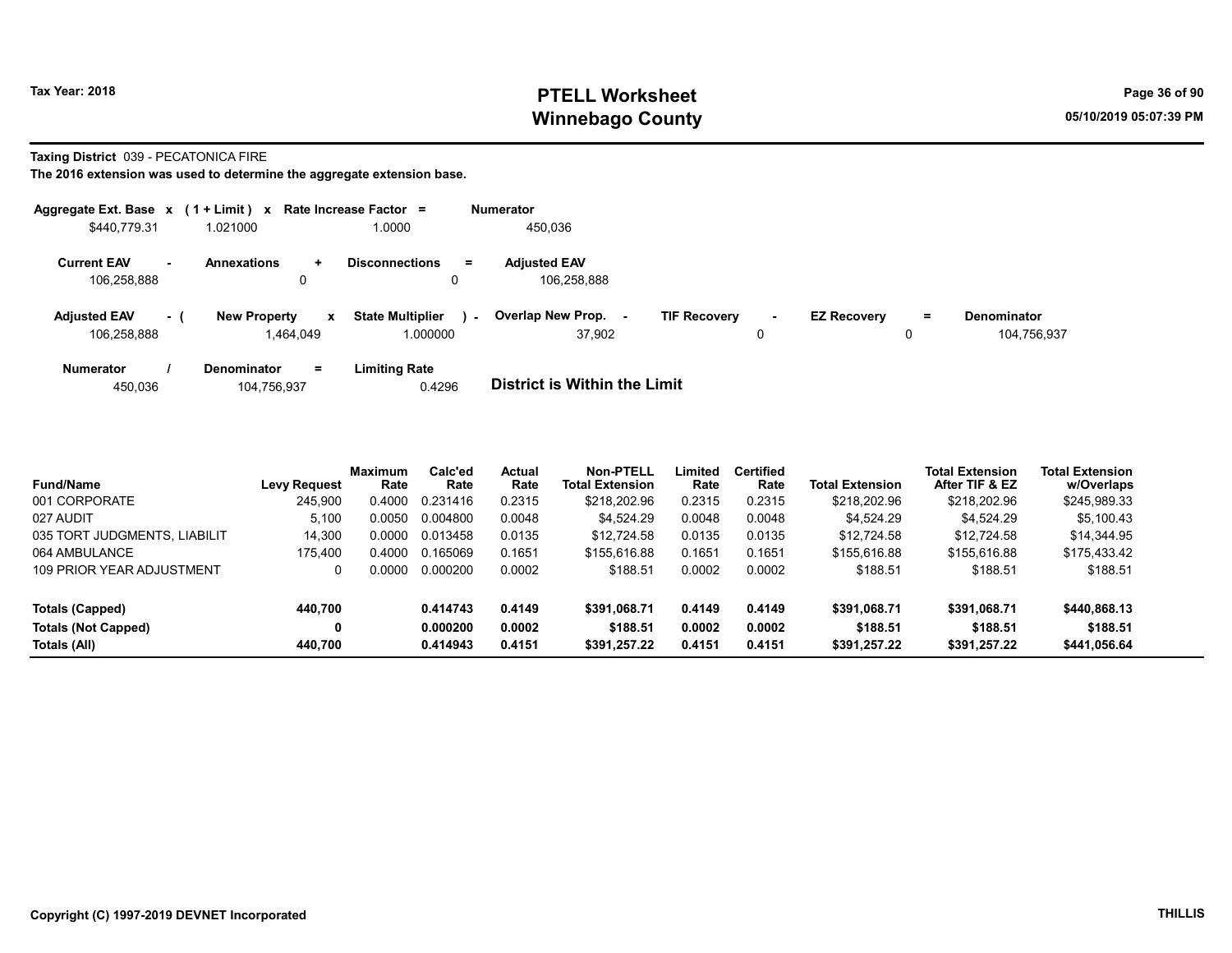## Tax Year: 2018 **PTELL Worksheet** Page 36 of 90 Winnebago County and the county of the county of the county of the control of the county of the control of the county of the control of the control of the control of the control of the control of the control of the control

#### Taxing District 039 - PECATONICA FIRE

|                                    |     | Aggregate Ext. Base $x$ (1 + Limit) x Rate Increase Factor = |                                     |        | <b>Numerator</b>                   |                     |             |                    |    |                                   |
|------------------------------------|-----|--------------------------------------------------------------|-------------------------------------|--------|------------------------------------|---------------------|-------------|--------------------|----|-----------------------------------|
| \$440,779.31                       |     | 1.021000                                                     | 1.0000                              |        | 450,036                            |                     |             |                    |    |                                   |
| <b>Current EAV</b><br>106,258,888  | ۰.  | <b>Annexations</b><br>÷<br>0                                 | <b>Disconnections</b>               | Ξ.     | <b>Adjusted EAV</b><br>106,258,888 |                     |             |                    |    |                                   |
| <b>Adjusted EAV</b><br>106.258.888 | - 1 | <b>New Property</b><br>$\mathbf{x}$<br>1.464.049             | <b>State Multiplier</b><br>1.000000 | $\sim$ | <b>Overlap New Prop.</b><br>37.902 | <b>TIF Recovery</b> | $\sim$<br>0 | <b>EZ Recovery</b> | Ξ. | <b>Denominator</b><br>104.756.937 |
| <b>Numerator</b>                   |     | <b>Denominator</b><br>$=$                                    | <b>Limiting Rate</b>                |        |                                    |                     |             |                    |    |                                   |

| 450.036 | 104,756,937 | 0.4296 | <b>District is Within the Limit</b> |
|---------|-------------|--------|-------------------------------------|
|         |             |        |                                     |

| <b>Fund/Name</b>             | <b>Levy Request</b> | <b>Maximum</b><br>Rate | Calc'ed<br>Rate | <b>Actual</b><br>Rate | <b>Non-PTELL</b><br><b>Total Extension</b> | Limited<br>Rate | <b>Certified</b><br>Rate | <b>Total Extension</b> | <b>Total Extension</b><br>After TIF & EZ | <b>Total Extension</b><br>w/Overlaps |
|------------------------------|---------------------|------------------------|-----------------|-----------------------|--------------------------------------------|-----------------|--------------------------|------------------------|------------------------------------------|--------------------------------------|
| 001 CORPORATE                | 245.900             | 0.4000                 | 0.231416        | 0.2315                | \$218,202.96                               | 0.2315          | 0.2315                   | \$218,202.96           | \$218,202.96                             | \$245,989.33                         |
| 027 AUDIT                    | 5,100               | 0.0050                 | 0.004800        | 0.0048                | \$4,524.29                                 | 0.0048          | 0.0048                   | \$4.524.29             | \$4.524.29                               | \$5,100.43                           |
| 035 TORT JUDGMENTS, LIABILIT | 14.300              | 0.0000                 | 0.013458        | 0.0135                | \$12.724.58                                | 0.0135          | 0.0135                   | \$12.724.58            | \$12,724.58                              | \$14,344.95                          |
| 064 AMBULANCE                | 175.400             | 0.4000                 | 0.165069        | 0.1651                | \$155,616.88                               | 0.1651          | 0.1651                   | \$155.616.88           | \$155,616.88                             | \$175,433.42                         |
| 109 PRIOR YEAR ADJUSTMENT    |                     | 0.0000                 | 0.000200        | 0.0002                | \$188.51                                   | 0.0002          | 0.0002                   | \$188.51               | \$188.51                                 | \$188.51                             |
| Totals (Capped)              | 440.700             |                        | 0.414743        | 0.4149                | \$391.068.71                               | 0.4149          | 0.4149                   | \$391,068.71           | \$391.068.71                             | \$440,868.13                         |
| Totals (Not Capped)          |                     |                        | 0.000200        | 0.0002                | \$188.51                                   | 0.0002          | 0.0002                   | \$188.51               | \$188.51                                 | \$188.51                             |
| Totals (All)                 | 440.700             |                        | 0.414943        | 0.4151                | \$391.257.22                               | 0.4151          | 0.4151                   | \$391,257.22           | \$391.257.22                             | \$441,056.64                         |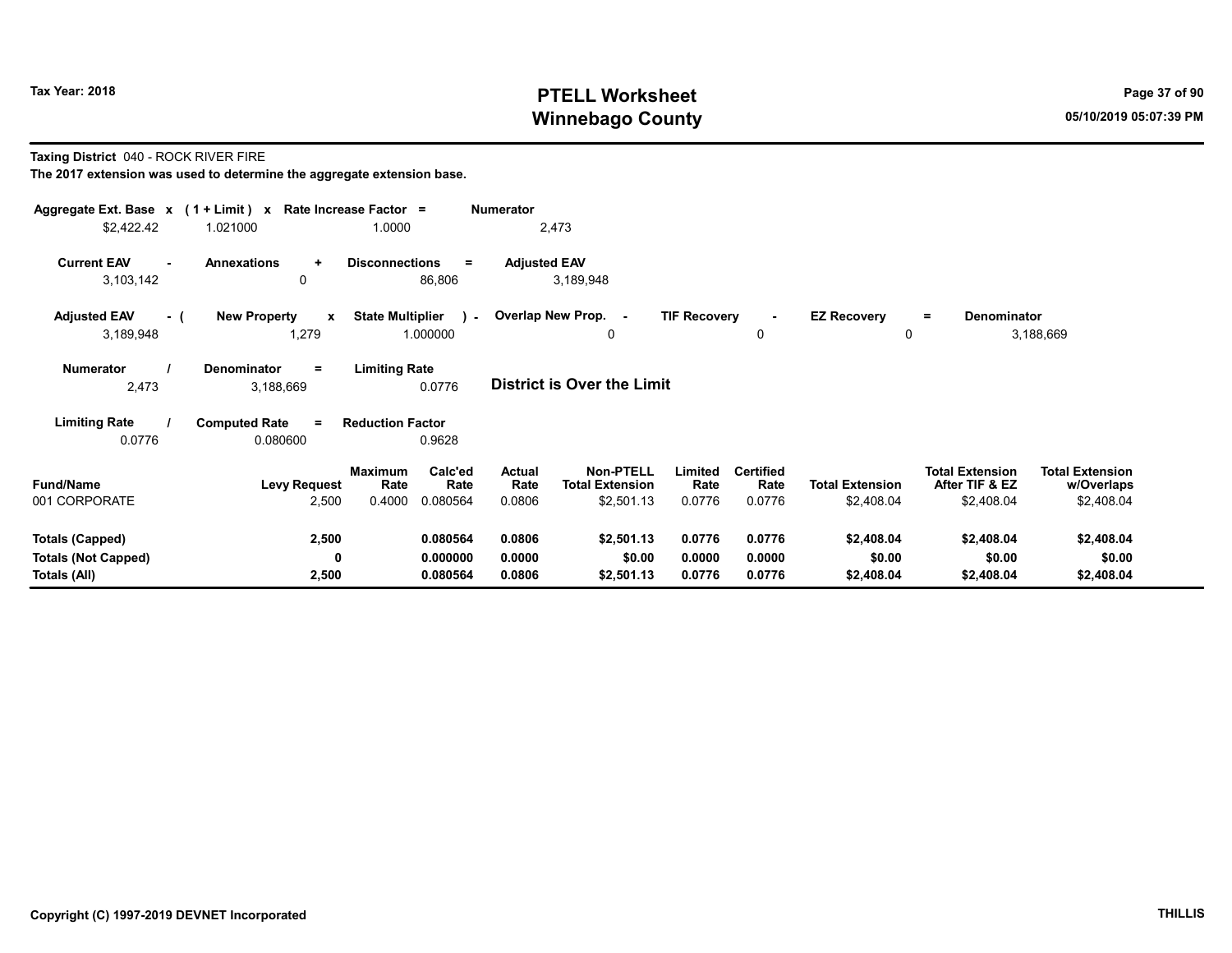# Tax Year: 2018 **PTELL Worksheet** Page 37 of 90 Winnebago County and the County of the County of the County of the County of the County of the County of the County of the County of the County of the County of the County of the County of the County of the County of the C

Taxing District 040 - ROCK RIVER FIRE

| Aggregate Ext. Base $x$ (1 + Limit) $x$ Rate Increase Factor =<br>\$2,422.42 | 1.021000                                     | 1.0000                                               | <b>Numerator</b><br>2,473 |                                            |                     |                          |                         |                                          |                                      |
|------------------------------------------------------------------------------|----------------------------------------------|------------------------------------------------------|---------------------------|--------------------------------------------|---------------------|--------------------------|-------------------------|------------------------------------------|--------------------------------------|
| <b>Current EAV</b><br>$\sim$                                                 | <b>Annexations</b><br>$\ddot{}$              | <b>Disconnections</b><br>$=$                         |                           |                                            |                     |                          |                         |                                          |                                      |
| 3,103,142                                                                    | 0                                            | 86,806                                               | <b>Adjusted EAV</b>       | 3,189,948                                  |                     |                          |                         |                                          |                                      |
| <b>Adjusted EAV</b><br>- (<br>3,189,948                                      | <b>New Property</b><br>$\mathbf{x}$<br>1,279 | <b>State Multiplier</b><br>$\mathcal{L}$<br>1.000000 | Overlap New Prop. -       | 0                                          | <b>TIF Recovery</b> | 0                        | <b>EZ Recovery</b><br>0 | Denominator<br>$\equiv$                  | 3,188,669                            |
| <b>Numerator</b><br>2,473                                                    | <b>Denominator</b><br>$=$<br>3,188,669       | <b>Limiting Rate</b><br>0.0776                       |                           | <b>District is Over the Limit</b>          |                     |                          |                         |                                          |                                      |
| <b>Limiting Rate</b><br>0.0776                                               | <b>Computed Rate</b><br>$\equiv$<br>0.080600 | <b>Reduction Factor</b><br>0.9628                    |                           |                                            |                     |                          |                         |                                          |                                      |
| <b>Fund/Name</b>                                                             | <b>Levy Request</b>                          | Calc'ed<br>Maximum<br>Rate<br>Rate                   | <b>Actual</b><br>Rate     | <b>Non-PTELL</b><br><b>Total Extension</b> | Limited<br>Rate     | <b>Certified</b><br>Rate | <b>Total Extension</b>  | <b>Total Extension</b><br>After TIF & EZ | <b>Total Extension</b><br>w/Overlaps |
| 001 CORPORATE                                                                | 2,500                                        | 0.4000<br>0.080564                                   | 0.0806                    | \$2,501.13                                 | 0.0776              | 0.0776                   | \$2,408.04              | \$2,408.04                               | \$2,408.04                           |
| <b>Totals (Capped)</b>                                                       | 2,500                                        | 0.080564                                             | 0.0806                    | \$2,501.13                                 | 0.0776              | 0.0776                   | \$2,408.04              | \$2,408.04                               | \$2,408.04                           |
| <b>Totals (Not Capped)</b><br>Totals (All)                                   | 0<br>2,500                                   | 0.000000<br>0.080564                                 | 0.0000<br>0.0806          | \$0.00<br>\$2,501.13                       | 0.0000<br>0.0776    | 0.0000<br>0.0776         | \$0.00<br>\$2,408.04    | \$0.00<br>\$2,408.04                     | \$0.00<br>\$2,408.04                 |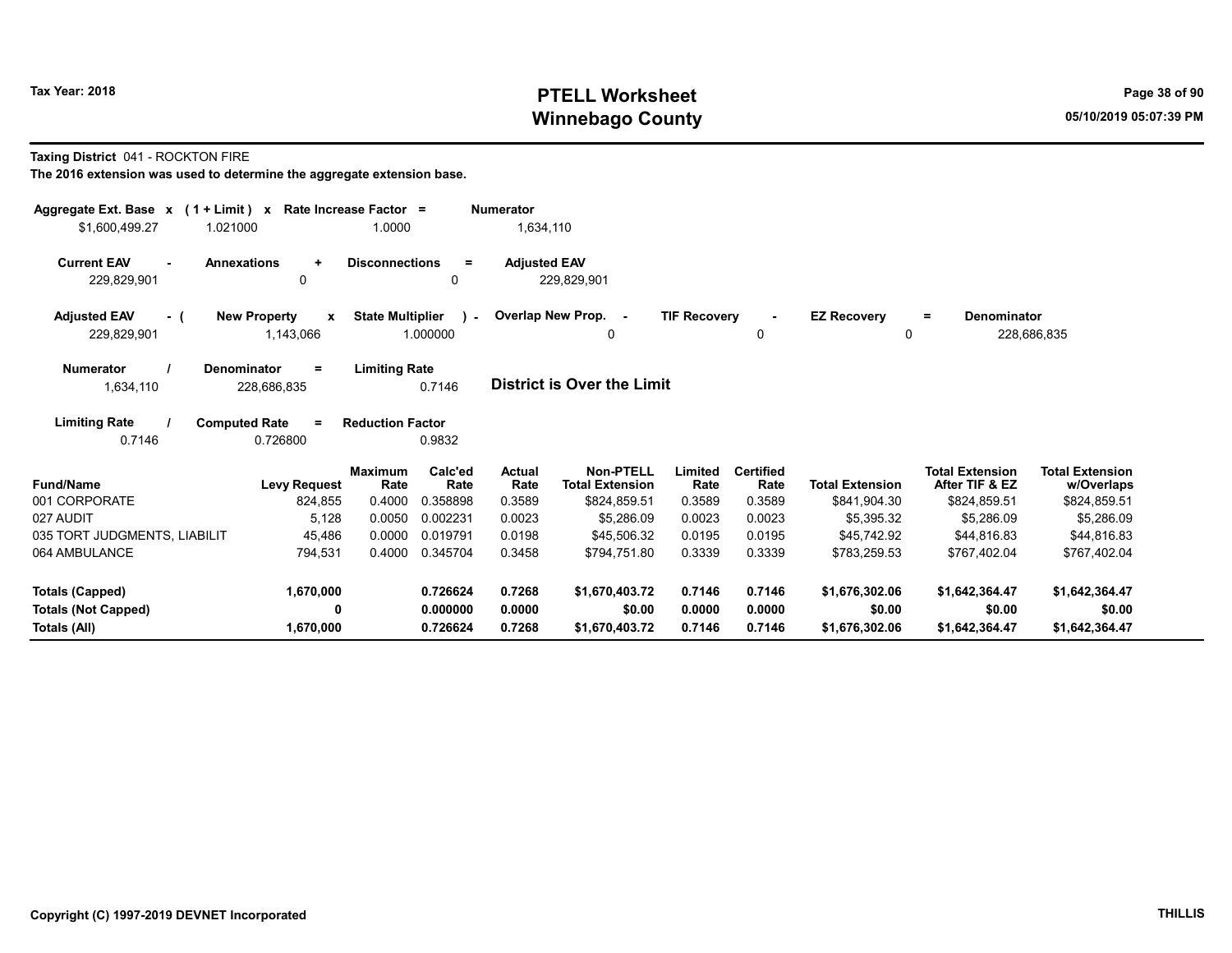# Tax Year: 2018 **PTELL Worksheet** Page 38 of 90 Winnebago County and the County of the County of the County of the County of the County of the County of the County of the County of the County of the County of the County of the County of the County of the County of the C

#### Taxing District 041 - ROCKTON FIRE

| Aggregate Ext. Base x (1 + Limit) x<br>1.021000 | Rate Increase Factor =                           | 1.0000                                              | <b>Numerator</b>      |                                            |                     |                          |                                |                                          |                                      |
|-------------------------------------------------|--------------------------------------------------|-----------------------------------------------------|-----------------------|--------------------------------------------|---------------------|--------------------------|--------------------------------|------------------------------------------|--------------------------------------|
| \$1,600,499.27                                  |                                                  |                                                     | 1,634,110             |                                            |                     |                          |                                |                                          |                                      |
| <b>Current EAV</b><br>229,829,901               | <b>Annexations</b><br>$\ddot{}$<br>$\Omega$      | <b>Disconnections</b><br>$\equiv$<br>0              | <b>Adjusted EAV</b>   | 229,829,901                                |                     |                          |                                |                                          |                                      |
| <b>Adjusted EAV</b><br>- (<br>229,829,901       | <b>New Property</b><br>$\mathbf{x}$<br>1,143,066 | <b>State Multiplier</b><br>$\mathbf{r}$<br>1.000000 |                       | Overlap New Prop. -<br>0                   | <b>TIF Recovery</b> | $\blacksquare$<br>0      | <b>EZ Recovery</b><br>$\Omega$ | Denominator<br>=                         | 228,686,835                          |
| <b>Numerator</b><br>1,634,110                   | Denominator<br>Ξ<br>228,686,835                  | <b>Limiting Rate</b><br>0.7146                      |                       | District is Over the Limit                 |                     |                          |                                |                                          |                                      |
| <b>Limiting Rate</b><br>0.7146                  | <b>Computed Rate</b><br>$\equiv$<br>0.726800     | <b>Reduction Factor</b><br>0.9832                   |                       |                                            |                     |                          |                                |                                          |                                      |
| <b>Fund/Name</b>                                | <b>Maximum</b><br>Levy Request                   | Calc'ed<br>Rate<br>Rate                             | <b>Actual</b><br>Rate | <b>Non-PTELL</b><br><b>Total Extension</b> | Limited<br>Rate     | <b>Certified</b><br>Rate | <b>Total Extension</b>         | <b>Total Extension</b><br>After TIF & EZ | <b>Total Extension</b><br>w/Overlaps |
| 001 CORPORATE                                   | 824,855                                          | 0.4000<br>0.358898                                  | 0.3589                | \$824,859.51                               | 0.3589              | 0.3589                   | \$841,904.30                   | \$824,859.51                             | \$824,859.51                         |
| 027 AUDIT                                       | 5,128                                            | 0.0050<br>0.002231                                  | 0.0023                | \$5,286.09                                 | 0.0023              | 0.0023                   | \$5.395.32                     | \$5,286.09                               | \$5,286.09                           |
| 035 TORT JUDGMENTS, LIABILIT                    | 45,486                                           | 0.0000<br>0.019791                                  | 0.0198                | \$45,506.32                                | 0.0195              | 0.0195                   | \$45,742.92                    | \$44,816.83                              | \$44,816.83                          |
| 064 AMBULANCE                                   | 794,531                                          | 0.4000<br>0.345704                                  | 0.3458                | \$794,751.80                               | 0.3339              | 0.3339                   | \$783,259.53                   | \$767,402.04                             | \$767,402.04                         |
| <b>Totals (Capped)</b>                          | 1,670,000                                        | 0.726624                                            | 0.7268                | \$1,670,403.72                             | 0.7146              | 0.7146                   | \$1,676,302.06                 | \$1,642,364.47                           | \$1,642,364.47                       |
| <b>Totals (Not Capped)</b>                      | 0                                                | 0.000000                                            | 0.0000                | \$0.00                                     | 0.0000              | 0.0000                   | \$0.00                         | \$0.00                                   | \$0.00                               |
| Totals (All)                                    | 1,670,000                                        | 0.726624                                            | 0.7268                | \$1,670,403.72                             | 0.7146              | 0.7146                   | \$1,676,302.06                 | \$1,642,364.47                           | \$1,642,364.47                       |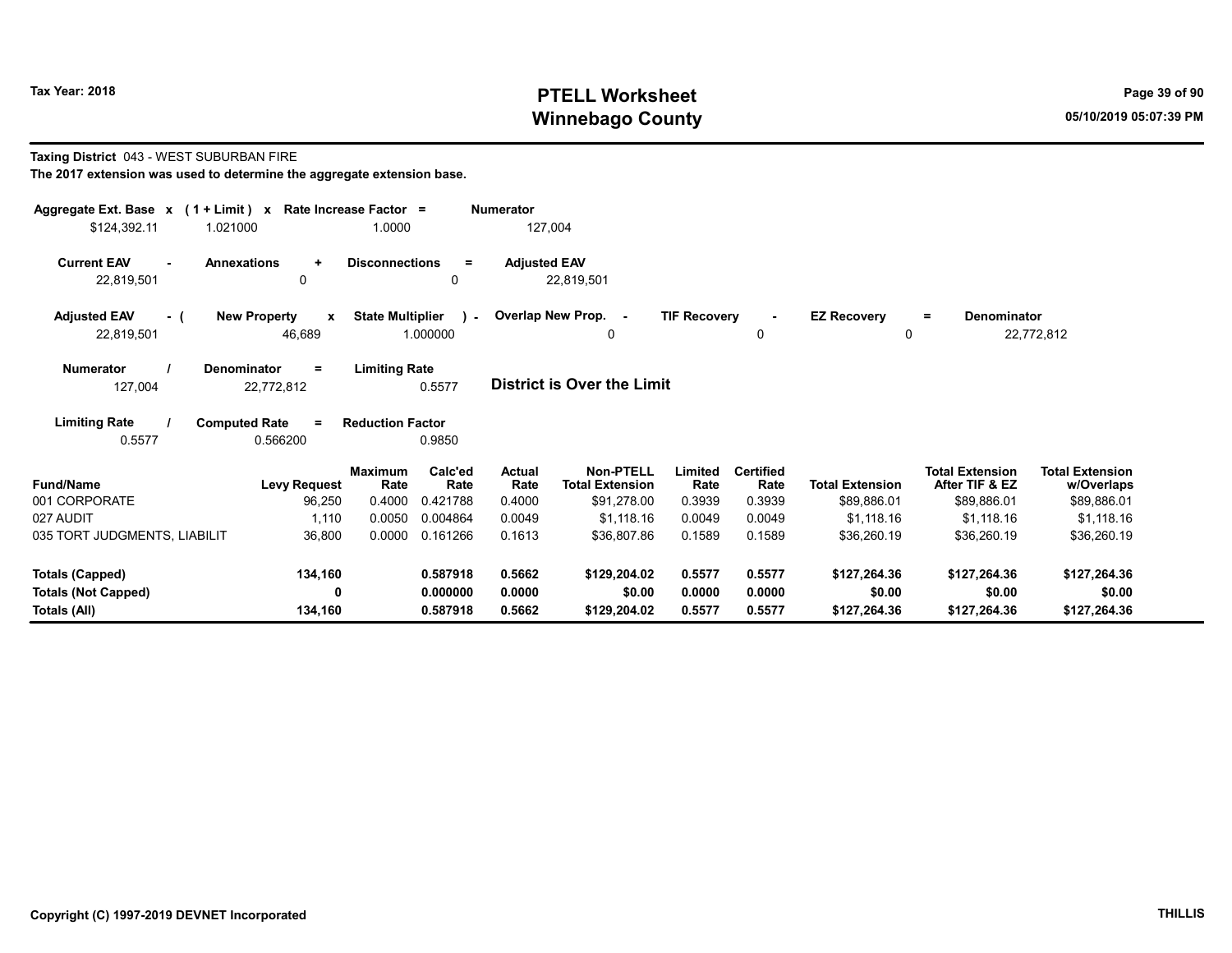# Tax Year: 2018 **PTELL Worksheet** Page 39 of 90 Winnebago County and the County of the County of the County of the County of the County of the County of the County of the County of the County of the County of the County of the County of the County of the County of the C

#### Taxing District 043 - WEST SUBURBAN FIRE

| The 2017 extension was used to determine the aggregate extension base. |  |
|------------------------------------------------------------------------|--|
|------------------------------------------------------------------------|--|

| Aggregate Ext. Base $x$ (1 + Limit) $x$      | Rate Increase Factor =                        |                                      | <b>Numerator</b>      |                                            |                     |                          |                        |                                          |                                      |
|----------------------------------------------|-----------------------------------------------|--------------------------------------|-----------------------|--------------------------------------------|---------------------|--------------------------|------------------------|------------------------------------------|--------------------------------------|
| \$124,392.11<br>1.021000                     | 1.0000                                        |                                      | 127,004               |                                            |                     |                          |                        |                                          |                                      |
| <b>Current EAV</b><br><b>Annexations</b>     | <b>Disconnections</b><br>$\ddot{}$            | $\equiv$                             | <b>Adjusted EAV</b>   |                                            |                     |                          |                        |                                          |                                      |
| 22,819,501                                   | 0                                             | 0                                    |                       | 22,819,501                                 |                     |                          |                        |                                          |                                      |
| <b>Adjusted EAV</b><br>- (                   | <b>New Property</b><br>$\mathbf{x}$           | <b>State Multiplier</b><br>$\lambda$ |                       | Overlap New Prop. -                        | <b>TIF Recovery</b> |                          | <b>EZ Recovery</b>     | Denominator<br>$=$                       |                                      |
| 22,819,501                                   | 46,689                                        | 1.000000                             |                       | 0                                          |                     | 0                        | 0                      |                                          | 22,772,812                           |
| <b>Numerator</b><br><b>Denominator</b>       | <b>Limiting Rate</b><br>$\equiv$              |                                      |                       |                                            |                     |                          |                        |                                          |                                      |
| 127,004                                      | 22,772,812                                    | 0.5577                               |                       | <b>District is Over the Limit</b>          |                     |                          |                        |                                          |                                      |
| <b>Limiting Rate</b><br><b>Computed Rate</b> | <b>Reduction Factor</b><br>$\equiv$           |                                      |                       |                                            |                     |                          |                        |                                          |                                      |
| 0.5577                                       | 0.566200                                      | 0.9850                               |                       |                                            |                     |                          |                        |                                          |                                      |
| <b>Fund/Name</b>                             | <b>Maximum</b><br><b>Levy Request</b><br>Rate | Calc'ed<br>Rate                      | <b>Actual</b><br>Rate | <b>Non-PTELL</b><br><b>Total Extension</b> | Limited<br>Rate     | <b>Certified</b><br>Rate | <b>Total Extension</b> | <b>Total Extension</b><br>After TIF & EZ | <b>Total Extension</b><br>w/Overlaps |
| 001 CORPORATE                                | 96,250<br>0.4000                              | 0.421788                             | 0.4000                | \$91,278.00                                | 0.3939              | 0.3939                   | \$89,886.01            | \$89,886.01                              | \$89,886.01                          |
| 027 AUDIT                                    | 1,110<br>0.0050                               | 0.004864                             | 0.0049                | \$1,118.16                                 | 0.0049              | 0.0049                   | \$1,118.16             | \$1,118.16                               | \$1,118.16                           |
| 035 TORT JUDGMENTS, LIABILIT                 | 36,800<br>0.0000                              | 0.161266                             | 0.1613                | \$36,807.86                                | 0.1589              | 0.1589                   | \$36,260.19            | \$36,260.19                              | \$36,260.19                          |
| Totals (Capped)                              | 134,160                                       | 0.587918                             | 0.5662                | \$129,204.02                               | 0.5577              | 0.5577                   | \$127,264.36           | \$127,264.36                             | \$127,264.36                         |
| <b>Totals (Not Capped)</b>                   | 0                                             | 0.000000                             | 0.0000                | \$0.00                                     | 0.0000              | 0.0000                   | \$0.00                 | \$0.00                                   | \$0.00                               |
| Totals (All)                                 | 134,160                                       | 0.587918                             | 0.5662                | \$129,204.02                               | 0.5577              | 0.5577                   | \$127,264.36           | \$127,264.36                             | \$127,264.36                         |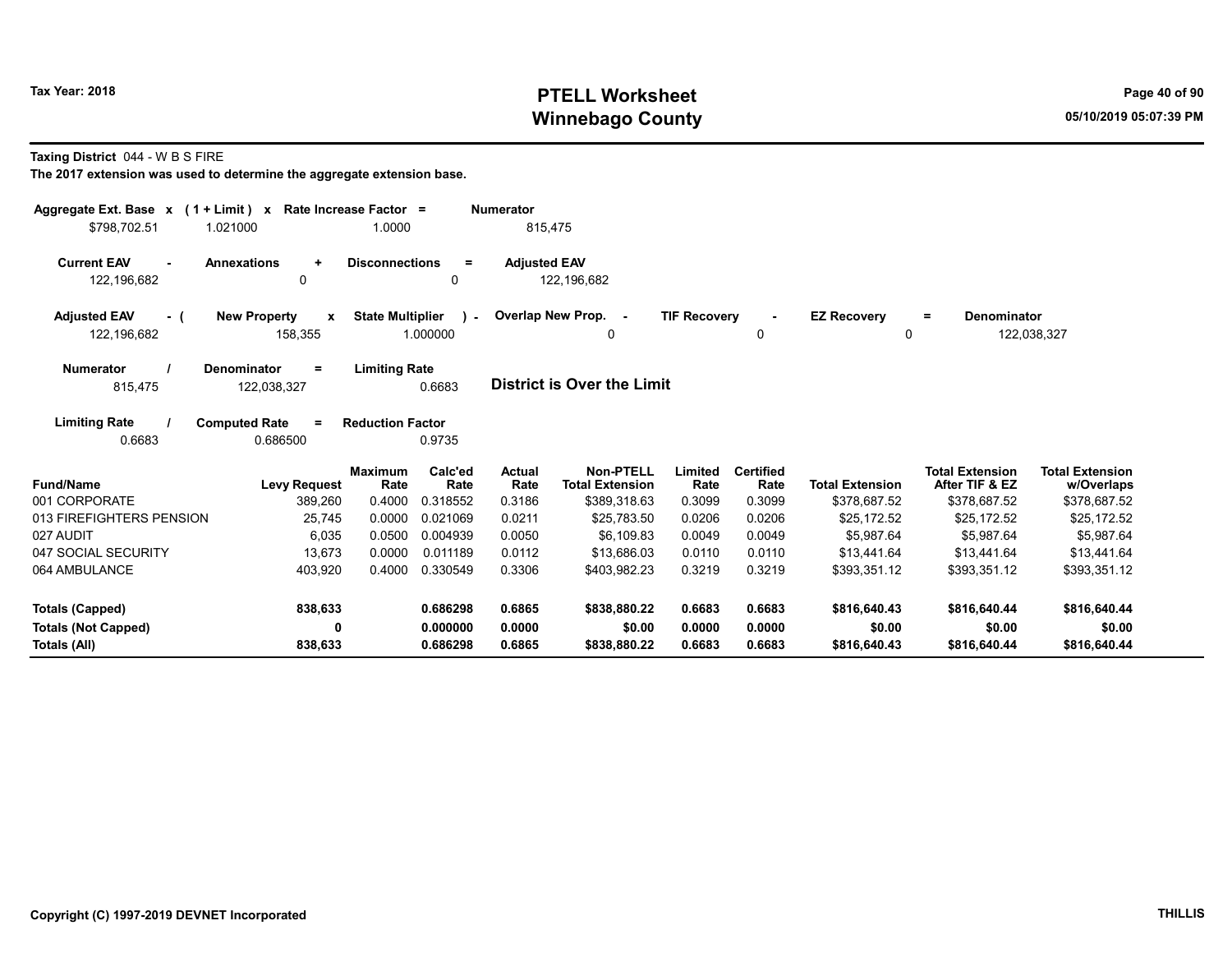# Tax Year: 2018 **PTELL Worksheet** Page 40 of 90 Winnebago County and the County of the County of the County of the County of the County of the County of the County of the County of the County of the County of the County of the County of the County of the County of the C

Taxing District 044 - W B S FIRE

| Aggregate Ext. Base $x$ (1 + Limit) x Rate Increase Factor =<br>\$798.702.51 | 1.021000                                       | 1.0000                           |                             | <b>Numerator</b><br>815.475     |                                                     |                           |                                    |                                        |                                                          |                                                      |
|------------------------------------------------------------------------------|------------------------------------------------|----------------------------------|-----------------------------|---------------------------------|-----------------------------------------------------|---------------------------|------------------------------------|----------------------------------------|----------------------------------------------------------|------------------------------------------------------|
| <b>Current EAV</b><br>122,196,682                                            | <b>Annexations</b><br>$\ddot{}$<br>0           | <b>Disconnections</b>            | $\equiv$<br>0               | <b>Adjusted EAV</b>             | 122,196,682                                         |                           |                                    |                                        |                                                          |                                                      |
| <b>Adjusted EAV</b><br>- (<br>122,196,682                                    | <b>New Property</b><br>$\mathbf{x}$<br>158,355 | <b>State Multiplier</b>          | $\sim$<br>1.000000          |                                 | Overlap New Prop. -<br>0                            | <b>TIF Recoverv</b>       | 0                                  | <b>EZ Recovery</b><br>0                | <b>Denominator</b><br>$=$                                | 122,038,327                                          |
| <b>Numerator</b><br>815,475                                                  | Denominator<br>$=$<br>122,038,327              | <b>Limiting Rate</b>             | 0.6683                      |                                 | <b>District is Over the Limit</b>                   |                           |                                    |                                        |                                                          |                                                      |
| <b>Limiting Rate</b><br>0.6683                                               | <b>Computed Rate</b><br>$\equiv$<br>0.686500   | <b>Reduction Factor</b>          | 0.9735                      |                                 |                                                     |                           |                                    |                                        |                                                          |                                                      |
| <b>Fund/Name</b><br>001 CORPORATE                                            | <b>Levy Request</b><br>389,260                 | <b>Maximum</b><br>Rate<br>0.4000 | Calc'ed<br>Rate<br>0.318552 | <b>Actual</b><br>Rate<br>0.3186 | Non-PTELL<br><b>Total Extension</b><br>\$389,318.63 | Limited<br>Rate<br>0.3099 | <b>Certified</b><br>Rate<br>0.3099 | <b>Total Extension</b><br>\$378,687.52 | <b>Total Extension</b><br>After TIF & EZ<br>\$378,687.52 | <b>Total Extension</b><br>w/Overlaps<br>\$378,687.52 |
| 013 FIREFIGHTERS PENSION                                                     | 25,745                                         | 0.0000                           | 0.021069                    | 0.0211                          | \$25.783.50                                         | 0.0206                    | 0.0206                             | \$25.172.52                            | \$25,172.52                                              | \$25,172.52                                          |
| 027 AUDIT                                                                    | 6,035                                          | 0.0500                           | 0.004939                    | 0.0050                          | \$6.109.83                                          | 0.0049                    | 0.0049                             | \$5.987.64                             | \$5,987.64                                               | \$5,987.64                                           |
| 047 SOCIAL SECURITY                                                          | 13,673                                         | 0.0000                           | 0.011189                    | 0.0112                          | \$13,686.03                                         | 0.0110                    | 0.0110                             | \$13,441.64                            | \$13,441.64                                              | \$13,441.64                                          |
| 064 AMBULANCE                                                                | 403,920                                        | 0.4000                           | 0.330549                    | 0.3306                          | \$403,982.23                                        | 0.3219                    | 0.3219                             | \$393,351.12                           | \$393,351.12                                             | \$393,351.12                                         |
| <b>Totals (Capped)</b>                                                       | 838,633                                        |                                  | 0.686298                    | 0.6865                          | \$838,880.22                                        | 0.6683                    | 0.6683                             | \$816,640.43                           | \$816,640.44                                             | \$816,640.44                                         |
| <b>Totals (Not Capped)</b><br>Totals (All)                                   | 0<br>838,633                                   |                                  | 0.000000<br>0.686298        | 0.0000<br>0.6865                | \$0.00<br>\$838,880.22                              | 0.0000<br>0.6683          | 0.0000<br>0.6683                   | \$0.00<br>\$816,640.43                 | \$0.00<br>\$816,640.44                                   | \$0.00<br>\$816,640.44                               |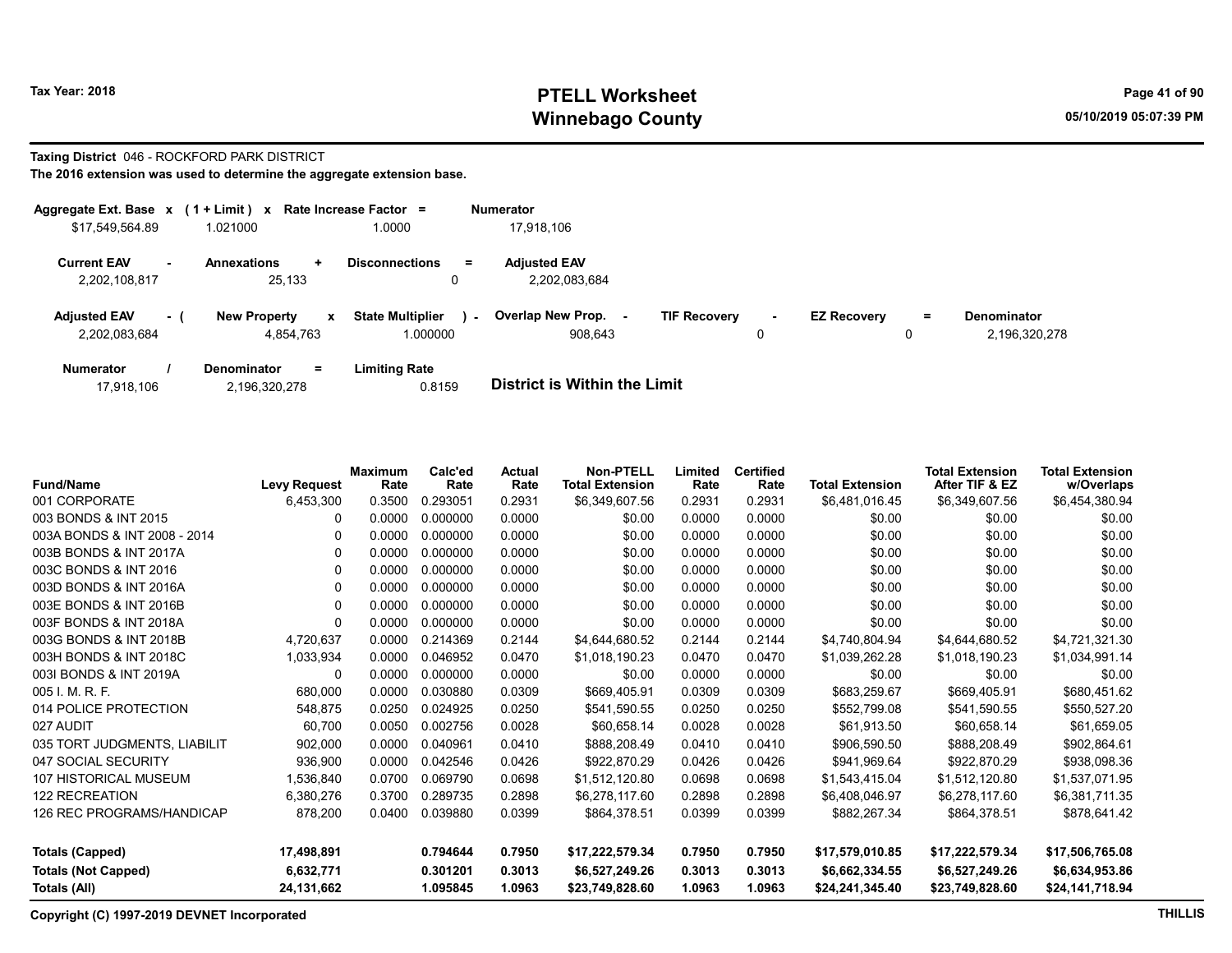# Tax Year: 2018 **PTELL Worksheet** Page 41 of 90 Winnebago County and the County of the County of the County of the County of the County of the County of the County of the County of the County of the County of the County of the County of the County of the County of the C

# Taxing District 046 - ROCKFORD PARK DISTRICT

The 2016 extension was used to determine the aggregate extension base.

| Aggregate Ext. Base $x$ (1 + Limit) $x$ |     |                             | Rate Increase Factor =            | <b>Numerator</b>         |                     |        |                    |    |               |
|-----------------------------------------|-----|-----------------------------|-----------------------------------|--------------------------|---------------------|--------|--------------------|----|---------------|
| \$17,549,564.89                         |     | 1.021000                    | 1.0000                            | 17,918,106               |                     |        |                    |    |               |
| <b>Current EAV</b>                      |     | <b>Annexations</b><br>$\pm$ | <b>Disconnections</b><br>$=$      | <b>Adiusted EAV</b>      |                     |        |                    |    |               |
| 2,202,108,817                           |     | 25.133                      |                                   | 2,202,083,684            |                     |        |                    |    |               |
| <b>Adjusted EAV</b>                     | - 1 | <b>New Property</b><br>x    | <b>State Multiplier</b><br>$\sim$ | <b>Overlap New Prop.</b> | <b>TIF Recovery</b> | $\sim$ | <b>EZ Recovery</b> | Ξ. | Denominator   |
| 2,202,083,684                           |     | 4.854.763                   | 1.000000                          | 908.643                  |                     | 0      |                    | 0  | 2,196,320,278 |
| <b>Numerator</b>                        |     | <b>Denominator</b><br>$=$   | Limiting Rate                     |                          |                     |        |                    |    |               |

| 17,918,106 | 2,196,320,278 | 0.8159 | <b>District is Within the Limit</b> |
|------------|---------------|--------|-------------------------------------|

| <b>Fund/Name</b>             | <b>Levy Request</b> | <b>Maximum</b><br>Rate | Calc'ed<br>Rate | Actual<br>Rate | <b>Non-PTELL</b><br><b>Total Extension</b> | Limited<br>Rate | <b>Certified</b><br>Rate | <b>Total Extension</b> | <b>Total Extension</b><br>After TIF & EZ | <b>Total Extension</b><br>w/Overlaps |
|------------------------------|---------------------|------------------------|-----------------|----------------|--------------------------------------------|-----------------|--------------------------|------------------------|------------------------------------------|--------------------------------------|
| 001 CORPORATE                | 6,453,300           | 0.3500                 | 0.293051        | 0.2931         | \$6,349,607.56                             | 0.2931          | 0.2931                   | \$6,481,016.45         | \$6,349,607.56                           | \$6,454,380.94                       |
| 003 BONDS & INT 2015         | 0                   | 0.0000                 | 0.000000        | 0.0000         | \$0.00                                     | 0.0000          | 0.0000                   | \$0.00                 | \$0.00                                   | \$0.00                               |
| 003A BONDS & INT 2008 - 2014 | O                   | 0.0000                 | 0.000000        | 0.0000         | \$0.00                                     | 0.0000          | 0.0000                   | \$0.00                 | \$0.00                                   | \$0.00                               |
| 003B BONDS & INT 2017A       | 0                   | 0.0000                 | 0.000000        | 0.0000         | \$0.00                                     | 0.0000          | 0.0000                   | \$0.00                 | \$0.00                                   | \$0.00                               |
| 003C BONDS & INT 2016        | 0                   | 0.0000                 | 0.000000        | 0.0000         | \$0.00                                     | 0.0000          | 0.0000                   | \$0.00                 | \$0.00                                   | \$0.00                               |
| 003D BONDS & INT 2016A       | 0                   | 0.0000                 | 0.000000        | 0.0000         | \$0.00                                     | 0.0000          | 0.0000                   | \$0.00                 | \$0.00                                   | \$0.00                               |
| 003E BONDS & INT 2016B       | 0                   | 0.0000                 | 0.000000        | 0.0000         | \$0.00                                     | 0.0000          | 0.0000                   | \$0.00                 | \$0.00                                   | \$0.00                               |
| 003F BONDS & INT 2018A       | 0                   | 0.0000                 | 0.000000        | 0.0000         | \$0.00                                     | 0.0000          | 0.0000                   | \$0.00                 | \$0.00                                   | \$0.00                               |
| 003G BONDS & INT 2018B       | 4,720,637           | 0.0000                 | 0.214369        | 0.2144         | \$4,644,680.52                             | 0.2144          | 0.2144                   | \$4,740,804.94         | \$4,644,680.52                           | \$4,721,321.30                       |
| 003H BONDS & INT 2018C       | 1,033,934           | 0.0000                 | 0.046952        | 0.0470         | \$1,018,190.23                             | 0.0470          | 0.0470                   | \$1,039,262.28         | \$1,018,190.23                           | \$1,034,991.14                       |
| 003I BONDS & INT 2019A       | 0                   | 0.0000                 | 0.000000        | 0.0000         | \$0.00                                     | 0.0000          | 0.0000                   | \$0.00                 | \$0.00                                   | \$0.00                               |
| 005 I. M. R. F.              | 680,000             | 0.0000                 | 0.030880        | 0.0309         | \$669,405.91                               | 0.0309          | 0.0309                   | \$683,259.67           | \$669,405.91                             | \$680,451.62                         |
| 014 POLICE PROTECTION        | 548,875             | 0.0250                 | 0.024925        | 0.0250         | \$541,590.55                               | 0.0250          | 0.0250                   | \$552,799.08           | \$541,590.55                             | \$550,527.20                         |
| 027 AUDIT                    | 60,700              | 0.0050                 | 0.002756        | 0.0028         | \$60,658.14                                | 0.0028          | 0.0028                   | \$61,913.50            | \$60,658.14                              | \$61,659.05                          |
| 035 TORT JUDGMENTS, LIABILIT | 902.000             | 0.0000                 | 0.040961        | 0.0410         | \$888,208.49                               | 0.0410          | 0.0410                   | \$906,590.50           | \$888,208.49                             | \$902,864.61                         |
| 047 SOCIAL SECURITY          | 936,900             | 0.0000                 | 0.042546        | 0.0426         | \$922,870.29                               | 0.0426          | 0.0426                   | \$941,969.64           | \$922,870.29                             | \$938,098.36                         |
| 107 HISTORICAL MUSEUM        | 1,536,840           | 0.0700                 | 0.069790        | 0.0698         | \$1,512,120.80                             | 0.0698          | 0.0698                   | \$1.543.415.04         | \$1,512,120.80                           | \$1,537,071.95                       |
| <b>122 RECREATION</b>        | 6,380,276           | 0.3700                 | 0.289735        | 0.2898         | \$6,278,117.60                             | 0.2898          | 0.2898                   | \$6,408,046.97         | \$6,278,117.60                           | \$6,381,711.35                       |
| 126 REC PROGRAMS/HANDICAP    | 878,200             | 0.0400                 | 0.039880        | 0.0399         | \$864,378.51                               | 0.0399          | 0.0399                   | \$882,267.34           | \$864,378.51                             | \$878,641.42                         |
| <b>Totals (Capped)</b>       | 17,498,891          |                        | 0.794644        | 0.7950         | \$17,222,579.34                            | 0.7950          | 0.7950                   | \$17,579,010.85        | \$17,222,579.34                          | \$17,506,765.08                      |
| <b>Totals (Not Capped)</b>   | 6,632,771           |                        | 0.301201        | 0.3013         | \$6,527,249.26                             | 0.3013          | 0.3013                   | \$6,662,334.55         | \$6,527,249.26                           | \$6,634,953.86                       |
| Totals (All)                 | 24,131,662          |                        | 1.095845        | 1.0963         | \$23,749,828.60                            | 1.0963          | 1.0963                   | \$24,241,345.40        | \$23,749,828.60                          | \$24,141,718.94                      |

Copyright (C) 1997-2019 DEVNET Incorporated THILLIS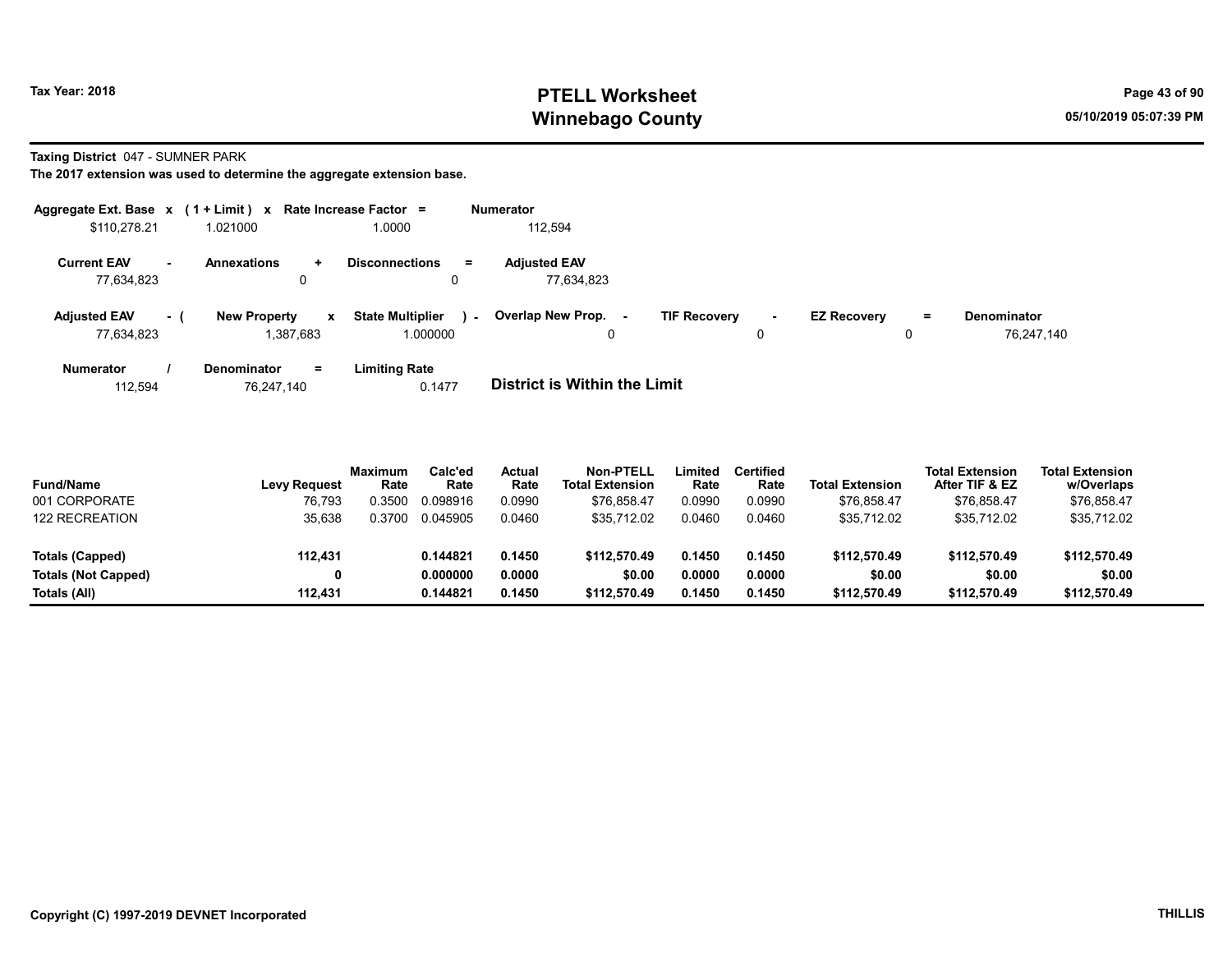# Tax Year: 2018 **PTELL Worksheet** Page 43 of 90 Winnebago County and the County of the County of the County of the County of the County of the County of the County of the County of the County of the County of the County of the County of the County of the County of the C

Taxing District 047 - SUMNER PARK

The 2017 extension was used to determine the aggregate extension base.

|                                   |      | Aggregate Ext. Base $x$ (1 + Limit) $x$ Rate Increase Factor = |                                              | <b>Numerator</b>                  |                                |                                |                                  |
|-----------------------------------|------|----------------------------------------------------------------|----------------------------------------------|-----------------------------------|--------------------------------|--------------------------------|----------------------------------|
| \$110,278.21                      |      | 1.021000                                                       | 1.0000                                       | 112.594                           |                                |                                |                                  |
| <b>Current EAV</b><br>77.634.823  | . .  | <b>Annexations</b><br>÷.<br>0                                  | <b>Disconnections</b><br>$=$<br>0            | <b>Adjusted EAV</b><br>77.634.823 |                                |                                |                                  |
| <b>Adjusted EAV</b><br>77,634,823 | $-1$ | <b>New Property</b><br>$\mathbf{x}$<br>1,387,683               | <b>State Multiplier</b><br>$\sim$<br>000000. | Overlap New Prop. -<br>0          | <b>TIF Recovery</b><br>۰.<br>0 | <b>EZ Recovery</b><br>$=$<br>0 | <b>Denominator</b><br>76,247,140 |
| <b>Numerator</b>                  |      | <b>Denominator</b><br>Ξ.                                       | <b>Limiting Rate</b>                         |                                   |                                |                                |                                  |

112,594 76,247,140 0.1477 District is Within the Limit

| <b>Fund/Name</b><br>001 CORPORATE | <b>Levy Request</b><br>76.793 | Maximum<br>Rate<br>0.3500 | Calc'ed<br>Rate<br>0.098916 | Actual<br>Rate<br>0.0990 | <b>Non-PTELL</b><br><b>Total Extension</b><br>\$76.858.47 | Limited<br>Rate<br>0.0990 | Certified<br>Rate<br>0.0990 | <b>Total Extension</b><br>\$76.858.47 | <b>Total Extension</b><br>After TIF & EZ<br>\$76.858.47 | <b>Total Extension</b><br>w/Overlaps<br>\$76.858.47 |
|-----------------------------------|-------------------------------|---------------------------|-----------------------------|--------------------------|-----------------------------------------------------------|---------------------------|-----------------------------|---------------------------------------|---------------------------------------------------------|-----------------------------------------------------|
| <b>122 RECREATION</b>             | 35,638                        | 0.3700                    | 0.045905                    | 0.0460                   | \$35.712.02                                               | 0.0460                    | 0.0460                      | \$35.712.02                           | \$35.712.02                                             | \$35,712.02                                         |
| Totals (Capped)                   | 112,431                       |                           | 0.144821                    | 0.1450                   | \$112,570.49                                              | 0.1450                    | 0.1450                      | \$112,570.49                          | \$112,570.49                                            | \$112,570.49                                        |
| <b>Totals (Not Capped)</b>        |                               |                           | 0.000000                    | 0.0000                   | \$0.00                                                    | 0.0000                    | 0.0000                      | \$0.00                                | \$0.00                                                  | \$0.00                                              |
| Totals (All)                      | 112.431                       |                           | 0.144821                    | 0.1450                   | \$112,570.49                                              | 0.1450                    | 0.1450                      | \$112.570.49                          | \$112,570.49                                            | \$112,570.49                                        |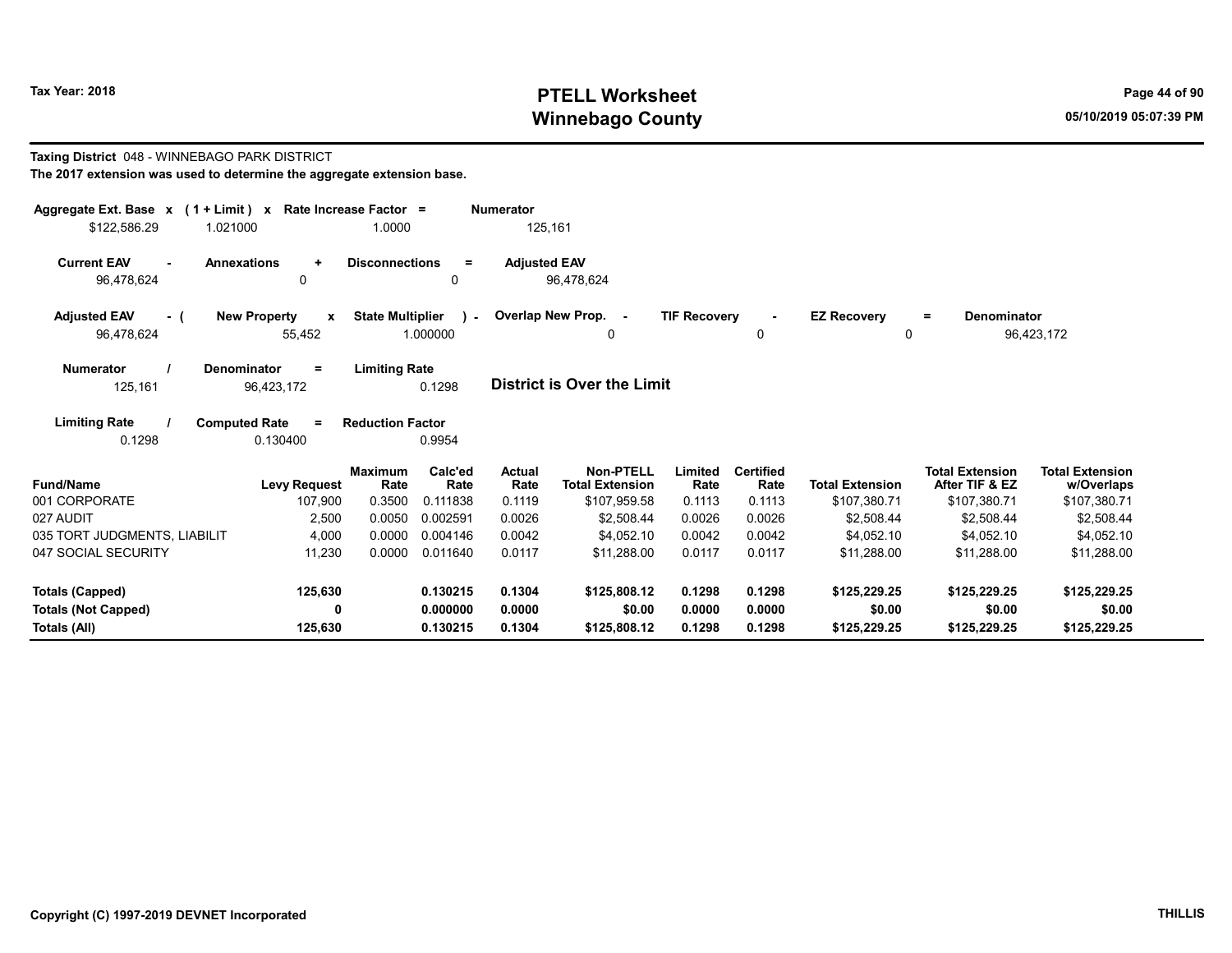# Tax Year: 2018 **PTELL Worksheet** Page 44 of 90 Winnebago County and the County of the County of the County of the County of the County of the County of the County of the County of the County of the County of the County of the County of the County of the County of the C

#### Taxing District 048 - WINNEBAGO PARK DISTRICT The 2017 extension was used to determine the aggregate extension base.

| Aggregate Ext. Base x (1 + Limit) x<br>\$122,586.29<br>1.021000 | Rate Increase Factor =                       | 1.0000                  |                          | <b>Numerator</b><br>125,161 |                                            |                     |                          |                                    |                                          |                                      |
|-----------------------------------------------------------------|----------------------------------------------|-------------------------|--------------------------|-----------------------------|--------------------------------------------|---------------------|--------------------------|------------------------------------|------------------------------------------|--------------------------------------|
| <b>Current EAV</b><br>96,478,624                                | <b>Annexations</b><br>$\ddot{}$<br>0         | <b>Disconnections</b>   | $\equiv$<br>0            | <b>Adjusted EAV</b>         | 96,478,624                                 |                     |                          |                                    |                                          |                                      |
| <b>Adjusted EAV</b><br>- 1<br>96,478,624                        | <b>New Property</b><br>$\mathbf x$<br>55,452 | <b>State Multiplier</b> | $\mathbf{r}$<br>1.000000 |                             | Overlap New Prop. -<br>0                   | <b>TIF Recovery</b> | 0                        | <b>EZ Recovery</b><br>$\mathbf{0}$ | <b>Denominator</b><br>$=$                | 96,423,172                           |
| <b>Numerator</b><br>125,161                                     | <b>Denominator</b><br>$=$<br>96,423,172      | <b>Limiting Rate</b>    | 0.1298                   |                             | District is Over the Limit                 |                     |                          |                                    |                                          |                                      |
| <b>Limiting Rate</b><br>0.1298                                  | <b>Computed Rate</b><br>$\equiv$<br>0.130400 | <b>Reduction Factor</b> | 0.9954                   |                             |                                            |                     |                          |                                    |                                          |                                      |
| <b>Fund/Name</b>                                                | <b>Levy Request</b>                          | <b>Maximum</b><br>Rate  | Calc'ed<br>Rate          | Actual<br>Rate              | <b>Non-PTELL</b><br><b>Total Extension</b> | Limited<br>Rate     | <b>Certified</b><br>Rate | <b>Total Extension</b>             | <b>Total Extension</b><br>After TIF & EZ | <b>Total Extension</b><br>w/Overlaps |
| 001 CORPORATE                                                   | 107,900                                      | 0.3500                  | 0.111838                 | 0.1119                      | \$107,959.58                               | 0.1113              | 0.1113                   | \$107,380.71                       | \$107,380.71                             | \$107,380.71                         |
| 027 AUDIT                                                       | 2,500                                        | 0.0050                  | 0.002591                 | 0.0026                      | \$2,508.44                                 | 0.0026              | 0.0026                   | \$2,508.44                         | \$2,508.44                               | \$2,508.44                           |
| 035 TORT JUDGMENTS, LIABILIT                                    | 4,000                                        | 0.0000                  | 0.004146                 | 0.0042                      | \$4,052.10                                 | 0.0042              | 0.0042                   | \$4,052.10                         | \$4,052.10                               | \$4,052.10                           |
| 047 SOCIAL SECURITY                                             | 11,230                                       | 0.0000                  | 0.011640                 | 0.0117                      | \$11,288.00                                | 0.0117              | 0.0117                   | \$11,288.00                        | \$11,288.00                              | \$11,288.00                          |
| <b>Totals (Capped)</b>                                          | 125,630                                      |                         | 0.130215                 | 0.1304                      | \$125,808.12                               | 0.1298              | 0.1298                   | \$125,229.25                       | \$125,229.25                             | \$125,229.25                         |
| <b>Totals (Not Capped)</b>                                      | 0                                            |                         | 0.000000                 | 0.0000                      | \$0.00                                     | 0.0000              | 0.0000                   | \$0.00                             | \$0.00                                   | \$0.00                               |
| Totals (All)                                                    | 125,630                                      |                         | 0.130215                 | 0.1304                      | \$125,808.12                               | 0.1298              | 0.1298                   | \$125,229.25                       | \$125,229.25                             | \$125,229.25                         |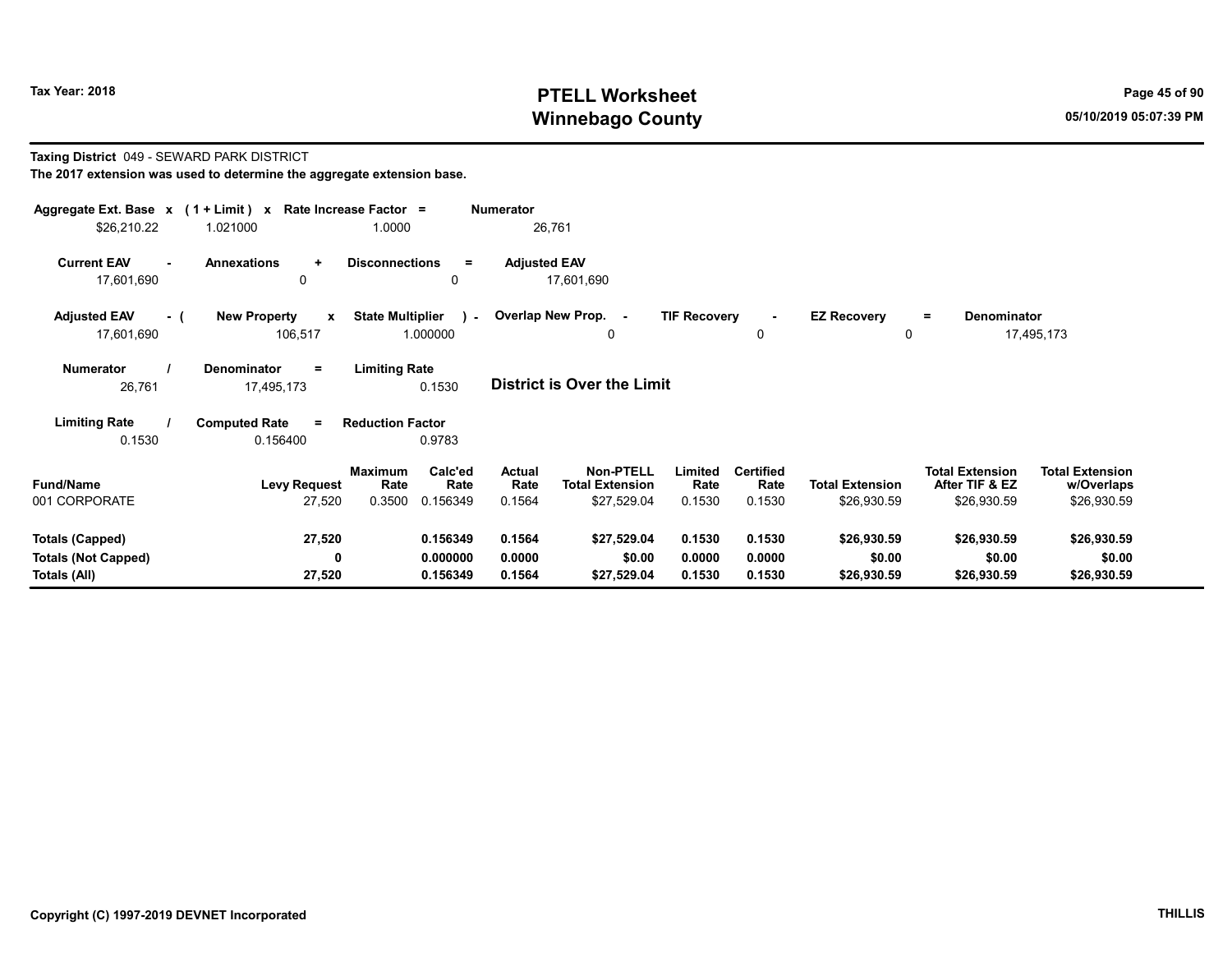# Tax Year: 2018 **PTELL Worksheet** Page 45 of 90 Winnebago County and the County of the County of the County of the County of the County of the County of the County of the County of the County of the County of the County of the County of the County of the County of the C

#### Taxing District 049 - SEWARD PARK DISTRICT The 2017 extension was used to determine the aggregate extension base.

| Aggregate Ext. Base $x$ (1 + Limit) x Rate Increase Factor =<br>\$26,210.22 | 1.021000                                       | 1.0000                                                   | Numerator<br>26,761               |                                                                                        |                                    |                                       |                                                         |                                                     |
|-----------------------------------------------------------------------------|------------------------------------------------|----------------------------------------------------------|-----------------------------------|----------------------------------------------------------------------------------------|------------------------------------|---------------------------------------|---------------------------------------------------------|-----------------------------------------------------|
| <b>Current EAV</b><br>17,601,690                                            | <b>Annexations</b><br>÷<br>0                   | <b>Disconnections</b><br>$=$<br>0                        | <b>Adjusted EAV</b><br>17,601,690 |                                                                                        |                                    |                                       |                                                         |                                                     |
| <b>Adjusted EAV</b><br>- (<br>17,601,690                                    | <b>New Property</b><br>$\mathbf{x}$<br>106,517 | <b>State Multiplier</b><br>$\rightarrow$<br>1.000000     | Overlap New Prop. -               | <b>TIF Recovery</b><br>0                                                               | $\blacksquare$<br>$\mathbf 0$      | <b>EZ Recovery</b><br>0               | Denominator<br>$=$                                      | 17,495,173                                          |
| <b>Numerator</b><br>26,761                                                  | <b>Denominator</b><br>Ξ.<br>17,495,173         | <b>Limiting Rate</b><br>0.1530                           | <b>District is Over the Limit</b> |                                                                                        |                                    |                                       |                                                         |                                                     |
| <b>Limiting Rate</b><br>0.1530                                              | <b>Computed Rate</b><br>$\equiv$<br>0.156400   | <b>Reduction Factor</b><br>0.9783                        |                                   |                                                                                        |                                    |                                       |                                                         |                                                     |
| <b>Fund/Name</b><br>001 CORPORATE                                           | <b>Levy Request</b><br>27,520                  | Calc'ed<br>Maximum<br>Rate<br>Rate<br>0.3500<br>0.156349 | Actual<br>Rate<br>0.1564          | <b>Non-PTELL</b><br>Limited<br><b>Total Extension</b><br>Rate<br>\$27,529.04<br>0.1530 | <b>Certified</b><br>Rate<br>0.1530 | <b>Total Extension</b><br>\$26,930.59 | <b>Total Extension</b><br>After TIF & EZ<br>\$26,930.59 | <b>Total Extension</b><br>w/Overlaps<br>\$26,930.59 |
| <b>Totals (Capped)</b><br><b>Totals (Not Capped)</b><br>Totals (All)        | 27,520<br>0<br>27,520                          | 0.156349<br>0.000000<br>0.156349                         | 0.1564<br>0.0000<br>0.1564        | \$27,529.04<br>0.1530<br>\$0.00<br>0.0000<br>\$27,529.04<br>0.1530                     | 0.1530<br>0.0000<br>0.1530         | \$26,930.59<br>\$0.00<br>\$26,930.59  | \$26,930.59<br>\$0.00<br>\$26,930.59                    | \$26,930.59<br>\$0.00<br>\$26,930.59                |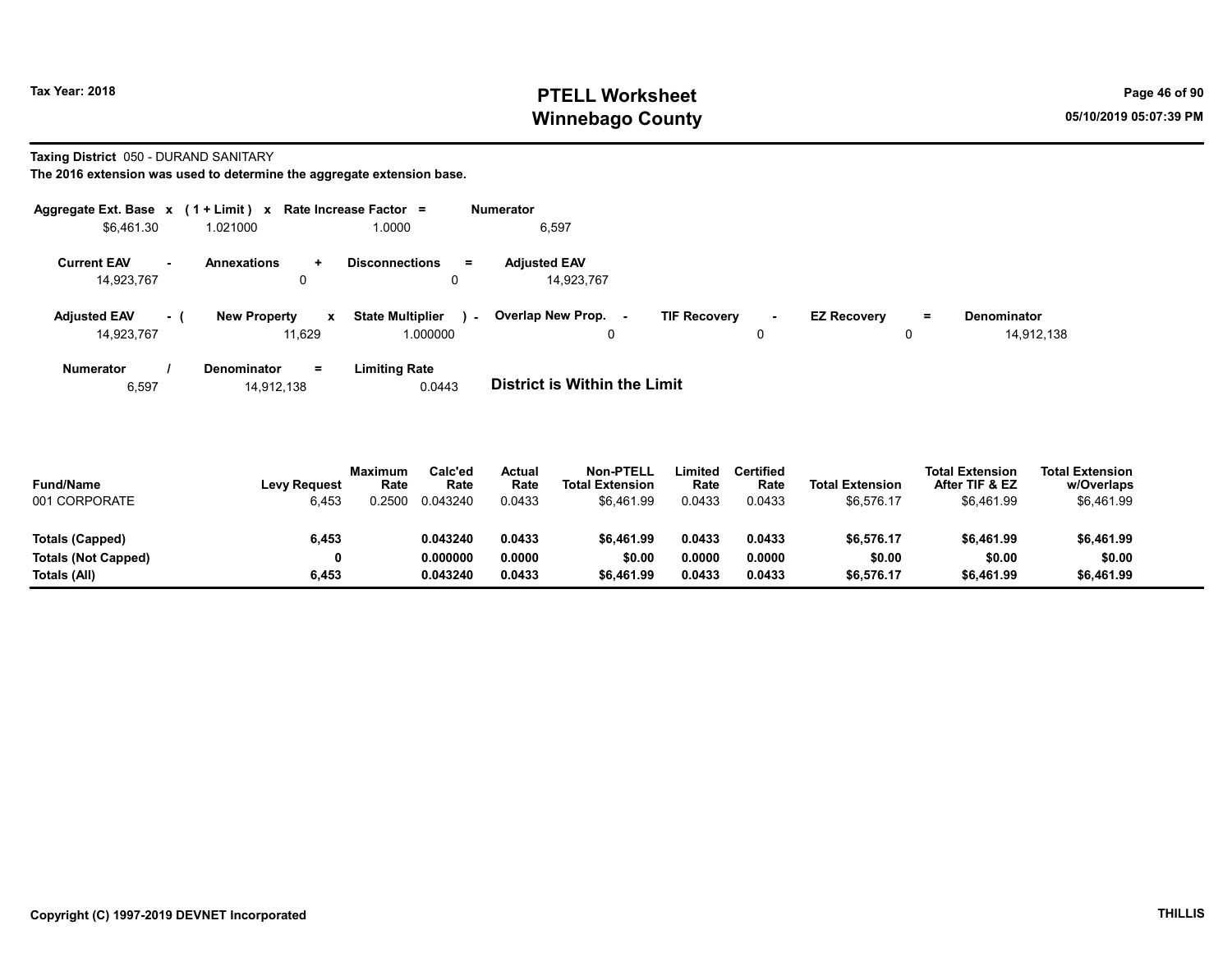# Tax Year: 2018 **PTELL Worksheet** Page 46 of 90 Winnebago County and the County of the County of the County of the County of the County of the County of the County of the County of the County of the County of the County of the County of the County of the County of the C

#### Taxing District 050 - DURAND SANITARY

The 2016 extension was used to determine the aggregate extension base.

|                                   |     | Aggregate Ext. Base $x$ (1 + Limit) x Rate Increase Factor = |                                              | Numerator                         |                           |                                |                                  |
|-----------------------------------|-----|--------------------------------------------------------------|----------------------------------------------|-----------------------------------|---------------------------|--------------------------------|----------------------------------|
| \$6.461.30                        |     | 1.021000                                                     | 1.0000                                       | 6,597                             |                           |                                |                                  |
| <b>Current EAV</b><br>14,923,767  |     | <b>Annexations</b><br>÷.<br>0                                | <b>Disconnections</b><br>$=$<br>0            | <b>Adiusted EAV</b><br>14,923,767 |                           |                                |                                  |
| <b>Adjusted EAV</b><br>14,923,767 | - 1 | <b>New Property</b><br>x<br>11.629                           | <b>State Multiplier</b><br>$\sim$<br>000000. | Overlap New Prop. -               | <b>TIF Recovery</b><br>۰. | <b>EZ Recovery</b><br>$\equiv$ | <b>Denominator</b><br>14,912,138 |
| Numerator                         |     | <b>Denominator</b><br>$\equiv$                               | <b>Limiting Rate</b>                         |                                   |                           |                                |                                  |

6,597 14,912,138 0.0443 District is Within the Limit

| <b>Fund/Name</b><br>001 CORPORATE | <b>Levy Request</b><br>6,453 | <b>Maximum</b><br>Rate<br>1.2500 | Calc'ed<br>Rate<br>0.043240 | Actual<br>Rate<br>0.0433 | Non-PTELL<br><b>Total Extension</b><br>\$6.461.99 | .imited<br>Rate<br>0.0433 | Certified<br>Rate<br>0.0433 | <b>Total Extension</b><br>\$6,576.17 | <b>Total Extension</b><br>After TIF & EZ<br>\$6,461.99 | <b>Total Extension</b><br>w/Overlaps<br>\$6,461.99 |  |
|-----------------------------------|------------------------------|----------------------------------|-----------------------------|--------------------------|---------------------------------------------------|---------------------------|-----------------------------|--------------------------------------|--------------------------------------------------------|----------------------------------------------------|--|
| Totals (Capped)                   | 6,453                        |                                  | 0.043240                    | 0.0433                   | \$6,461.99                                        | 0.0433                    | 0.0433                      | \$6,576.17                           | \$6,461.99                                             | \$6,461.99                                         |  |
| <b>Totals (Not Capped)</b>        | 0                            |                                  | 0.000000                    | 0.0000                   | \$0.00                                            | 0.0000                    | 0.0000                      | \$0.00                               | \$0.00                                                 | \$0.00                                             |  |
| Totals (All)                      | 6,453                        |                                  | 0.043240                    | 0.0433                   | \$6.461.99                                        | 0.0433                    | 0.0433                      | \$6,576.17                           | \$6,461.99                                             | \$6,461.99                                         |  |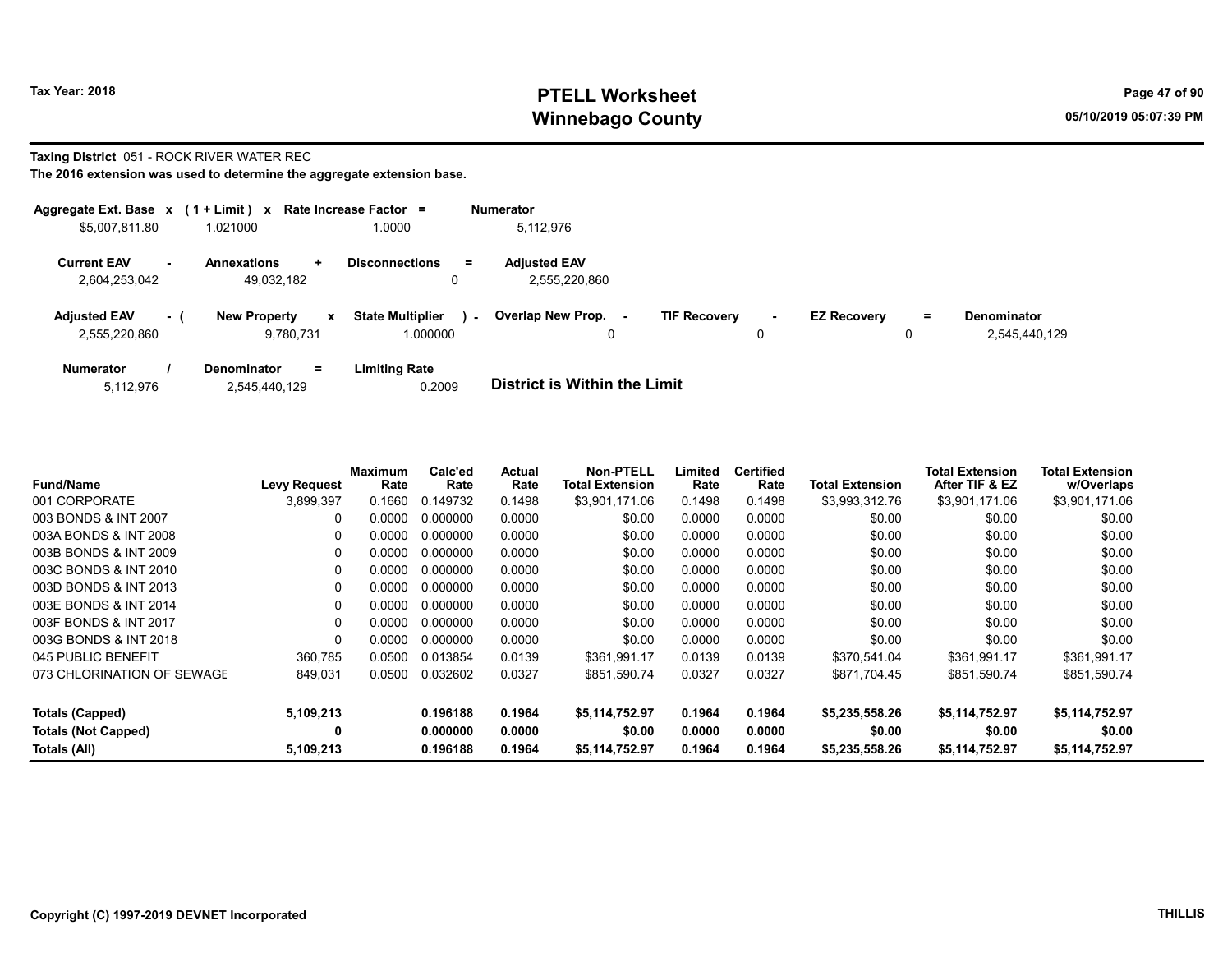# Tax Year: 2018 **PTELL Worksheet** Page 47 of 90 Winnebago County and the County of the County of the County of the County of the County of the County of the County of the County of the County of the County of the County of the County of the County of the County of the C

#### Taxing District 051 - ROCK RIVER WATER REC

|                                      |        | Aggregate Ext. Base $x$ (1 + Limit) $x$ Rate Increase Factor = |                                               | <b>Numerator</b>                     |                     |             |                    |    |                                     |
|--------------------------------------|--------|----------------------------------------------------------------|-----------------------------------------------|--------------------------------------|---------------------|-------------|--------------------|----|-------------------------------------|
| \$5,007,811.80                       |        | 1.021000                                                       | 1.0000                                        | 5.112.976                            |                     |             |                    |    |                                     |
| <b>Current EAV</b><br>2,604,253,042  | $\sim$ | <b>Annexations</b><br>÷.<br>49.032.182                         | <b>Disconnections</b><br>$=$<br>0             | <b>Adjusted EAV</b><br>2,555,220,860 |                     |             |                    |    |                                     |
| <b>Adjusted EAV</b><br>2.555.220.860 | $-1$   | <b>New Property</b><br>$\mathbf{x}$<br>9.780.731               | <b>State Multiplier</b><br>$\sim$<br>1.000000 | Overlap New Prop.<br>0               | <b>TIF Recovery</b> | $\sim$<br>0 | <b>EZ Recovery</b> | Ξ. | <b>Denominator</b><br>2,545,440,129 |
| <b>Numerator</b>                     |        | <b>Denominator</b><br>$=$                                      | <b>Limiting Rate</b>                          | _ _ _ _ _ _ _ _ _ _ _ _ _ _ _ _      |                     |             |                    |    |                                     |

| 5,112,976 | 2,545,440,129 | 0.2009 | <b>District is Within the Limit</b> |
|-----------|---------------|--------|-------------------------------------|

| <b>Fund/Name</b>           | Levy Request | Maximum<br>Rate | Calc'ed<br>Rate | Actual<br>Rate | Non-PTELL<br><b>Total Extension</b> | Limited<br>Rate | <b>Certified</b><br>Rate | <b>Total Extension</b> | <b>Total Extension</b><br>After TIF & EZ | <b>Total Extension</b><br>w/Overlaps |
|----------------------------|--------------|-----------------|-----------------|----------------|-------------------------------------|-----------------|--------------------------|------------------------|------------------------------------------|--------------------------------------|
| 001 CORPORATE              | 3,899,397    | 0.1660          | 0.149732        | 0.1498         | \$3,901,171.06                      | 0.1498          | 0.1498                   | \$3,993,312.76         | \$3,901,171.06                           | \$3,901,171.06                       |
| 003 BONDS & INT 2007       | 0            | 0.0000          | 0.000000        | 0.0000         | \$0.00                              | 0.0000          | 0.0000                   | \$0.00                 | \$0.00                                   | \$0.00                               |
| 003A BONDS & INT 2008      | 0            | 0.0000          | 0.000000        | 0.0000         | \$0.00                              | 0.0000          | 0.0000                   | \$0.00                 | \$0.00                                   | \$0.00                               |
| 003B BONDS & INT 2009      | $\Omega$     | 0.0000          | 0.000000        | 0.0000         | \$0.00                              | 0.0000          | 0.0000                   | \$0.00                 | \$0.00                                   | \$0.00                               |
| 003C BONDS & INT 2010      | $\Omega$     | 0.0000          | 0.000000        | 0.0000         | \$0.00                              | 0.0000          | 0.0000                   | \$0.00                 | \$0.00                                   | \$0.00                               |
| 003D BONDS & INT 2013      | 0            | 0.0000          | 0.000000        | 0.0000         | \$0.00                              | 0.0000          | 0.0000                   | \$0.00                 | \$0.00                                   | \$0.00                               |
| 003E BONDS & INT 2014      | 0            | 0.0000          | 0.000000        | 0.0000         | \$0.00                              | 0.0000          | 0.0000                   | \$0.00                 | \$0.00                                   | \$0.00                               |
| 003F BONDS & INT 2017      | 0            | 0.0000          | 0.000000        | 0.0000         | \$0.00                              | 0.0000          | 0.0000                   | \$0.00                 | \$0.00                                   | \$0.00                               |
| 003G BONDS & INT 2018      | $\Omega$     | 0.0000          | 0.000000        | 0.0000         | \$0.00                              | 0.0000          | 0.0000                   | \$0.00                 | \$0.00                                   | \$0.00                               |
| 045 PUBLIC BENEFIT         | 360,785      | 0.0500          | 0.013854        | 0.0139         | \$361.991.17                        | 0.0139          | 0.0139                   | \$370,541.04           | \$361,991.17                             | \$361,991.17                         |
| 073 CHLORINATION OF SEWAGE | 849,031      | 0.0500          | 0.032602        | 0.0327         | \$851,590.74                        | 0.0327          | 0.0327                   | \$871,704.45           | \$851,590.74                             | \$851,590.74                         |
| Totals (Capped)            | 5,109,213    |                 | 0.196188        | 0.1964         | \$5,114,752.97                      | 0.1964          | 0.1964                   | \$5,235,558.26         | \$5,114,752.97                           | \$5,114,752.97                       |
| <b>Totals (Not Capped)</b> | 0            |                 | 0.000000        | 0.0000         | \$0.00                              | 0.0000          | 0.0000                   | \$0.00                 | \$0.00                                   | \$0.00                               |
| Totals (All)               | 5,109,213    |                 | 0.196188        | 0.1964         | \$5,114,752.97                      | 0.1964          | 0.1964                   | \$5,235,558.26         | \$5,114,752.97                           | \$5,114,752.97                       |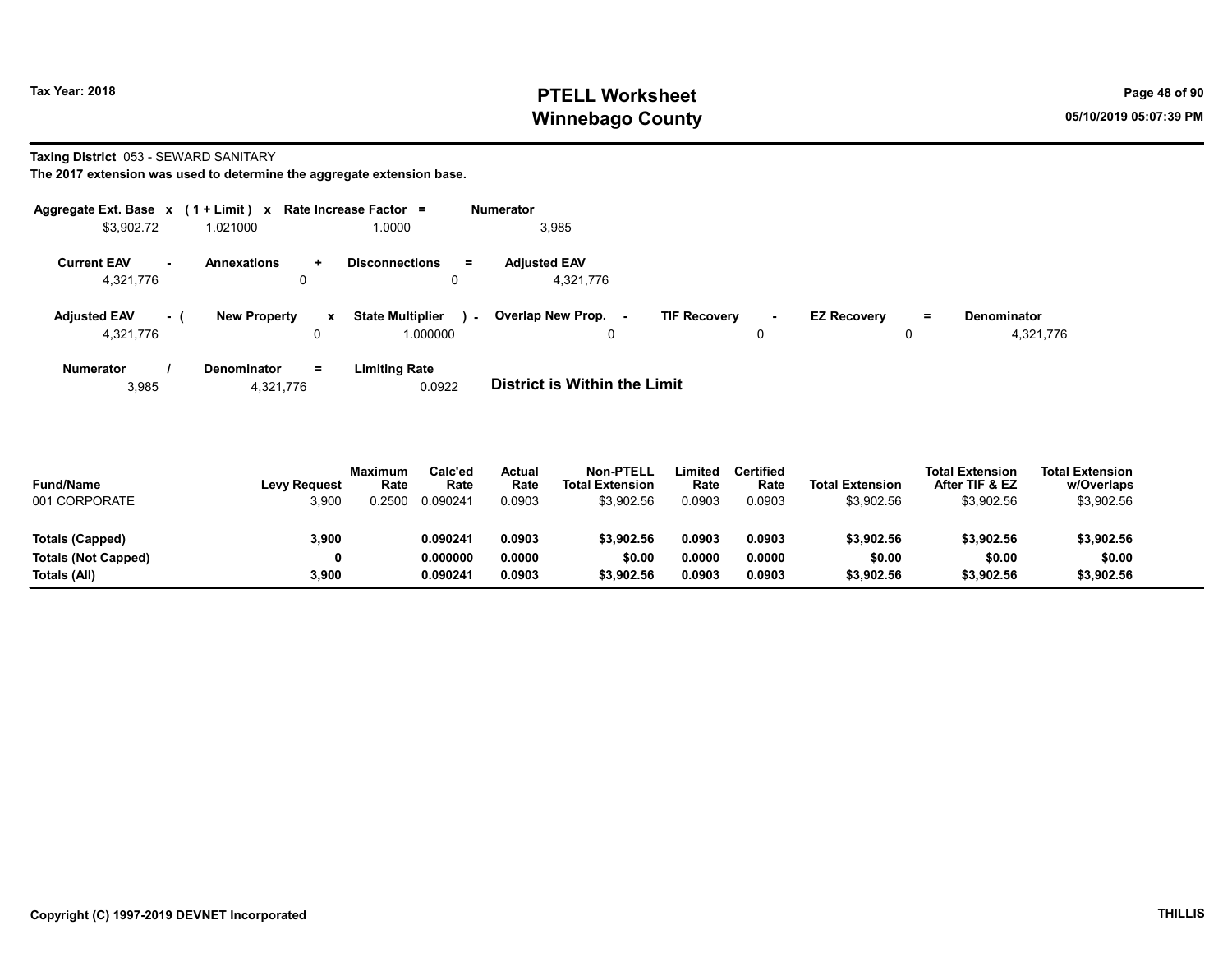# Tax Year: 2018 **PTELL Worksheet** Page 48 of 90 Winnebago County and the County of the County of the County of the County of the County of the County of the County of the County of the County of the County of the County of the County of the County of the County of the C

Taxing District 053 - SEWARD SANITARY

The 2017 extension was used to determine the aggregate extension base.

| Aggregate Ext. Base $x$ (1 + Limit) x Rate Increase Factor = |          |                         |                   |                                              | <b>Numerator</b>                 |                     |         |                    |               |                                 |
|--------------------------------------------------------------|----------|-------------------------|-------------------|----------------------------------------------|----------------------------------|---------------------|---------|--------------------|---------------|---------------------------------|
| \$3,902.72                                                   |          | 1.021000                |                   | 1.0000                                       | 3,985                            |                     |         |                    |               |                                 |
| <b>Current EAV</b><br>4,321,776                              | $\sim$   | <b>Annexations</b><br>0 | ÷.                | <b>Disconnections</b><br>Ξ<br>0              | <b>Adjusted EAV</b><br>4,321,776 |                     |         |                    |               |                                 |
| <b>Adjusted EAV</b><br>4,321,776                             | $\sim$ 1 | <b>New Property</b>     | $\mathbf{x}$<br>0 | <b>State Multiplier</b><br>in an<br>1.000000 | Overlap New Prop. -<br>0         | <b>TIF Recovery</b> | н.<br>0 | <b>EZ Recovery</b> | $\equiv$<br>0 | <b>Denominator</b><br>4,321,776 |
| <b>Numerator</b>                                             |          | <b>Denominator</b>      | Ξ.                | <b>Limiting Rate</b>                         |                                  |                     |         |                    |               |                                 |

3,985 4,321,776 0.0922 District is Within the Limit

| <b>Fund/Name</b><br>001 CORPORATE | <b>Levy Request</b><br>3,900 | <b>Maximum</b><br>Rate<br>0.2500 | Calc'ed<br>Rate<br>0.090241 | Actual<br>Rate<br>0.0903 | <b>Non-PTELL</b><br><b>Total Extension</b><br>\$3,902.56 | Limited<br>Rate<br>0.0903 | <b>Certified</b><br>Rate<br>0.0903 | <b>Total Extension</b><br>\$3,902.56 | <b>Total Extension</b><br>After TIF & EZ<br>\$3,902.56 | <b>Total Extension</b><br>w/Overlaps<br>\$3,902.56 |  |
|-----------------------------------|------------------------------|----------------------------------|-----------------------------|--------------------------|----------------------------------------------------------|---------------------------|------------------------------------|--------------------------------------|--------------------------------------------------------|----------------------------------------------------|--|
| Totals (Capped)                   | 3,900                        |                                  | 0.09024                     | 0.0903                   | \$3.902.56                                               | 0.0903                    | 0.0903                             | \$3.902.56                           | \$3.902.56                                             | \$3,902.56                                         |  |
| Totals (Not Capped)               | 0                            |                                  | 0.000000                    | 0.0000                   | \$0.00                                                   | 0.0000                    | 0.0000                             | \$0.00                               | \$0.00                                                 | \$0.00                                             |  |
| Totals (All)                      | 3,900                        |                                  | 0.09024                     | 0.0903                   | \$3,902.56                                               | 0.0903                    | 0.0903                             | \$3,902.56                           | \$3,902.56                                             | \$3,902.56                                         |  |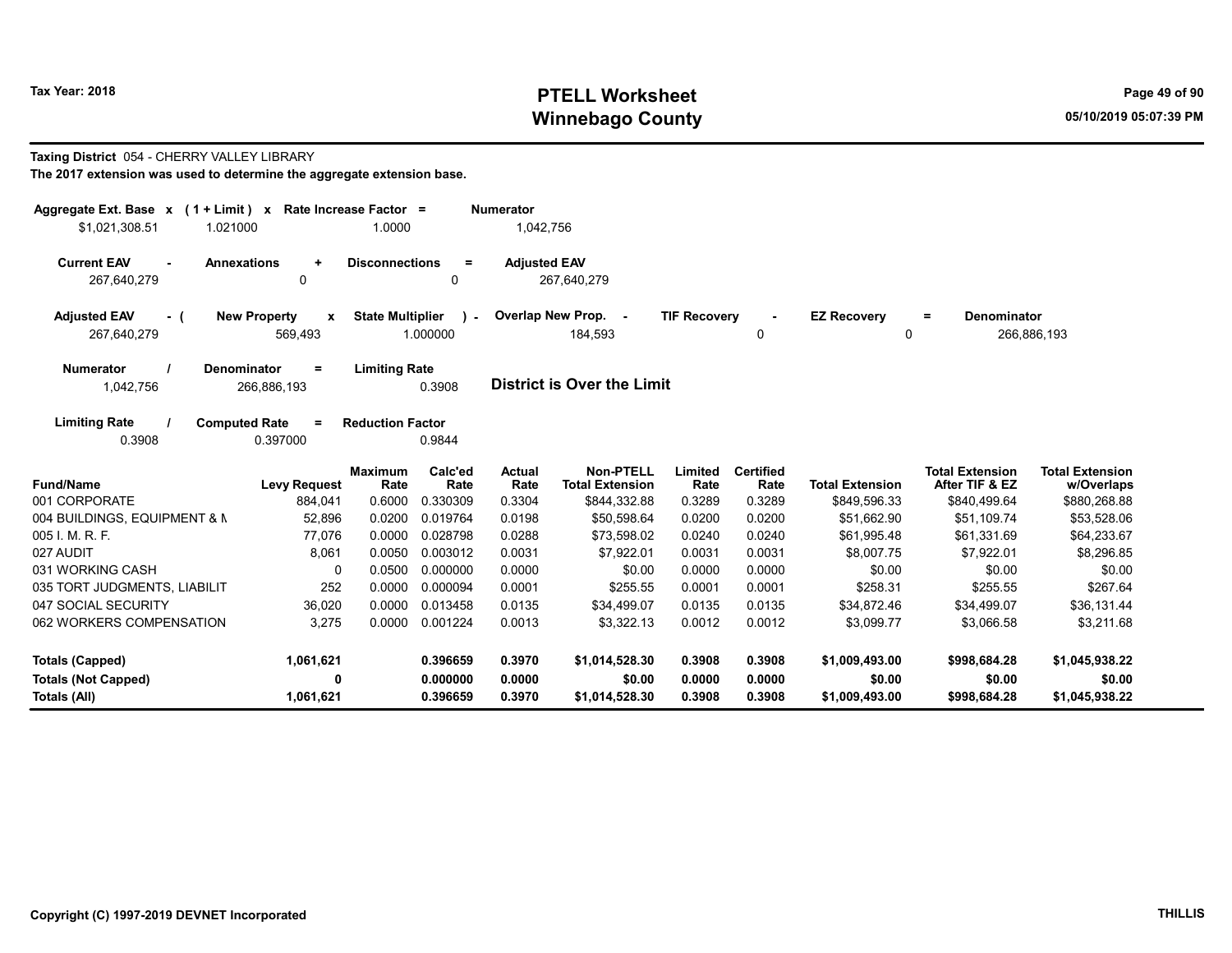# Tax Year: 2018 **PTELL Worksheet** Page 49 of 90 Winnebago County and the County of the County of the County of the County of the County of the County of the County of the County of the County of the County of the County of the County of the County of the County of the C

# Taxing District 054 - CHERRY VALLEY LIBRARY

| Aggregate Ext. Base x (1 + Limit) x Rate Increase Factor =<br>\$1,021,308.51<br>1.021000 |                                                | 1.0000                  |                         | <b>Numerator</b><br>1,042,756 |                                            |                     |                          |                         |                                          |                                      |
|------------------------------------------------------------------------------------------|------------------------------------------------|-------------------------|-------------------------|-------------------------------|--------------------------------------------|---------------------|--------------------------|-------------------------|------------------------------------------|--------------------------------------|
| <b>Current EAV</b><br><b>Annexations</b><br>267,640,279                                  | $\ddot{}$<br>0                                 | <b>Disconnections</b>   | $\equiv$<br>0           | <b>Adjusted EAV</b>           | 267,640,279                                |                     |                          |                         |                                          |                                      |
| <b>Adjusted EAV</b><br>- (<br>267,640,279                                                | <b>New Property</b><br>$\mathbf{x}$<br>569,493 | <b>State Multiplier</b> | $\lambda$ -<br>1.000000 |                               | Overlap New Prop. -<br>184,593             | <b>TIF Recovery</b> | 0                        | <b>EZ Recovery</b><br>0 | <b>Denominator</b><br>Ξ.                 | 266,886,193                          |
| Denominator<br><b>Numerator</b><br>1,042,756                                             | $\equiv$<br>266,886,193                        | <b>Limiting Rate</b>    | 0.3908                  |                               | <b>District is Over the Limit</b>          |                     |                          |                         |                                          |                                      |
| <b>Limiting Rate</b><br><b>Computed Rate</b><br>0.3908                                   | $=$<br>0.397000                                | <b>Reduction Factor</b> | 0.9844                  |                               |                                            |                     |                          |                         |                                          |                                      |
| <b>Fund/Name</b>                                                                         | <b>Levy Request</b>                            | <b>Maximum</b><br>Rate  | Calc'ed<br>Rate         | <b>Actual</b><br>Rate         | <b>Non-PTELL</b><br><b>Total Extension</b> | Limited<br>Rate     | <b>Certified</b><br>Rate | <b>Total Extension</b>  | <b>Total Extension</b><br>After TIF & EZ | <b>Total Extension</b><br>w/Overlaps |
| 001 CORPORATE                                                                            | 884,041                                        | 0.6000                  | 0.330309                | 0.3304                        | \$844,332.88                               | 0.3289              | 0.3289                   | \$849,596.33            | \$840,499.64                             | \$880,268.88                         |
| 004 BUILDINGS, EQUIPMENT & N                                                             | 52,896                                         | 0.0200                  | 0.019764                | 0.0198                        | \$50,598.64                                | 0.0200              | 0.0200                   | \$51,662.90             | \$51,109.74                              | \$53,528.06                          |
| 005 I. M. R. F.                                                                          | 77,076                                         | 0.0000                  | 0.028798                | 0.0288                        | \$73,598.02                                | 0.0240              | 0.0240                   | \$61,995.48             | \$61,331.69                              | \$64,233.67                          |
| 027 AUDIT                                                                                | 8,061                                          | 0.0050                  | 0.003012                | 0.0031                        | \$7,922.01                                 | 0.0031              | 0.0031                   | \$8,007.75              | \$7,922.01                               | \$8,296.85                           |
| 031 WORKING CASH                                                                         | 0                                              | 0.0500                  | 0.000000                | 0.0000                        | \$0.00                                     | 0.0000              | 0.0000                   | \$0.00                  | \$0.00                                   | \$0.00                               |
| 035 TORT JUDGMENTS, LIABILIT                                                             | 252                                            | 0.0000                  | 0.000094                | 0.0001                        | \$255.55                                   | 0.0001              | 0.0001                   | \$258.31                | \$255.55                                 | \$267.64                             |
| 047 SOCIAL SECURITY                                                                      | 36,020                                         | 0.0000                  | 0.013458                | 0.0135                        | \$34.499.07                                | 0.0135              | 0.0135                   | \$34,872.46             | \$34,499.07                              | \$36,131.44                          |
| 062 WORKERS COMPENSATION                                                                 | 3,275                                          | 0.0000                  | 0.001224                | 0.0013                        | \$3,322.13                                 | 0.0012              | 0.0012                   | \$3,099.77              | \$3,066.58                               | \$3,211.68                           |
| <b>Totals (Capped)</b>                                                                   | 1,061,621                                      |                         | 0.396659                | 0.3970                        | \$1,014,528.30                             | 0.3908              | 0.3908                   | \$1,009,493.00          | \$998,684.28                             | \$1,045,938.22                       |
| <b>Totals (Not Capped)</b>                                                               | 0                                              |                         | 0.000000                | 0.0000                        | \$0.00                                     | 0.0000              | 0.0000                   | \$0.00                  | \$0.00                                   | \$0.00                               |
| Totals (All)                                                                             | 1,061,621                                      |                         | 0.396659                | 0.3970                        | \$1,014,528.30                             | 0.3908              | 0.3908                   | \$1,009,493.00          | \$998,684.28                             | \$1,045,938.22                       |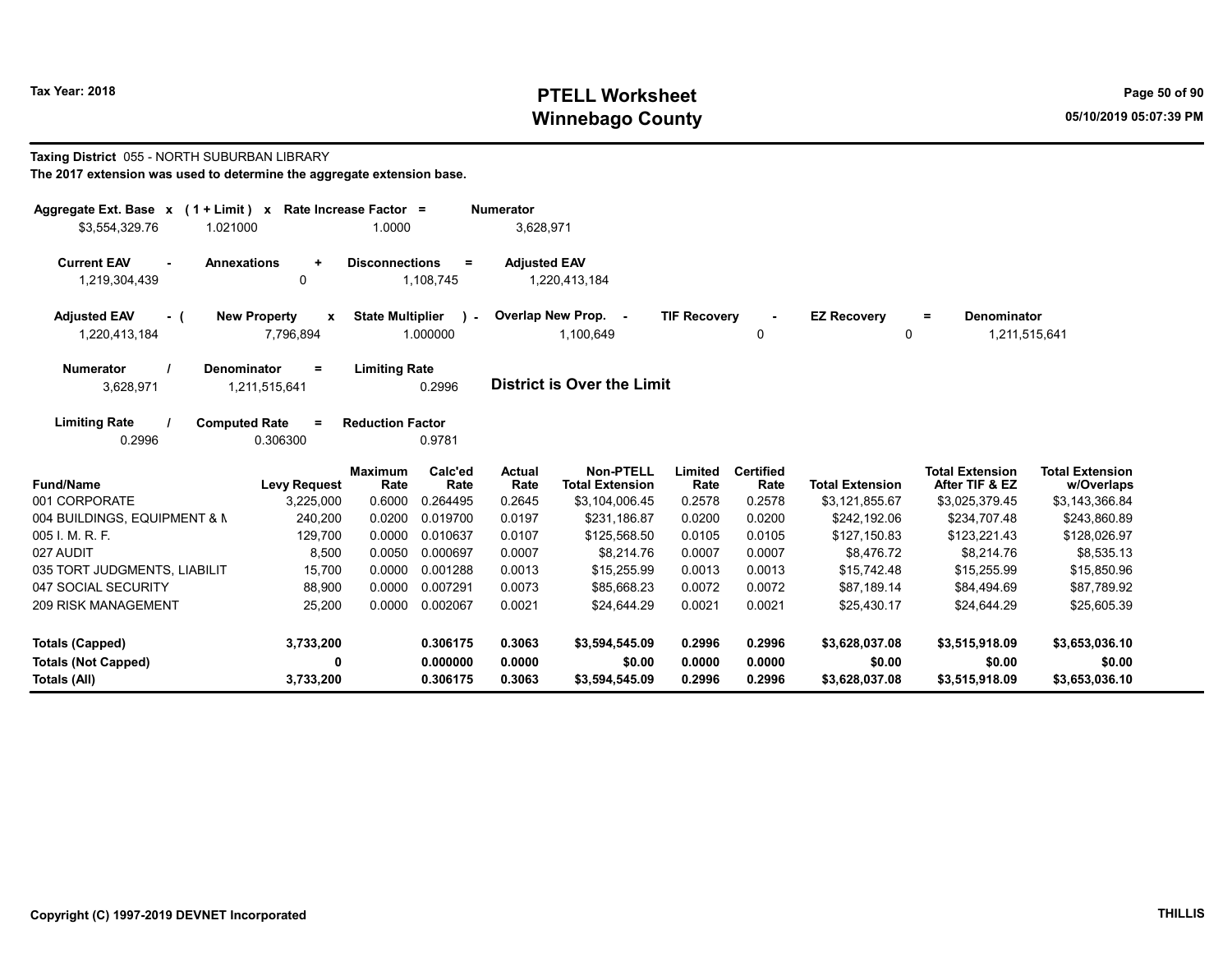# Tax Year: 2018 **PTELL Worksheet** Page 50 of 90 Winnebago County and the County of the County of the County of the County of the County of the County of the County of the County of the County of the County of the County of the County of the County of the County of the C

#### Taxing District 055 - NORTH SUBURBAN LIBRARY

| The 2017 extension was used to determine the aggregate extension base. |  |
|------------------------------------------------------------------------|--|
|------------------------------------------------------------------------|--|

| Aggregate Ext. Base $x$ (1 + Limit) $x$                   |                                       | Rate Increase Factor =  |                          | <b>Numerator</b>      |                                            |                     |                          |                         |                                          |                                      |
|-----------------------------------------------------------|---------------------------------------|-------------------------|--------------------------|-----------------------|--------------------------------------------|---------------------|--------------------------|-------------------------|------------------------------------------|--------------------------------------|
| \$3,554,329.76<br>1.021000                                |                                       | 1.0000                  |                          | 3,628,971             |                                            |                     |                          |                         |                                          |                                      |
| <b>Current EAV</b><br><b>Annexations</b><br>1,219,304,439 | $\ddot{}$<br>0                        | <b>Disconnections</b>   | $=$<br>1,108,745         | <b>Adjusted EAV</b>   | 1,220,413,184                              |                     |                          |                         |                                          |                                      |
| <b>Adjusted EAV</b><br>- (<br>1,220,413,184               | <b>New Property</b><br>x<br>7,796,894 | <b>State Multiplier</b> | $\mathbf{r}$<br>1.000000 |                       | Overlap New Prop. -<br>1,100,649           | <b>TIF Recovery</b> | 0                        | <b>EZ Recovery</b><br>0 | Denominator<br>$=$<br>1,211,515,641      |                                      |
| <b>Numerator</b><br><b>Denominator</b><br>3,628,971       | $=$<br>1,211,515,641                  | <b>Limiting Rate</b>    | 0.2996                   |                       | <b>District is Over the Limit</b>          |                     |                          |                         |                                          |                                      |
| <b>Limiting Rate</b><br><b>Computed Rate</b><br>0.2996    | $\equiv$<br>0.306300                  | <b>Reduction Factor</b> | 0.9781                   |                       |                                            |                     |                          |                         |                                          |                                      |
| <b>Fund/Name</b>                                          | <b>Levy Request</b>                   | <b>Maximum</b><br>Rate  | Calc'ed<br>Rate          | <b>Actual</b><br>Rate | <b>Non-PTELL</b><br><b>Total Extension</b> | Limited<br>Rate     | <b>Certified</b><br>Rate | <b>Total Extension</b>  | <b>Total Extension</b><br>After TIF & EZ | <b>Total Extension</b><br>w/Overlaps |
| 001 CORPORATE                                             | 3,225,000                             | 0.6000                  | 0.264495                 | 0.2645                | \$3,104,006.45                             | 0.2578              | 0.2578                   | \$3,121,855.67          | \$3,025,379.45                           | \$3,143,366.84                       |
| 004 BUILDINGS, EQUIPMENT & N                              | 240,200                               | 0.0200                  | 0.019700                 | 0.0197                | \$231.186.87                               | 0.0200              | 0.0200                   | \$242,192.06            | \$234,707.48                             | \$243,860.89                         |
| 005 I. M. R. F.                                           | 129,700                               | 0.0000                  | 0.010637                 | 0.0107                | \$125,568.50                               | 0.0105              | 0.0105                   | \$127,150.83            | \$123,221.43                             | \$128,026.97                         |
| 027 AUDIT                                                 | 8,500                                 | 0.0050                  | 0.000697                 | 0.0007                | \$8,214.76                                 | 0.0007              | 0.0007                   | \$8,476.72              | \$8,214.76                               | \$8,535.13                           |
| 035 TORT JUDGMENTS, LIABILIT                              | 15,700                                | 0.0000                  | 0.001288                 | 0.0013                | \$15,255.99                                | 0.0013              | 0.0013                   | \$15,742.48             | \$15,255.99                              | \$15,850.96                          |
| 047 SOCIAL SECURITY                                       | 88,900                                | 0.0000                  | 0.007291                 | 0.0073                | \$85.668.23                                | 0.0072              | 0.0072                   | \$87.189.14             | \$84,494.69                              | \$87,789.92                          |
| <b>209 RISK MANAGEMENT</b>                                | 25,200                                | 0.0000                  | 0.002067                 | 0.0021                | \$24,644.29                                | 0.0021              | 0.0021                   | \$25,430.17             | \$24,644.29                              | \$25,605.39                          |
| <b>Totals (Capped)</b>                                    | 3,733,200                             |                         | 0.306175                 | 0.3063                | \$3,594,545.09                             | 0.2996              | 0.2996                   | \$3,628,037.08          | \$3,515,918.09                           | \$3,653,036.10                       |
| <b>Totals (Not Capped)</b>                                | 0                                     |                         | 0.000000                 | 0.0000                | \$0.00                                     | 0.0000              | 0.0000                   | \$0.00                  | \$0.00                                   | \$0.00                               |
| Totals (All)                                              | 3,733,200                             |                         | 0.306175                 | 0.3063                | \$3,594,545.09                             | 0.2996              | 0.2996                   | \$3,628,037.08          | \$3,515,918.09                           | \$3,653,036.10                       |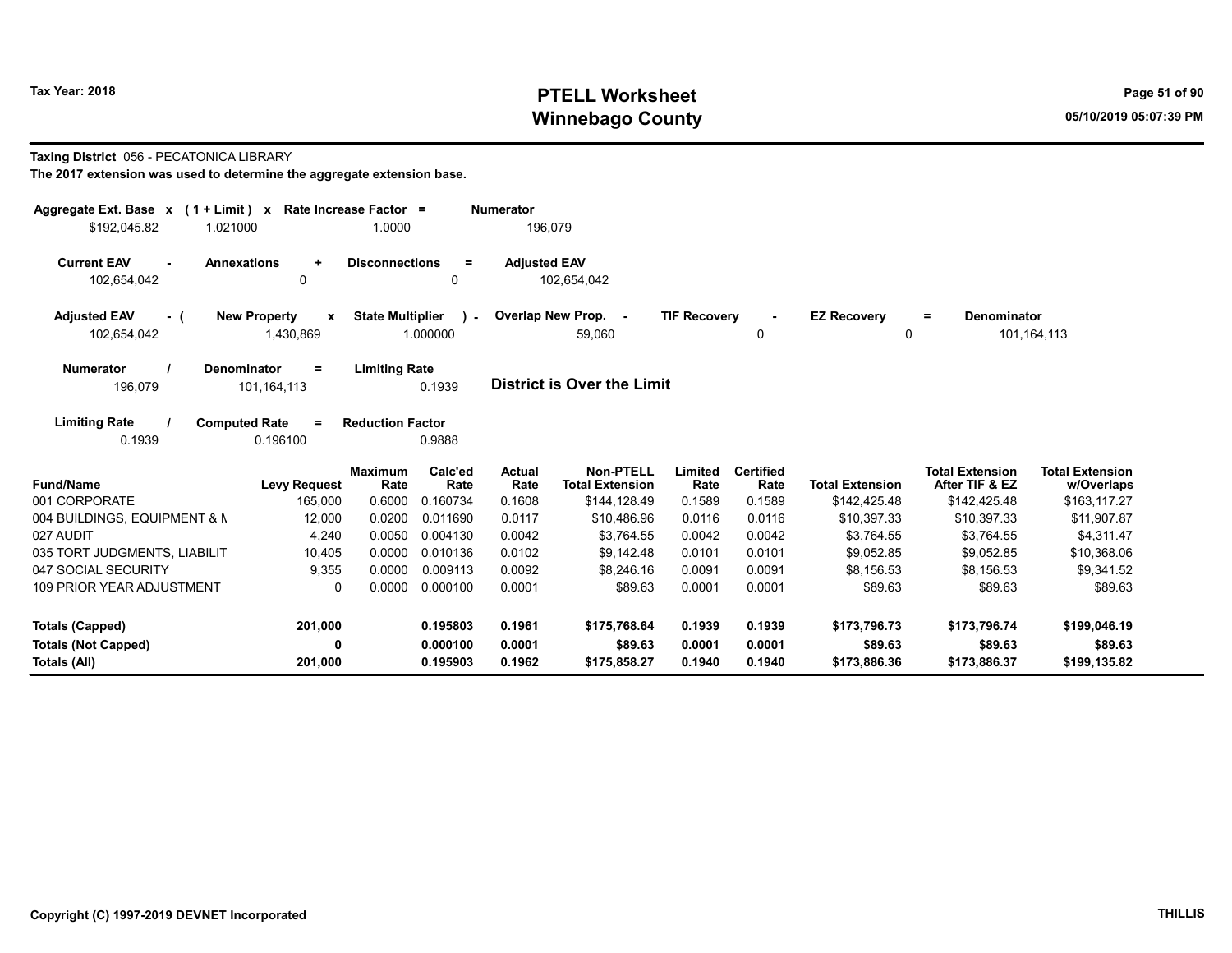# Tax Year: 2018 **PTELL Worksheet** Page 51 of 90 Winnebago County and the County of the County of the County of the County of the County of the County of the County of the County of the County of the County of the County of the County of the County of the County of the C

#### Taxing District 056 - PECATONICA LIBRARY

| Aggregate Ext. Base x (1 + Limit) x<br>\$192,045.82<br>1.021000 | Rate Increase Factor =                | 1.0000                                              | <b>Numerator</b><br>196,079 |                                     |                     |                          |                         |                                          |                                      |
|-----------------------------------------------------------------|---------------------------------------|-----------------------------------------------------|-----------------------------|-------------------------------------|---------------------|--------------------------|-------------------------|------------------------------------------|--------------------------------------|
| <b>Current EAV</b><br><b>Annexations</b><br>102,654,042         | $\ddotmark$<br>0                      | <b>Disconnections</b><br>$\equiv$<br>0              | <b>Adjusted EAV</b>         | 102,654,042                         |                     |                          |                         |                                          |                                      |
| <b>Adjusted EAV</b><br>- (<br>102,654,042                       | <b>New Property</b><br>X<br>1,430,869 | <b>State Multiplier</b><br>$\mathbf{r}$<br>1.000000 |                             | Overlap New Prop. -<br>59,060       | <b>TIF Recovery</b> | 0                        | <b>EZ Recovery</b><br>0 | <b>Denominator</b><br>Ξ.                 | 101,164,113                          |
| <b>Numerator</b><br><b>Denominator</b><br>196,079               | $=$<br>101, 164, 113                  | <b>Limiting Rate</b><br>0.1939                      |                             | <b>District is Over the Limit</b>   |                     |                          |                         |                                          |                                      |
| <b>Limiting Rate</b><br><b>Computed Rate</b><br>0.1939          | $=$<br>0.196100                       | <b>Reduction Factor</b><br>0.9888                   |                             |                                     |                     |                          |                         |                                          |                                      |
| <b>Fund/Name</b>                                                | <b>Maximum</b><br><b>Levy Request</b> | Calc'ed<br>Rate<br>Rate                             | Actual<br>Rate              | Non-PTELL<br><b>Total Extension</b> | Limited<br>Rate     | <b>Certified</b><br>Rate | <b>Total Extension</b>  | <b>Total Extension</b><br>After TIF & EZ | <b>Total Extension</b><br>w/Overlaps |
| 001 CORPORATE                                                   | 165,000                               | 0.6000<br>0.160734                                  | 0.1608                      | \$144,128.49                        | 0.1589              | 0.1589                   | \$142,425.48            | \$142,425.48                             | \$163,117.27                         |
| 004 BUILDINGS, EQUIPMENT & N                                    | 12,000                                | 0.0200<br>0.011690                                  | 0.0117                      | \$10,486.96                         | 0.0116              | 0.0116                   | \$10,397.33             | \$10,397.33                              | \$11,907.87                          |
| 027 AUDIT                                                       | 4,240                                 | 0.0050<br>0.004130                                  | 0.0042                      | \$3,764.55                          | 0.0042              | 0.0042                   | \$3,764.55              | \$3,764.55                               | \$4,311.47                           |
| 035 TORT JUDGMENTS, LIABILIT                                    | 10,405                                | 0.0000<br>0.010136                                  | 0.0102                      | \$9,142.48                          | 0.0101              | 0.0101                   | \$9,052.85              | \$9,052.85                               | \$10,368.06                          |
| 047 SOCIAL SECURITY                                             | 9,355                                 | 0.0000<br>0.009113                                  | 0.0092                      | \$8,246.16                          | 0.0091              | 0.0091                   | \$8.156.53              | \$8,156.53                               | \$9,341.52                           |
| <b>109 PRIOR YEAR ADJUSTMENT</b>                                | $\Omega$                              | 0.0000<br>0.000100                                  | 0.0001                      | \$89.63                             | 0.0001              | 0.0001                   | \$89.63                 | \$89.63                                  | \$89.63                              |
| Totals (Capped)                                                 | 201,000                               | 0.195803                                            | 0.1961                      | \$175,768.64                        | 0.1939              | 0.1939                   | \$173,796.73            | \$173,796.74                             | \$199,046.19                         |
| <b>Totals (Not Capped)</b>                                      | 0                                     | 0.000100                                            | 0.0001                      | \$89.63                             | 0.0001              | 0.0001                   | \$89.63                 | \$89.63                                  | \$89.63                              |
| Totals (All)                                                    | 201,000                               | 0.195903                                            | 0.1962                      | \$175,858.27                        | 0.1940              | 0.1940                   | \$173,886.36            | \$173,886.37                             | \$199,135.82                         |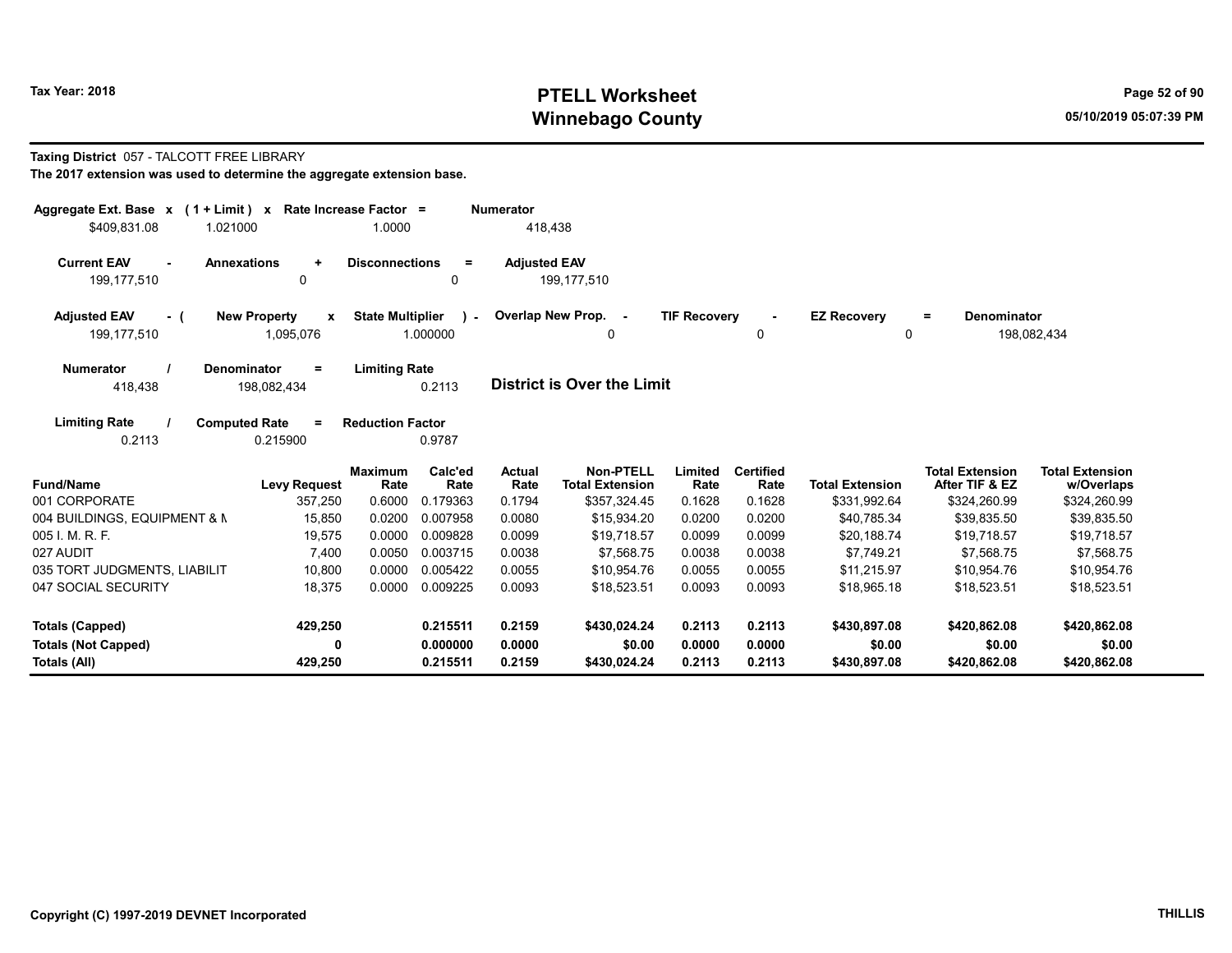# Tax Year: 2018 **PTELL Worksheet** Page 52 of 90 Winnebago County and the County of the County of the County of the County of the County of the County of the County of the County of the County of the County of the County of the County of the County of the County of the C

# Taxing District 057 - TALCOTT FREE LIBRARY

| Aggregate Ext. Base $x$ (1 + Limit) $x$                          | Rate Increase Factor =                               |                    | <b>Numerator</b>      |                                     |                     |                          |                         |                                               |                                      |
|------------------------------------------------------------------|------------------------------------------------------|--------------------|-----------------------|-------------------------------------|---------------------|--------------------------|-------------------------|-----------------------------------------------|--------------------------------------|
| \$409,831.08<br>1.021000                                         | 1.0000                                               |                    | 418,438               |                                     |                     |                          |                         |                                               |                                      |
| <b>Current EAV</b><br><b>Annexations</b><br>199,177,510          | <b>Disconnections</b><br>$\ddot{}$<br>$\mathbf 0$    | $\equiv$<br>0      | <b>Adjusted EAV</b>   | 199.177.510                         |                     |                          |                         |                                               |                                      |
| <b>Adjusted EAV</b><br><b>New Property</b><br>- (<br>199,177,510 | <b>State Multiplier</b><br>$\mathbf{x}$<br>1,095,076 | $\sim$<br>1.000000 |                       | Overlap New Prop. -<br>0            | <b>TIF Recovery</b> | 0                        | <b>EZ Recovery</b><br>0 | <b>Denominator</b><br>$\equiv$<br>198,082,434 |                                      |
| <b>Numerator</b><br><b>Denominator</b><br>418,438                | <b>Limiting Rate</b><br>$\equiv$<br>198,082,434      | 0.2113             |                       | <b>District is Over the Limit</b>   |                     |                          |                         |                                               |                                      |
| <b>Limiting Rate</b><br><b>Computed Rate</b><br>0.2113           | <b>Reduction Factor</b><br>$=$<br>0.215900           | 0.9787             |                       |                                     |                     |                          |                         |                                               |                                      |
| <b>Fund/Name</b>                                                 | <b>Maximum</b><br><b>Levy Request</b><br>Rate        | Calc'ed<br>Rate    | <b>Actual</b><br>Rate | Non-PTELL<br><b>Total Extension</b> | Limited<br>Rate     | <b>Certified</b><br>Rate | <b>Total Extension</b>  | <b>Total Extension</b><br>After TIF & EZ      | <b>Total Extension</b><br>w/Overlaps |
| 001 CORPORATE                                                    | 357,250<br>0.6000                                    | 0.179363           | 0.1794                | \$357,324.45                        | 0.1628              | 0.1628                   | \$331,992.64            | \$324,260.99                                  | \$324,260.99                         |
| 004 BUILDINGS, EQUIPMENT & N                                     | 0.0200<br>15,850                                     | 0.007958           | 0.0080                | \$15,934.20                         | 0.0200              | 0.0200                   | \$40,785.34             | \$39,835.50                                   | \$39,835.50                          |
| 005 I. M. R. F.                                                  | 19,575<br>0.0000                                     | 0.009828           | 0.0099                | \$19,718.57                         | 0.0099              | 0.0099                   | \$20,188.74             | \$19,718.57                                   | \$19,718.57                          |
| 027 AUDIT                                                        | 7.400<br>0.0050                                      | 0.003715           | 0.0038                | \$7.568.75                          | 0.0038              | 0.0038                   | \$7.749.21              | \$7,568.75                                    | \$7,568.75                           |
| 035 TORT JUDGMENTS, LIABILIT                                     | 10,800<br>0.0000                                     | 0.005422           | 0.0055                | \$10,954.76                         | 0.0055              | 0.0055                   | \$11,215.97             | \$10,954.76                                   | \$10,954.76                          |
| 047 SOCIAL SECURITY                                              | 0.0000<br>18,375                                     | 0.009225           | 0.0093                | \$18,523.51                         | 0.0093              | 0.0093                   | \$18,965.18             | \$18,523.51                                   | \$18,523.51                          |
| <b>Totals (Capped)</b>                                           | 429,250                                              | 0.215511           | 0.2159                | \$430,024.24                        | 0.2113              | 0.2113                   | \$430,897.08            | \$420,862.08                                  | \$420,862.08                         |
| <b>Totals (Not Capped)</b>                                       | 0                                                    | 0.000000           | 0.0000                | \$0.00                              | 0.0000              | 0.0000                   | \$0.00                  | \$0.00                                        | \$0.00                               |
| Totals (All)                                                     | 429,250                                              | 0.215511           | 0.2159                | \$430,024.24                        | 0.2113              | 0.2113                   | \$430,897.08            | \$420,862.08                                  | \$420,862.08                         |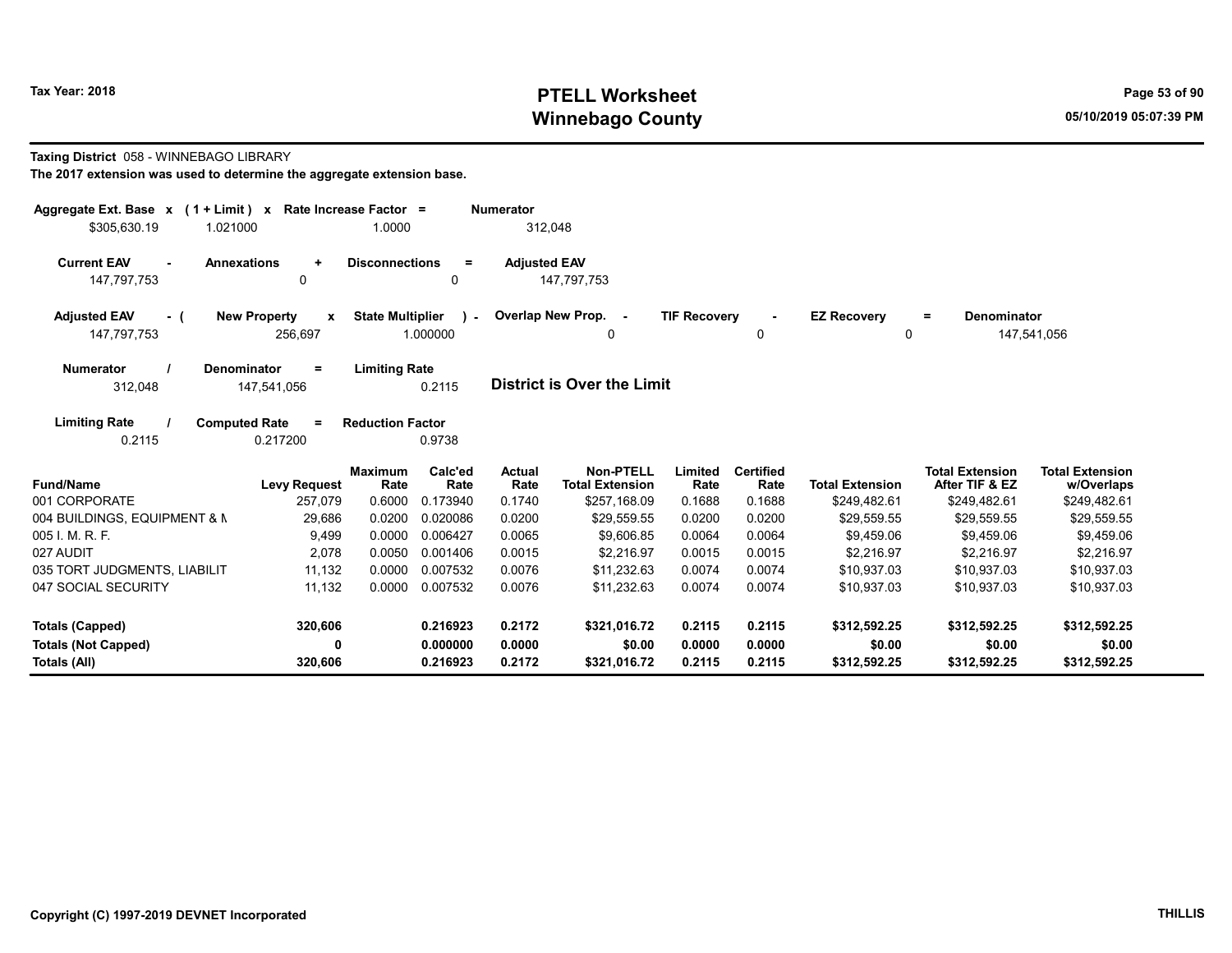# Tax Year: 2018 **PTELL Worksheet** Page 53 of 90 Winnebago County and the County of the County of the County of the County of the County of the County of the County of the County of the County of the County of the County of the County of the County of the County of the C

#### Taxing District 058 - WINNEBAGO LIBRARY

| Aggregate Ext. Base $x$ (1 + Limit) $x$                           | Rate Increase Factor =                                      |                                                  | <b>Numerator</b>      |                                            |                     |                          |                          |                                          |                                      |
|-------------------------------------------------------------------|-------------------------------------------------------------|--------------------------------------------------|-----------------------|--------------------------------------------|---------------------|--------------------------|--------------------------|------------------------------------------|--------------------------------------|
| \$305,630.19<br>1.021000                                          | 1.0000                                                      |                                                  | 312,048               |                                            |                     |                          |                          |                                          |                                      |
| <b>Current EAV</b><br><b>Annexations</b><br>$\sim$<br>147,797,753 | <b>Disconnections</b><br>$\ddot{}$<br>0                     | $\equiv$<br>0                                    | <b>Adjusted EAV</b>   | 147,797,753                                |                     |                          |                          |                                          |                                      |
| <b>Adjusted EAV</b><br>- (<br>147,797,753                         | <b>New Property</b><br>$\boldsymbol{\mathsf{x}}$<br>256,697 | <b>State Multiplier</b><br>$\lambda$<br>1.000000 |                       | Overlap New Prop. -<br>0                   | <b>TIF Recovery</b> | 0                        | <b>EZ Recovery</b><br>0  | Denominator<br>$\equiv$                  | 147,541,056                          |
| <b>Numerator</b><br><b>Denominator</b><br>312,048                 | <b>Limiting Rate</b><br>$\equiv$<br>147,541,056             | 0.2115                                           |                       | <b>District is Over the Limit</b>          |                     |                          |                          |                                          |                                      |
| <b>Limiting Rate</b><br><b>Computed Rate</b><br>0.2115            | <b>Reduction Factor</b><br>$=$<br>0.217200                  | 0.9738                                           |                       |                                            |                     |                          |                          |                                          |                                      |
| <b>Fund/Name</b>                                                  | <b>Maximum</b><br><b>Levy Request</b><br>Rate               | Calc'ed<br>Rate                                  | <b>Actual</b><br>Rate | <b>Non-PTELL</b><br><b>Total Extension</b> | Limited<br>Rate     | <b>Certified</b><br>Rate | <b>Total Extension</b>   | <b>Total Extension</b><br>After TIF & EZ | <b>Total Extension</b><br>w/Overlaps |
| 001 CORPORATE                                                     | 0.6000<br>257,079                                           | 0.173940                                         | 0.1740                | \$257,168.09                               | 0.1688              | 0.1688                   | \$249,482.61             | \$249,482.61                             | \$249,482.61                         |
| 004 BUILDINGS, EQUIPMENT & N                                      | 29,686<br>0.0200                                            | 0.020086                                         | 0.0200                | \$29.559.55                                | 0.0200              | 0.0200                   | \$29.559.55              | \$29,559.55                              | \$29,559.55                          |
| 005 I. M. R. F.<br>027 AUDIT                                      | 9,499<br>0.0000<br>0.0050                                   | 0.006427                                         | 0.0065<br>0.0015      | \$9,606.85<br>\$2.216.97                   | 0.0064<br>0.0015    | 0.0064<br>0.0015         | \$9.459.06<br>\$2.216.97 | \$9,459.06<br>\$2.216.97                 | \$9,459.06                           |
| 035 TORT JUDGMENTS, LIABILIT                                      | 2,078<br>11,132<br>0.0000                                   | 0.001406<br>0.007532                             | 0.0076                | \$11,232.63                                | 0.0074              | 0.0074                   | \$10,937.03              | \$10,937.03                              | \$2,216.97<br>\$10,937.03            |
| 047 SOCIAL SECURITY                                               | 11,132<br>0.0000                                            | 0.007532                                         | 0.0076                | \$11,232.63                                | 0.0074              | 0.0074                   | \$10,937.03              | \$10,937.03                              | \$10,937.03                          |
| Totals (Capped)                                                   | 320,606                                                     | 0.216923                                         | 0.2172                | \$321,016.72                               | 0.2115              | 0.2115                   | \$312,592.25             | \$312,592.25                             | \$312,592.25                         |
| <b>Totals (Not Capped)</b>                                        | 0                                                           | 0.000000                                         | 0.0000                | \$0.00                                     | 0.0000              | 0.0000                   | \$0.00                   | \$0.00                                   | \$0.00                               |
| Totals (All)                                                      | 320,606                                                     | 0.216923                                         | 0.2172                | \$321,016.72                               | 0.2115              | 0.2115                   | \$312,592.25             | \$312,592.25                             | \$312,592.25                         |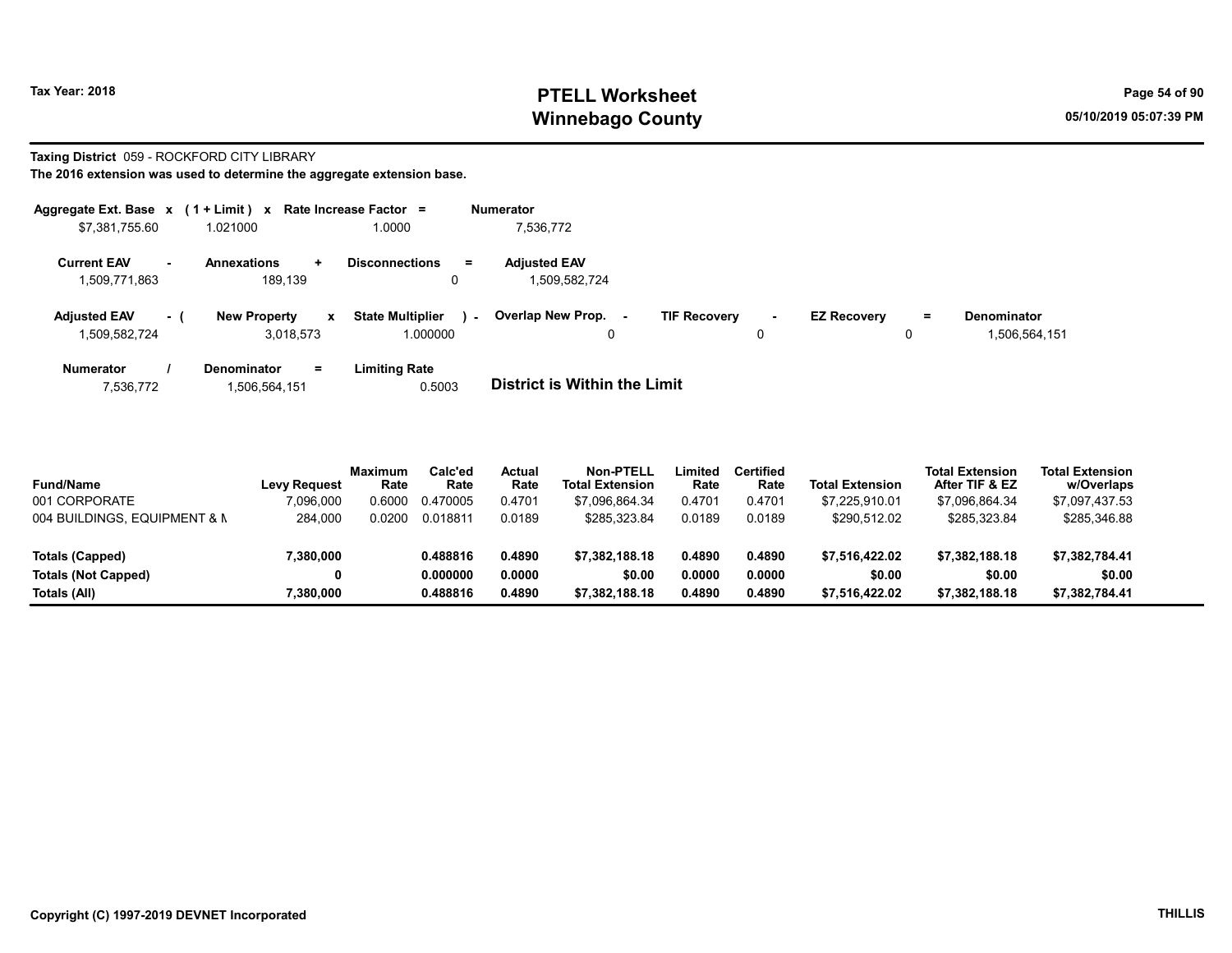# Tax Year: 2018 **PTELL Worksheet** Page 54 of 90 Winnebago County and the County of the County of the County of the County of the County of the County of the County of the County of the County of the County of the County of the County of the County of the County of the C

# Taxing District 059 - ROCKFORD CITY LIBRARY

| Aggregate Ext. Base $x$ (1 + Limit) $x$ |                            | Rate Increase Factor =                              | <b>Numerator</b>                                               |                                                 |
|-----------------------------------------|----------------------------|-----------------------------------------------------|----------------------------------------------------------------|-------------------------------------------------|
| \$7,381,755.60                          | 1.021000                   | 1.0000                                              | 7,536,772                                                      |                                                 |
| <b>Current EAV</b><br>$\sim$            | <b>Annexations</b>         | <b>Disconnections</b><br>Ξ.<br>$\ddot{\phantom{1}}$ | <b>Adjusted EAV</b>                                            |                                                 |
| 1,509,771,863                           | 189.139                    | 0                                                   | 1.509.582.724                                                  |                                                 |
| <b>Adjusted EAV</b>                     | <b>New Property</b><br>- 1 | <b>State Multiplier</b><br>$\mathbf{x}$             | Overlap New Prop. -<br><b>TIF Recovery</b><br>$\sim$<br>$\sim$ | <b>EZ Recovery</b><br><b>Denominator</b><br>$=$ |
| 1,509,582,724                           | 3.018.573                  | 1.000000                                            | 0<br>0                                                         | 1,506,564,151<br>0                              |
| <b>Numerator</b>                        | <b>Denominator</b>         | <b>Limiting Rate</b><br>Ξ.                          |                                                                |                                                 |
| 7,536,772                               | 1,506,564,151              | 0.5003                                              | <b>District is Within the Limit</b>                            |                                                 |

| <b>Fund/Name</b>             | <b>Levy Request</b> | <b>Maximum</b><br>Rate | Calc'ed<br>Rate | Actual<br>Rate | <b>Non-PTELL</b><br><b>Total Extension</b> | .imited<br>Rate | Certified<br>Rate | <b>Total Extension</b> | <b>Total Extension</b><br>After TIF & EZ | <b>Total Extension</b><br>w/Overlaps |  |
|------------------------------|---------------------|------------------------|-----------------|----------------|--------------------------------------------|-----------------|-------------------|------------------------|------------------------------------------|--------------------------------------|--|
| 001 CORPORATE                | 7.096.000           | 0.6000                 | 0.470005        | 0.4701         | \$7.096.864.34                             | 0.4701          | 0.4701            | \$7.225.910.01         | \$7,096,864.34                           | \$7,097,437.53                       |  |
| 004 BUILDINGS, EQUIPMENT & N | 284,000             | 0.0200                 | 0.018811        | 0.0189         | \$285.323.84                               | 0.0189          | 0.0189            | \$290.512.02           | \$285,323.84                             | \$285,346.88                         |  |
| Totals (Capped)              | 7,380,000           |                        | 0.488816        | 0.4890         | \$7.382.188.18                             | 0.4890          | 0.4890            | \$7.516.422.02         | \$7.382.188.18                           | \$7.382.784.41                       |  |
| <b>Totals (Not Capped)</b>   | 0                   |                        | 0.000000        | 0.0000         | \$0.00                                     | 0.0000          | 0.0000            | \$0.00                 | \$0.00                                   | \$0.00                               |  |
| Totals (All)                 | 7,380,000           |                        | 0.488816        | 0.4890         | \$7.382.188.18                             | 0.4890          | 0.4890            | \$7.516.422.02         | \$7,382,188.18                           | \$7,382,784.41                       |  |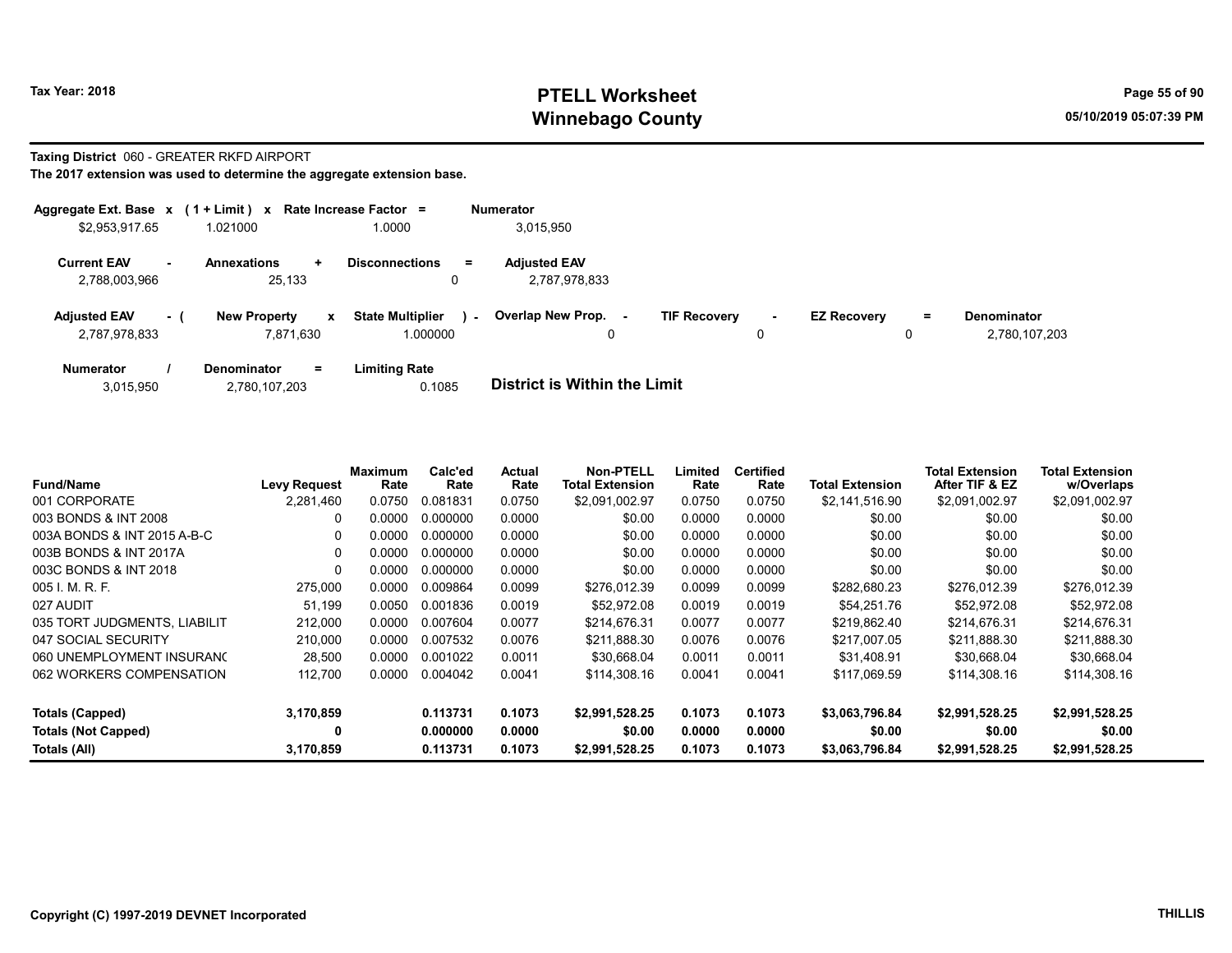# Tax Year: 2018 **PTELL Worksheet** Page 55 of 90 Winnebago County and the County of the County of the County of the County of the County of the County of the County of the County of the County of the County of the County of the County of the County of the County of the C

#### Taxing District 060 - GREATER RKFD AIRPORT

|                                      |      | Aggregate Ext. Base $x$ (1 + Limit) $x$ Rate Increase Factor = |                                     | <b>Numerator</b> |                                      |                     |             |                    |    |                                     |
|--------------------------------------|------|----------------------------------------------------------------|-------------------------------------|------------------|--------------------------------------|---------------------|-------------|--------------------|----|-------------------------------------|
| \$2,953,917.65                       |      | 1.021000                                                       | 1.0000                              |                  | 3,015,950                            |                     |             |                    |    |                                     |
| <b>Current EAV</b><br>2,788,003,966  | . —  | <b>Annexations</b><br>$\ddot{}$<br>25.133                      | <b>Disconnections</b><br>$=$<br>0   |                  | <b>Adjusted EAV</b><br>2,787,978,833 |                     |             |                    |    |                                     |
| <b>Adjusted EAV</b><br>2,787,978,833 | $-1$ | <b>New Property</b><br>$\mathbf{x}$<br>7.871.630               | <b>State Multiplier</b><br>1.000000 | $\sim$           | <b>Overlap New Prop.</b>             | <b>TIF Recovery</b> | $\sim$<br>0 | <b>EZ Recovery</b> | Ξ. | <b>Denominator</b><br>2,780,107,203 |
| <b>Numerator</b>                     |      | <b>Denominator</b><br>$=$                                      | <b>Limiting Rate</b>                |                  | _                                    |                     |             |                    |    |                                     |

| 3,015,950     | <b>District is Within the Limit</b> |
|---------------|-------------------------------------|
| 2,780,107,203 | 0.1085                              |

| <b>Fund/Name</b>             | <b>Levy Request</b> | Maximum<br>Rate | Calc'ed<br>Rate | Actual<br>Rate | <b>Non-PTELL</b><br><b>Total Extension</b> | Limited<br>Rate | <b>Certified</b><br>Rate | Total Extension | <b>Total Extension</b><br>After TIF & EZ | <b>Total Extension</b><br>w/Overlaps |
|------------------------------|---------------------|-----------------|-----------------|----------------|--------------------------------------------|-----------------|--------------------------|-----------------|------------------------------------------|--------------------------------------|
| 001 CORPORATE                | 2.281.460           | 0.0750          | 0.081831        | 0.0750         | \$2.091.002.97                             | 0.0750          | 0.0750                   | \$2,141,516.90  | \$2,091,002.97                           | \$2,091,002.97                       |
| 003 BONDS & INT 2008         | 0                   | 0.0000          | 0.000000        | 0.0000         | \$0.00                                     | 0.0000          | 0.0000                   | \$0.00          | \$0.00                                   | \$0.00                               |
| 003A BONDS & INT 2015 A-B-C  | 0                   | 0.0000          | 0.000000        | 0.0000         | \$0.00                                     | 0.0000          | 0.0000                   | \$0.00          | \$0.00                                   | \$0.00                               |
| 003B BONDS & INT 2017A       | 0                   | 0.0000          | 0.000000        | 0.0000         | \$0.00                                     | 0.0000          | 0.0000                   | \$0.00          | \$0.00                                   | \$0.00                               |
| 003C BONDS & INT 2018        | $\Omega$            | 0.0000          | 0.000000        | 0.0000         | \$0.00                                     | 0.0000          | 0.0000                   | \$0.00          | \$0.00                                   | \$0.00                               |
| 005 I. M. R. F.              | 275,000             | 0.0000          | 0.009864        | 0.0099         | \$276.012.39                               | 0.0099          | 0.0099                   | \$282,680.23    | \$276,012.39                             | \$276,012.39                         |
| 027 AUDIT                    | 51.199              | 0.0050          | 0.001836        | 0.0019         | \$52.972.08                                | 0.0019          | 0.0019                   | \$54.251.76     | \$52.972.08                              | \$52,972.08                          |
| 035 TORT JUDGMENTS, LIABILIT | 212,000             | 0.0000          | 0.007604        | 0.0077         | \$214.676.31                               | 0.0077          | 0.0077                   | \$219.862.40    | \$214.676.31                             | \$214,676.31                         |
| 047 SOCIAL SECURITY          | 210,000             | 0.0000          | 0.007532        | 0.0076         | \$211.888.30                               | 0.0076          | 0.0076                   | \$217,007.05    | \$211,888.30                             | \$211,888.30                         |
| 060 UNEMPLOYMENT INSURANC    | 28,500              | 0.0000          | 0.001022        | 0.0011         | \$30.668.04                                | 0.0011          | 0.0011                   | \$31.408.91     | \$30,668.04                              | \$30,668.04                          |
| 062 WORKERS COMPENSATION     | 112,700             | 0.0000          | 0.004042        | 0.0041         | \$114,308.16                               | 0.0041          | 0.0041                   | \$117,069.59    | \$114,308.16                             | \$114,308.16                         |
| Totals (Capped)              | 3,170,859           |                 | 0.113731        | 0.1073         | \$2,991,528.25                             | 0.1073          | 0.1073                   | \$3,063,796.84  | \$2,991,528.25                           | \$2,991,528.25                       |
| <b>Totals (Not Capped)</b>   | 0                   |                 | 0.000000        | 0.0000         | \$0.00                                     | 0.0000          | 0.0000                   | \$0.00          | \$0.00                                   | \$0.00                               |
| Totals (All)                 | 3,170,859           |                 | 0.113731        | 0.1073         | \$2,991,528.25                             | 0.1073          | 0.1073                   | \$3,063,796.84  | \$2,991,528.25                           | \$2,991,528.25                       |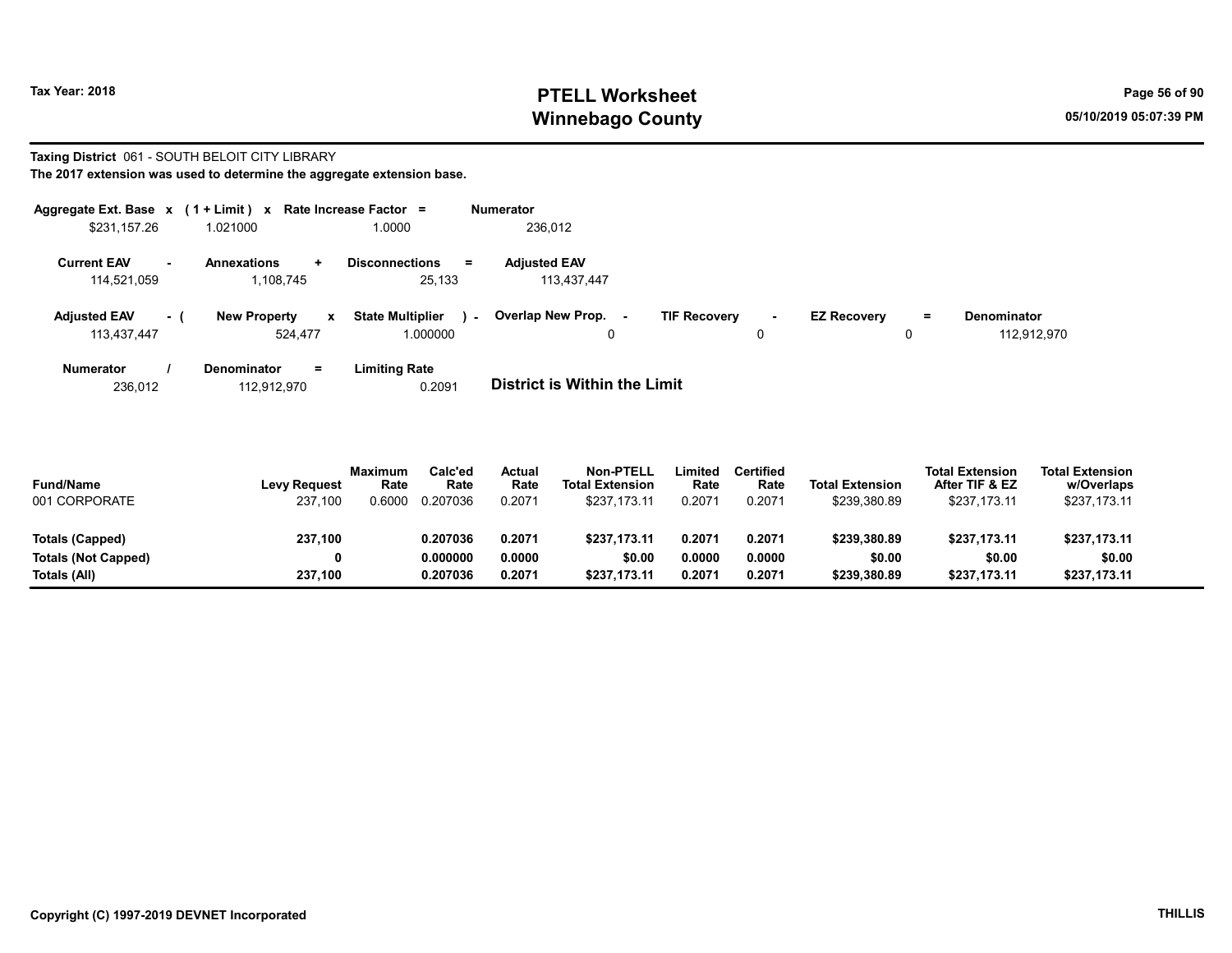# Tax Year: 2018 **PTELL Worksheet** Page 56 of 90 Winnebago County and the County of the County of the County of the County of the County of the County of the County of the County of the County of the County of the County of the County of the County of the County of the C

# Taxing District 061 - SOUTH BELOIT CITY LIBRARY

| The 2017 extension was used to determine the aggregate extension base. |  |
|------------------------------------------------------------------------|--|
|------------------------------------------------------------------------|--|

| Aggregate Ext. Base x (1 + Limit) x |       |                             | Rate Increase Factor =            | <b>Numerator</b>            |                               |                    |                          |
|-------------------------------------|-------|-----------------------------|-----------------------------------|-----------------------------|-------------------------------|--------------------|--------------------------|
| \$231,157.26                        |       | 1.021000                    | 1.0000                            | 236,012                     |                               |                    |                          |
| <b>Current EAV</b>                  | ۰.    | <b>Annexations</b><br>$\pm$ | <b>Disconnections</b><br>Ξ        | <b>Adjusted EAV</b>         |                               |                    |                          |
| 114,521,059                         |       | 1,108,745                   | 25,133                            | 113.437.447                 |                               |                    |                          |
| <b>Adjusted EAV</b>                 | $-$ ( | <b>New Property</b><br>x    | <b>State Multiplier</b><br>$\sim$ | Overlap New Prop.<br>$\sim$ | <b>TIF Recovery</b><br>$\sim$ | <b>EZ Recovery</b> | <b>Denominator</b><br>Ξ. |
| 113,437,447                         |       | 524.477                     | 1.000000                          | 0                           |                               | 0                  | 112.912.970              |
| <b>Numerator</b>                    |       | Denominator<br>Ξ.           | <b>Limiting Rate</b>              |                             |                               |                    |                          |

236,012 112,912,970 0.2091 District is Within the Limit

| <b>Fund/Name</b><br>001 CORPORATE | <b>Levy Request</b><br>237.100 | <b>Maximum</b><br>Rate<br>.6000 | Calc'ed<br>Rate<br>0.207036 | Actual<br>Rate<br>0.2071 | <b>Non-PTELL</b><br><b>Total Extension</b><br>\$237.173.11 | ∟imited<br>Rate<br>0.2071 | <b>Certified</b><br>Rate<br>0.2071 | <b>Total Extension</b><br>\$239,380.89 | <b>Total Extension</b><br>After TIF & EZ<br>\$237,173.11 | <b>Total Extension</b><br>w/Overlaps<br>\$237,173.11 |  |
|-----------------------------------|--------------------------------|---------------------------------|-----------------------------|--------------------------|------------------------------------------------------------|---------------------------|------------------------------------|----------------------------------------|----------------------------------------------------------|------------------------------------------------------|--|
| Totals (Capped)                   | 237,100                        |                                 | 0.207036                    | 0.2071                   | \$237.173.11                                               | 0.2071                    | 0.2071                             | \$239,380.89                           | \$237.173.11                                             | \$237,173.11                                         |  |
| <b>Totals (Not Capped)</b>        | 0                              |                                 | 0.000000                    | 0.0000                   | \$0.00                                                     | 0.0000                    | 0.0000                             | \$0.00                                 | \$0.00                                                   | \$0.00                                               |  |
| Totals (All)                      | 237,100                        |                                 | 0.207036                    | 0.2071                   | \$237.173.11                                               | 0.2071                    | 0.2071                             | \$239,380.89                           | \$237.173.11                                             | \$237,173.11                                         |  |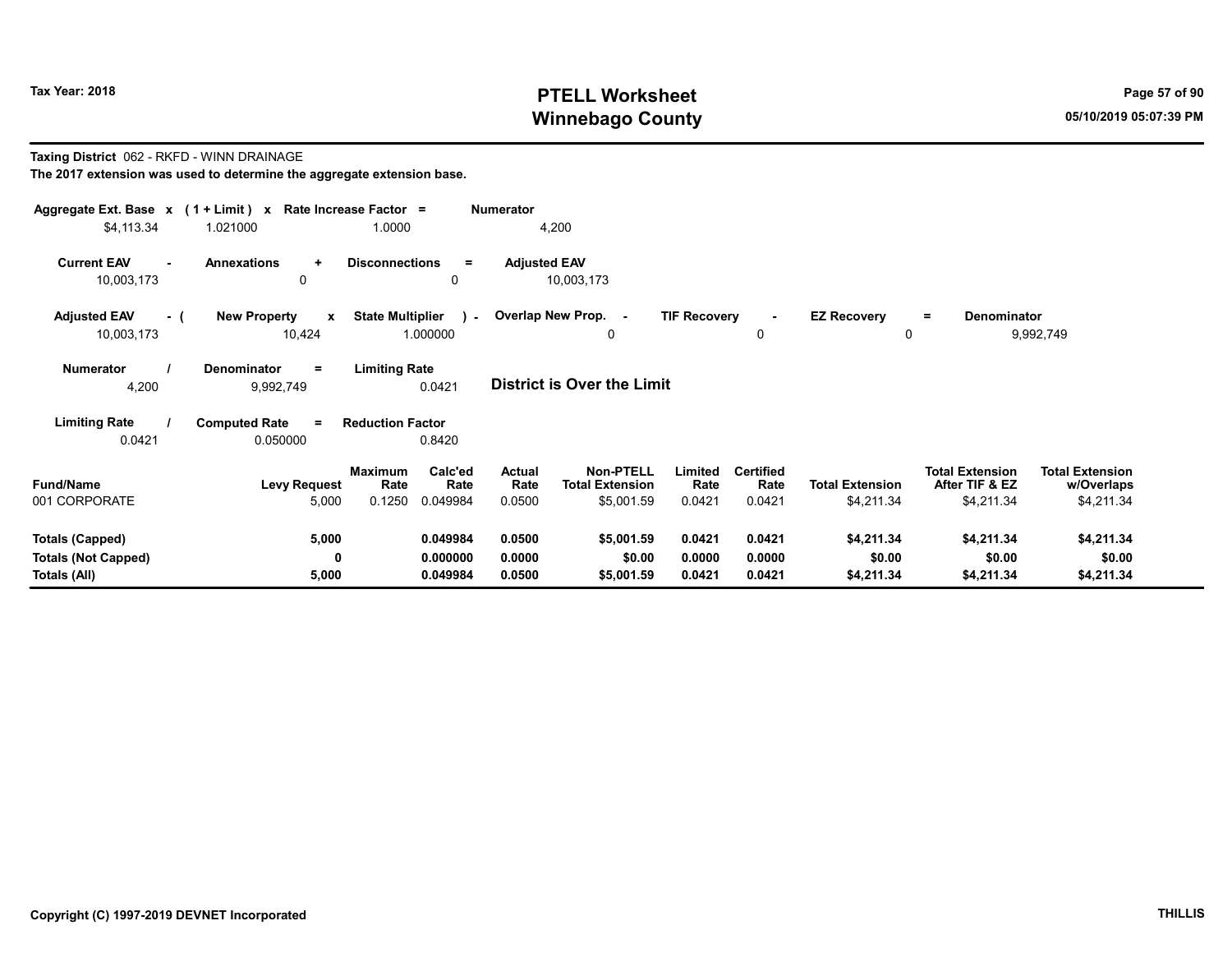# Tax Year: 2018 **PTELL Worksheet** Page 57 of 90 Winnebago County and the County of the County of the County of the County of the County of the County of the County of the County of the County of the County of the County of the County of the County of the County of the C

#### Taxing District 062 - RKFD - WINN DRAINAGE The 2017 extension was used to determine the aggregate extension base.

| Aggregate Ext. Base $x$ (1 + Limit) x Rate Increase Factor =<br>\$4,113.34 | 1.021000                                      | 1.0000                                                          | <b>Numerator</b><br>4,200  |                                                          |                            |                                    |                                      |                                                        |                                                    |
|----------------------------------------------------------------------------|-----------------------------------------------|-----------------------------------------------------------------|----------------------------|----------------------------------------------------------|----------------------------|------------------------------------|--------------------------------------|--------------------------------------------------------|----------------------------------------------------|
| <b>Current EAV</b><br>$\blacksquare$<br>10,003,173                         | <b>Annexations</b><br>÷<br>0                  | <b>Disconnections</b><br>Ξ.<br>$\Omega$                         | <b>Adjusted EAV</b>        | 10,003,173                                               |                            |                                    |                                      |                                                        |                                                    |
| <b>Adjusted EAV</b><br>- (<br>10,003,173                                   | <b>New Property</b><br>$\mathbf{x}$<br>10,424 | <b>State Multiplier</b><br>$\lambda$ -<br>1.000000              | Overlap New Prop. -        | 0                                                        | <b>TIF Recovery</b>        | 0                                  | <b>EZ Recovery</b><br>0              | Denominator<br>$=$                                     | 9,992,749                                          |
| <b>Numerator</b><br>4,200                                                  | Denominator<br>Ξ.<br>9,992,749                | <b>Limiting Rate</b><br>0.0421                                  |                            | <b>District is Over the Limit</b>                        |                            |                                    |                                      |                                                        |                                                    |
| <b>Limiting Rate</b><br>0.0421                                             | <b>Computed Rate</b><br>$=$<br>0.050000       | <b>Reduction Factor</b><br>0.8420                               |                            |                                                          |                            |                                    |                                      |                                                        |                                                    |
| <b>Fund/Name</b><br>001 CORPORATE                                          | <b>Levy Request</b><br>5,000                  | Calc'ed<br><b>Maximum</b><br>Rate<br>Rate<br>0.1250<br>0.049984 | Actual<br>Rate<br>0.0500   | <b>Non-PTELL</b><br><b>Total Extension</b><br>\$5,001.59 | Limited<br>Rate<br>0.0421  | <b>Certified</b><br>Rate<br>0.0421 | <b>Total Extension</b><br>\$4,211.34 | <b>Total Extension</b><br>After TIF & EZ<br>\$4,211.34 | <b>Total Extension</b><br>w/Overlaps<br>\$4,211.34 |
| <b>Totals (Capped)</b><br><b>Totals (Not Capped)</b><br>Totals (All)       | 5,000<br>0<br>5,000                           | 0.049984<br>0.000000<br>0.049984                                | 0.0500<br>0.0000<br>0.0500 | \$5,001.59<br>\$0.00<br>\$5,001.59                       | 0.0421<br>0.0000<br>0.0421 | 0.0421<br>0.0000<br>0.0421         | \$4,211.34<br>\$0.00<br>\$4,211.34   | \$4,211.34<br>\$0.00<br>\$4,211.34                     | \$4,211.34<br>\$0.00<br>\$4,211.34                 |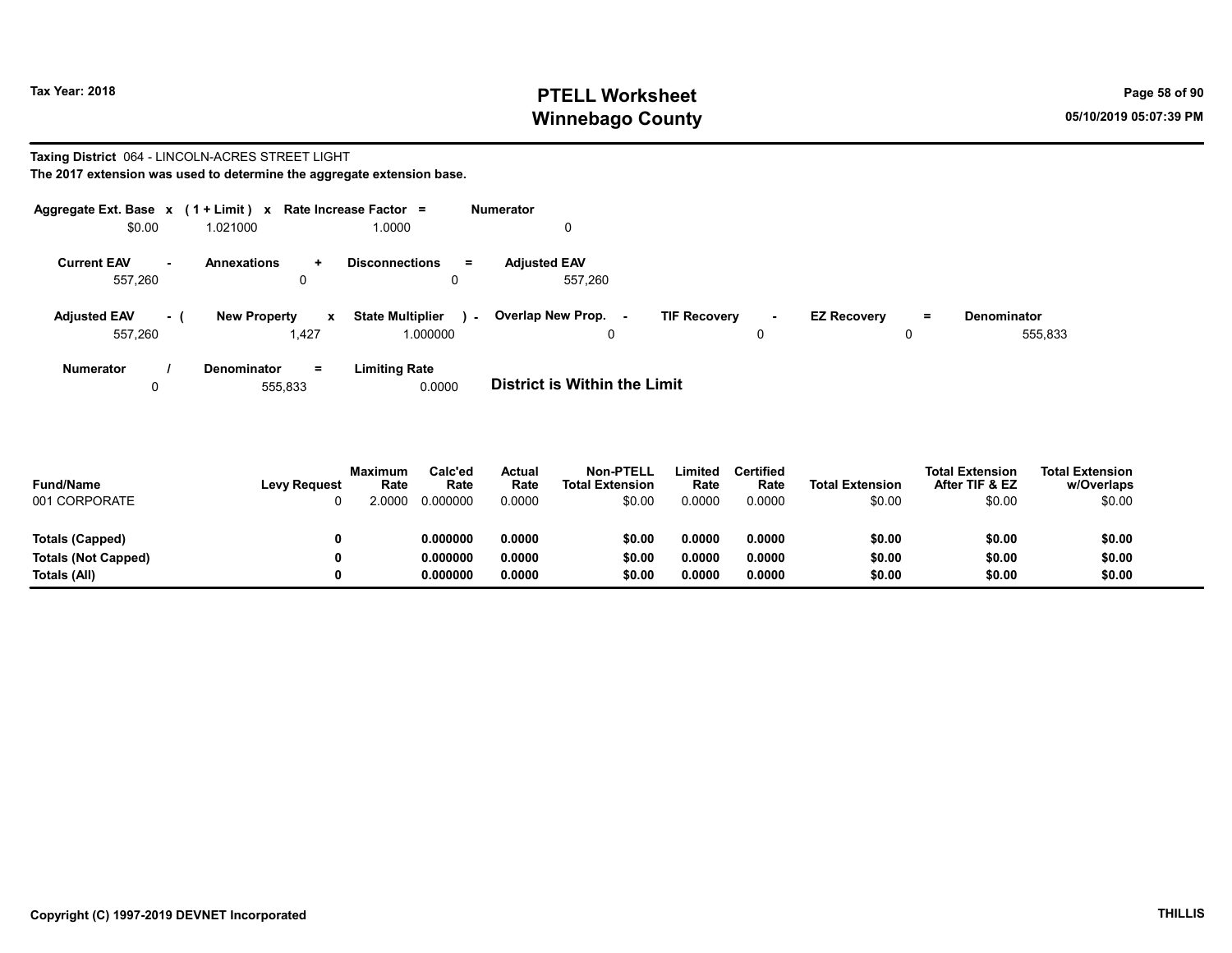# Tax Year: 2018 **PTELL Worksheet** Page 58 of 90 Winnebago County and the County of the County of the County of the County of the County of the County of the County of the County of the County of the County of the County of the County of the County of the County of the C

#### Taxing District 064 - LINCOLN-ACRES STREET LIGHT The 2017 extension was used to determine the aggregate extension base.

|                                |           | Aggregate Ext. Base $x$ (1 + Limit) x Rate Increase Factor = |                                               | <b>Numerator</b>               |                               |                                     |                               |
|--------------------------------|-----------|--------------------------------------------------------------|-----------------------------------------------|--------------------------------|-------------------------------|-------------------------------------|-------------------------------|
| \$0.00                         |           | 1.021000                                                     | 1.0000                                        | 0                              |                               |                                     |                               |
| <b>Current EAV</b><br>557.260  | <b>м.</b> | Annexations<br>$\ddot{}$<br>0                                | <b>Disconnections</b><br>$\equiv$             | <b>Adiusted EAV</b><br>557.260 |                               |                                     |                               |
| <b>Adjusted EAV</b><br>557,260 | $\sim$ 1  | <b>New Property</b><br>x<br>1,427                            | <b>State Multiplier</b><br>$\sim$<br>1.000000 | Overlap New Prop. -<br>0       | <b>TIF Recovery</b><br>$\sim$ | <b>EZ Recovery</b><br>$\equiv$<br>0 | <b>Denominator</b><br>555,833 |
| <b>Numerator</b>               |           | <b>Denominator</b><br>$=$                                    | <b>Limiting Rate</b>                          |                                |                               |                                     |                               |

0 555,833 0.0000 **District is Within the Limit** 

| <b>Fund/Name</b><br>001 CORPORATE | <b>Levy Request</b> | <b>Maximum</b><br>Rate<br>.0000 | Calc'ed<br>Rate<br>0.000000 | Actual<br>Rate<br>0.0000 | <b>Non-PTELL</b><br><b>Total Extension</b><br>\$0.00 | Limited<br>Rate<br>0.0000 | Certified<br>Rate<br>0.0000 | <b>Total Extension</b><br>\$0.00 | <b>Total Extension</b><br>After TIF & EZ<br>\$0.00 | <b>Total Extension</b><br>w/Overlaps<br>\$0.00 |
|-----------------------------------|---------------------|---------------------------------|-----------------------------|--------------------------|------------------------------------------------------|---------------------------|-----------------------------|----------------------------------|----------------------------------------------------|------------------------------------------------|
| Totals (Capped)                   |                     |                                 | 0.000000                    | 0.0000                   | \$0.00                                               | 0.0000                    | 0.0000                      | \$0.00                           | \$0.00                                             | \$0.00                                         |
| Totals (Not Capped)               |                     |                                 | 0.000000                    | 0.0000                   | \$0.00                                               | 0.0000                    | 0.0000                      | \$0.00                           | \$0.00                                             | \$0.00                                         |
| Totals (All)                      |                     |                                 | 0.000000                    | 0.0000                   | \$0.00                                               | 0.0000                    | 0.0000                      | \$0.00                           | \$0.00                                             | \$0.00                                         |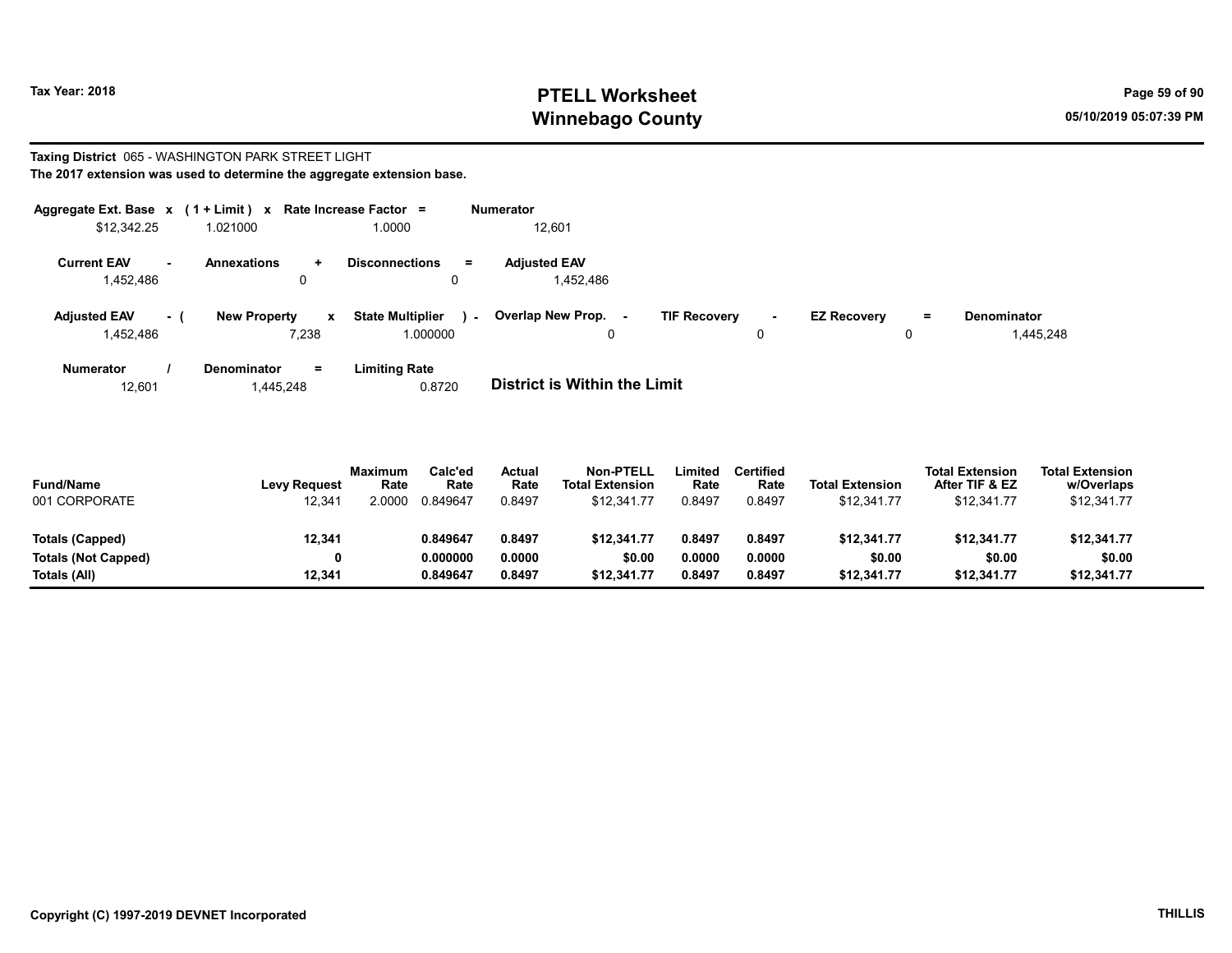# Tax Year: 2018 **PTELL Worksheet** Page 59 of 90 Winnebago County and the County of the County of the County of the County of the County of the County of the County of the County of the County of the County of the County of the County of the County of the County of the C

#### Taxing District 065 - WASHINGTON PARK STREET LIGHT The 2017 extension was used to determine the aggregate extension base.

| Aggregate Ext. Base $x$ (1 + Limit) $x$ |     |                                 | Rate Increase Factor =                   |               | <b>Numerator</b>                 |                     |         |                    |     |                                 |
|-----------------------------------------|-----|---------------------------------|------------------------------------------|---------------|----------------------------------|---------------------|---------|--------------------|-----|---------------------------------|
| \$12,342.25                             |     | 1.021000                        | 1.0000                                   |               | 12,601                           |                     |         |                    |     |                                 |
| <b>Current EAV</b><br>1,452,486         |     | <b>Annexations</b><br>$\ddot{}$ | <b>Disconnections</b>                    | $\equiv$<br>0 | <b>Adjusted EAV</b><br>1,452,486 |                     |         |                    |     |                                 |
| <b>Adjusted EAV</b><br>1,452,486        | - 1 | <b>New Property</b><br>7,238    | <b>State Multiplier</b><br>x<br>1.000000 | $\sim$        | <b>Overlap New Prop. -</b>       | <b>TIF Recovery</b> | н.<br>0 | <b>EZ Recovery</b> | $=$ | <b>Denominator</b><br>1,445,248 |
| <b>Numerator</b>                        |     | <b>Denominator</b><br>$=$       | Limiting Rate                            |               |                                  |                     |         |                    |     |                                 |

| 12.601 | 1,445,248 | 0.8720 | <b>District is Within the Limit</b> |
|--------|-----------|--------|-------------------------------------|

| <b>Fund/Name</b><br>001 CORPORATE | <b>Levy Request</b><br>12,341 | <b>Maximum</b><br>Rate<br>2.0000 | Calc'ed<br>Rate<br>0.849647 | <b>Actual</b><br>Rate<br>0.8497 | <b>Non-PTELL</b><br><b>Total Extension</b><br>\$12.341.77 | Limited<br>Rate<br>0.8497 | <b>Certified</b><br>Rate<br>0.8497 | <b>Total Extension</b><br>\$12,341.77 | <b>Total Extension</b><br>After TIF & EZ<br>\$12,341.77 | <b>Total Extension</b><br>w/Overlaps<br>\$12,341.77 |  |
|-----------------------------------|-------------------------------|----------------------------------|-----------------------------|---------------------------------|-----------------------------------------------------------|---------------------------|------------------------------------|---------------------------------------|---------------------------------------------------------|-----------------------------------------------------|--|
| Totals (Capped)                   | 12,341                        |                                  | 0.849647                    | 0.8497                          | \$12.341.77                                               | 0.8497                    | 0.8497                             | \$12,341.77                           | \$12,341.77                                             | \$12,341.77                                         |  |
| <b>Totals (Not Capped)</b>        | 0                             |                                  | 0.000000                    | 0.0000                          | \$0.00                                                    | 0.0000                    | 0.0000                             | \$0.00                                | \$0.00                                                  | \$0.00                                              |  |
| Totals (All)                      | 12.341                        |                                  | 0.849647                    | 0.8497                          | \$12.341.77                                               | 0.8497                    | 0.8497                             | \$12,341.77                           | \$12,341.77                                             | \$12,341.77                                         |  |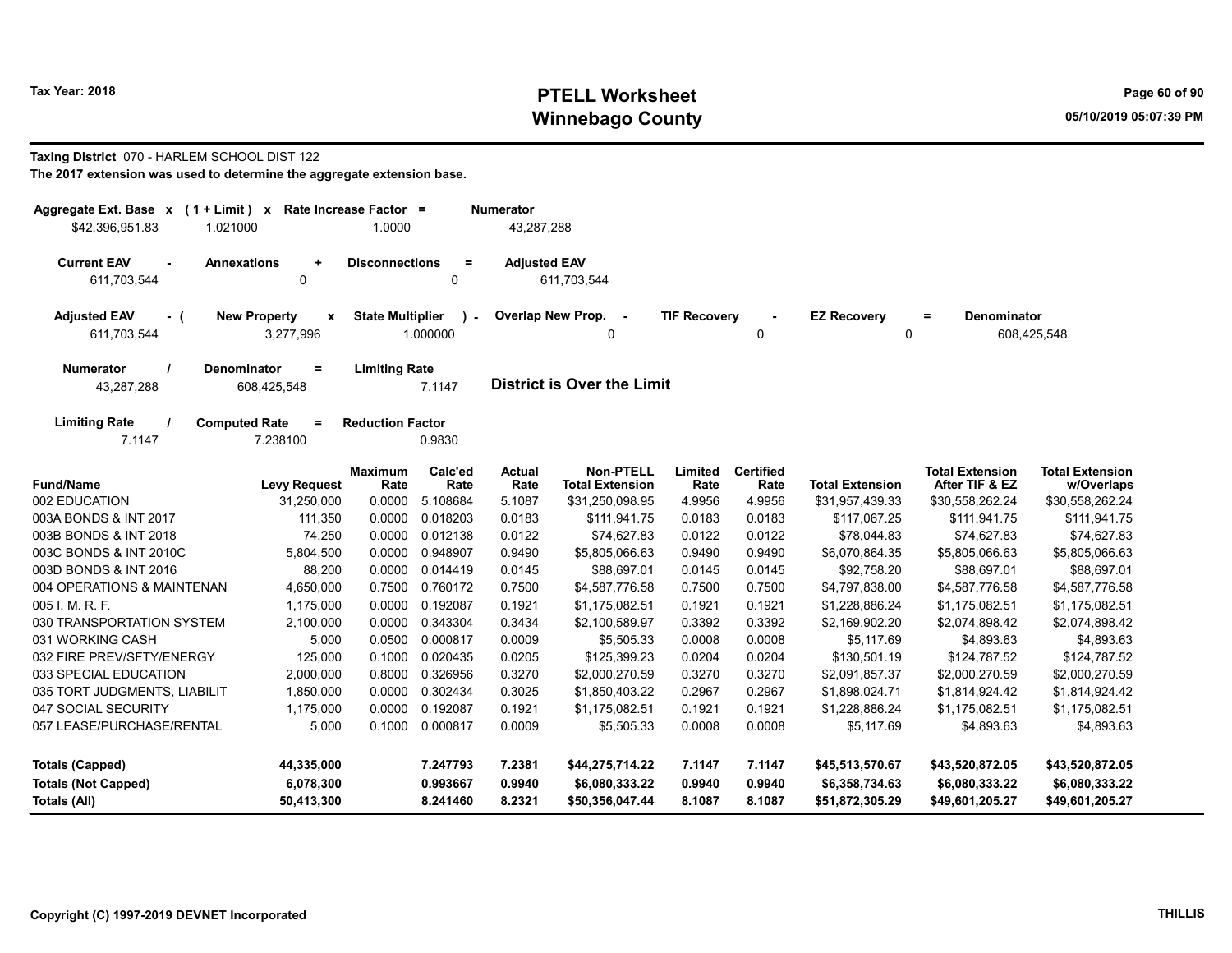# Tax Year: 2018 **PTELL Worksheet** Page 60 of 90 Winnebago County and the County of the County of the County of the County of the County of the County of the County of the County of the County of the County of the County of the County of the County of the County of the C

#### Taxing District 070 - HARLEM SCHOOL DIST 122

| The 2017 extension was used to determine the aggregate extension base. |  |
|------------------------------------------------------------------------|--|
|------------------------------------------------------------------------|--|

| Aggregate Ext. Base x<br>$(1 + Limit) x$<br>\$42,396,951.83<br>1.021000 | Rate Increase Factor =                           | 1.0000                  |                          | <b>Numerator</b><br>43,287,288 |                                            |                     |                          |                        |                                          |                                      |
|-------------------------------------------------------------------------|--------------------------------------------------|-------------------------|--------------------------|--------------------------------|--------------------------------------------|---------------------|--------------------------|------------------------|------------------------------------------|--------------------------------------|
| <b>Current EAV</b><br>٠<br>611,703,544                                  | <b>Annexations</b><br>$\ddot{}$<br>0             | <b>Disconnections</b>   | $\equiv$<br>$\mathbf 0$  | <b>Adjusted EAV</b>            | 611,703,544                                |                     |                          |                        |                                          |                                      |
| <b>Adjusted EAV</b><br>- (<br>611,703,544                               | <b>New Property</b><br>$\mathbf{x}$<br>3,277,996 | <b>State Multiplier</b> | $\mathbf{r}$<br>1.000000 | Overlap New Prop.              | $\sim$<br>$\Omega$                         | <b>TIF Recovery</b> | 0                        | <b>EZ Recovery</b>     | <b>Denominator</b><br>$=$<br>0           | 608,425,548                          |
| <b>Numerator</b><br>43,287,288                                          | <b>Denominator</b><br>$=$<br>608,425,548         | <b>Limiting Rate</b>    | 7.1147                   |                                | <b>District is Over the Limit</b>          |                     |                          |                        |                                          |                                      |
| <b>Limiting Rate</b><br>7.1147                                          | <b>Computed Rate</b><br>$\equiv$<br>7.238100     | <b>Reduction Factor</b> | 0.9830                   |                                |                                            |                     |                          |                        |                                          |                                      |
| <b>Fund/Name</b>                                                        | <b>Levy Request</b>                              | <b>Maximum</b><br>Rate  | Calc'ed<br>Rate          | <b>Actual</b><br>Rate          | <b>Non-PTELL</b><br><b>Total Extension</b> | Limited<br>Rate     | <b>Certified</b><br>Rate | <b>Total Extension</b> | <b>Total Extension</b><br>After TIF & EZ | <b>Total Extension</b><br>w/Overlaps |
| 002 EDUCATION                                                           | 31,250,000                                       | 0.0000                  | 5.108684                 | 5.1087                         | \$31,250,098.95                            | 4.9956              | 4.9956                   | \$31,957,439.33        | \$30,558,262.24                          | \$30,558,262.24                      |
| 003A BONDS & INT 2017                                                   | 111,350                                          | 0.0000                  | 0.018203                 | 0.0183                         | \$111,941.75                               | 0.0183              | 0.0183                   | \$117,067.25           | \$111,941.75                             | \$111,941.75                         |
| 003B BONDS & INT 2018                                                   | 74,250                                           | 0.0000                  | 0.012138                 | 0.0122                         | \$74,627.83                                | 0.0122              | 0.0122                   | \$78,044.83            | \$74,627.83                              | \$74,627.83                          |
| 003C BONDS & INT 2010C                                                  | 5,804,500                                        | 0.0000                  | 0.948907                 | 0.9490                         | \$5,805,066.63                             | 0.9490              | 0.9490                   | \$6,070,864.35         | \$5,805,066.63                           | \$5,805,066.63                       |
| 003D BONDS & INT 2016                                                   | 88,200                                           | 0.0000                  | 0.014419                 | 0.0145                         | \$88,697.01                                | 0.0145              | 0.0145                   | \$92,758.20            | \$88,697.01                              | \$88,697.01                          |
| 004 OPERATIONS & MAINTENAN                                              | 4,650,000                                        | 0.7500                  | 0.760172                 | 0.7500                         | \$4,587,776.58                             | 0.7500              | 0.7500                   | \$4,797,838.00         | \$4,587,776.58                           | \$4,587,776.58                       |
| 005 I. M. R. F.                                                         | 1,175,000                                        | 0.0000                  | 0.192087                 | 0.1921                         | \$1,175,082.51                             | 0.1921              | 0.1921                   | \$1,228,886.24         | \$1,175,082.51                           | \$1,175,082.51                       |
| 030 TRANSPORTATION SYSTEM                                               | 2,100,000                                        | 0.0000                  | 0.343304                 | 0.3434                         | \$2,100,589.97                             | 0.3392              | 0.3392                   | \$2,169,902.20         | \$2,074,898.42                           | \$2,074,898.42                       |
| 031 WORKING CASH                                                        | 5,000                                            | 0.0500                  | 0.000817                 | 0.0009                         | \$5,505.33                                 | 0.0008              | 0.0008                   | \$5,117.69             | \$4,893.63                               | \$4,893.63                           |
| 032 FIRE PREV/SFTY/ENERGY                                               | 125,000                                          | 0.1000                  | 0.020435                 | 0.0205                         | \$125,399.23                               | 0.0204              | 0.0204                   | \$130,501.19           | \$124,787.52                             | \$124,787.52                         |
| 033 SPECIAL EDUCATION                                                   | 2,000,000                                        | 0.8000                  | 0.326956                 | 0.3270                         | \$2,000,270.59                             | 0.3270              | 0.3270                   | \$2,091,857.37         | \$2,000,270.59                           | \$2,000,270.59                       |
| 035 TORT JUDGMENTS, LIABILIT                                            | 1,850,000                                        | 0.0000                  | 0.302434                 | 0.3025                         | \$1,850,403.22                             | 0.2967              | 0.2967                   | \$1,898,024.71         | \$1,814,924.42                           | \$1,814,924.42                       |
| 047 SOCIAL SECURITY                                                     | 1,175,000                                        | 0.0000                  | 0.192087                 | 0.1921                         | \$1,175,082.51                             | 0.1921              | 0.1921                   | \$1,228,886.24         | \$1,175,082.51                           | \$1,175,082.51                       |
| 057 LEASE/PURCHASE/RENTAL                                               | 5,000                                            | 0.1000                  | 0.000817                 | 0.0009                         | \$5,505.33                                 | 0.0008              | 0.0008                   | \$5,117.69             | \$4,893.63                               | \$4,893.63                           |
| <b>Totals (Capped)</b>                                                  | 44,335,000                                       |                         | 7.247793                 | 7.2381                         | \$44,275,714.22                            | 7.1147              | 7.1147                   | \$45,513,570.67        | \$43,520,872.05                          | \$43,520,872.05                      |
| <b>Totals (Not Capped)</b>                                              | 6,078,300                                        |                         | 0.993667                 | 0.9940                         | \$6,080,333.22                             | 0.9940              | 0.9940                   | \$6,358,734.63         | \$6,080,333.22                           | \$6,080,333.22                       |
| Totals (All)                                                            | 50,413,300                                       |                         | 8.241460                 | 8.2321                         | \$50,356,047.44                            | 8.1087              | 8.1087                   | \$51,872,305.29        | \$49,601,205.27                          | \$49,601,205.27                      |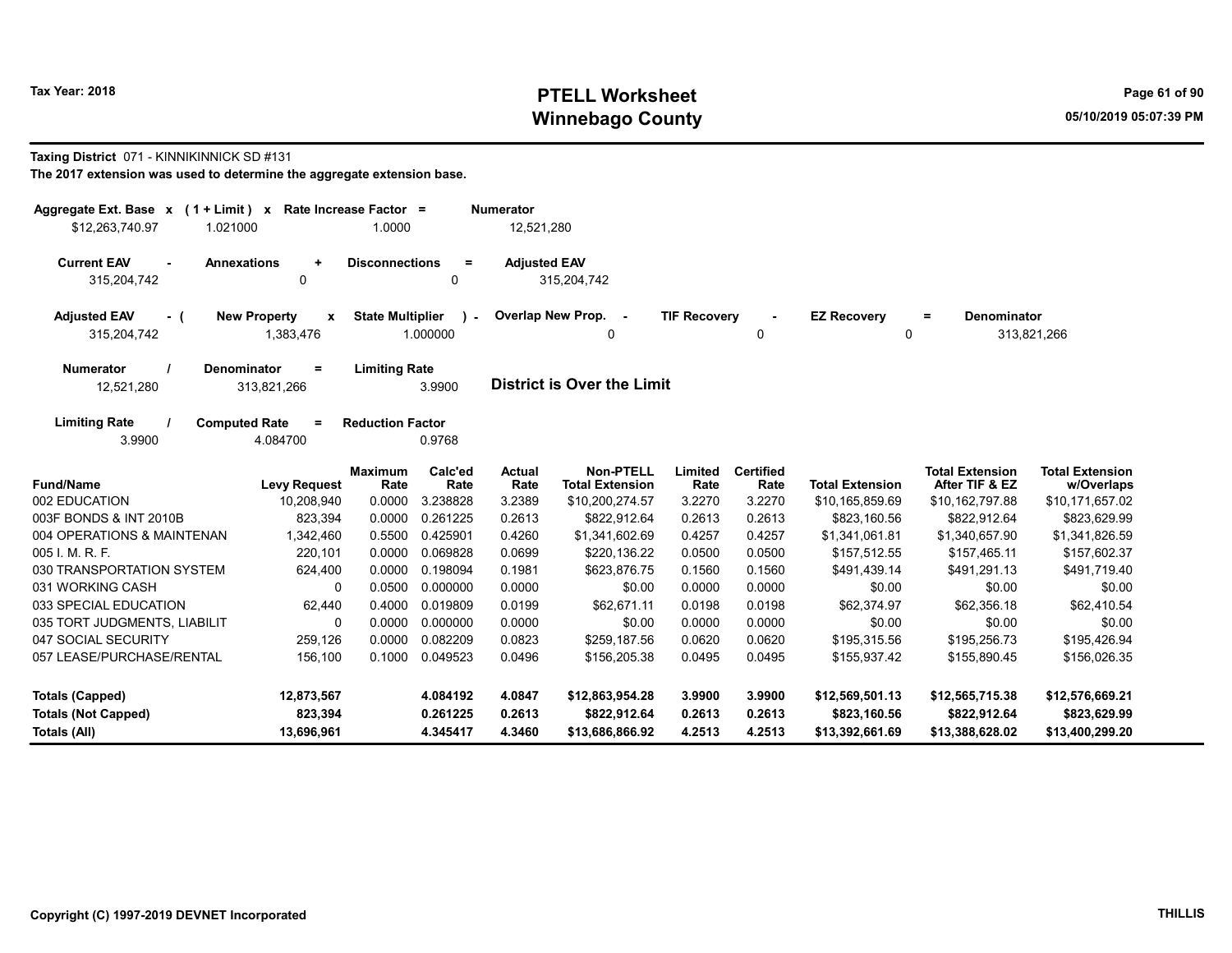# Tax Year: 2018 **PTELL Worksheet** Page 61 of 90 Winnebago County and the County of the County of the County of the County of the County of the County of the County of the County of the County of the County of the County of the County of the County of the County of the C

#### Taxing District 071 - KINNIKINNICK SD #131

| Aggregate Ext. Base $x$ (1 + Limit) x Rate Increase Factor =<br>\$12,263,740.97<br>1.021000 |                                                  | 1.0000                  |                         | <b>Numerator</b><br>12,521,280 |                                     |                     |                          |                         |                                          |                                      |
|---------------------------------------------------------------------------------------------|--------------------------------------------------|-------------------------|-------------------------|--------------------------------|-------------------------------------|---------------------|--------------------------|-------------------------|------------------------------------------|--------------------------------------|
| <b>Current EAV</b><br>315,204,742                                                           | <b>Annexations</b><br>$\ddot{}$<br>0             | <b>Disconnections</b>   | $\equiv$<br>0           | <b>Adjusted EAV</b>            | 315,204,742                         |                     |                          |                         |                                          |                                      |
| <b>Adjusted EAV</b><br>- (<br>315,204,742                                                   | <b>New Property</b><br>$\pmb{\chi}$<br>1,383,476 | <b>State Multiplier</b> | $\lambda$ -<br>1.000000 |                                | Overlap New Prop. -<br>0            | <b>TIF Recovery</b> | 0                        | <b>EZ Recovery</b><br>0 | <b>Denominator</b><br>$\equiv$           | 313,821,266                          |
| <b>Numerator</b><br>12,521,280                                                              | <b>Denominator</b><br>$=$<br>313,821,266         | <b>Limiting Rate</b>    | 3.9900                  |                                | <b>District is Over the Limit</b>   |                     |                          |                         |                                          |                                      |
| <b>Limiting Rate</b><br>3.9900                                                              | <b>Computed Rate</b><br>$=$<br>4.084700          | <b>Reduction Factor</b> | 0.9768                  |                                |                                     |                     |                          |                         |                                          |                                      |
| <b>Fund/Name</b>                                                                            | <b>Levy Request</b>                              | <b>Maximum</b><br>Rate  | Calc'ed<br>Rate         | Actual<br>Rate                 | Non-PTELL<br><b>Total Extension</b> | Limited<br>Rate     | <b>Certified</b><br>Rate | <b>Total Extension</b>  | <b>Total Extension</b><br>After TIF & EZ | <b>Total Extension</b><br>w/Overlaps |
| 002 EDUCATION                                                                               | 10,208,940                                       | 0.0000                  | 3.238828                | 3.2389                         | \$10,200,274.57                     | 3.2270              | 3.2270                   | \$10,165,859.69         | \$10,162,797.88                          | \$10,171,657.02                      |
| 003F BONDS & INT 2010B                                                                      | 823,394                                          | 0.0000                  | 0.261225                | 0.2613                         | \$822,912.64                        | 0.2613              | 0.2613                   | \$823,160.56            | \$822,912.64                             | \$823,629.99                         |
| 004 OPERATIONS & MAINTENAN                                                                  | 1,342,460                                        | 0.5500                  | 0.425901                | 0.4260                         | \$1,341,602.69                      | 0.4257              | 0.4257                   | \$1,341,061.81          | \$1,340,657.90                           | \$1,341,826.59                       |
| 005 I. M. R. F.                                                                             | 220,101                                          | 0.0000                  | 0.069828                | 0.0699                         | \$220,136.22                        | 0.0500              | 0.0500                   | \$157,512.55            | \$157,465.11                             | \$157,602.37                         |
| 030 TRANSPORTATION SYSTEM                                                                   | 624,400                                          | 0.0000                  | 0.198094                | 0.1981                         | \$623,876.75                        | 0.1560              | 0.1560                   | \$491,439.14            | \$491,291.13                             | \$491,719.40                         |
| 031 WORKING CASH                                                                            | 0                                                | 0.0500                  | 0.000000                | 0.0000                         | \$0.00                              | 0.0000              | 0.0000                   | \$0.00                  | \$0.00                                   | \$0.00                               |
| 033 SPECIAL EDUCATION                                                                       | 62,440                                           | 0.4000                  | 0.019809                | 0.0199                         | \$62,671.11                         | 0.0198              | 0.0198                   | \$62,374.97             | \$62,356.18                              | \$62,410.54                          |
| 035 TORT JUDGMENTS, LIABILIT                                                                | 0                                                | 0.0000                  | 0.000000                | 0.0000                         | \$0.00                              | 0.0000              | 0.0000                   | \$0.00                  | \$0.00                                   | \$0.00                               |
| 047 SOCIAL SECURITY                                                                         | 259,126                                          | 0.0000                  | 0.082209                | 0.0823                         | \$259,187.56                        | 0.0620              | 0.0620                   | \$195,315.56            | \$195,256.73                             | \$195,426.94                         |
| 057 LEASE/PURCHASE/RENTAL                                                                   | 156.100                                          | 0.1000                  | 0.049523                | 0.0496                         | \$156,205.38                        | 0.0495              | 0.0495                   | \$155,937.42            | \$155,890.45                             | \$156,026.35                         |
| <b>Totals (Capped)</b>                                                                      | 12,873,567                                       |                         | 4.084192                | 4.0847                         | \$12,863,954.28                     | 3.9900              | 3.9900                   | \$12,569,501.13         | \$12,565,715.38                          | \$12,576,669.21                      |
| <b>Totals (Not Capped)</b>                                                                  | 823,394                                          |                         | 0.261225                | 0.2613                         | \$822,912.64                        | 0.2613              | 0.2613                   | \$823,160.56            | \$822,912.64                             | \$823,629.99                         |
| Totals (All)                                                                                | 13,696,961                                       |                         | 4.345417                | 4.3460                         | \$13,686,866.92                     | 4.2513              | 4.2513                   | \$13,392,661.69         | \$13,388,628.02                          | \$13,400,299.20                      |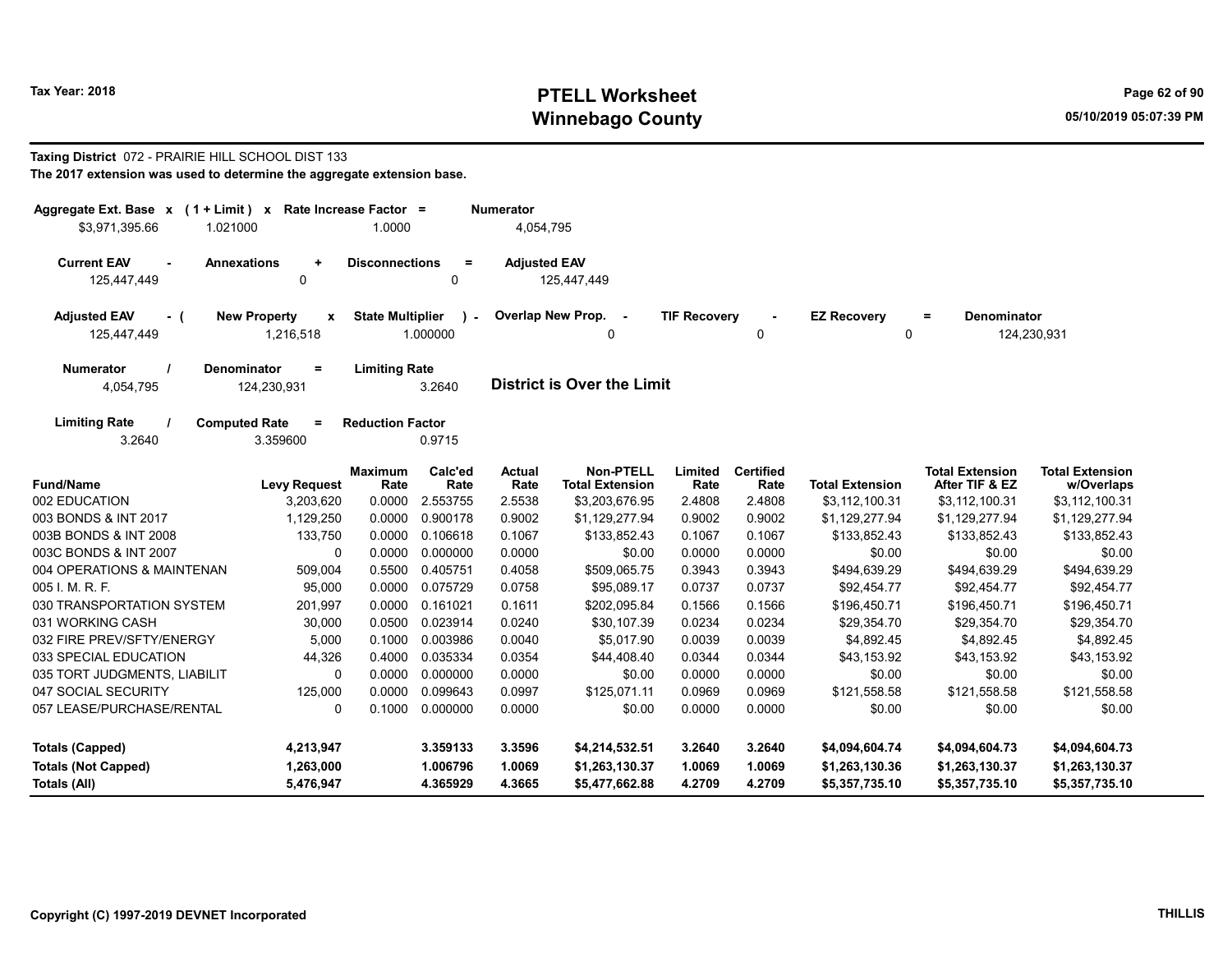# Tax Year: 2018 **PTELL Worksheet** Page 62 of 90 Winnebago County and the County of the County of the County of the County of the County of the County of the County of the County of the County of the County of the County of the County of the County of the County of the C

#### Taxing District 072 - PRAIRIE HILL SCHOOL DIST 133 The 2017 extension was used to determine the aggregate extension base.

| Aggregate Ext. Base x (1 + Limit) x Rate Increase Factor = |                                          |                         |                           | <b>Numerator</b>      |                                            |                     |                          |                         |                                          |                                      |
|------------------------------------------------------------|------------------------------------------|-------------------------|---------------------------|-----------------------|--------------------------------------------|---------------------|--------------------------|-------------------------|------------------------------------------|--------------------------------------|
| \$3,971,395.66<br>1.021000                                 |                                          | 1.0000                  |                           | 4,054,795             |                                            |                     |                          |                         |                                          |                                      |
| <b>Current EAV</b><br>$\blacksquare$<br>125,447,449        | <b>Annexations</b><br>$\ddot{}$<br>0     | <b>Disconnections</b>   | $=$<br>0                  | <b>Adjusted EAV</b>   | 125,447,449                                |                     |                          |                         |                                          |                                      |
| <b>Adjusted EAV</b><br>- (<br>125,447,449                  | <b>New Property</b><br>x<br>1,216,518    | <b>State Multiplier</b> | $\mathcal{L}$<br>1.000000 |                       | Overlap New Prop. -<br>0                   | <b>TIF Recovery</b> | 0                        | <b>EZ Recovery</b><br>0 | Denominator<br>Ξ                         | 124,230,931                          |
| <b>Numerator</b><br>4,054,795                              | <b>Denominator</b><br>$=$<br>124,230,931 | <b>Limiting Rate</b>    | 3.2640                    |                       | District is Over the Limit                 |                     |                          |                         |                                          |                                      |
| <b>Limiting Rate</b><br>3.2640                             | <b>Computed Rate</b><br>$=$<br>3.359600  | <b>Reduction Factor</b> | 0.9715                    |                       |                                            |                     |                          |                         |                                          |                                      |
| <b>Fund/Name</b>                                           | <b>Levy Request</b>                      | <b>Maximum</b><br>Rate  | Calc'ed<br>Rate           | <b>Actual</b><br>Rate | <b>Non-PTELL</b><br><b>Total Extension</b> | Limited<br>Rate     | <b>Certified</b><br>Rate | <b>Total Extension</b>  | <b>Total Extension</b><br>After TIF & EZ | <b>Total Extension</b><br>w/Overlaps |
| 002 EDUCATION                                              | 3,203,620                                | 0.0000                  | 2.553755                  | 2.5538                | \$3,203,676.95                             | 2.4808              | 2.4808                   | \$3,112,100.31          | \$3,112,100.31                           | \$3,112,100.31                       |
| 003 BONDS & INT 2017                                       | 1,129,250                                | 0.0000                  | 0.900178                  | 0.9002                | \$1,129,277.94                             | 0.9002              | 0.9002                   | \$1,129,277.94          | \$1,129,277.94                           | \$1,129,277.94                       |
| 003B BONDS & INT 2008                                      | 133,750                                  | 0.0000                  | 0.106618                  | 0.1067                | \$133,852.43                               | 0.1067              | 0.1067                   | \$133,852.43            | \$133,852.43                             | \$133,852.43                         |
| 003C BONDS & INT 2007                                      | 0                                        | 0.0000                  | 0.000000                  | 0.0000                | \$0.00                                     | 0.0000              | 0.0000                   | \$0.00                  | \$0.00                                   | \$0.00                               |
| 004 OPERATIONS & MAINTENAN                                 | 509,004                                  | 0.5500                  | 0.405751                  | 0.4058                | \$509,065.75                               | 0.3943              | 0.3943                   | \$494,639.29            | \$494,639.29                             | \$494,639.29                         |
| 005 I. M. R. F.                                            | 95,000                                   | 0.0000                  | 0.075729                  | 0.0758                | \$95,089.17                                | 0.0737              | 0.0737                   | \$92,454.77             | \$92,454.77                              | \$92,454.77                          |
| 030 TRANSPORTATION SYSTEM                                  | 201,997                                  | 0.0000                  | 0.161021                  | 0.1611                | \$202,095.84                               | 0.1566              | 0.1566                   | \$196,450.71            | \$196,450.71                             | \$196,450.71                         |
| 031 WORKING CASH                                           | 30,000                                   | 0.0500                  | 0.023914                  | 0.0240                | \$30,107.39                                | 0.0234              | 0.0234                   | \$29,354.70             | \$29,354.70                              | \$29,354.70                          |
| 032 FIRE PREV/SFTY/ENERGY                                  | 5,000                                    | 0.1000                  | 0.003986                  | 0.0040                | \$5,017.90                                 | 0.0039              | 0.0039                   | \$4,892.45              | \$4,892.45                               | \$4,892.45                           |
| 033 SPECIAL EDUCATION                                      | 44,326                                   | 0.4000                  | 0.035334                  | 0.0354                | \$44,408.40                                | 0.0344              | 0.0344                   | \$43,153.92             | \$43,153.92                              | \$43,153.92                          |
| 035 TORT JUDGMENTS, LIABILIT                               | $\mathbf 0$                              | 0.0000                  | 0.000000                  | 0.0000                | \$0.00                                     | 0.0000              | 0.0000                   | \$0.00                  | \$0.00                                   | \$0.00                               |
| 047 SOCIAL SECURITY                                        | 125,000                                  | 0.0000                  | 0.099643                  | 0.0997                | \$125,071.11                               | 0.0969              | 0.0969                   | \$121,558.58            | \$121,558.58                             | \$121,558.58                         |
| 057 LEASE/PURCHASE/RENTAL                                  | $\mathbf 0$                              | 0.1000                  | 0.000000                  | 0.0000                | \$0.00                                     | 0.0000              | 0.0000                   | \$0.00                  | \$0.00                                   | \$0.00                               |
| <b>Totals (Capped)</b>                                     | 4,213,947                                |                         | 3.359133                  | 3.3596                | \$4,214,532.51                             | 3.2640              | 3.2640                   | \$4,094,604.74          | \$4,094,604.73                           | \$4,094,604.73                       |
| <b>Totals (Not Capped)</b>                                 | 1,263,000                                |                         | 1.006796                  | 1.0069                | \$1,263,130.37                             | 1.0069              | 1.0069                   | \$1,263,130.36          | \$1,263,130.37                           | \$1,263,130.37                       |
| Totals (All)                                               | 5,476,947                                |                         | 4.365929                  | 4.3665                | \$5,477,662.88                             | 4.2709              | 4.2709                   | \$5,357,735.10          | \$5,357,735.10                           | \$5,357,735.10                       |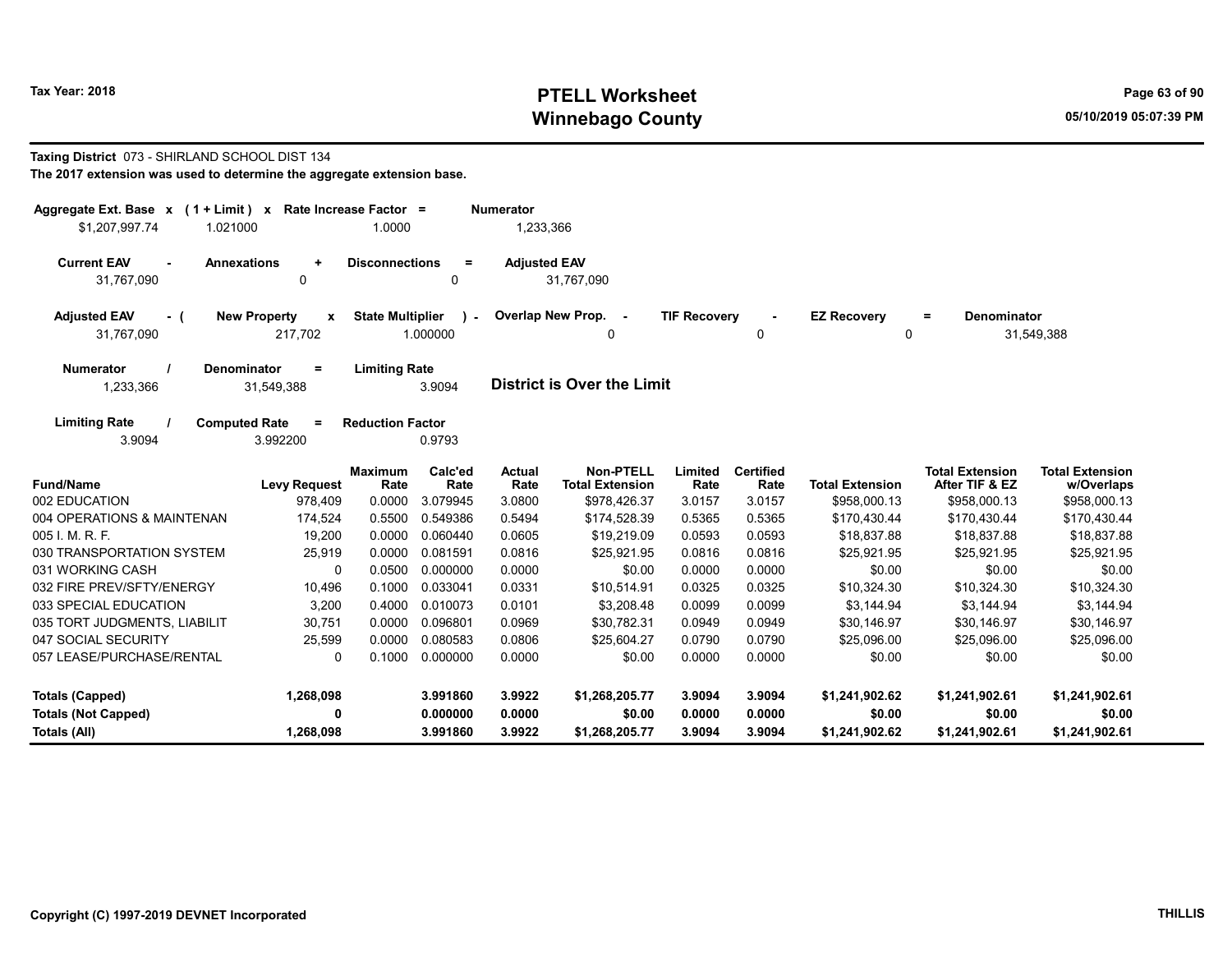# Tax Year: 2018 **PTELL Worksheet** Page 63 of 90 Winnebago County and the County of the County of the County of the County of the County of the County of the County of the County of the County of the County of the County of the County of the County of the County of the C

#### Taxing District 073 - SHIRLAND SCHOOL DIST 134 The 2017 extension was used to determine the aggregate extension base.

| Aggregate Ext. Base $x$ (1 + Limit) $x$<br>\$1,207,997.74<br>1.021000 |                                                | Rate Increase Factor =<br>1.0000 |                          | <b>Numerator</b><br>1,233,366 |                                            |                     |                          |                         |                                          |                                      |
|-----------------------------------------------------------------------|------------------------------------------------|----------------------------------|--------------------------|-------------------------------|--------------------------------------------|---------------------|--------------------------|-------------------------|------------------------------------------|--------------------------------------|
| <b>Current EAV</b><br>31,767,090                                      | <b>Annexations</b><br>$\ddot{}$<br>0           | <b>Disconnections</b>            | $\equiv$<br>0            | <b>Adjusted EAV</b>           | 31.767.090                                 |                     |                          |                         |                                          |                                      |
| <b>Adjusted EAV</b><br>- (<br>31,767,090                              | <b>New Property</b><br>$\mathbf{x}$<br>217,702 | <b>State Multiplier</b>          | $\mathbf{r}$<br>1.000000 |                               | Overlap New Prop. -<br>0                   | <b>TIF Recovery</b> | 0                        | <b>EZ Recovery</b><br>0 | <b>Denominator</b><br>$\equiv$           | 31,549,388                           |
| <b>Numerator</b><br>1,233,366                                         | <b>Denominator</b><br>$\equiv$<br>31,549,388   | <b>Limiting Rate</b>             | 3.9094                   |                               | <b>District is Over the Limit</b>          |                     |                          |                         |                                          |                                      |
| <b>Limiting Rate</b><br>3.9094                                        | <b>Computed Rate</b><br>$=$<br>3.992200        | <b>Reduction Factor</b>          | 0.9793                   |                               |                                            |                     |                          |                         |                                          |                                      |
| <b>Fund/Name</b>                                                      | <b>Levy Request</b>                            | <b>Maximum</b><br>Rate           | Calc'ed<br>Rate          | Actual<br>Rate                | <b>Non-PTELL</b><br><b>Total Extension</b> | Limited<br>Rate     | <b>Certified</b><br>Rate | <b>Total Extension</b>  | <b>Total Extension</b><br>After TIF & EZ | <b>Total Extension</b><br>w/Overlaps |
| 002 EDUCATION                                                         | 978,409                                        | 0.0000                           | 3.079945                 | 3.0800                        | \$978,426.37                               | 3.0157              | 3.0157                   | \$958,000.13            | \$958,000.13                             | \$958,000.13                         |
| 004 OPERATIONS & MAINTENAN                                            | 174,524                                        | 0.5500                           | 0.549386                 | 0.5494                        | \$174,528.39                               | 0.5365              | 0.5365                   | \$170,430.44            | \$170,430.44                             | \$170,430.44                         |
| 005 I. M. R. F.                                                       | 19,200                                         | 0.0000                           | 0.060440                 | 0.0605                        | \$19,219.09                                | 0.0593              | 0.0593                   | \$18,837.88             | \$18,837.88                              | \$18,837.88                          |
| 030 TRANSPORTATION SYSTEM                                             | 25,919                                         | 0.0000                           | 0.081591                 | 0.0816                        | \$25,921.95                                | 0.0816              | 0.0816                   | \$25,921.95             | \$25,921.95                              | \$25,921.95                          |
| 031 WORKING CASH                                                      | 0                                              | 0.0500                           | 0.000000                 | 0.0000                        | \$0.00                                     | 0.0000              | 0.0000                   | \$0.00                  | \$0.00                                   | \$0.00                               |
| 032 FIRE PREV/SFTY/ENERGY                                             | 10,496                                         | 0.1000                           | 0.033041                 | 0.0331                        | \$10,514.91                                | 0.0325              | 0.0325                   | \$10,324.30             | \$10,324.30                              | \$10,324.30                          |
| 033 SPECIAL EDUCATION                                                 | 3,200                                          | 0.4000                           | 0.010073                 | 0.0101                        | \$3,208.48                                 | 0.0099              | 0.0099                   | \$3,144.94              | \$3,144.94                               | \$3,144.94                           |
| 035 TORT JUDGMENTS, LIABILIT                                          | 30,751                                         | 0.0000                           | 0.096801                 | 0.0969                        | \$30,782.31                                | 0.0949              | 0.0949                   | \$30,146.97             | \$30,146.97                              | \$30,146.97                          |
| 047 SOCIAL SECURITY                                                   | 25,599                                         | 0.0000                           | 0.080583                 | 0.0806                        | \$25,604.27                                | 0.0790              | 0.0790                   | \$25,096.00             | \$25,096.00                              | \$25,096.00                          |
| 057 LEASE/PURCHASE/RENTAL                                             | $\mathbf{0}$                                   | 0.1000                           | 0.000000                 | 0.0000                        | \$0.00                                     | 0.0000              | 0.0000                   | \$0.00                  | \$0.00                                   | \$0.00                               |
| <b>Totals (Capped)</b>                                                | 1,268,098                                      |                                  | 3.991860                 | 3.9922                        | \$1,268,205.77                             | 3.9094              | 3.9094                   | \$1,241,902.62          | \$1,241,902.61                           | \$1,241,902.61                       |
| <b>Totals (Not Capped)</b>                                            | 0                                              |                                  | 0.000000                 | 0.0000                        | \$0.00                                     | 0.0000              | 0.0000                   | \$0.00                  | \$0.00                                   | \$0.00                               |
| Totals (All)                                                          | 1,268,098                                      |                                  | 3.991860                 | 3.9922                        | \$1,268,205.77                             | 3.9094              | 3.9094                   | \$1,241,902.62          | \$1.241.902.61                           | \$1.241.902.61                       |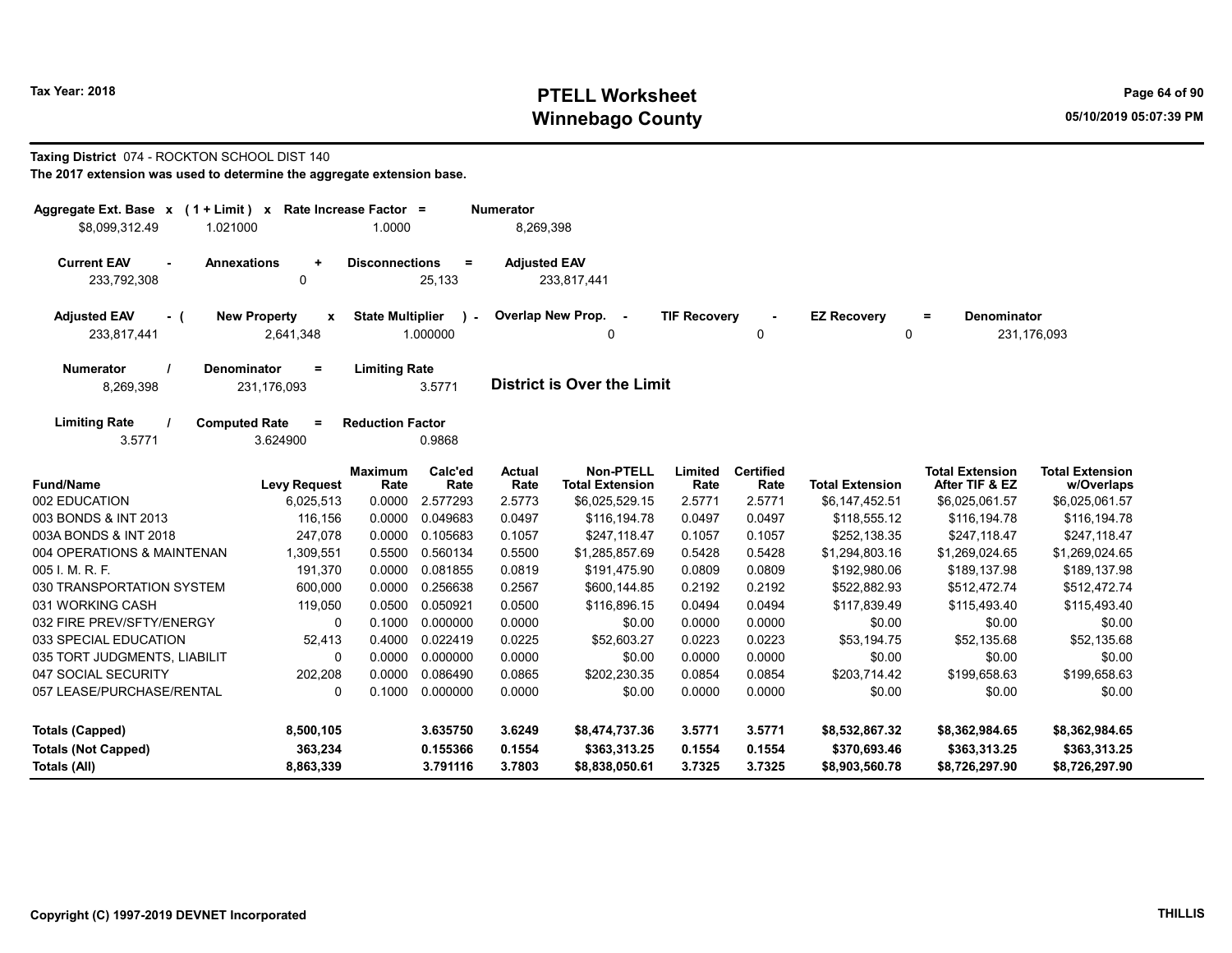# Tax Year: 2018 **PTELL Worksheet** Page 64 of 90 Winnebago County and the County of the County of the County of the County of the County of the County of the County of the County of the County of the County of the County of the County of the County of the County of the C

#### Taxing District 074 - ROCKTON SCHOOL DIST 140 The 2017 extension was used to determine the aggregate extension base.

| Aggregate Ext. Base $x$ (1 + Limit) x Rate Increase Factor =<br>\$8,099,312.49<br>1.021000 |                                                  | 1.0000                  |                          | <b>Numerator</b><br>8,269,398 |                                             |                     |                          |                         |                                          |                                      |
|--------------------------------------------------------------------------------------------|--------------------------------------------------|-------------------------|--------------------------|-------------------------------|---------------------------------------------|---------------------|--------------------------|-------------------------|------------------------------------------|--------------------------------------|
| <b>Current EAV</b><br>$\sim$<br>233.792.308                                                | <b>Annexations</b><br>$\ddot{}$<br>0             | <b>Disconnections</b>   | $=$<br>25.133            | <b>Adjusted EAV</b>           | 233,817,441                                 |                     |                          |                         |                                          |                                      |
| <b>Adjusted EAV</b><br>- (<br>233,817,441                                                  | <b>New Property</b><br>$\pmb{\chi}$<br>2,641,348 | <b>State Multiplier</b> | $\mathbf{r}$<br>1.000000 |                               | <b>Overlap New Prop.</b><br>$\sim$ $-$<br>0 | <b>TIF Recovery</b> | 0                        | <b>EZ Recovery</b><br>0 | Denominator<br>$=$                       | 231,176,093                          |
| <b>Numerator</b><br>8,269,398                                                              | Denominator<br>$=$<br>231,176,093                | <b>Limiting Rate</b>    | 3.5771                   |                               | <b>District is Over the Limit</b>           |                     |                          |                         |                                          |                                      |
| <b>Limiting Rate</b><br>3.5771                                                             | <b>Computed Rate</b><br>$=$<br>3.624900          | <b>Reduction Factor</b> | 0.9868                   |                               |                                             |                     |                          |                         |                                          |                                      |
| <b>Fund/Name</b>                                                                           | <b>Levy Request</b>                              | <b>Maximum</b><br>Rate  | Calc'ed<br>Rate          | <b>Actual</b><br>Rate         | <b>Non-PTELL</b><br><b>Total Extension</b>  | Limited<br>Rate     | <b>Certified</b><br>Rate | <b>Total Extension</b>  | <b>Total Extension</b><br>After TIF & EZ | <b>Total Extension</b><br>w/Overlaps |
| 002 EDUCATION                                                                              | 6,025,513                                        | 0.0000                  | 2.577293                 | 2.5773                        | \$6,025,529.15                              | 2.5771              | 2.5771                   | \$6,147,452.51          | \$6,025,061.57                           | \$6,025,061.57                       |
| 003 BONDS & INT 2013                                                                       | 116,156                                          | 0.0000                  | 0.049683                 | 0.0497                        | \$116.194.78                                | 0.0497              | 0.0497                   | \$118,555.12            | \$116.194.78                             | \$116,194.78                         |
| 003A BONDS & INT 2018                                                                      | 247,078                                          | 0.0000                  | 0.105683                 | 0.1057                        | \$247.118.47                                | 0.1057              | 0.1057                   | \$252.138.35            | \$247.118.47                             | \$247,118.47                         |
| 004 OPERATIONS & MAINTENAN                                                                 | 1,309,551                                        | 0.5500                  | 0.560134                 | 0.5500                        | \$1,285,857.69                              | 0.5428              | 0.5428                   | \$1,294,803.16          | \$1,269,024.65                           | \$1,269,024.65                       |
| 005 I. M. R. F.                                                                            | 191,370                                          | 0.0000                  | 0.081855                 | 0.0819                        | \$191,475.90                                | 0.0809              | 0.0809                   | \$192,980.06            | \$189,137.98                             | \$189,137.98                         |
| 030 TRANSPORTATION SYSTEM                                                                  | 600,000                                          | 0.0000                  | 0.256638                 | 0.2567                        | \$600,144.85                                | 0.2192              | 0.2192                   | \$522,882.93            | \$512,472.74                             | \$512,472.74                         |
| 031 WORKING CASH                                                                           | 119,050                                          | 0.0500                  | 0.050921                 | 0.0500                        | \$116,896.15                                | 0.0494              | 0.0494                   | \$117,839.49            | \$115,493.40                             | \$115,493.40                         |
| 032 FIRE PREV/SFTY/ENERGY                                                                  | 0                                                | 0.1000                  | 0.000000                 | 0.0000                        | \$0.00                                      | 0.0000              | 0.0000                   | \$0.00                  | \$0.00                                   | \$0.00                               |
| 033 SPECIAL EDUCATION                                                                      | 52,413                                           | 0.4000                  | 0.022419                 | 0.0225                        | \$52,603.27                                 | 0.0223              | 0.0223                   | \$53,194.75             | \$52,135.68                              | \$52,135.68                          |
| 035 TORT JUDGMENTS, LIABILIT                                                               | $\Omega$                                         | 0.0000                  | 0.000000                 | 0.0000                        | \$0.00                                      | 0.0000              | 0.0000                   | \$0.00                  | \$0.00                                   | \$0.00                               |
| 047 SOCIAL SECURITY                                                                        | 202,208                                          | 0.0000                  | 0.086490                 | 0.0865                        | \$202,230.35                                | 0.0854              | 0.0854                   | \$203,714.42            | \$199,658.63                             | \$199,658.63                         |
| 057 LEASE/PURCHASE/RENTAL                                                                  | 0                                                | 0.1000                  | 0.000000                 | 0.0000                        | \$0.00                                      | 0.0000              | 0.0000                   | \$0.00                  | \$0.00                                   | \$0.00                               |
| <b>Totals (Capped)</b>                                                                     | 8,500,105                                        |                         | 3.635750                 | 3.6249                        | \$8,474,737.36                              | 3.5771              | 3.5771                   | \$8,532,867.32          | \$8,362,984.65                           | \$8,362,984.65                       |
| <b>Totals (Not Capped)</b>                                                                 | 363,234                                          |                         | 0.155366                 | 0.1554                        | \$363,313.25                                | 0.1554              | 0.1554                   | \$370,693.46            | \$363,313.25                             | \$363,313.25                         |
| Totals (All)                                                                               | 8,863,339                                        |                         | 3.791116                 | 3.7803                        | \$8,838,050.61                              | 3.7325              | 3.7325                   | \$8,903,560.78          | \$8,726,297.90                           | \$8,726,297.90                       |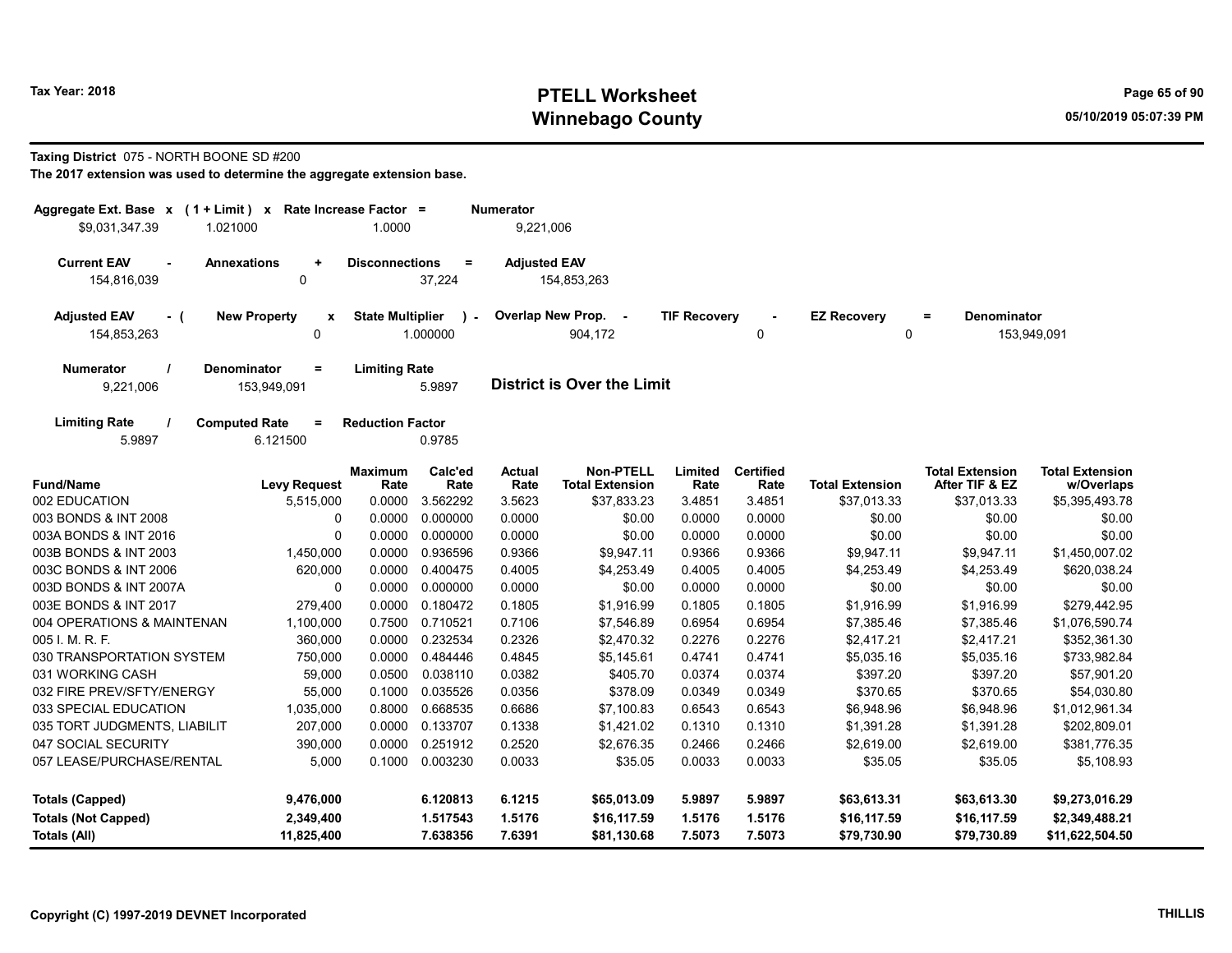# Tax Year: 2018 **PTELL Worksheet** Page 65 of 90 Winnebago County and the County of the County of the County of the County of the County of the County of the County of the County of the County of the County of the County of the County of the County of the County of the C

#### Taxing District 075 - NORTH BOONE SD #200

|                | $\equiv$<br>37,224                                                                                                                                                                                                                                                                                                                                 |                                                                                                                                                                                                                                                                                 |                                                                                                   |                                                                                                                                                                                              |                                                                                                                 |                                                                                                             |                                                                                                                    |                                                                                                                 |
|----------------|----------------------------------------------------------------------------------------------------------------------------------------------------------------------------------------------------------------------------------------------------------------------------------------------------------------------------------------------------|---------------------------------------------------------------------------------------------------------------------------------------------------------------------------------------------------------------------------------------------------------------------------------|---------------------------------------------------------------------------------------------------|----------------------------------------------------------------------------------------------------------------------------------------------------------------------------------------------|-----------------------------------------------------------------------------------------------------------------|-------------------------------------------------------------------------------------------------------------|--------------------------------------------------------------------------------------------------------------------|-----------------------------------------------------------------------------------------------------------------|
|                | $\lambda$<br>$\sim$                                                                                                                                                                                                                                                                                                                                |                                                                                                                                                                                                                                                                                 | 904,172                                                                                           |                                                                                                                                                                                              | 0                                                                                                               | <b>EZ Recovery</b>                                                                                          | <b>Denominator</b><br>$\equiv$                                                                                     | 153,949,091                                                                                                     |
|                | 5.9897                                                                                                                                                                                                                                                                                                                                             |                                                                                                                                                                                                                                                                                 |                                                                                                   |                                                                                                                                                                                              |                                                                                                                 |                                                                                                             |                                                                                                                    |                                                                                                                 |
|                | 0.9785                                                                                                                                                                                                                                                                                                                                             |                                                                                                                                                                                                                                                                                 |                                                                                                   |                                                                                                                                                                                              |                                                                                                                 |                                                                                                             |                                                                                                                    |                                                                                                                 |
| <b>Maximum</b> | Calc'ed                                                                                                                                                                                                                                                                                                                                            | <b>Actual</b>                                                                                                                                                                                                                                                                   | <b>Non-PTELL</b>                                                                                  | Limited                                                                                                                                                                                      | <b>Certified</b>                                                                                                |                                                                                                             | <b>Total Extension</b>                                                                                             | <b>Total Extension</b><br>w/Overlaps                                                                            |
| 0.0000         | 3.562292                                                                                                                                                                                                                                                                                                                                           | 3.5623                                                                                                                                                                                                                                                                          | \$37,833.23                                                                                       | 3.4851                                                                                                                                                                                       | 3.4851                                                                                                          | \$37,013.33                                                                                                 | \$37,013.33                                                                                                        | \$5,395,493.78                                                                                                  |
| 0.0000         | 0.000000                                                                                                                                                                                                                                                                                                                                           | 0.0000                                                                                                                                                                                                                                                                          | \$0.00                                                                                            | 0.0000                                                                                                                                                                                       | 0.0000                                                                                                          | \$0.00                                                                                                      | \$0.00                                                                                                             | \$0.00                                                                                                          |
| 0.0000         | 0.000000                                                                                                                                                                                                                                                                                                                                           | 0.0000                                                                                                                                                                                                                                                                          | \$0.00                                                                                            | 0.0000                                                                                                                                                                                       | 0.0000                                                                                                          | \$0.00                                                                                                      | \$0.00                                                                                                             | \$0.00                                                                                                          |
|                | 0.936596                                                                                                                                                                                                                                                                                                                                           | 0.9366                                                                                                                                                                                                                                                                          | \$9,947.11                                                                                        | 0.9366                                                                                                                                                                                       | 0.9366                                                                                                          | \$9,947.11                                                                                                  | \$9,947.11                                                                                                         | \$1,450,007.02                                                                                                  |
| 0.0000         | 0.400475                                                                                                                                                                                                                                                                                                                                           | 0.4005                                                                                                                                                                                                                                                                          | \$4,253.49                                                                                        | 0.4005                                                                                                                                                                                       | 0.4005                                                                                                          | \$4,253.49                                                                                                  | \$4,253.49                                                                                                         | \$620,038.24                                                                                                    |
| 0.0000         | 0.000000                                                                                                                                                                                                                                                                                                                                           | 0.0000                                                                                                                                                                                                                                                                          | \$0.00                                                                                            | 0.0000                                                                                                                                                                                       | 0.0000                                                                                                          | \$0.00                                                                                                      | \$0.00                                                                                                             | \$0.00                                                                                                          |
| 0.0000         | 0.180472                                                                                                                                                                                                                                                                                                                                           | 0.1805                                                                                                                                                                                                                                                                          | \$1,916.99                                                                                        | 0.1805                                                                                                                                                                                       | 0.1805                                                                                                          | \$1,916.99                                                                                                  | \$1,916.99                                                                                                         | \$279,442.95                                                                                                    |
|                | 0.710521                                                                                                                                                                                                                                                                                                                                           | 0.7106                                                                                                                                                                                                                                                                          | \$7,546.89                                                                                        | 0.6954                                                                                                                                                                                       | 0.6954                                                                                                          | \$7,385.46                                                                                                  | \$7,385.46                                                                                                         | \$1,076,590.74                                                                                                  |
|                | 0.232534                                                                                                                                                                                                                                                                                                                                           | 0.2326                                                                                                                                                                                                                                                                          | \$2,470.32                                                                                        | 0.2276                                                                                                                                                                                       | 0.2276                                                                                                          | \$2,417.21                                                                                                  | \$2,417.21                                                                                                         | \$352,361.30                                                                                                    |
|                |                                                                                                                                                                                                                                                                                                                                                    |                                                                                                                                                                                                                                                                                 | \$5,145.61                                                                                        | 0.4741                                                                                                                                                                                       |                                                                                                                 | \$5,035.16                                                                                                  | \$5,035.16                                                                                                         | \$733,982.84                                                                                                    |
|                |                                                                                                                                                                                                                                                                                                                                                    |                                                                                                                                                                                                                                                                                 |                                                                                                   |                                                                                                                                                                                              |                                                                                                                 |                                                                                                             |                                                                                                                    | \$57,901.20                                                                                                     |
|                |                                                                                                                                                                                                                                                                                                                                                    |                                                                                                                                                                                                                                                                                 |                                                                                                   |                                                                                                                                                                                              |                                                                                                                 |                                                                                                             |                                                                                                                    | \$54,030.80                                                                                                     |
|                |                                                                                                                                                                                                                                                                                                                                                    |                                                                                                                                                                                                                                                                                 |                                                                                                   |                                                                                                                                                                                              |                                                                                                                 |                                                                                                             |                                                                                                                    | \$1,012,961.34                                                                                                  |
|                |                                                                                                                                                                                                                                                                                                                                                    |                                                                                                                                                                                                                                                                                 |                                                                                                   |                                                                                                                                                                                              |                                                                                                                 |                                                                                                             |                                                                                                                    | \$202,809.01                                                                                                    |
|                |                                                                                                                                                                                                                                                                                                                                                    |                                                                                                                                                                                                                                                                                 |                                                                                                   |                                                                                                                                                                                              |                                                                                                                 |                                                                                                             |                                                                                                                    | \$381,776.35                                                                                                    |
|                |                                                                                                                                                                                                                                                                                                                                                    |                                                                                                                                                                                                                                                                                 |                                                                                                   |                                                                                                                                                                                              |                                                                                                                 |                                                                                                             |                                                                                                                    | \$5,108.93                                                                                                      |
|                | 6.120813                                                                                                                                                                                                                                                                                                                                           | 6.1215                                                                                                                                                                                                                                                                          | \$65,013.09                                                                                       | 5.9897                                                                                                                                                                                       | 5.9897                                                                                                          | \$63,613.31                                                                                                 | \$63,613.30                                                                                                        | \$9,273,016.29                                                                                                  |
|                | 1.517543                                                                                                                                                                                                                                                                                                                                           | 1.5176                                                                                                                                                                                                                                                                          | \$16,117.59                                                                                       | 1.5176                                                                                                                                                                                       | 1.5176                                                                                                          | \$16,117.59                                                                                                 | \$16,117.59                                                                                                        | \$2,349,488.21<br>\$11,622,504.50                                                                               |
|                | $\pmb{\mathsf{x}}$<br><b>Levy Request</b><br>Rate<br>5,515,000<br>0<br>$\Omega$<br>0.0000<br>1,450,000<br>620,000<br>0<br>279,400<br>1,100,000<br>0.7500<br>360,000<br>0.0000<br>750,000<br>0.0500<br>59,000<br>55,000<br>0.1000<br>0.8000<br>1,035,000<br>0.0000<br>207,000<br>0.0000<br>390,000<br>5.000<br>9,476,000<br>2,349,400<br>11,825,400 | Rate Increase Factor =<br>1.0000<br><b>Disconnections</b><br><b>State Multiplier</b><br>1.000000<br><b>Limiting Rate</b><br><b>Reduction Factor</b><br>Rate<br>0.0000<br>0.484446<br>0.038110<br>0.035526<br>0.668535<br>0.133707<br>0.251912<br>0.1000<br>0.003230<br>7.638356 | Numerator<br>Rate<br>0.4845<br>0.0382<br>0.0356<br>0.6686<br>0.1338<br>0.2520<br>0.0033<br>7.6391 | 9,221,006<br><b>Adjusted EAV</b><br>154,853,263<br>Overlap New Prop. -<br><b>Total Extension</b><br>\$405.70<br>\$378.09<br>\$7,100.83<br>\$1,421.02<br>\$2,676.35<br>\$35.05<br>\$81,130.68 | <b>District is Over the Limit</b><br>Rate<br>0.0374<br>0.0349<br>0.6543<br>0.1310<br>0.2466<br>0.0033<br>7.5073 | <b>TIF Recovery</b><br>Rate<br>0.4741<br>0.0374<br>0.0349<br>0.6543<br>0.1310<br>0.2466<br>0.0033<br>7.5073 | <b>Total Extension</b><br>\$397.20<br>\$370.65<br>\$6,948.96<br>\$1,391.28<br>\$2,619.00<br>\$35.05<br>\$79,730.90 | 0<br>After TIF & EZ<br>\$397.20<br>\$370.65<br>\$6,948.96<br>\$1,391.28<br>\$2,619.00<br>\$35.05<br>\$79,730.89 |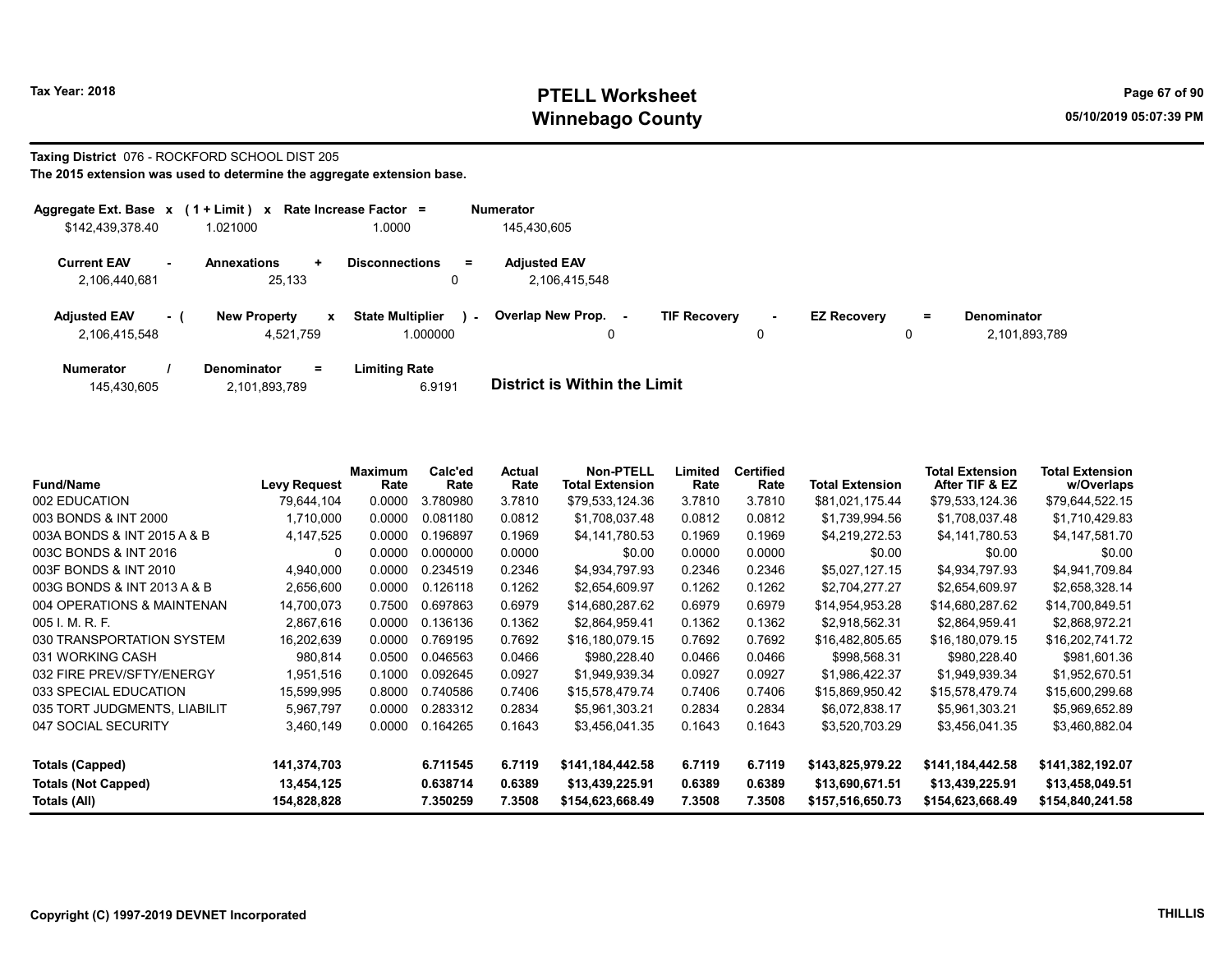# Tax Year: 2018 **PTELL Worksheet** Page 67 of 90 Winnebago County and the County of the County of the County of the County of the County of the County of the County of the County of the County of the County of the County of the County of the County of the County of the C

#### Taxing District 076 - ROCKFORD SCHOOL DIST 205 The 2015 extension was used to determine the aggregate extension base.

| Aggregate Ext. Base $x$ (1 + Limit) $x$ |      |                                       | Rate Increase Factor =                        | <b>Numerator</b>                     |                                    |                    |     |                                     |
|-----------------------------------------|------|---------------------------------------|-----------------------------------------------|--------------------------------------|------------------------------------|--------------------|-----|-------------------------------------|
| \$142,439,378.40                        |      | 1.021000                              | 1.0000                                        | 145.430.605                          |                                    |                    |     |                                     |
| <b>Current EAV</b><br>2,106,440,681     |      | <b>Annexations</b><br>÷<br>25.133     | <b>Disconnections</b><br>$\equiv$             | <b>Adjusted EAV</b><br>2,106,415,548 |                                    |                    |     |                                     |
| <b>Adjusted EAV</b><br>2.106.415.548    | $-1$ | <b>New Property</b><br>x<br>4.521.759 | <b>State Multiplier</b><br>$\sim$<br>1.000000 | Overlap New Prop.                    | <b>TIF Recovery</b><br>$\sim$<br>0 | <b>EZ Recovery</b> | $=$ | <b>Denominator</b><br>2,101,893,789 |
| <b>Numerator</b>                        |      | Denominator<br>$\equiv$               | <b>Limiting Rate</b>                          |                                      |                                    |                    |     |                                     |

| 145,430,605 | 2,101,893,789 | 6.9191 | <b>District is Within the Limit</b> |
|-------------|---------------|--------|-------------------------------------|

| <b>Fund/Name</b>             | <b>Levy Request</b> | Maximum<br>Rate | Calc'ed<br>Rate | Actual<br>Rate | <b>Non-PTELL</b><br><b>Total Extension</b> | Limited<br>Rate | <b>Certified</b><br>Rate | <b>Total Extension</b> | <b>Total Extension</b><br>After TIF & EZ | Total Extension<br>w/Overlaps |
|------------------------------|---------------------|-----------------|-----------------|----------------|--------------------------------------------|-----------------|--------------------------|------------------------|------------------------------------------|-------------------------------|
| 002 EDUCATION                | 79.644.104          | 0.0000          | 3.780980        | 3.7810         | \$79,533,124.36                            | 3.7810          | 3.7810                   | \$81,021,175.44        | \$79,533,124.36                          | \$79,644,522.15               |
| 003 BONDS & INT 2000         | 1,710,000           | 0.0000          | 0.081180        | 0.0812         | \$1,708,037.48                             | 0.0812          | 0.0812                   | \$1,739,994.56         | \$1,708,037.48                           | \$1,710,429.83                |
| 003A BONDS & INT 2015 A & B  | 4,147,525           | 0.0000          | 0.196897        | 0.1969         | \$4.141.780.53                             | 0.1969          | 0.1969                   | \$4,219,272.53         | \$4,141,780.53                           | \$4,147,581.70                |
| 003C BONDS & INT 2016        | 0                   | 0.0000          | 0.000000        | 0.0000         | \$0.00                                     | 0.0000          | 0.0000                   | \$0.00                 | \$0.00                                   | \$0.00                        |
| 003F BONDS & INT 2010        | 4,940,000           | 0.0000          | 0.234519        | 0.2346         | \$4,934,797.93                             | 0.2346          | 0.2346                   | \$5,027,127.15         | \$4,934,797.93                           | \$4,941,709.84                |
| 003G BONDS & INT 2013 A & B  | 2,656,600           | 0.0000          | 0.126118        | 0.1262         | \$2,654,609.97                             | 0.1262          | 0.1262                   | \$2,704,277.27         | \$2,654,609.97                           | \$2,658,328.14                |
| 004 OPERATIONS & MAINTENAN   | 14,700,073          | 0.7500          | 0.697863        | 0.6979         | \$14,680,287.62                            | 0.6979          | 0.6979                   | \$14,954,953.28        | \$14,680,287.62                          | \$14,700,849.51               |
| 005 I. M. R. F.              | 2,867,616           | 0.0000          | 0.136136        | 0.1362         | \$2,864,959.41                             | 0.1362          | 0.1362                   | \$2,918,562.31         | \$2,864,959.41                           | \$2,868,972.21                |
| 030 TRANSPORTATION SYSTEM    | 16,202,639          | 0.0000          | 0.769195        | 0.7692         | \$16,180,079.15                            | 0.7692          | 0.7692                   | \$16,482,805.65        | \$16,180,079.15                          | \$16,202,741.72               |
| 031 WORKING CASH             | 980,814             | 0.0500          | 0.046563        | 0.0466         | \$980,228.40                               | 0.0466          | 0.0466                   | \$998,568.31           | \$980,228.40                             | \$981,601.36                  |
| 032 FIRE PREV/SFTY/ENERGY    | 1,951,516           | 0.1000          | 0.092645        | 0.0927         | \$1,949,939.34                             | 0.0927          | 0.0927                   | \$1,986,422.37         | \$1,949,939.34                           | \$1,952,670.51                |
| 033 SPECIAL EDUCATION        | 15,599,995          | 0.8000          | 0.740586        | 0.7406         | \$15.578.479.74                            | 0.7406          | 0.7406                   | \$15,869,950.42        | \$15,578,479.74                          | \$15,600,299.68               |
| 035 TORT JUDGMENTS, LIABILIT | 5,967,797           | 0.0000          | 0.283312        | 0.2834         | \$5,961,303.21                             | 0.2834          | 0.2834                   | \$6,072,838.17         | \$5,961,303.21                           | \$5,969,652.89                |
| 047 SOCIAL SECURITY          | 3,460,149           | 0.0000          | 0.164265        | 0.1643         | \$3,456,041.35                             | 0.1643          | 0.1643                   | \$3,520,703.29         | \$3,456,041.35                           | \$3,460,882.04                |
| Totals (Capped)              | 141,374,703         |                 | 6.711545        | 6.7119         | \$141,184,442.58                           | 6.7119          | 6.7119                   | \$143,825,979.22       | \$141,184,442.58                         | \$141,382,192.07              |
| <b>Totals (Not Capped)</b>   | 13,454,125          |                 | 0.638714        | 0.6389         | \$13,439,225.91                            | 0.6389          | 0.6389                   | \$13,690,671.51        | \$13,439,225.91                          | \$13,458,049.51               |
| Totals (All)                 | 154,828,828         |                 | 7.350259        | 7.3508         | \$154,623,668.49                           | 7.3508          | 7.3508                   | \$157,516,650.73       | \$154,623,668.49                         | \$154,840,241.58              |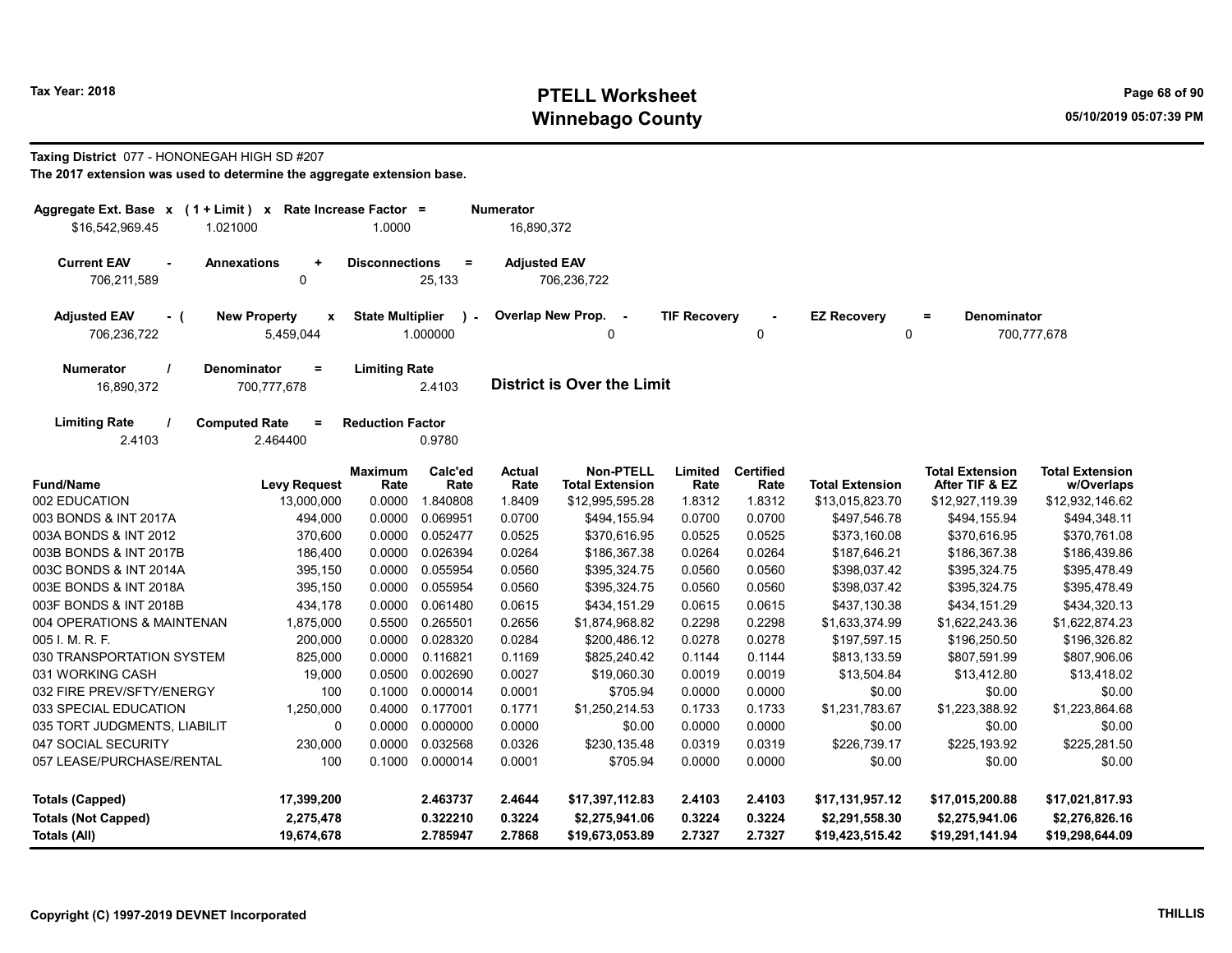# Tax Year: 2018 **PTELL Worksheet** Page 68 of 90 Winnebago County and the County of the County of the County of the County of the County of the County of the County of the County of the County of the County of the County of the County of the County of the County of the C

#### Taxing District 077 - HONONEGAH HIGH SD #207

| Aggregate Ext. Base x (1 + Limit) x Rate Increase Factor = |                                         |                         |                           | <b>Numerator</b>      |                                            |                     |                          |                                   |                                          |                                      |
|------------------------------------------------------------|-----------------------------------------|-------------------------|---------------------------|-----------------------|--------------------------------------------|---------------------|--------------------------|-----------------------------------|------------------------------------------|--------------------------------------|
| \$16.542.969.45<br>1.021000                                |                                         | 1.0000                  |                           | 16,890,372            |                                            |                     |                          |                                   |                                          |                                      |
| <b>Current EAV</b><br>$\blacksquare$<br>706,211,589        | <b>Annexations</b><br>$\ddot{}$<br>0    | <b>Disconnections</b>   | $\equiv$<br>25,133        | <b>Adjusted EAV</b>   | 706,236,722                                |                     |                          |                                   |                                          |                                      |
| <b>Adjusted EAV</b><br>- (<br>706,236,722                  | <b>New Property</b><br>x<br>5,459,044   | <b>State Multiplier</b> | $\mathcal{L}$<br>1.000000 | Overlap New Prop.     | $\sim$ $-$<br>O                            | <b>TIF Recovery</b> | $\Omega$                 | <b>EZ Recovery</b><br>0           | <b>Denominator</b><br>$\equiv$           | 700,777,678                          |
| <b>Numerator</b><br>16,890,372                             | Denominator<br>$\equiv$<br>700,777,678  | <b>Limiting Rate</b>    | 2.4103                    |                       | <b>District is Over the Limit</b>          |                     |                          |                                   |                                          |                                      |
| <b>Limiting Rate</b><br>2.4103                             | <b>Computed Rate</b><br>$=$<br>2.464400 | <b>Reduction Factor</b> | 0.9780                    |                       |                                            |                     |                          |                                   |                                          |                                      |
| <b>Fund/Name</b>                                           | <b>Levy Request</b>                     | <b>Maximum</b><br>Rate  | Calc'ed<br>Rate           | <b>Actual</b><br>Rate | <b>Non-PTELL</b><br><b>Total Extension</b> | Limited<br>Rate     | <b>Certified</b><br>Rate | <b>Total Extension</b>            | <b>Total Extension</b><br>After TIF & EZ | <b>Total Extension</b><br>w/Overlaps |
| 002 EDUCATION                                              | 13,000,000                              | 0.0000                  | 1.840808                  | 1.8409                | \$12,995,595.28                            | 1.8312              | 1.8312                   | \$13,015,823.70                   | \$12,927,119.39                          | \$12,932,146.62                      |
| 003 BONDS & INT 2017A                                      | 494,000                                 | 0.0000                  | 0.069951                  | 0.0700                | \$494,155.94                               | 0.0700              | 0.0700                   | \$497,546.78                      | \$494,155.94                             | \$494,348.11                         |
| 003A BONDS & INT 2012                                      | 370,600                                 | 0.0000                  | 0.052477                  | 0.0525                | \$370.616.95                               | 0.0525              | 0.0525                   | \$373,160.08                      | \$370,616.95                             | \$370,761.08                         |
| 003B BONDS & INT 2017B                                     | 186,400                                 | 0.0000                  | 0.026394                  | 0.0264                | \$186,367.38                               | 0.0264              | 0.0264                   | \$187,646.21                      | \$186,367.38                             | \$186,439.86                         |
| 003C BONDS & INT 2014A                                     | 395,150                                 | 0.0000                  | 0.055954                  | 0.0560                | \$395,324.75                               | 0.0560              | 0.0560                   | \$398,037.42                      | \$395,324.75                             | \$395,478.49                         |
| 003E BONDS & INT 2018A                                     | 395,150                                 | 0.0000                  | 0.055954                  | 0.0560                | \$395,324.75                               | 0.0560              | 0.0560                   | \$398,037.42                      | \$395,324.75                             | \$395,478.49                         |
| 003F BONDS & INT 2018B                                     | 434,178                                 | 0.0000                  | 0.061480                  | 0.0615                | \$434,151.29                               | 0.0615              | 0.0615                   | \$437,130.38                      | \$434,151.29                             | \$434,320.13                         |
| 004 OPERATIONS & MAINTENAN                                 | 1,875,000                               | 0.5500                  | 0.265501                  | 0.2656                | \$1,874,968.82                             | 0.2298              | 0.2298                   | \$1,633,374.99                    | \$1,622,243.36                           | \$1,622,874.23                       |
| 005 I. M. R. F.                                            | 200,000                                 | 0.0000                  | 0.028320                  | 0.0284                | \$200,486.12                               | 0.0278              | 0.0278                   | \$197,597.15                      | \$196,250.50                             | \$196,326.82                         |
| 030 TRANSPORTATION SYSTEM                                  | 825,000                                 | 0.0000                  | 0.116821                  | 0.1169                | \$825,240.42                               | 0.1144              | 0.1144                   | \$813,133.59                      | \$807,591.99                             | \$807,906.06                         |
| 031 WORKING CASH                                           | 19,000                                  | 0.0500                  | 0.002690                  | 0.0027                | \$19,060.30                                | 0.0019              | 0.0019                   | \$13,504.84                       | \$13,412.80                              | \$13,418.02                          |
| 032 FIRE PREV/SFTY/ENERGY                                  | 100                                     | 0.1000                  | 0.000014                  | 0.0001                | \$705.94                                   | 0.0000              | 0.0000                   | \$0.00                            | \$0.00                                   | \$0.00                               |
| 033 SPECIAL EDUCATION                                      | 1,250,000                               |                         | 0.4000 0.177001           | 0.1771                | \$1,250,214.53                             | 0.1733              | 0.1733                   | \$1,231,783.67                    | \$1,223,388.92                           | \$1,223,864.68                       |
| 035 TORT JUDGMENTS, LIABILIT                               | 0                                       | 0.0000                  | 0.000000                  | 0.0000                | \$0.00                                     | 0.0000              | 0.0000                   | \$0.00                            | \$0.00                                   | \$0.00                               |
| 047 SOCIAL SECURITY                                        | 230,000                                 | 0.0000                  | 0.032568                  | 0.0326                | \$230,135.48                               | 0.0319              | 0.0319                   | \$226,739.17                      | \$225,193.92                             | \$225,281.50                         |
| 057 LEASE/PURCHASE/RENTAL                                  | 100                                     | 0.1000                  | 0.000014                  | 0.0001                | \$705.94                                   | 0.0000              | 0.0000                   | \$0.00                            | \$0.00                                   | \$0.00                               |
| <b>Totals (Capped)</b>                                     | 17,399,200                              |                         | 2.463737                  | 2.4644                | \$17,397,112.83                            | 2.4103              | 2.4103                   | \$17,131,957.12                   | \$17,015,200.88                          | \$17,021,817.93                      |
| <b>Totals (Not Capped)</b><br><b>Totals (All)</b>          | 2,275,478<br>19,674,678                 |                         | 0.322210<br>2.785947      | 0.3224<br>2.7868      | \$2,275,941.06<br>\$19,673,053.89          | 0.3224<br>2.7327    | 0.3224<br>2.7327         | \$2,291,558.30<br>\$19,423,515.42 | \$2,275,941.06<br>\$19,291,141.94        | \$2,276,826.16<br>\$19,298,644.09    |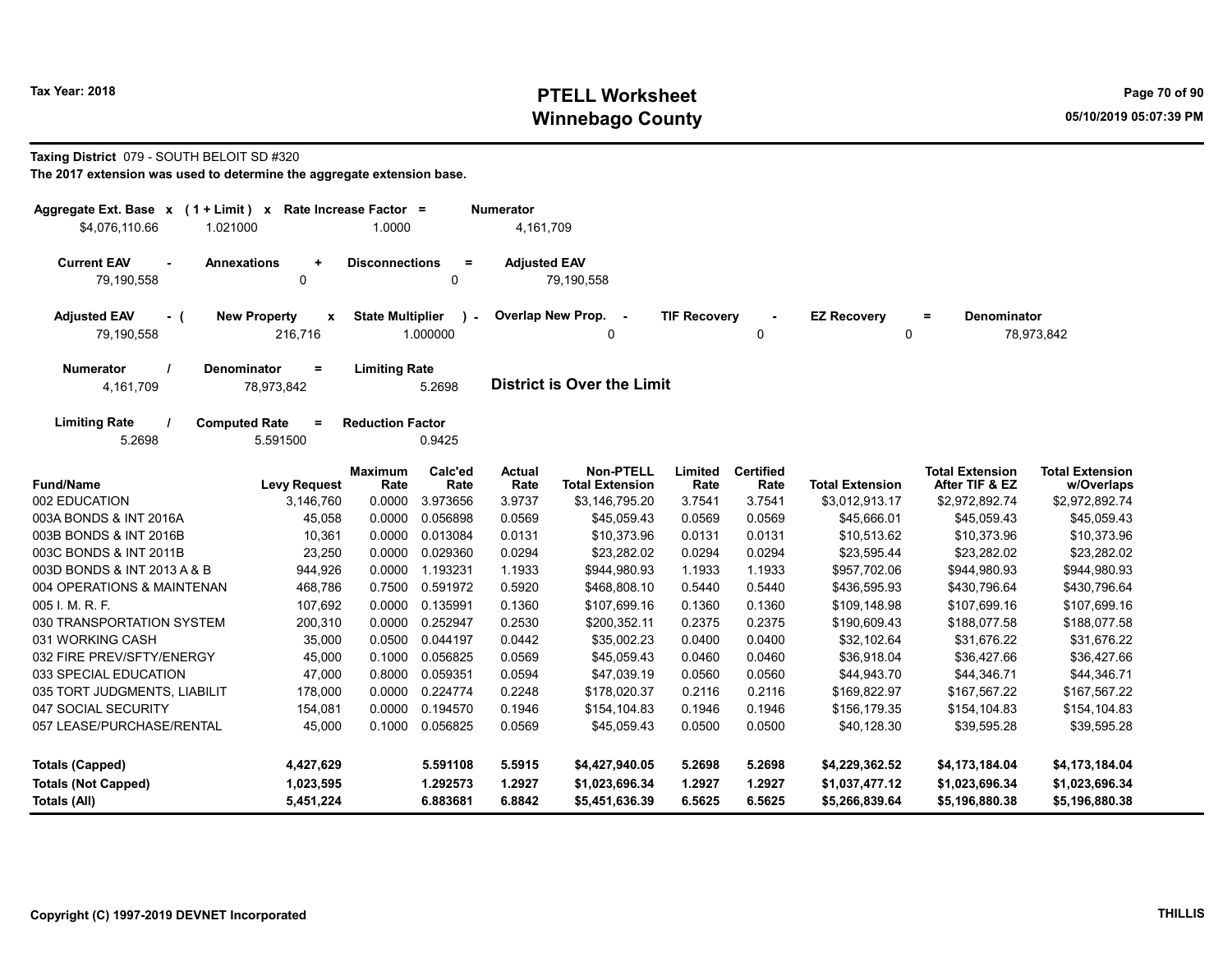# Tax Year: 2018 **PTELL Worksheet** Page 70 of 90 Winnebago County and the County of the County of the County of the County of the County of the County of the County of the County of the County of the County of the County of the County of the County of the County of the C

#### Taxing District 079 - SOUTH BELOIT SD #320

| Aggregate Ext. Base x (1 + Limit) x Rate Increase Factor =<br>\$4.076.110.66<br>1.021000 |                                              | 1.0000                  |                 | <b>Numerator</b><br>4,161,709 |                                            |                     |                          |                                |                                          |                                      |
|------------------------------------------------------------------------------------------|----------------------------------------------|-------------------------|-----------------|-------------------------------|--------------------------------------------|---------------------|--------------------------|--------------------------------|------------------------------------------|--------------------------------------|
| <b>Current EAV</b><br>79,190,558                                                         | <b>Annexations</b><br>$\ddot{}$<br>0         | <b>Disconnections</b>   | $\equiv$<br>0   | <b>Adjusted EAV</b>           | 79,190,558                                 |                     |                          |                                |                                          |                                      |
| <b>Adjusted EAV</b><br>- (<br>79,190,558                                                 | <b>New Property</b><br>X<br>216,716          | <b>State Multiplier</b> | 1.000000        |                               | Overlap New Prop. -<br>0                   | <b>TIF Recovery</b> | $\Omega$                 | <b>EZ Recovery</b><br>$\Omega$ | <b>Denominator</b><br>$\equiv$           | 78,973,842                           |
| <b>Numerator</b><br>4,161,709                                                            | <b>Denominator</b><br>$\equiv$<br>78,973,842 | <b>Limiting Rate</b>    | 5.2698          |                               | <b>District is Over the Limit</b>          |                     |                          |                                |                                          |                                      |
| <b>Limiting Rate</b><br>5.2698                                                           | <b>Computed Rate</b><br>$=$<br>5.591500      | <b>Reduction Factor</b> | 0.9425          |                               |                                            |                     |                          |                                |                                          |                                      |
| <b>Fund/Name</b>                                                                         | <b>Levy Request</b>                          | <b>Maximum</b><br>Rate  | Calc'ed<br>Rate | <b>Actual</b><br>Rate         | <b>Non-PTELL</b><br><b>Total Extension</b> | Limited<br>Rate     | <b>Certified</b><br>Rate | <b>Total Extension</b>         | <b>Total Extension</b><br>After TIF & EZ | <b>Total Extension</b><br>w/Overlaps |
| 002 EDUCATION                                                                            | 3,146,760                                    | 0.0000                  | 3.973656        | 3.9737                        | \$3,146,795.20                             | 3.7541              | 3.7541                   | \$3,012,913.17                 | \$2,972,892.74                           | \$2,972,892.74                       |
| 003A BONDS & INT 2016A                                                                   | 45,058                                       | 0.0000                  | 0.056898        | 0.0569                        | \$45.059.43                                | 0.0569              | 0.0569                   | \$45,666.01                    | \$45,059.43                              | \$45,059.43                          |
| 003B BONDS & INT 2016B                                                                   | 10,361                                       | 0.0000                  | 0.013084        | 0.0131                        | \$10,373.96                                | 0.0131              | 0.0131                   | \$10,513.62                    | \$10,373.96                              | \$10,373.96                          |
| 003C BONDS & INT 2011B                                                                   | 23,250                                       | 0.0000                  | 0.029360        | 0.0294                        | \$23,282.02                                | 0.0294              | 0.0294                   | \$23,595.44                    | \$23,282.02                              | \$23,282.02                          |
| 003D BONDS & INT 2013 A & B                                                              | 944,926                                      | 0.0000                  | 1.193231        | 1.1933                        | \$944,980.93                               | 1.1933              | 1.1933                   | \$957,702.06                   | \$944,980.93                             | \$944,980.93                         |
| 004 OPERATIONS & MAINTENAN                                                               | 468,786                                      | 0.7500                  | 0.591972        | 0.5920                        | \$468,808.10                               | 0.5440              | 0.5440                   | \$436,595.93                   | \$430,796.64                             | \$430,796.64                         |
| 005 I. M. R. F.                                                                          | 107,692                                      | 0.0000                  | 0.135991        | 0.1360                        | \$107,699.16                               | 0.1360              | 0.1360                   | \$109,148.98                   | \$107,699.16                             | \$107,699.16                         |
| 030 TRANSPORTATION SYSTEM                                                                | 200,310                                      | 0.0000                  | 0.252947        | 0.2530                        | \$200,352.11                               | 0.2375              | 0.2375                   | \$190,609.43                   | \$188,077.58                             | \$188,077.58                         |
| 031 WORKING CASH                                                                         | 35,000                                       | 0.0500                  | 0.044197        | 0.0442                        | \$35,002.23                                | 0.0400              | 0.0400                   | \$32,102.64                    | \$31,676.22                              | \$31,676.22                          |
| 032 FIRE PREV/SFTY/ENERGY                                                                | 45,000                                       | 0.1000                  | 0.056825        | 0.0569                        | \$45,059.43                                | 0.0460              | 0.0460                   | \$36,918.04                    | \$36,427.66                              | \$36,427.66                          |
| 033 SPECIAL EDUCATION                                                                    | 47,000                                       | 0.8000                  | 0.059351        | 0.0594                        | \$47.039.19                                | 0.0560              | 0.0560                   | \$44,943.70                    | \$44.346.71                              | \$44,346.71                          |
| 035 TORT JUDGMENTS, LIABILIT                                                             | 178,000                                      | 0.0000                  | 0.224774        | 0.2248                        | \$178,020.37                               | 0.2116              | 0.2116                   | \$169,822.97                   | \$167,567.22                             | \$167,567.22                         |
| 047 SOCIAL SECURITY                                                                      | 154,081                                      | 0.0000                  | 0.194570        | 0.1946                        | \$154,104.83                               | 0.1946              | 0.1946                   | \$156,179.35                   | \$154,104.83                             | \$154,104.83                         |
| 057 LEASE/PURCHASE/RENTAL                                                                | 45,000                                       | 0.1000                  | 0.056825        | 0.0569                        | \$45,059.43                                | 0.0500              | 0.0500                   | \$40,128.30                    | \$39,595.28                              | \$39,595.28                          |
| <b>Totals (Capped)</b>                                                                   | 4,427,629                                    |                         | 5.591108        | 5.5915                        | \$4,427,940.05                             | 5.2698              | 5.2698                   | \$4,229,362.52                 | \$4,173,184.04                           | \$4,173,184.04                       |
| <b>Totals (Not Capped)</b>                                                               | 1,023,595                                    |                         | 1.292573        | 1.2927                        | \$1,023,696.34                             | 1.2927              | 1.2927                   | \$1,037,477.12                 | \$1,023,696.34                           | \$1,023,696.34                       |
| Totals (All)                                                                             | 5,451,224                                    |                         | 6.883681        | 6.8842                        | \$5,451,636.39                             | 6.5625              | 6.5625                   | \$5,266,839.64                 | \$5,196,880.38                           | \$5,196,880.38                       |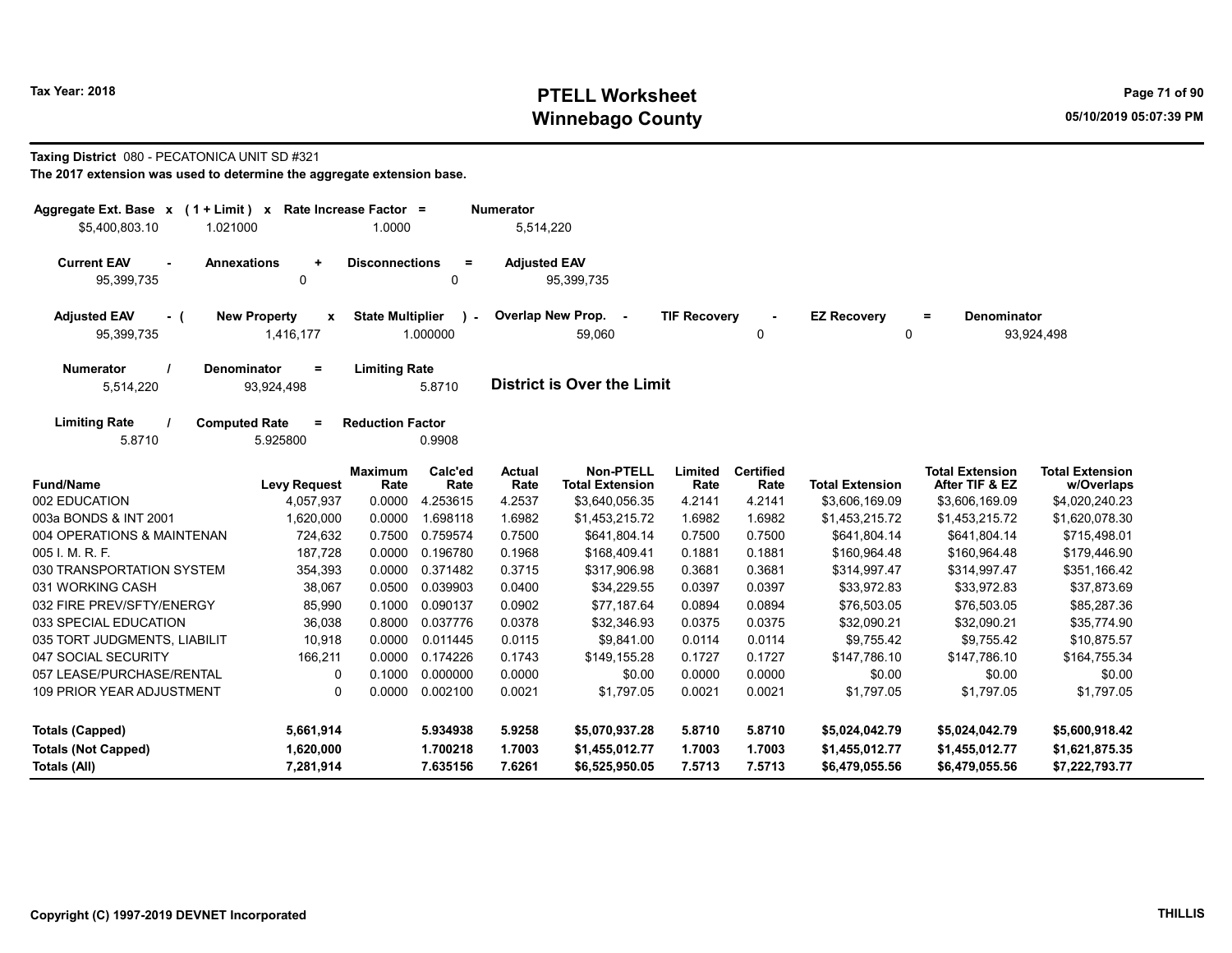# Tax Year: 2018 **PTELL Worksheet** Page 71 of 90 Winnebago County and the County of the County of the County of the County of the County of the County of the County of the County of the County of the County of the County of the County of the County of the County of the C

#### Taxing District 080 - PECATONICA UNIT SD #321

| Rate Increase Factor =<br>Aggregate Ext. Base $x$ (1 + Limit) $x$<br><b>Numerator</b><br>\$5,400,803.10<br>1.021000<br>1.0000<br>5,514,220 |                                                  |                         |                    |                       |                                            |                     |                          |                                   |                                          |                                      |
|--------------------------------------------------------------------------------------------------------------------------------------------|--------------------------------------------------|-------------------------|--------------------|-----------------------|--------------------------------------------|---------------------|--------------------------|-----------------------------------|------------------------------------------|--------------------------------------|
| <b>Current EAV</b><br>$\sim$<br>95,399,735                                                                                                 | <b>Annexations</b><br>$\ddot{}$<br>0             | <b>Disconnections</b>   | $=$<br>0           | <b>Adjusted EAV</b>   | 95,399,735                                 |                     |                          |                                   |                                          |                                      |
| <b>Adjusted EAV</b><br>- (<br>95,399,735                                                                                                   | <b>New Property</b><br>$\mathbf{x}$<br>1,416,177 | <b>State Multiplier</b> | $\sim$<br>1.000000 |                       | Overlap New Prop. -<br>59,060              | <b>TIF Recovery</b> | $\Omega$                 | <b>EZ Recovery</b><br>$\mathbf 0$ | Denominator<br>Ξ                         | 93,924,498                           |
| <b>Numerator</b><br>5,514,220                                                                                                              | <b>Denominator</b><br>$\equiv$<br>93,924,498     | <b>Limiting Rate</b>    | 5.8710             |                       | <b>District is Over the Limit</b>          |                     |                          |                                   |                                          |                                      |
| <b>Limiting Rate</b><br>5.8710                                                                                                             | <b>Computed Rate</b><br>$\equiv$<br>5.925800     | <b>Reduction Factor</b> | 0.9908             |                       |                                            |                     |                          |                                   |                                          |                                      |
| <b>Fund/Name</b>                                                                                                                           | <b>Levy Request</b>                              | <b>Maximum</b><br>Rate  | Calc'ed<br>Rate    | <b>Actual</b><br>Rate | <b>Non-PTELL</b><br><b>Total Extension</b> | Limited<br>Rate     | <b>Certified</b><br>Rate | <b>Total Extension</b>            | <b>Total Extension</b><br>After TIF & EZ | <b>Total Extension</b><br>w/Overlaps |
| 002 EDUCATION                                                                                                                              | 4,057,937                                        | 0.0000                  | 4.253615           | 4.2537                | \$3,640,056.35                             | 4.2141              | 4.2141                   | \$3,606,169.09                    | \$3,606,169.09                           | \$4,020,240.23                       |
| 003a BONDS & INT 2001                                                                                                                      | 1,620,000                                        | 0.0000                  | 1.698118           | 1.6982                | \$1,453,215.72                             | 1.6982              | 1.6982                   | \$1,453,215.72                    | \$1,453,215.72                           | \$1,620,078.30                       |
| 004 OPERATIONS & MAINTENAN                                                                                                                 | 724,632                                          | 0.7500                  | 0.759574           | 0.7500                | \$641,804.14                               | 0.7500              | 0.7500                   | \$641,804.14                      | \$641,804.14                             | \$715,498.01                         |
| 005 I. M. R. F.                                                                                                                            | 187,728                                          | 0.0000                  | 0.196780           | 0.1968                | \$168,409.41                               | 0.1881              | 0.1881                   | \$160,964.48                      | \$160.964.48                             | \$179.446.90                         |
| 030 TRANSPORTATION SYSTEM                                                                                                                  | 354,393                                          | 0.0000                  | 0.371482           | 0.3715                | \$317,906.98                               | 0.3681              | 0.3681                   | \$314,997.47                      | \$314,997.47                             | \$351,166.42                         |
| 031 WORKING CASH                                                                                                                           | 38,067                                           | 0.0500                  | 0.039903           | 0.0400                | \$34,229.55                                | 0.0397              | 0.0397                   | \$33,972.83                       | \$33,972.83                              | \$37,873.69                          |
| 032 FIRE PREV/SFTY/ENERGY                                                                                                                  | 85,990                                           | 0.1000                  | 0.090137           | 0.0902                | \$77,187.64                                | 0.0894              | 0.0894                   | \$76,503.05                       | \$76,503.05                              | \$85,287.36                          |
| 033 SPECIAL EDUCATION                                                                                                                      | 36,038                                           | 0.8000                  | 0.037776           | 0.0378                | \$32,346.93                                | 0.0375              | 0.0375                   | \$32,090.21                       | \$32,090.21                              | \$35,774.90                          |
| 035 TORT JUDGMENTS, LIABILIT                                                                                                               | 10,918                                           | 0.0000                  | 0.011445           | 0.0115                | \$9,841.00                                 | 0.0114              | 0.0114                   | \$9,755.42                        | \$9,755.42                               | \$10,875.57                          |
| 047 SOCIAL SECURITY                                                                                                                        | 166,211                                          | 0.0000                  | 0.174226           | 0.1743                | \$149,155.28                               | 0.1727              | 0.1727                   | \$147.786.10                      | \$147,786.10                             | \$164,755.34                         |
| 057 LEASE/PURCHASE/RENTAL                                                                                                                  | 0                                                | 0.1000                  | 0.000000           | 0.0000                | \$0.00                                     | 0.0000              | 0.0000                   | \$0.00                            | \$0.00                                   | \$0.00                               |
| <b>109 PRIOR YEAR ADJUSTMENT</b>                                                                                                           | 0                                                | 0.0000                  | 0.002100           | 0.0021                | \$1,797.05                                 | 0.0021              | 0.0021                   | \$1,797.05                        | \$1,797.05                               | \$1,797.05                           |
| <b>Totals (Capped)</b>                                                                                                                     | 5,661,914                                        |                         | 5.934938           | 5.9258                | \$5,070,937.28                             | 5.8710              | 5.8710                   | \$5,024,042.79                    | \$5,024,042.79                           | \$5,600,918.42                       |
| <b>Totals (Not Capped)</b>                                                                                                                 | 1,620,000                                        |                         | 1.700218           | 1.7003                | \$1,455,012.77                             | 1.7003              | 1.7003                   | \$1,455,012.77                    | \$1,455,012.77                           | \$1,621,875.35                       |
| Totals (All)                                                                                                                               | 7,281,914                                        |                         | 7.635156           | 7.6261                | \$6,525,950.05                             | 7.5713              | 7.5713                   | \$6,479,055.56                    | \$6,479,055.56                           | \$7,222,793.77                       |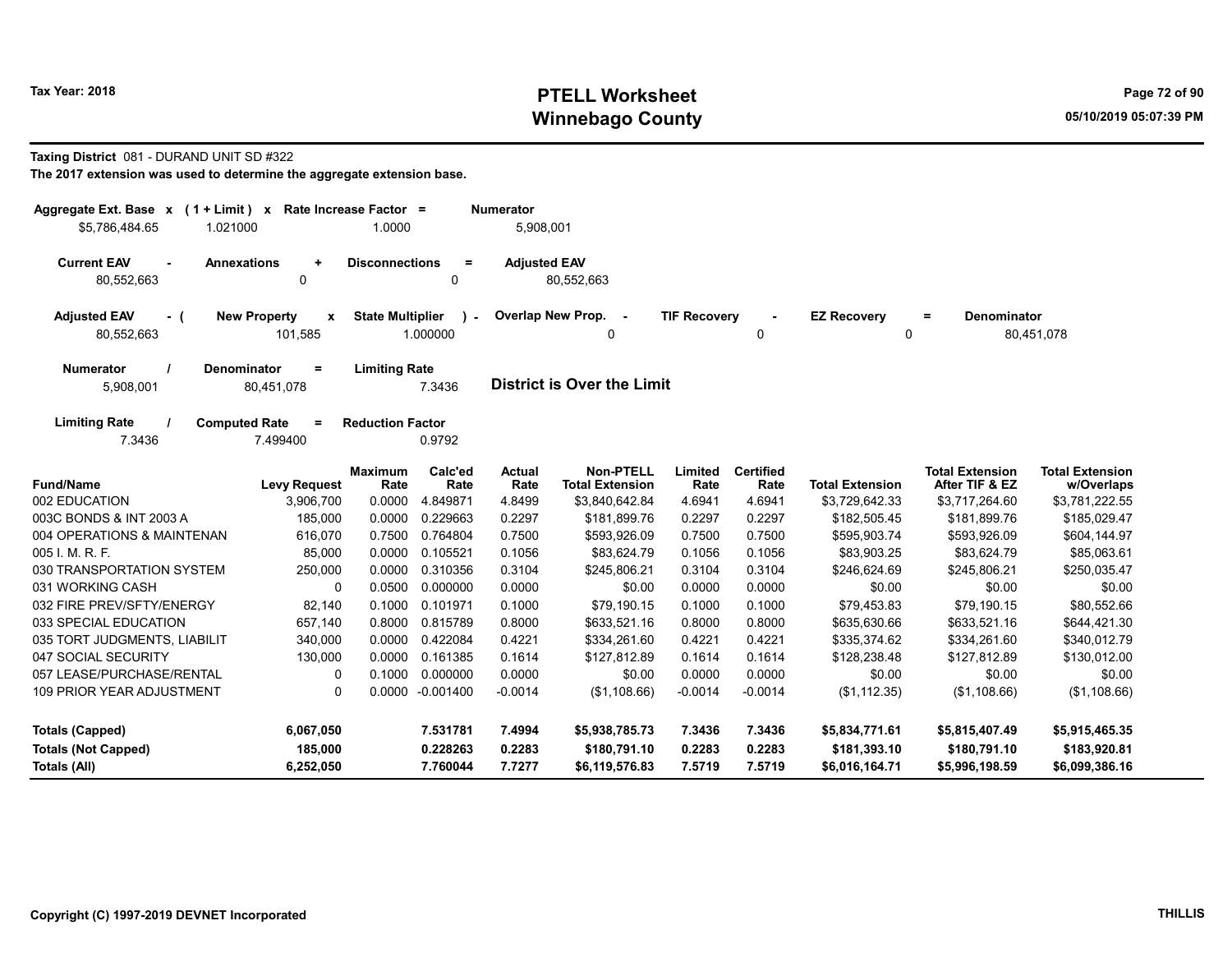# Tax Year: 2018 **PTELL Worksheet** Page 72 of 90 Winnebago County and the County of the County of the County of the County of the County of the County of the County of the County of the County of the County of the County of the County of the County of the County of the C

#### Taxing District 081 - DURAND UNIT SD #322

| Rate Increase Factor =<br>Aggregate Ext. Base $x$ (1 + Limit) $x$<br><b>Numerator</b><br>1.0000<br>\$5,786,484.65<br>1.021000 |                                                |                         |                          |                     | 5,908,001                                  |                     |                          |                         |                                          |                                      |
|-------------------------------------------------------------------------------------------------------------------------------|------------------------------------------------|-------------------------|--------------------------|---------------------|--------------------------------------------|---------------------|--------------------------|-------------------------|------------------------------------------|--------------------------------------|
| <b>Current EAV</b><br>$\sim$<br>80,552,663                                                                                    | <b>Annexations</b><br>÷<br>$\mathbf 0$         | <b>Disconnections</b>   | $\equiv$<br>0            | <b>Adjusted EAV</b> | 80,552,663                                 |                     |                          |                         |                                          |                                      |
| <b>Adjusted EAV</b><br>- (<br>80,552,663                                                                                      | <b>New Property</b><br>$\mathbf{x}$<br>101,585 | <b>State Multiplier</b> | $\mathbf{r}$<br>1.000000 |                     | Overlap New Prop. -<br>0                   | <b>TIF Recovery</b> | 0                        | <b>EZ Recovery</b><br>0 | Denominator<br>$=$                       | 80,451,078                           |
| <b>Numerator</b><br>5,908,001                                                                                                 | Denominator<br>$\equiv$<br>80,451,078          | <b>Limiting Rate</b>    | 7.3436                   |                     | <b>District is Over the Limit</b>          |                     |                          |                         |                                          |                                      |
| <b>Limiting Rate</b><br>7.3436                                                                                                | <b>Computed Rate</b><br>$\equiv$<br>7.499400   | <b>Reduction Factor</b> | 0.9792                   |                     |                                            |                     |                          |                         |                                          |                                      |
| <b>Fund/Name</b>                                                                                                              | <b>Levy Request</b>                            | <b>Maximum</b><br>Rate  | Calc'ed<br>Rate          | Actual<br>Rate      | <b>Non-PTELL</b><br><b>Total Extension</b> | Limited<br>Rate     | <b>Certified</b><br>Rate | <b>Total Extension</b>  | <b>Total Extension</b><br>After TIF & EZ | <b>Total Extension</b><br>w/Overlaps |
| 002 EDUCATION                                                                                                                 | 3,906,700                                      | 0.0000                  | 4.849871                 | 4.8499              | \$3,840,642.84                             | 4.6941              | 4.6941                   | \$3,729,642.33          | \$3,717,264.60                           | \$3,781,222.55                       |
| 003C BONDS & INT 2003 A                                                                                                       | 185,000                                        | 0.0000                  | 0.229663                 | 0.2297              | \$181,899.76                               | 0.2297              | 0.2297                   | \$182,505.45            | \$181,899.76                             | \$185,029.47                         |
| 004 OPERATIONS & MAINTENAN                                                                                                    | 616,070                                        | 0.7500                  | 0.764804                 | 0.7500              | \$593,926.09                               | 0.7500              | 0.7500                   | \$595,903.74            | \$593,926.09                             | \$604,144.97                         |
| 005 I. M. R. F.                                                                                                               | 85,000                                         | 0.0000                  | 0.105521                 | 0.1056              | \$83,624.79                                | 0.1056              | 0.1056                   | \$83,903.25             | \$83,624.79                              | \$85,063.61                          |
| 030 TRANSPORTATION SYSTEM                                                                                                     | 250,000                                        | 0.0000                  | 0.310356                 | 0.3104              | \$245,806.21                               | 0.3104              | 0.3104                   | \$246,624.69            | \$245,806.21                             | \$250,035.47                         |
| 031 WORKING CASH                                                                                                              | 0                                              | 0.0500                  | 0.000000                 | 0.0000              | \$0.00                                     | 0.0000              | 0.0000                   | \$0.00                  | \$0.00                                   | \$0.00                               |
| 032 FIRE PREV/SFTY/ENERGY                                                                                                     | 82,140                                         | 0.1000                  | 0.101971                 | 0.1000              | \$79,190.15                                | 0.1000              | 0.1000                   | \$79,453.83             | \$79,190.15                              | \$80,552.66                          |
| 033 SPECIAL EDUCATION                                                                                                         | 657,140                                        | 0.8000                  | 0.815789                 | 0.8000              | \$633,521.16                               | 0.8000              | 0.8000                   | \$635,630.66            | \$633,521.16                             | \$644,421.30                         |
| 035 TORT JUDGMENTS, LIABILIT                                                                                                  | 340,000                                        | 0.0000                  | 0.422084                 | 0.4221              | \$334,261.60                               | 0.4221              | 0.4221                   | \$335,374.62            | \$334,261.60                             | \$340,012.79                         |
| 047 SOCIAL SECURITY                                                                                                           | 130,000                                        | 0.0000                  | 0.161385                 | 0.1614              | \$127,812.89                               | 0.1614              | 0.1614                   | \$128,238.48            | \$127,812.89                             | \$130,012.00                         |
| 057 LEASE/PURCHASE/RENTAL                                                                                                     | 0                                              | 0.1000                  | 0.000000                 | 0.0000              | \$0.00                                     | 0.0000              | 0.0000                   | \$0.00                  | \$0.00                                   | \$0.00                               |
| <b>109 PRIOR YEAR ADJUSTMENT</b>                                                                                              | $\Omega$                                       | 0.0000                  | $-0.001400$              | $-0.0014$           | (\$1,108.66)                               | $-0.0014$           | $-0.0014$                | (\$1,112.35)            | (\$1,108.66)                             | (\$1,108.66)                         |
| <b>Totals (Capped)</b>                                                                                                        | 6,067,050                                      |                         | 7.531781                 | 7.4994              | \$5,938,785.73                             | 7.3436              | 7.3436                   | \$5,834,771.61          | \$5,815,407.49                           | \$5,915,465.35                       |
| <b>Totals (Not Capped)</b>                                                                                                    | 185,000                                        |                         | 0.228263                 | 0.2283              | \$180,791.10                               | 0.2283              | 0.2283                   | \$181,393.10            | \$180,791.10                             | \$183,920.81                         |
| <b>Totals (All)</b>                                                                                                           | 6,252,050                                      |                         | 7.760044                 | 7.7277              | \$6,119,576.83                             | 7.5719              | 7.5719                   | \$6,016,164.71          | \$5,996,198.59                           | \$6,099,386.16                       |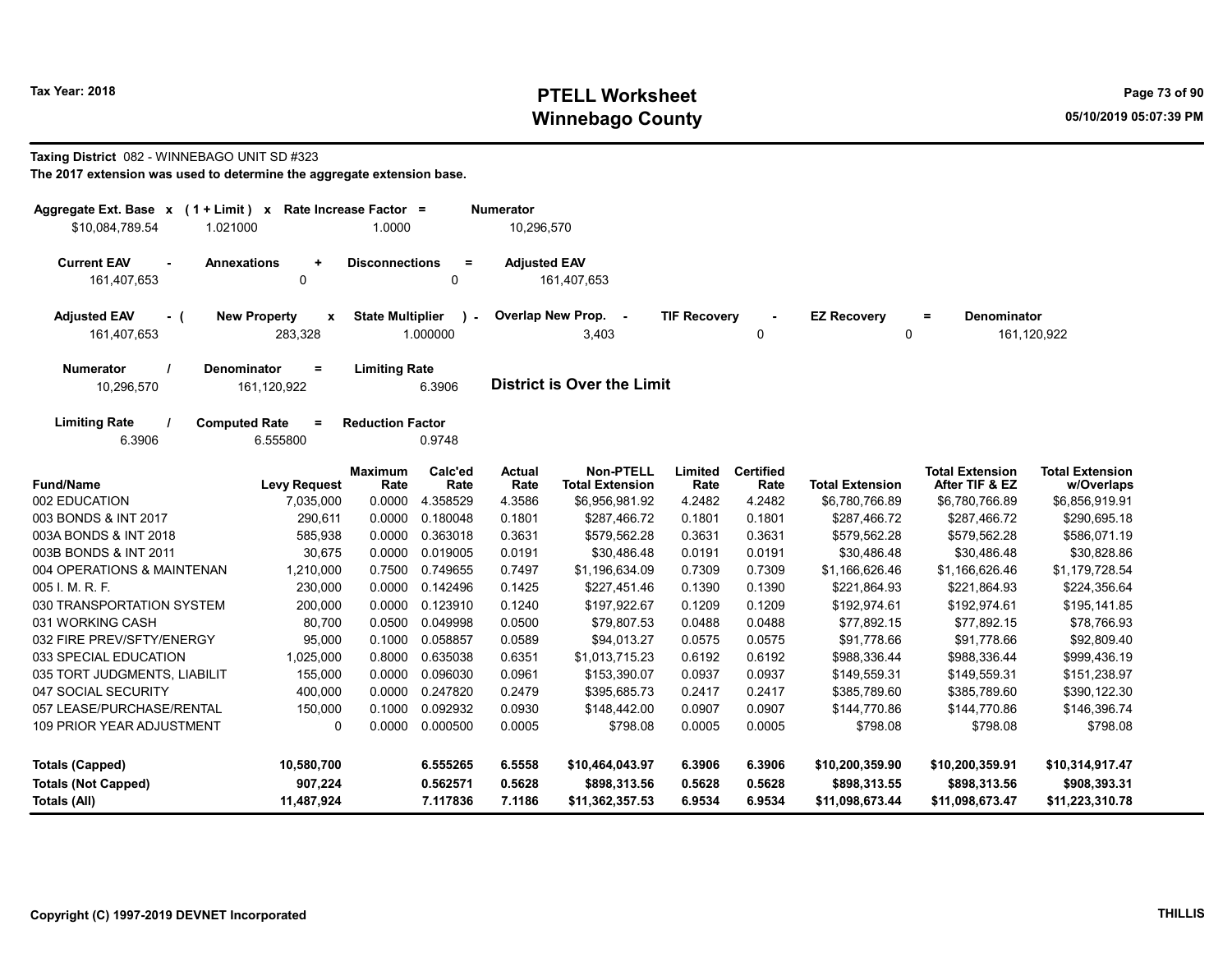# Tax Year: 2018 **PTELL Worksheet** Page 73 of 90 Winnebago County and the County of the County of the County of the County of the County of the County of the County of the County of the County of the County of the County of the County of the County of the County of the C

# Taxing District 082 - WINNEBAGO UNIT SD #323

| Aggregate Ext. Base $x$ (1 + Limit) $x$<br>\$10,084,789.54<br>1.021000 |                                     | Rate Increase Factor =<br>1.0000 |          | Numerator<br>10,296,570 |                                   |                     |                  |                        |                        |                        |
|------------------------------------------------------------------------|-------------------------------------|----------------------------------|----------|-------------------------|-----------------------------------|---------------------|------------------|------------------------|------------------------|------------------------|
|                                                                        |                                     |                                  |          |                         |                                   |                     |                  |                        |                        |                        |
| <b>Current EAV</b>                                                     | <b>Annexations</b><br>$\ddot{}$     | <b>Disconnections</b>            | $\equiv$ | <b>Adjusted EAV</b>     |                                   |                     |                  |                        |                        |                        |
| 161,407,653                                                            | 0                                   |                                  | 0        |                         | 161,407,653                       |                     |                  |                        |                        |                        |
| <b>Adjusted EAV</b><br>$-$ (                                           | <b>New Property</b><br>$\mathbf{x}$ | <b>State Multiplier</b>          |          |                         | Overlap New Prop.<br>$\sim$ $-$   | <b>TIF Recovery</b> |                  | <b>EZ Recovery</b>     | Denominator<br>Ξ       |                        |
| 161,407,653                                                            | 283,328                             |                                  | 1.000000 |                         | 3,403                             |                     | $\mathbf 0$      |                        | $\mathbf 0$            | 161,120,922            |
| <b>Numerator</b>                                                       | <b>Denominator</b><br>$\equiv$      | <b>Limiting Rate</b>             |          |                         |                                   |                     |                  |                        |                        |                        |
| 10,296,570                                                             | 161,120,922                         |                                  | 6.3906   |                         | <b>District is Over the Limit</b> |                     |                  |                        |                        |                        |
| <b>Limiting Rate</b>                                                   | <b>Computed Rate</b><br>Ξ           | <b>Reduction Factor</b>          |          |                         |                                   |                     |                  |                        |                        |                        |
| 6.3906                                                                 | 6.555800                            |                                  | 0.9748   |                         |                                   |                     |                  |                        |                        |                        |
|                                                                        |                                     | <b>Maximum</b>                   | Calc'ed  | <b>Actual</b>           | <b>Non-PTELL</b>                  | Limited             | <b>Certified</b> |                        | <b>Total Extension</b> | <b>Total Extension</b> |
| <b>Fund/Name</b>                                                       | <b>Levy Request</b>                 | Rate                             | Rate     | Rate                    | <b>Total Extension</b>            | Rate                | Rate             | <b>Total Extension</b> | After TIF & EZ         | w/Overlaps             |
| 002 EDUCATION                                                          | 7,035,000                           | 0.0000                           | 4.358529 | 4.3586                  | \$6,956,981.92                    | 4.2482              | 4.2482           | \$6,780,766.89         | \$6,780,766.89         | \$6,856,919.91         |
| 003 BONDS & INT 2017                                                   | 290,611                             | 0.0000                           | 0.180048 | 0.1801                  | \$287,466.72                      | 0.1801              | 0.1801           | \$287,466.72           | \$287,466.72           | \$290,695.18           |
| 003A BONDS & INT 2018                                                  | 585,938                             | 0.0000                           | 0.363018 | 0.3631                  | \$579,562.28                      | 0.3631              | 0.3631           | \$579,562.28           | \$579,562.28           | \$586,071.19           |
| 003B BONDS & INT 2011                                                  | 30,675                              | 0.0000                           | 0.019005 | 0.0191                  | \$30,486.48                       | 0.0191              | 0.0191           | \$30,486.48            | \$30,486.48            | \$30,828.86            |
| 004 OPERATIONS & MAINTENAN                                             | 1,210,000                           | 0.7500                           | 0.749655 | 0.7497                  | \$1,196,634.09                    | 0.7309              | 0.7309           | \$1,166,626.46         | \$1,166,626.46         | \$1,179,728.54         |
| 005 I. M. R. F.                                                        | 230,000                             | 0.0000                           | 0.142496 | 0.1425                  | \$227,451.46                      | 0.1390              | 0.1390           | \$221,864.93           | \$221,864.93           | \$224,356.64           |
| 030 TRANSPORTATION SYSTEM                                              | 200,000                             | 0.0000                           | 0.123910 | 0.1240                  | \$197,922.67                      | 0.1209              | 0.1209           | \$192,974.61           | \$192,974.61           | \$195,141.85           |
| 031 WORKING CASH                                                       | 80.700                              | 0.0500                           | 0.049998 | 0.0500                  | \$79.807.53                       | 0.0488              | 0.0488           | \$77.892.15            | \$77.892.15            | \$78,766.93            |
| 032 FIRE PREV/SFTY/ENERGY                                              | 95,000                              | 0.1000                           | 0.058857 | 0.0589                  | \$94,013.27                       | 0.0575              | 0.0575           | \$91,778.66            | \$91,778.66            | \$92,809.40            |
| 033 SPECIAL EDUCATION                                                  | 1,025,000                           | 0.8000                           | 0.635038 | 0.6351                  | \$1,013,715.23                    | 0.6192              | 0.6192           | \$988,336.44           | \$988,336.44           | \$999,436.19           |
| 035 TORT JUDGMENTS, LIABILIT                                           | 155,000                             | 0.0000                           | 0.096030 | 0.0961                  | \$153,390.07                      | 0.0937              | 0.0937           | \$149,559.31           | \$149,559.31           | \$151,238.97           |
| 047 SOCIAL SECURITY                                                    | 400,000                             | 0.0000                           | 0.247820 | 0.2479                  | \$395,685.73                      | 0.2417              | 0.2417           | \$385,789.60           | \$385,789.60           | \$390,122.30           |
| 057 LEASE/PURCHASE/RENTAL                                              | 150,000                             | 0.1000                           | 0.092932 | 0.0930                  | \$148,442.00                      | 0.0907              | 0.0907           | \$144,770.86           | \$144,770.86           | \$146,396.74           |
| <b>109 PRIOR YEAR ADJUSTMENT</b>                                       | $\Omega$                            | 0.0000                           | 0.000500 | 0.0005                  | \$798.08                          | 0.0005              | 0.0005           | \$798.08               | \$798.08               | \$798.08               |
| <b>Totals (Capped)</b>                                                 | 10,580,700                          |                                  | 6.555265 | 6.5558                  | \$10,464,043.97                   | 6.3906              | 6.3906           | \$10,200,359.90        | \$10,200,359.91        | \$10,314,917.47        |
| <b>Totals (Not Capped)</b>                                             | 907,224                             |                                  | 0.562571 | 0.5628                  | \$898,313.56                      | 0.5628              | 0.5628           | \$898,313.55           | \$898,313.56           | \$908,393.31           |
| Totals (All)                                                           | 11,487,924                          |                                  | 7.117836 | 7.1186                  | \$11,362,357.53                   | 6.9534              | 6.9534           | \$11,098,673.44        | \$11,098,673.47        | \$11,223,310.78        |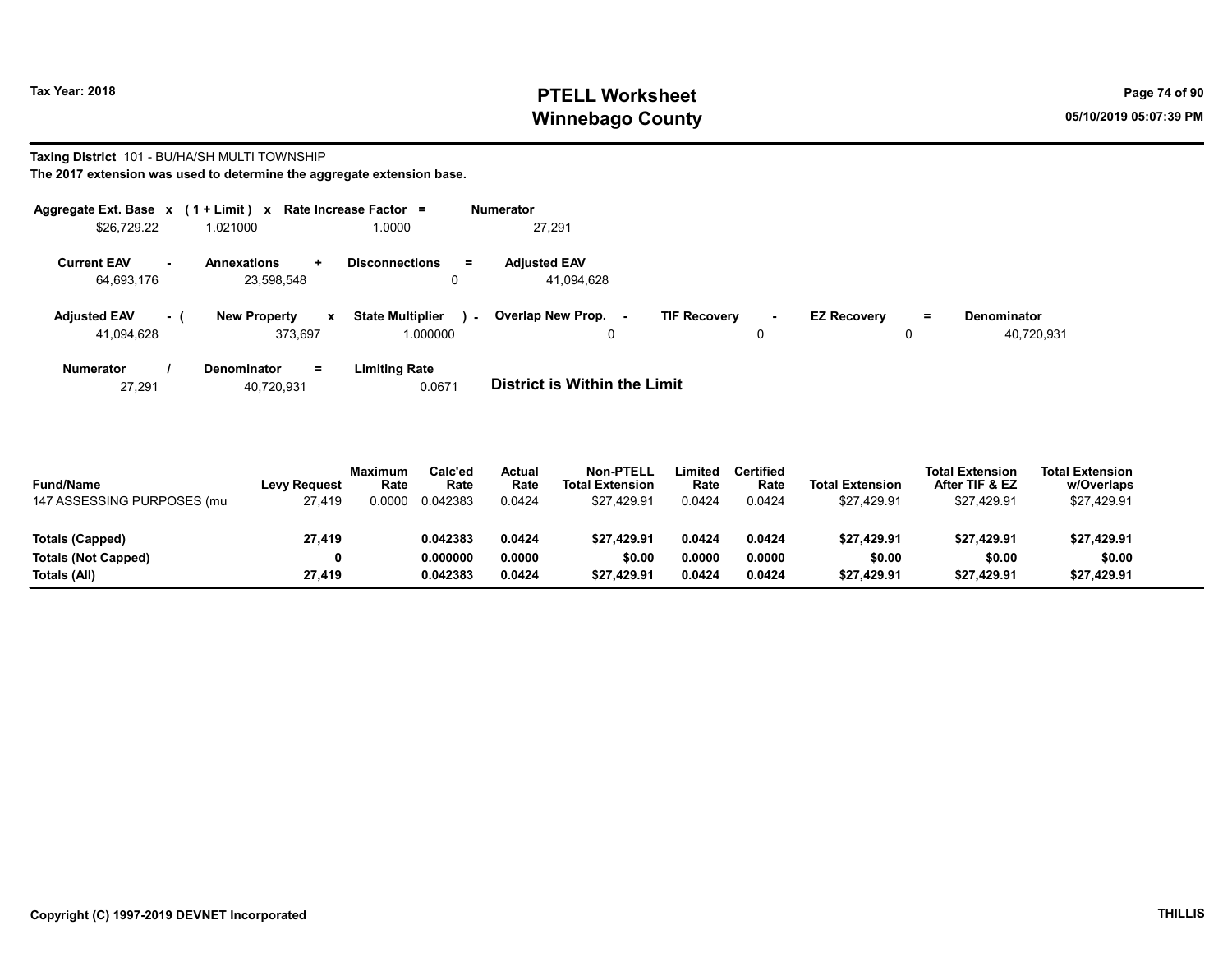## Tax Year: 2018 **PTELL Worksheet** Page 74 of 90 Winnebago County and the County of the County of the County of the County of the County of the County of the County of the County of the County of the County of the County of the County of the County of the County of the C

#### Taxing District 101 - BU/HA/SH MULTI TOWNSHIP

The 2017 extension was used to determine the aggregate extension base.

|                                   |     | Aggregate Ext. Base $x$ (1 + Limit) $x$ Rate Increase Factor = |                                              | Numerator                         |                                |                                |                                  |
|-----------------------------------|-----|----------------------------------------------------------------|----------------------------------------------|-----------------------------------|--------------------------------|--------------------------------|----------------------------------|
| \$26.729.22                       |     | 1.021000                                                       | 1.0000                                       | 27.291                            |                                |                                |                                  |
| <b>Current EAV</b><br>64,693,176  |     | Annexations<br>÷.<br>23.598.548                                | <b>Disconnections</b><br>$=$<br>0            | <b>Adjusted EAV</b><br>41,094,628 |                                |                                |                                  |
| <b>Adjusted EAV</b><br>41,094,628 | - 1 | <b>New Property</b><br>$\mathbf{x}$<br>373.697                 | <b>State Multiplier</b><br>$\sim$<br>000000. | Overlap New Prop. -<br>0          | <b>TIF Recovery</b><br>н.<br>0 | <b>EZ Recovery</b><br>$=$<br>0 | <b>Denominator</b><br>40,720,931 |
| <b>Numerator</b>                  |     | <b>Denominator</b><br>Ξ.                                       | <b>Limiting Rate</b>                         |                                   |                                |                                |                                  |

27,291 40,720,931 0.0671 District is Within the Limit

| <b>Fund/Name</b><br>147 ASSESSING PURPOSES (mu | <b>Levy Request</b><br>27,419 | <b>Maximum</b><br>Rate<br>.0000 | Calc'ed<br>Rate<br>0.042383 | Actual<br>Rate<br>0.0424 | <b>Non-PTELL</b><br><b>Total Extension</b><br>\$27,429.91 | Limited<br>Rate<br>0.0424 | <b>Certified</b><br>Rate<br>0.0424 | <b>Total Extension</b><br>\$27,429.91 | <b>Total Extension</b><br>After TIF & EZ<br>\$27.429.91 | <b>Total Extension</b><br>w/Overlaps<br>\$27,429.91 |  |
|------------------------------------------------|-------------------------------|---------------------------------|-----------------------------|--------------------------|-----------------------------------------------------------|---------------------------|------------------------------------|---------------------------------------|---------------------------------------------------------|-----------------------------------------------------|--|
| Totals (Capped)                                | 27,419                        |                                 | 0.042383                    | 0.0424                   | \$27.429.91                                               | 0.0424                    | 0.0424                             | \$27,429.91                           | \$27,429.91                                             | \$27,429.91                                         |  |
| <b>Totals (Not Capped)</b>                     | 0                             |                                 | 0.000000                    | 0.0000                   | \$0.00                                                    | 0.0000                    | 0.0000                             | \$0.00                                | \$0.00                                                  | \$0.00                                              |  |
| Totals (All)                                   | 27.419                        |                                 | 0.042383                    | 0.0424                   | \$27.429.91                                               | 0.0424                    | 0.0424                             | \$27,429.91                           | \$27,429.91                                             | \$27,429.91                                         |  |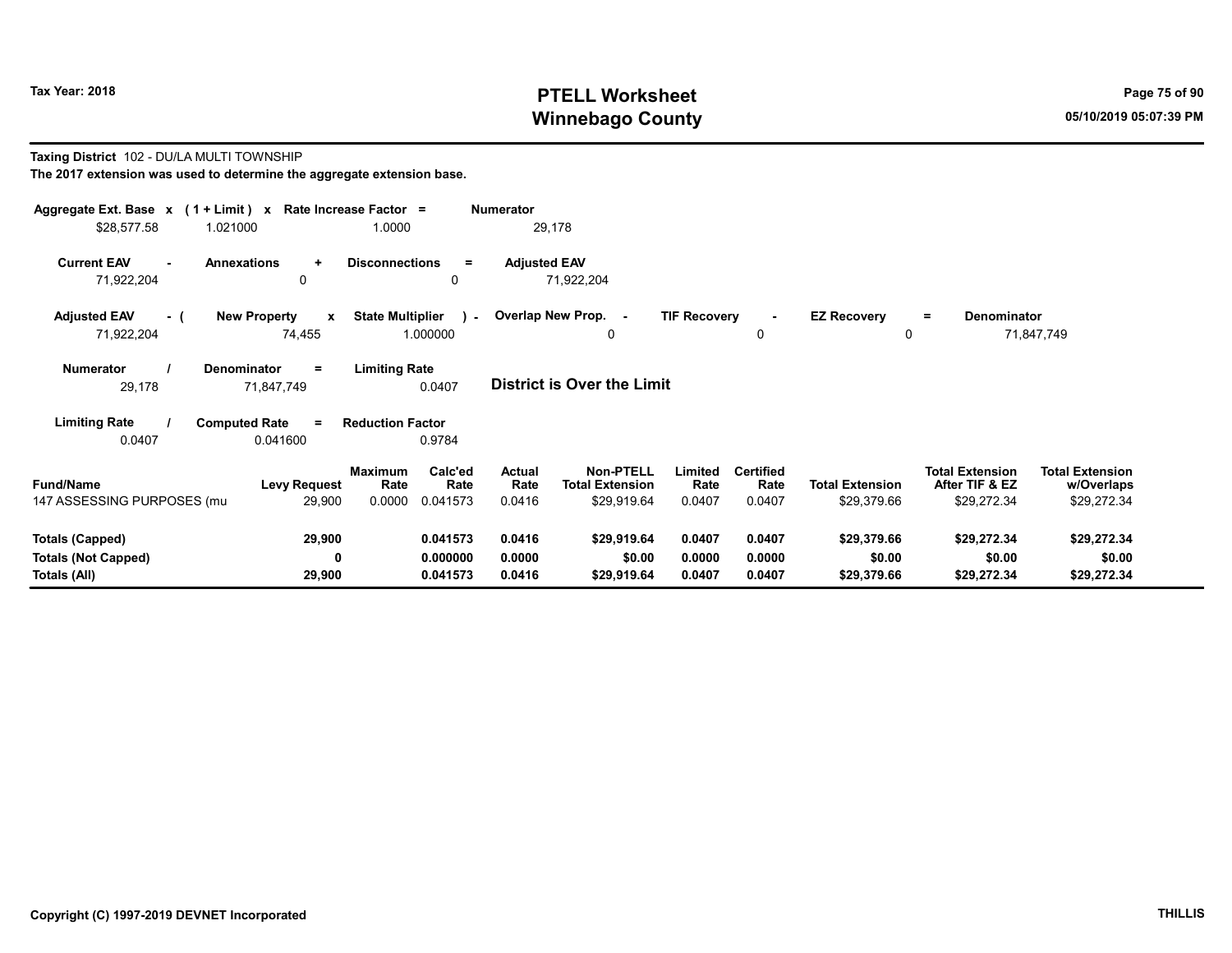## Tax Year: 2018 **PTELL Worksheet** Page 75 of 90 Winnebago County and the County of the County of the County of the County of the County of the County of the County of the County of the County of the County of the County of the County of the County of the County of the C

#### Taxing District 102 - DU/LA MULTI TOWNSHIP The 2017 extension was used to determine the aggregate extension base.

| Aggregate Ext. Base $x$ (1 + Limit) x Rate Increase Factor =<br>\$28,577.58 | 1.021000                                      | 1.0000                                                   | <b>Numerator</b><br>29,178        |                                                                                 |                                    |                                       |                                                         |                                                     |
|-----------------------------------------------------------------------------|-----------------------------------------------|----------------------------------------------------------|-----------------------------------|---------------------------------------------------------------------------------|------------------------------------|---------------------------------------|---------------------------------------------------------|-----------------------------------------------------|
| <b>Current EAV</b><br>71,922,204                                            | <b>Annexations</b><br>$\ddot{}$<br>0          | <b>Disconnections</b><br>$=$<br>0                        | <b>Adjusted EAV</b><br>71,922,204 |                                                                                 |                                    |                                       |                                                         |                                                     |
| <b>Adjusted EAV</b><br>- (<br>71,922,204                                    | <b>New Property</b><br>$\mathbf{x}$<br>74,455 | <b>State Multiplier</b><br>$\sim$<br>1.000000            | Overlap New Prop. -               | <b>TIF Recovery</b><br>0                                                        | $\sim$<br>0                        | <b>EZ Recovery</b><br>0               | <b>Denominator</b><br>Ξ.                                | 71,847,749                                          |
| Numerator<br>29,178                                                         | Denominator<br>$=$<br>71,847,749              | <b>Limiting Rate</b><br>0.0407                           | <b>District is Over the Limit</b> |                                                                                 |                                    |                                       |                                                         |                                                     |
| <b>Limiting Rate</b><br>0.0407                                              | <b>Computed Rate</b><br>$=$<br>0.041600       | <b>Reduction Factor</b><br>0.9784                        |                                   |                                                                                 |                                    |                                       |                                                         |                                                     |
| <b>Fund/Name</b><br>147 ASSESSING PURPOSES (mu                              | <b>Levy Request</b><br>29,900                 | Calc'ed<br>Maximum<br>Rate<br>Rate<br>0.0000<br>0.041573 | Actual<br>Rate<br>0.0416          | Non-PTELL<br>Limited<br><b>Total Extension</b><br>Rate<br>\$29,919.64<br>0.0407 | <b>Certified</b><br>Rate<br>0.0407 | <b>Total Extension</b><br>\$29,379.66 | <b>Total Extension</b><br>After TIF & EZ<br>\$29,272.34 | <b>Total Extension</b><br>w/Overlaps<br>\$29,272.34 |
| <b>Totals (Capped)</b><br><b>Totals (Not Capped)</b><br>Totals (All)        | 29,900<br>0<br>29,900                         | 0.041573<br>0.000000<br>0.041573                         | 0.0416<br>0.0000<br>0.0416        | \$29,919.64<br>0.0407<br>\$0.00<br>0.0000<br>\$29,919.64<br>0.0407              | 0.0407<br>0.0000<br>0.0407         | \$29,379.66<br>\$0.00<br>\$29,379.66  | \$29,272.34<br>\$0.00<br>\$29,272.34                    | \$29,272.34<br>\$0.00<br>\$29,272.34                |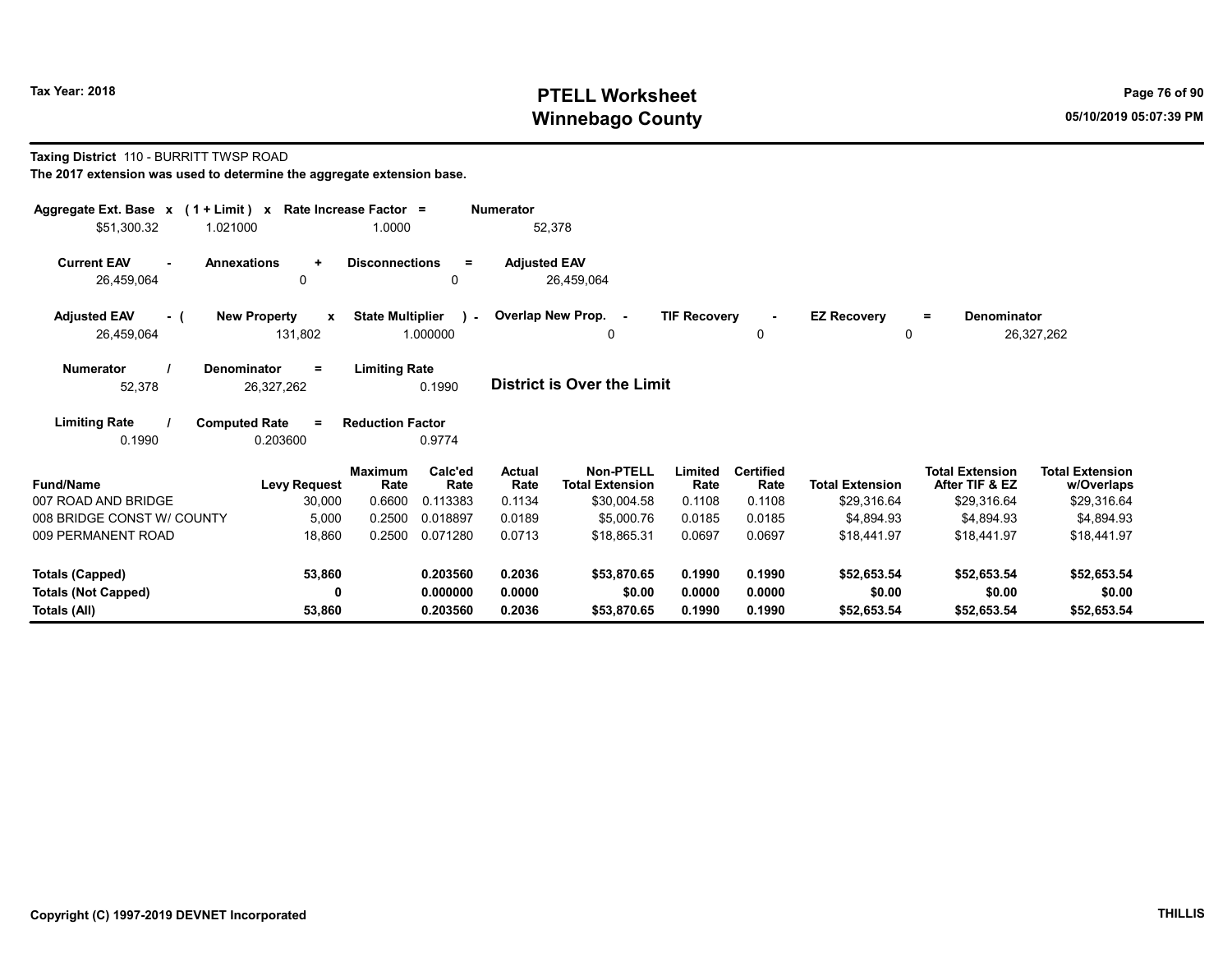## Tax Year: 2018 **PTELL Worksheet** Page 76 of 90 Winnebago County and the County of the County of the County of the County of the County of the County of the County of the County of the County of the County of the County of the County of the County of the County of the C

#### Taxing District 110 - BURRITT TWSP ROAD

| Aggregate Ext. Base $x$ (1 + Limit) $x$ Rate Increase Factor =<br>\$51,300.32<br>1.021000 |                                                | 1.0000                              | <b>Numerator</b>                         |                                            |                     |                          |                         |                                          |                                      |
|-------------------------------------------------------------------------------------------|------------------------------------------------|-------------------------------------|------------------------------------------|--------------------------------------------|---------------------|--------------------------|-------------------------|------------------------------------------|--------------------------------------|
|                                                                                           |                                                |                                     |                                          | 52,378                                     |                     |                          |                         |                                          |                                      |
| <b>Current EAV</b><br>$\sim$                                                              | <b>Annexations</b><br>$\ddot{}$                | <b>Disconnections</b>               | <b>Adjusted EAV</b><br>$\equiv$          |                                            |                     |                          |                         |                                          |                                      |
| 26,459,064                                                                                | 0                                              |                                     | 0                                        | 26,459,064                                 |                     |                          |                         |                                          |                                      |
| <b>Adjusted EAV</b><br>- (<br>26,459,064                                                  | <b>New Property</b><br>$\mathbf{x}$<br>131,802 | <b>State Multiplier</b><br>1.000000 | $\mathcal{L}$                            | Overlap New Prop. -<br>0                   | <b>TIF Recovery</b> | 0                        | <b>EZ Recovery</b><br>0 | <b>Denominator</b><br>Ξ.                 | 26,327,262                           |
| <b>Numerator</b><br>52,378                                                                | Denominator<br>$=$<br>26,327,262               | <b>Limiting Rate</b><br>0.1990      |                                          | <b>District is Over the Limit</b>          |                     |                          |                         |                                          |                                      |
|                                                                                           |                                                |                                     |                                          |                                            |                     |                          |                         |                                          |                                      |
| <b>Limiting Rate</b>                                                                      | <b>Computed Rate</b><br>$\equiv$               | <b>Reduction Factor</b>             |                                          |                                            |                     |                          |                         |                                          |                                      |
| 0.1990                                                                                    | 0.203600                                       | 0.9774                              |                                          |                                            |                     |                          |                         |                                          |                                      |
| <b>Fund/Name</b>                                                                          | <b>Levy Request</b>                            | <b>Maximum</b><br>Rate              | Calc'ed<br><b>Actual</b><br>Rate<br>Rate | <b>Non-PTELL</b><br><b>Total Extension</b> | Limited<br>Rate     | <b>Certified</b><br>Rate | <b>Total Extension</b>  | <b>Total Extension</b><br>After TIF & EZ | <b>Total Extension</b><br>w/Overlaps |
| 007 ROAD AND BRIDGE                                                                       | 30,000                                         | 0.6600                              | 0.113383<br>0.1134                       | \$30,004.58                                | 0.1108              | 0.1108                   | \$29,316.64             | \$29,316.64                              | \$29,316.64                          |
| 008 BRIDGE CONST W/ COUNTY                                                                | 5,000                                          | 0.2500                              | 0.018897<br>0.0189                       | \$5,000.76                                 | 0.0185              | 0.0185                   | \$4,894.93              | \$4,894.93                               | \$4,894.93                           |
| 009 PERMANENT ROAD                                                                        | 18,860                                         | 0.2500                              | 0.071280<br>0.0713                       | \$18.865.31                                | 0.0697              | 0.0697                   | \$18,441.97             | \$18,441.97                              | \$18.441.97                          |
| <b>Totals (Capped)</b>                                                                    | 53,860                                         |                                     | 0.203560<br>0.2036                       | \$53.870.65                                | 0.1990              | 0.1990                   | \$52,653.54             | \$52,653.54                              | \$52,653.54                          |
| <b>Totals (Not Capped)</b>                                                                | 0                                              |                                     | 0.000000<br>0.0000                       | \$0.00                                     | 0.0000              | 0.0000                   | \$0.00                  | \$0.00                                   | \$0.00                               |
| Totals (All)                                                                              | 53,860                                         |                                     | 0.2036<br>0.203560                       | \$53,870.65                                | 0.1990              | 0.1990                   | \$52,653.54             | \$52,653.54                              | \$52,653.54                          |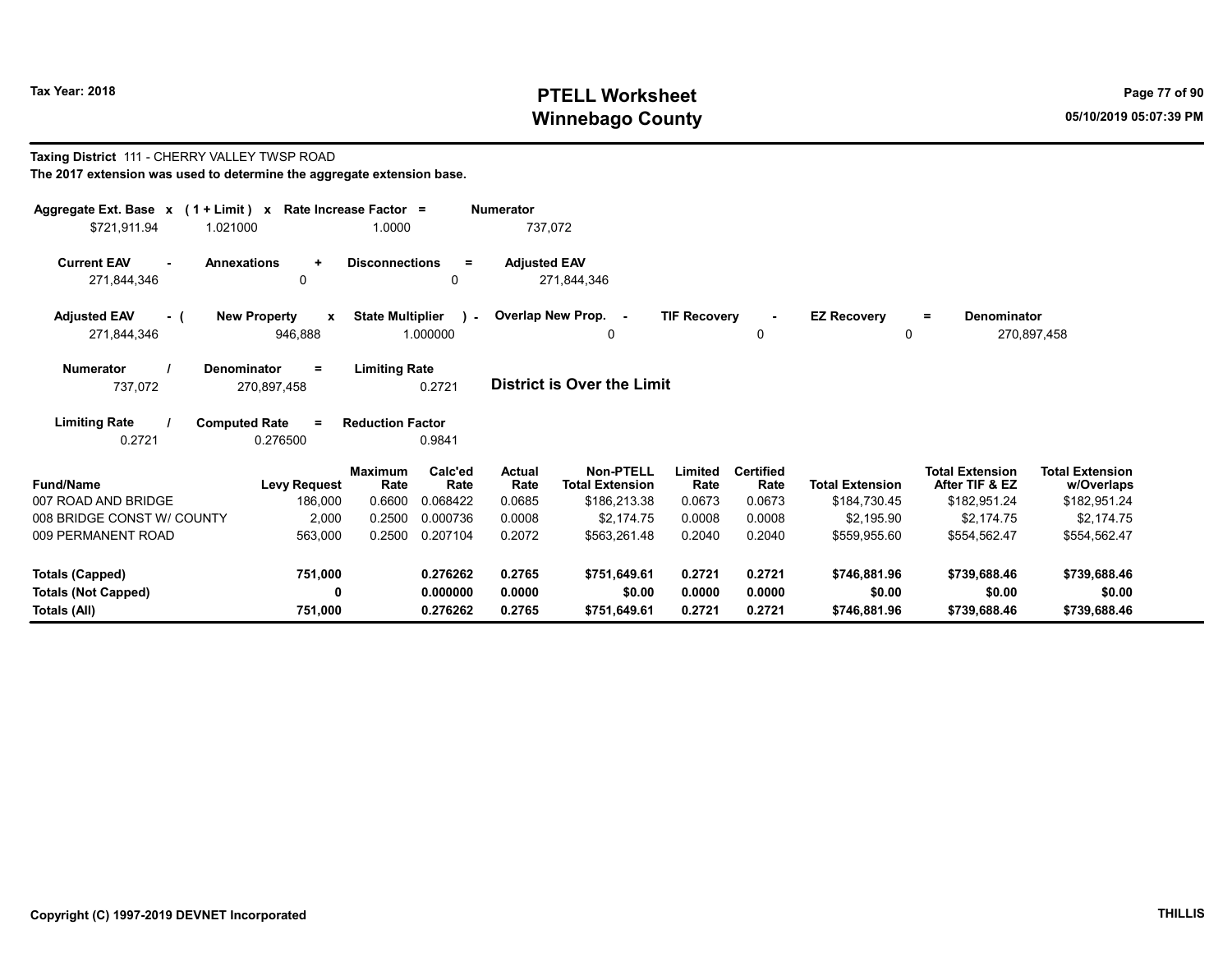Taxing District 111 - CHERRY VALLEY TWSP ROAD

# Tax Year: 2018 **PTELL Worksheet** Page 77 of 90 Winnebago County and the County of the County of the County of the County of the County of the County of the County of the County of the County of the County of the County of the County of the County of the County of the C

| The 2017 extension was used to determine the aggregate extension base. |                                          |                         |                 |                       |                                            |                     |                          |                        |                                          |                                      |  |  |
|------------------------------------------------------------------------|------------------------------------------|-------------------------|-----------------|-----------------------|--------------------------------------------|---------------------|--------------------------|------------------------|------------------------------------------|--------------------------------------|--|--|
| Aggregate Ext. Base x (1 + Limit) x Rate Increase Factor =             |                                          |                         |                 | <b>Numerator</b>      |                                            |                     |                          |                        |                                          |                                      |  |  |
| \$721.911.94<br>1.021000                                               |                                          | 1.0000                  |                 |                       | 737,072                                    |                     |                          |                        |                                          |                                      |  |  |
| <b>Current EAV</b><br>$\sim$<br>271,844,346                            | <b>Annexations</b><br>÷<br>0             | <b>Disconnections</b>   | $\equiv$<br>0   | <b>Adjusted EAV</b>   | 271,844,346                                |                     |                          |                        |                                          |                                      |  |  |
| <b>Adjusted EAV</b><br>- (                                             | <b>New Property</b><br>$\mathbf{x}$      | <b>State Multiplier</b> | $\mathcal{L}$   |                       | Overlap New Prop. -                        | <b>TIF Recovery</b> | $\sim$                   | <b>EZ Recovery</b>     | Denominator<br>$=$                       |                                      |  |  |
| 271,844,346                                                            | 946,888                                  |                         | 1.000000        |                       | 0                                          |                     | 0                        | 0                      |                                          | 270,897,458                          |  |  |
| <b>Numerator</b><br>737,072                                            | <b>Denominator</b><br>$=$<br>270,897,458 | <b>Limiting Rate</b>    | 0.2721          |                       | District is Over the Limit                 |                     |                          |                        |                                          |                                      |  |  |
| <b>Limiting Rate</b>                                                   | <b>Computed Rate</b><br>$=$              | <b>Reduction Factor</b> |                 |                       |                                            |                     |                          |                        |                                          |                                      |  |  |
| 0.2721                                                                 | 0.276500                                 |                         | 0.9841          |                       |                                            |                     |                          |                        |                                          |                                      |  |  |
| <b>Fund/Name</b>                                                       | <b>Levy Request</b>                      | <b>Maximum</b><br>Rate  | Calc'ed<br>Rate | <b>Actual</b><br>Rate | <b>Non-PTELL</b><br><b>Total Extension</b> | Limited<br>Rate     | <b>Certified</b><br>Rate | <b>Total Extension</b> | <b>Total Extension</b><br>After TIF & EZ | <b>Total Extension</b><br>w/Overlaps |  |  |
| 007 ROAD AND BRIDGE                                                    | 186,000                                  | 0.6600                  | 0.068422        | 0.0685                | \$186,213.38                               | 0.0673              | 0.0673                   | \$184,730.45           | \$182,951.24                             | \$182,951.24                         |  |  |
| 008 BRIDGE CONST W/ COUNTY                                             | 2,000                                    | 0.2500                  | 0.000736        | 0.0008                | \$2,174.75                                 | 0.0008              | 0.0008                   | \$2.195.90             | \$2,174.75                               | \$2,174.75                           |  |  |
| 009 PERMANENT ROAD                                                     | 563,000                                  | 0.2500                  | 0.207104        | 0.2072                | \$563,261.48                               | 0.2040              | 0.2040                   | \$559,955.60           | \$554,562.47                             | \$554,562.47                         |  |  |
| <b>Totals (Capped)</b>                                                 | 751,000                                  |                         | 0.276262        | 0.2765                | \$751,649.61                               | 0.2721              | 0.2721                   | \$746,881.96           | \$739,688.46                             | \$739,688.46                         |  |  |
| <b>Totals (Not Capped)</b>                                             | 0                                        |                         | 0.000000        | 0.0000                | \$0.00                                     | 0.0000              | 0.0000                   | \$0.00                 | \$0.00                                   | \$0.00                               |  |  |
| Totals (All)                                                           | 751,000                                  |                         | 0.276262        | 0.2765                | \$751,649.61                               | 0.2721              | 0.2721                   | \$746,881.96           | \$739,688.46                             | \$739,688.46                         |  |  |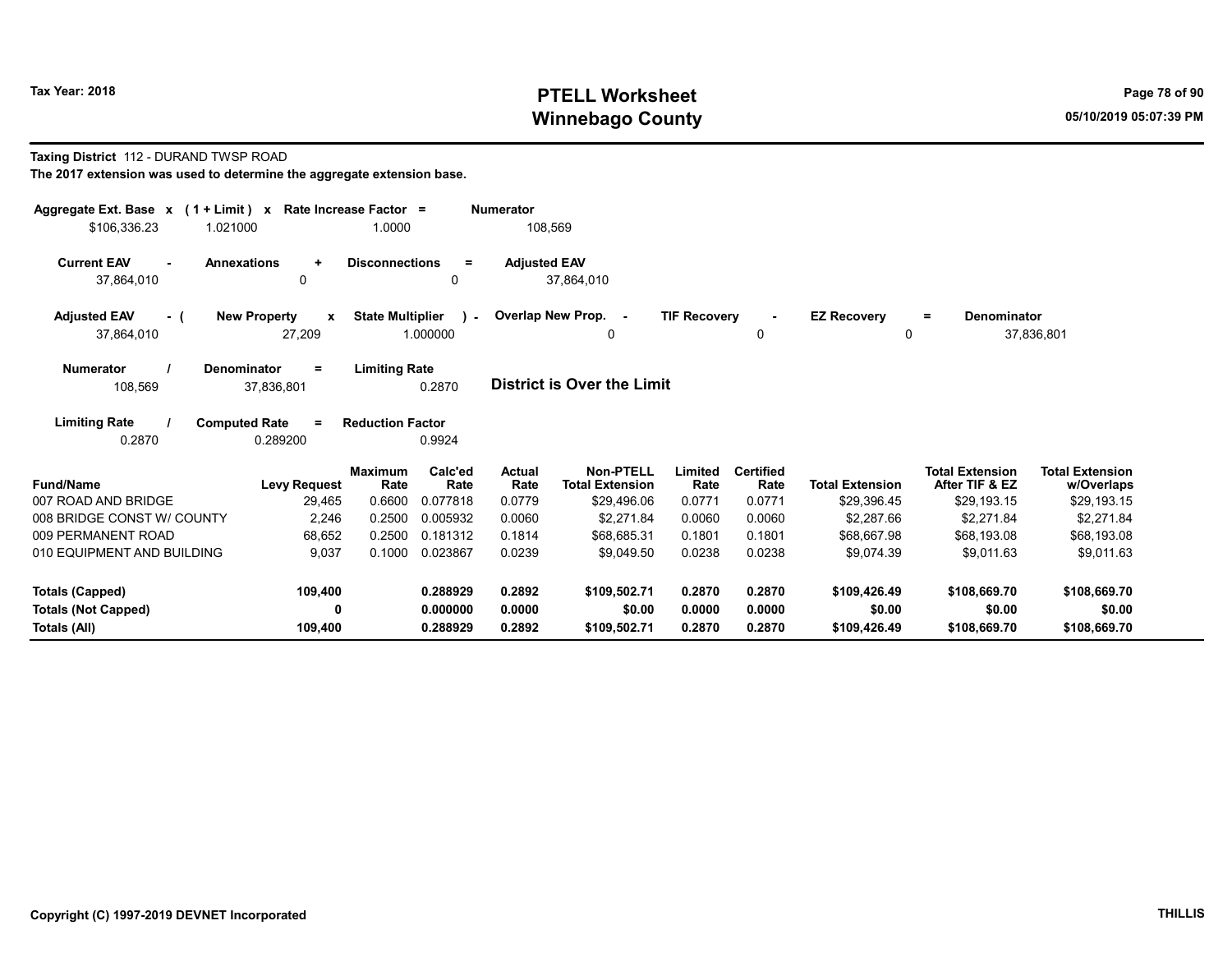# Tax Year: 2018 **PTELL Worksheet** Page 78 of 90 Winnebago County and the County of the County of the County of the County of the County of the County of the County of the County of the County of the County of the County of the County of the County of the County of the C

#### Taxing District 112 - DURAND TWSP ROAD

| Aggregate Ext. Base $x$ (1 + Limit) x Rate Increase Factor = |                                              |                         |                           | <b>Numerator</b>      |                                            |                     |                          |                         |                                          |                                      |
|--------------------------------------------------------------|----------------------------------------------|-------------------------|---------------------------|-----------------------|--------------------------------------------|---------------------|--------------------------|-------------------------|------------------------------------------|--------------------------------------|
| \$106,336.23                                                 | 1.021000                                     | 1.0000                  |                           | 108,569               |                                            |                     |                          |                         |                                          |                                      |
| <b>Current EAV</b><br>37,864,010                             | <b>Annexations</b><br>$\ddot{}$<br>0         | <b>Disconnections</b>   | $\equiv$<br>$\Omega$      | <b>Adjusted EAV</b>   | 37,864,010                                 |                     |                          |                         |                                          |                                      |
| <b>Adjusted EAV</b><br>- (<br>37,864,010                     | <b>New Property</b><br>X<br>27,209           | <b>State Multiplier</b> | $\mathcal{L}$<br>1.000000 |                       | Overlap New Prop. -<br>0                   | <b>TIF Recovery</b> | 0                        | <b>EZ Recovery</b><br>0 | Denominator<br>$\equiv$                  | 37,836,801                           |
| <b>Numerator</b><br>108,569                                  | Denominator<br>$=$<br>37,836,801             | <b>Limiting Rate</b>    | 0.2870                    |                       | District is Over the Limit                 |                     |                          |                         |                                          |                                      |
| <b>Limiting Rate</b><br>0.2870                               | <b>Computed Rate</b><br>$\equiv$<br>0.289200 | <b>Reduction Factor</b> | 0.9924                    |                       |                                            |                     |                          |                         |                                          |                                      |
| <b>Fund/Name</b>                                             | <b>Levy Request</b>                          | <b>Maximum</b><br>Rate  | Calc'ed<br>Rate           | <b>Actual</b><br>Rate | <b>Non-PTELL</b><br><b>Total Extension</b> | Limited<br>Rate     | <b>Certified</b><br>Rate | <b>Total Extension</b>  | <b>Total Extension</b><br>After TIF & EZ | <b>Total Extension</b><br>w/Overlaps |
| 007 ROAD AND BRIDGE                                          | 29,465                                       | 0.6600                  | 0.077818                  | 0.0779                | \$29,496.06                                | 0.0771              | 0.0771                   | \$29,396.45             | \$29,193.15                              | \$29,193.15                          |
| 008 BRIDGE CONST W/ COUNTY                                   | 2,246                                        | 0.2500                  | 0.005932                  | 0.0060                | \$2,271.84                                 | 0.0060              | 0.0060                   | \$2,287.66              | \$2,271.84                               | \$2,271.84                           |
| 009 PERMANENT ROAD                                           | 68,652                                       | 0.2500                  | 0.181312                  | 0.1814                | \$68,685.31                                | 0.1801              | 0.1801                   | \$68,667.98             | \$68,193.08                              | \$68,193.08                          |
| 010 EQUIPMENT AND BUILDING                                   | 9,037                                        | 0.1000                  | 0.023867                  | 0.0239                | \$9.049.50                                 | 0.0238              | 0.0238                   | \$9.074.39              | \$9.011.63                               | \$9.011.63                           |
| <b>Totals (Capped)</b>                                       | 109,400                                      |                         | 0.288929                  | 0.2892                | \$109,502.71                               | 0.2870              | 0.2870                   | \$109,426.49            | \$108,669.70                             | \$108,669.70                         |
| <b>Totals (Not Capped)</b>                                   | 0                                            |                         | 0.000000                  | 0.0000                | \$0.00                                     | 0.0000              | 0.0000                   | \$0.00                  | \$0.00                                   | \$0.00                               |
| Totals (All)                                                 | 109,400                                      |                         | 0.288929                  | 0.2892                | \$109,502.71                               | 0.2870              | 0.2870                   | \$109,426.49            | \$108,669.70                             | \$108,669.70                         |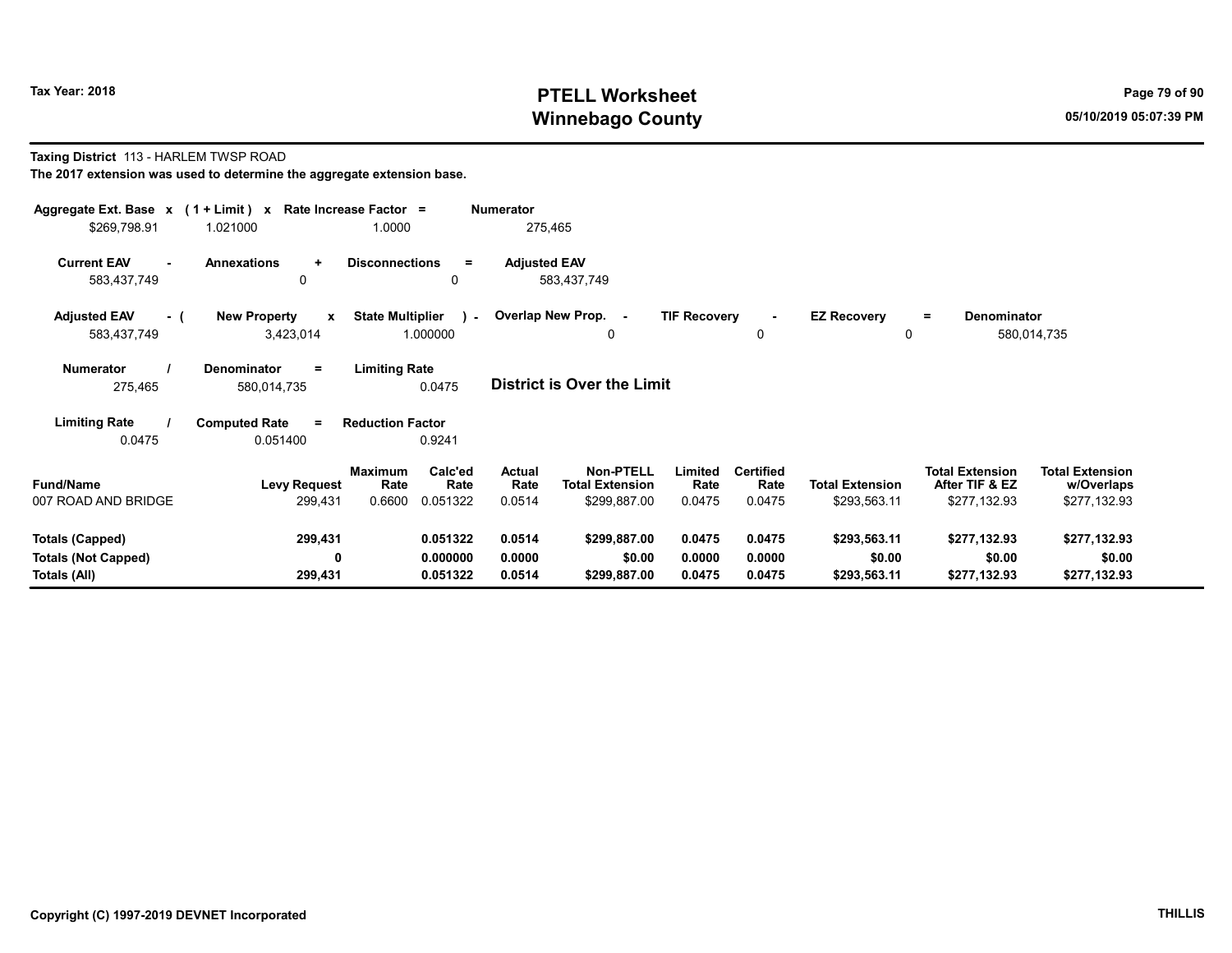## Tax Year: 2018 **PTELL Worksheet** Page 79 of 90 Winnebago County and the County of the County of the County of the County of the County of the County of the County of the County of the County of the County of the County of the County of the County of the County of the C

#### Taxing District 113 - HARLEM TWSP ROAD The 2017 extension was used to determine the aggregate extension base.

| Aggregate Ext. Base $x$ (1 + Limit) $x$<br>\$269,798.91              | 1.021000                                             | Rate Increase Factor =<br>1.0000                         | <b>Numerator</b><br>275,465        |                                                                                  |                                    |                                        |                                                          |                                                      |
|----------------------------------------------------------------------|------------------------------------------------------|----------------------------------------------------------|------------------------------------|----------------------------------------------------------------------------------|------------------------------------|----------------------------------------|----------------------------------------------------------|------------------------------------------------------|
| <b>Current EAV</b><br>583,437,749                                    | <b>Annexations</b><br>$\ddot{}$<br>0                 | <b>Disconnections</b><br>$=$<br>0                        | <b>Adjusted EAV</b><br>583,437,749 |                                                                                  |                                    |                                        |                                                          |                                                      |
| <b>Adjusted EAV</b><br>- (<br>583,437,749                            | <b>New Property</b><br>$\boldsymbol{x}$<br>3,423,014 | <b>State Multiplier</b><br>$\mathbf{1}$<br>1.000000      | Overlap New Prop. -                | <b>TIF Recovery</b><br>0                                                         | 0                                  | <b>EZ Recovery</b><br>0                | <b>Denominator</b><br>$=$                                | 580,014,735                                          |
| <b>Numerator</b><br>275,465                                          | <b>Denominator</b><br>$\equiv$<br>580,014,735        | <b>Limiting Rate</b><br>0.0475                           | <b>District is Over the Limit</b>  |                                                                                  |                                    |                                        |                                                          |                                                      |
| <b>Limiting Rate</b><br>0.0475                                       | <b>Computed Rate</b><br>$\equiv$<br>0.051400         | <b>Reduction Factor</b><br>0.9241                        |                                    |                                                                                  |                                    |                                        |                                                          |                                                      |
| <b>Fund/Name</b><br>007 ROAD AND BRIDGE                              | <b>Levy Request</b><br>299,431                       | Calc'ed<br>Maximum<br>Rate<br>Rate<br>0.6600<br>0.051322 | Actual<br>Rate<br>0.0514           | Non-PTELL<br>Limited<br><b>Total Extension</b><br>Rate<br>\$299,887.00<br>0.0475 | <b>Certified</b><br>Rate<br>0.0475 | <b>Total Extension</b><br>\$293,563.11 | <b>Total Extension</b><br>After TIF & EZ<br>\$277,132.93 | <b>Total Extension</b><br>w/Overlaps<br>\$277,132.93 |
| <b>Totals (Capped)</b><br><b>Totals (Not Capped)</b><br>Totals (All) | 299,431<br>0<br>299,431                              | 0.051322<br>0.000000<br>0.051322                         | 0.0514<br>0.0000<br>0.0514         | \$299,887.00<br>0.0475<br>0.0000<br>\$0.00<br>\$299,887.00<br>0.0475             | 0.0475<br>0.0000<br>0.0475         | \$293,563.11<br>\$0.00<br>\$293,563.11 | \$277,132.93<br>\$0.00<br>\$277,132.93                   | \$277,132.93<br>\$0.00<br>\$277,132.93               |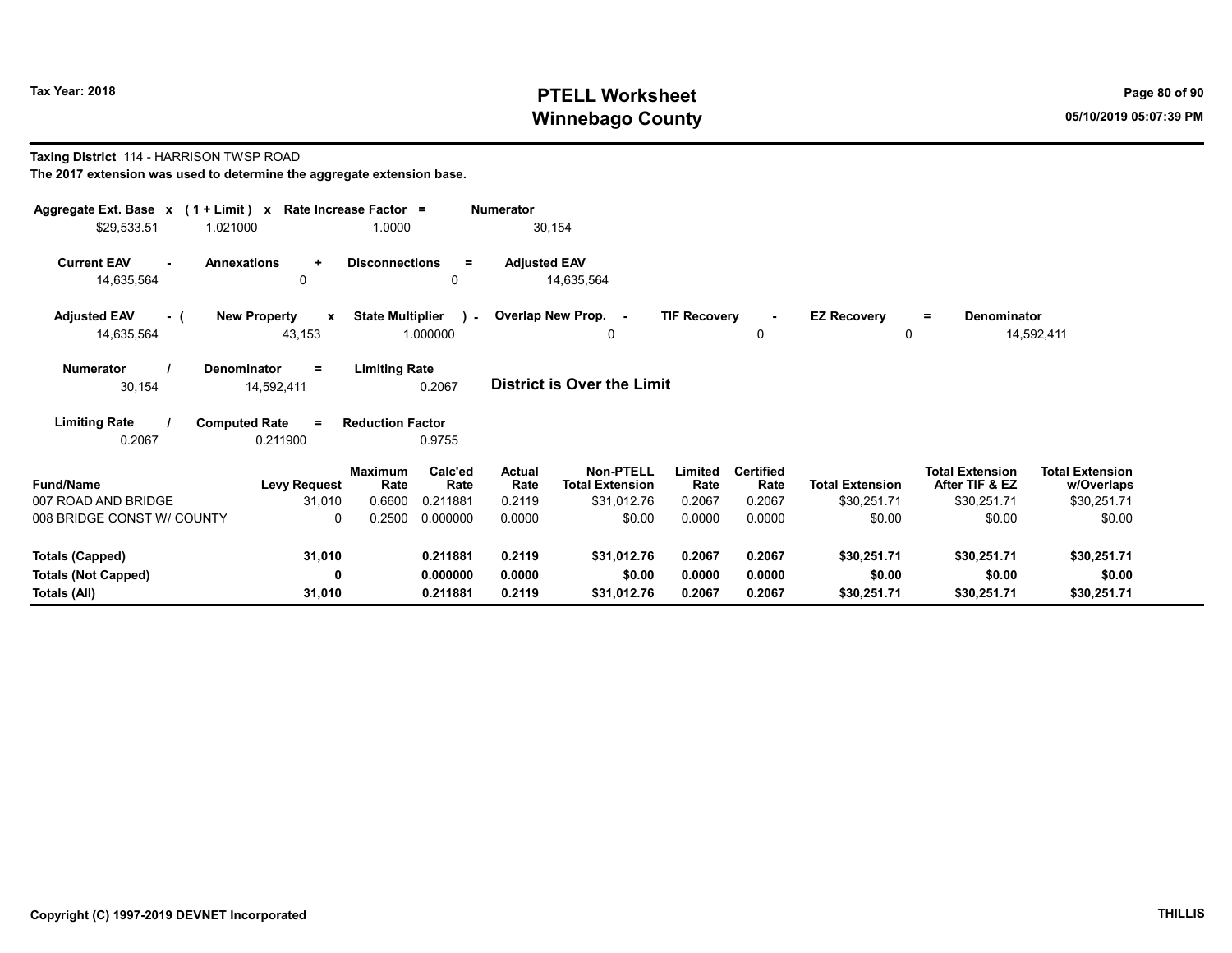## Tax Year: 2018 **PTELL Worksheet** Page 80 of 90 Winnebago County and the County of the County of the County of the County of the County of the County of the County of the County of the County of the County of the County of the County of the County of the County of the C

#### Taxing District 114 - HARRISON TWSP ROAD The 2017 extension was used to determine the aggregate extension base.

| Aggregate Ext. Base $x$ (1 + Limit) x Rate Increase Factor =<br><b>Numerator</b>                                                                                                                                                                                    |                                                                |                 |                       |                                            |                     |                          |                        |                                          |                                      |  |  |
|---------------------------------------------------------------------------------------------------------------------------------------------------------------------------------------------------------------------------------------------------------------------|----------------------------------------------------------------|-----------------|-----------------------|--------------------------------------------|---------------------|--------------------------|------------------------|------------------------------------------|--------------------------------------|--|--|
| \$29,533.51<br>1.021000                                                                                                                                                                                                                                             | 1.0000                                                         |                 | 30,154                |                                            |                     |                          |                        |                                          |                                      |  |  |
| <b>Current EAV</b><br><b>Annexations</b><br>14,635,564                                                                                                                                                                                                              | <b>Disconnections</b><br>$\ddot{}$<br>0                        | $=$<br>0        | <b>Adjusted EAV</b>   | 14,635,564                                 |                     |                          |                        |                                          |                                      |  |  |
| <b>Adjusted EAV</b><br>- (                                                                                                                                                                                                                                          | <b>State Multiplier</b><br><b>New Property</b><br>$\mathbf{x}$ | $\sim$          |                       | Overlap New Prop. -                        | <b>TIF Recovery</b> | $\blacksquare$           | <b>EZ Recovery</b>     | <b>Denominator</b><br>$=$                |                                      |  |  |
| 14,635,564                                                                                                                                                                                                                                                          | 43,153                                                         | 1.000000        |                       | 0                                          |                     | 0                        | 0                      |                                          | 14,592,411                           |  |  |
| <b>Limiting Rate</b><br><b>Numerator</b><br><b>Denominator</b><br>$\equiv$<br><b>District is Over the Limit</b><br>0.2067<br>30,154<br>14,592,411<br><b>Limiting Rate</b><br><b>Computed Rate</b><br><b>Reduction Factor</b><br>$=$<br>0.2067<br>0.211900<br>0.9755 |                                                                |                 |                       |                                            |                     |                          |                        |                                          |                                      |  |  |
| <b>Fund/Name</b>                                                                                                                                                                                                                                                    | <b>Maximum</b><br>Rate<br><b>Levy Request</b>                  | Calc'ed<br>Rate | <b>Actual</b><br>Rate | <b>Non-PTELL</b><br><b>Total Extension</b> | Limited<br>Rate     | <b>Certified</b><br>Rate | <b>Total Extension</b> | <b>Total Extension</b><br>After TIF & EZ | <b>Total Extension</b><br>w/Overlaps |  |  |
| 007 ROAD AND BRIDGE                                                                                                                                                                                                                                                 | 31,010<br>0.6600                                               | 0.211881        | 0.2119                | \$31,012.76                                | 0.2067              | 0.2067                   | \$30,251.71            | \$30,251.71                              | \$30,251.71                          |  |  |
| 008 BRIDGE CONST W/ COUNTY                                                                                                                                                                                                                                          | 0.2500<br>0                                                    | 0.000000        | 0.0000                | \$0.00                                     | 0.0000              | 0.0000                   | \$0.00                 | \$0.00                                   | \$0.00                               |  |  |
| <b>Totals (Capped)</b>                                                                                                                                                                                                                                              | 31,010                                                         | 0.211881        | 0.2119                | \$31,012.76                                | 0.2067              | 0.2067                   | \$30,251.71            | \$30,251.71                              | \$30,251.71                          |  |  |
| <b>Totals (Not Capped)</b>                                                                                                                                                                                                                                          | 0                                                              | 0.000000        | 0.0000                | \$0.00                                     | 0.0000              | 0.0000                   | \$0.00                 | \$0.00                                   | \$0.00                               |  |  |
| Totals (All)                                                                                                                                                                                                                                                        | 31,010                                                         | 0.211881        | 0.2119                | \$31,012.76                                | 0.2067              | 0.2067                   | \$30,251.71            | \$30,251.71                              | \$30,251.71                          |  |  |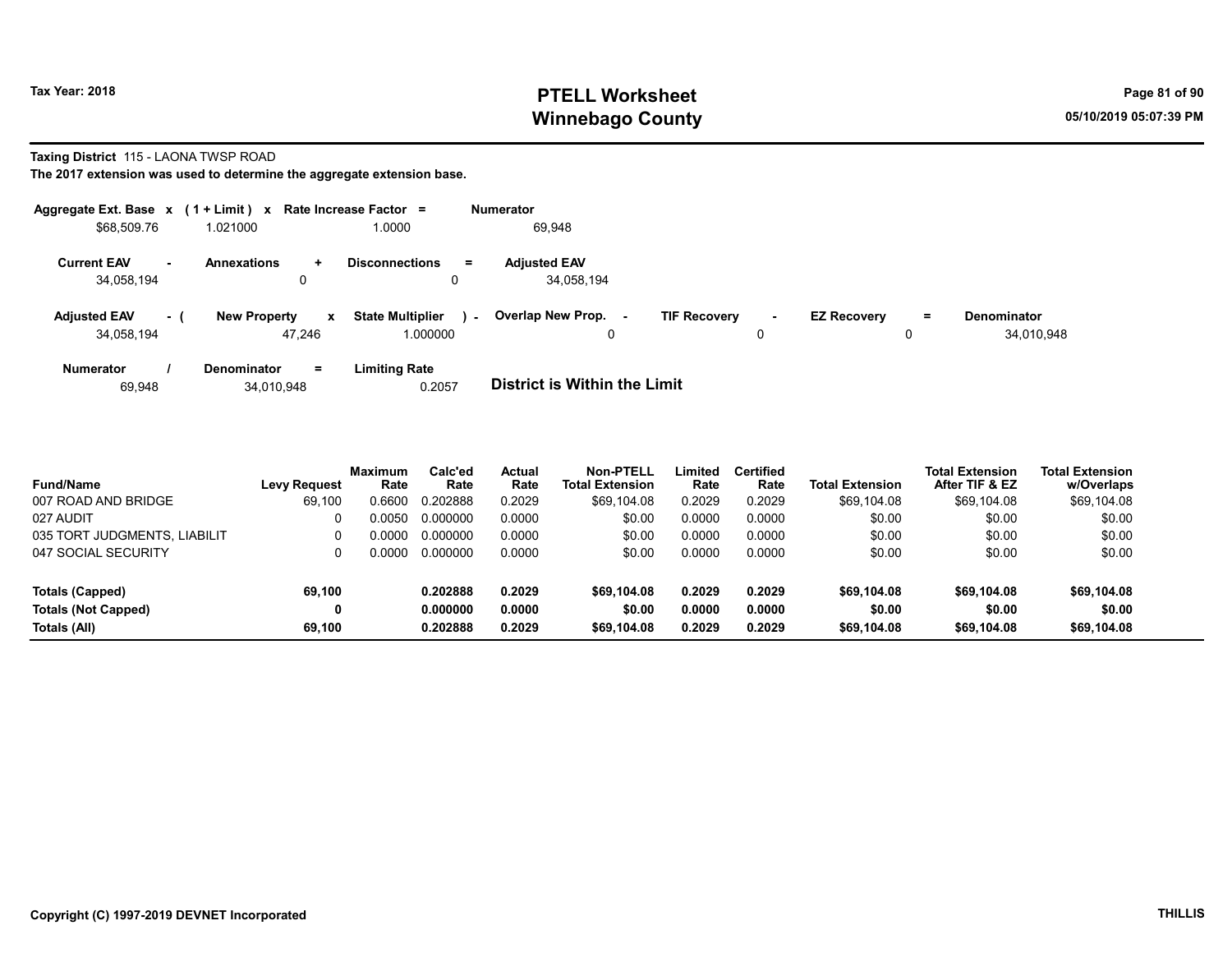## Tax Year: 2018 **PTELL Worksheet** Page 81 of 90 Winnebago County and the County of the County of the County of the County of the County of the County of the County of the County of the County of the County of the County of the County of the County of the County of the C

#### Taxing District 115 - LAONA TWSP ROAD

|                                   |     | Aggregate Ext. Base $x$ (1 + Limit) $x$ Rate Increase Factor = |                                               | <b>Numerator</b>                                                                                                              |
|-----------------------------------|-----|----------------------------------------------------------------|-----------------------------------------------|-------------------------------------------------------------------------------------------------------------------------------|
| \$68,509.76                       |     | 1.021000                                                       | 1.0000                                        | 69,948                                                                                                                        |
| <b>Current EAV</b><br>34,058,194  | ж.  | <b>Annexations</b><br>$\ddot{}$<br>0                           | <b>Disconnections</b><br>$=$<br>0             | <b>Adiusted EAV</b><br>34.058.194                                                                                             |
| <b>Adjusted EAV</b><br>34,058,194 | - ( | <b>New Property</b><br>$\mathbf{x}$<br>47.246                  | <b>State Multiplier</b><br>$\sim$<br>1.000000 | Overlap New Prop.<br><b>TIF Recovery</b><br><b>EZ Recovery</b><br><b>Denominator</b><br>$=$<br>$\sim$<br>34,010,948<br>0<br>0 |
| <b>Numerator</b><br>69,948        |     | $=$<br><b>Denominator</b><br>34,010,948                        | <b>Limiting Rate</b><br>0.2057                | <b>District is Within the Limit</b>                                                                                           |

| <b>Fund/Name</b>             | <b>Levy Request</b> | <b>Maximum</b><br>Rate | Calc'ed<br>Rate | <b>Actual</b><br>Rate | <b>Non-PTELL</b><br><b>Total Extension</b> | Limited<br>Rate | <b>Certified</b><br>Rate | <b>Total Extension</b> | Total Extension<br>After TIF & EZ | <b>Total Extension</b><br>w/Overlaps |
|------------------------------|---------------------|------------------------|-----------------|-----------------------|--------------------------------------------|-----------------|--------------------------|------------------------|-----------------------------------|--------------------------------------|
| 007 ROAD AND BRIDGE          | 69,100              | 0.6600                 | 0.202888        | 0.2029                | \$69.104.08                                | 0.2029          | 0.2029                   | \$69,104.08            | \$69,104.08                       | \$69,104.08                          |
| 027 AUDIT                    |                     | 0.0050                 | 0.000000        | 0.0000                | \$0.00                                     | 0.0000          | 0.0000                   | \$0.00                 | \$0.00                            | \$0.00                               |
| 035 TORT JUDGMENTS, LIABILIT | 0                   | ი იიიი                 | 0.000000        | 0.0000                | \$0.00                                     | 0.0000          | 0.0000                   | \$0.00                 | \$0.00                            | \$0.00                               |
| 047 SOCIAL SECURITY          |                     | ი იიიი                 | 0.000000        | 0.0000                | \$0.00                                     | 0.0000          | 0.0000                   | \$0.00                 | \$0.00                            | \$0.00                               |
| <b>Totals (Capped)</b>       | 69.100              |                        | 0.202888        | 0.2029                | \$69,104.08                                | 0.2029          | 0.2029                   | \$69,104.08            | \$69,104.08                       | \$69,104.08                          |
| <b>Totals (Not Capped)</b>   | 0                   |                        | 0.000000        | 0.0000                | \$0.00                                     | 0.0000          | 0.0000                   | \$0.00                 | \$0.00                            | \$0.00                               |
| Totals (All)                 | 69.100              |                        | 0.202888        | 0.2029                | \$69,104.08                                | 0.2029          | 0.2029                   | \$69,104.08            | \$69,104.08                       | \$69,104.08                          |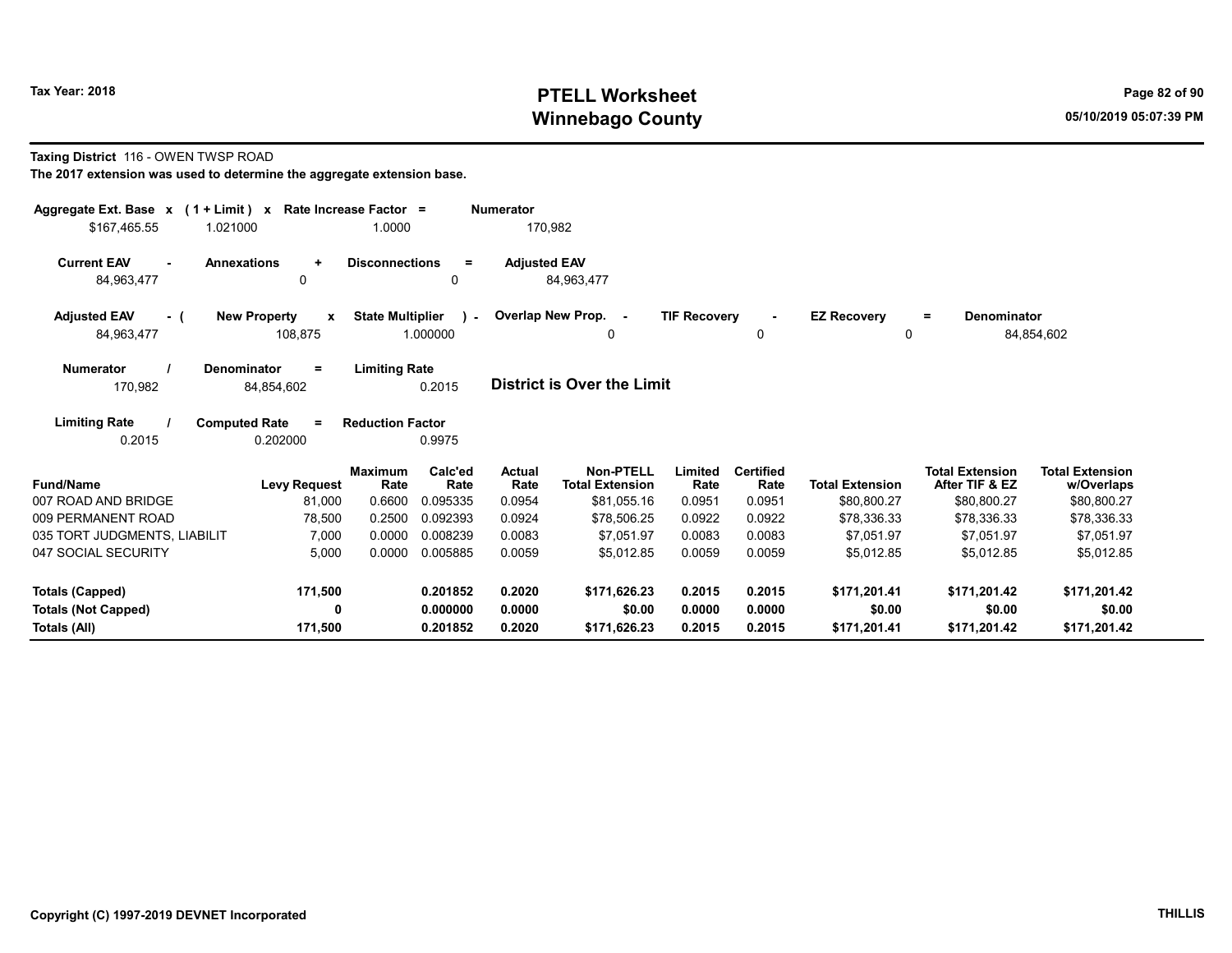## Tax Year: 2018 **PTELL Worksheet** Page 82 of 90 Winnebago County and the County of the County of the County of the County of the County of the County of the County of the County of the County of the County of the County of the County of the County of the County of the C

#### Taxing District 116 - OWEN TWSP ROAD

| Aggregate Ext. Base x (1 + Limit) x Rate Increase Factor = |                                              |                                     |                 | <b>Numerator</b>    |                                            |                     |                          |                         |                                          |                                      |
|------------------------------------------------------------|----------------------------------------------|-------------------------------------|-----------------|---------------------|--------------------------------------------|---------------------|--------------------------|-------------------------|------------------------------------------|--------------------------------------|
| \$167,465.55                                               | 1.021000                                     | 1.0000                              |                 | 170,982             |                                            |                     |                          |                         |                                          |                                      |
| <b>Current EAV</b><br>84,963,477                           | <b>Annexations</b><br>$\ddot{}$<br>0         | <b>Disconnections</b>               | $\equiv$<br>0   | <b>Adjusted EAV</b> | 84,963,477                                 |                     |                          |                         |                                          |                                      |
| <b>Adjusted EAV</b><br>- (<br>84,963,477                   | <b>New Property</b><br>x<br>108,875          | <b>State Multiplier</b><br>1.000000 | $\lambda$       |                     | Overlap New Prop. -<br>0                   | <b>TIF Recovery</b> | $\sim$<br>0              | <b>EZ Recovery</b><br>0 | <b>Denominator</b><br>$=$                | 84,854,602                           |
| <b>Numerator</b><br>170,982                                | <b>Denominator</b><br>$\equiv$<br>84,854,602 | <b>Limiting Rate</b>                | 0.2015          |                     | District is Over the Limit                 |                     |                          |                         |                                          |                                      |
| <b>Limiting Rate</b><br>0.2015                             | <b>Computed Rate</b><br>$\equiv$<br>0.202000 | <b>Reduction Factor</b>             | 0.9975          |                     |                                            |                     |                          |                         |                                          |                                      |
| <b>Fund/Name</b>                                           | <b>Levy Request</b>                          | <b>Maximum</b><br>Rate              | Calc'ed<br>Rate | Actual<br>Rate      | <b>Non-PTELL</b><br><b>Total Extension</b> | Limited<br>Rate     | <b>Certified</b><br>Rate | <b>Total Extension</b>  | <b>Total Extension</b><br>After TIF & EZ | <b>Total Extension</b><br>w/Overlaps |
| 007 ROAD AND BRIDGE                                        | 81,000                                       | 0.6600                              | 0.095335        | 0.0954              | \$81,055.16                                | 0.0951              | 0.0951                   | \$80,800.27             | \$80,800.27                              | \$80,800.27                          |
| 009 PERMANENT ROAD                                         | 78,500                                       | 0.2500                              | 0.092393        | 0.0924              | \$78,506.25                                | 0.0922              | 0.0922                   | \$78,336.33             | \$78,336.33                              | \$78,336.33                          |
| 035 TORT JUDGMENTS, LIABILIT                               | 7,000                                        | 0.0000                              | 0.008239        | 0.0083              | \$7.051.97                                 | 0.0083              | 0.0083                   | \$7.051.97              | \$7,051.97                               | \$7,051.97                           |
| 047 SOCIAL SECURITY                                        | 5,000                                        | 0.0000                              | 0.005885        | 0.0059              | \$5,012.85                                 | 0.0059              | 0.0059                   | \$5,012.85              | \$5,012.85                               | \$5,012.85                           |
| Totals (Capped)                                            | 171,500                                      |                                     | 0.201852        | 0.2020              | \$171,626.23                               | 0.2015              | 0.2015                   | \$171,201.41            | \$171,201.42                             | \$171,201.42                         |
| <b>Totals (Not Capped)</b>                                 | 0                                            |                                     | 0.000000        | 0.0000              | \$0.00                                     | 0.0000              | 0.0000                   | \$0.00                  | \$0.00                                   | \$0.00                               |
| Totals (All)                                               | 171,500                                      |                                     | 0.201852        | 0.2020              | \$171,626.23                               | 0.2015              | 0.2015                   | \$171,201.41            | \$171,201.42                             | \$171,201.42                         |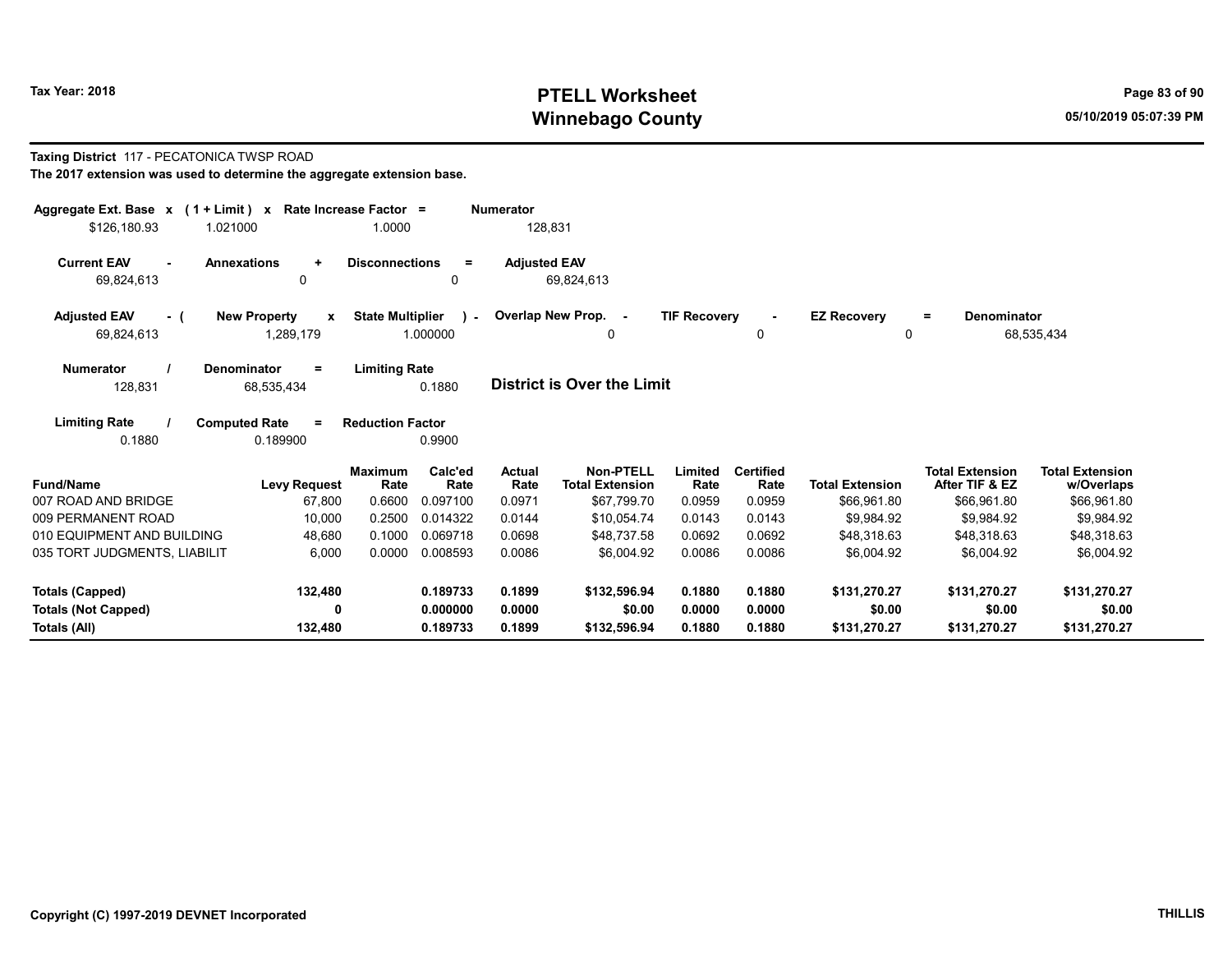## Tax Year: 2018 **PTELL Worksheet** Page 83 of 90 Winnebago County and the County of the County of the County of the County of the County of the County of the County of the County of the County of the County of the County of the County of the County of the County of the C

#### Taxing District 117 - PECATONICA TWSP ROAD

| The 2017 extension was used to determine the aggregate extension base. |  |
|------------------------------------------------------------------------|--|
|------------------------------------------------------------------------|--|

| Aggregate Ext. Base $x$ (1 + Limit) $x$                     | Rate Increase Factor =                                                          |                       | <b>Numerator</b>      |                                            |                     |                          |                         |                                          |                                      |
|-------------------------------------------------------------|---------------------------------------------------------------------------------|-----------------------|-----------------------|--------------------------------------------|---------------------|--------------------------|-------------------------|------------------------------------------|--------------------------------------|
| \$126,180.93<br>1.021000                                    | 1.0000                                                                          |                       | 128,831               |                                            |                     |                          |                         |                                          |                                      |
| <b>Current EAV</b><br><b>Annexations</b><br>٠<br>69,824,613 | <b>Disconnections</b><br>$\ddot{}$<br>0                                         | $\equiv$              | <b>Adjusted EAV</b>   | 69,824,613                                 |                     |                          |                         |                                          |                                      |
|                                                             |                                                                                 |                       |                       |                                            |                     |                          |                         |                                          |                                      |
| <b>Adjusted EAV</b><br>- (<br>69,824,613                    | <b>State Multiplier</b><br><b>New Property</b><br>$\boldsymbol{x}$<br>1,289,179 | $\lambda$<br>1.000000 |                       | Overlap New Prop. -<br>0                   | <b>TIF Recovery</b> | $\sim$<br>0              | <b>EZ Recovery</b><br>0 | <b>Denominator</b><br>$=$                | 68,535,434                           |
| <b>Numerator</b><br>Denominator<br>128,831                  | <b>Limiting Rate</b><br>$=$<br>68,535,434                                       | 0.1880                |                       | <b>District is Over the Limit</b>          |                     |                          |                         |                                          |                                      |
| <b>Limiting Rate</b><br>0.1880                              | <b>Computed Rate</b><br><b>Reduction Factor</b><br>$=$<br>0.189900              | 0.9900                |                       |                                            |                     |                          |                         |                                          |                                      |
| <b>Fund/Name</b>                                            | <b>Maximum</b><br>Rate<br><b>Levy Request</b>                                   | Calc'ed<br>Rate       | <b>Actual</b><br>Rate | <b>Non-PTELL</b><br><b>Total Extension</b> | Limited<br>Rate     | <b>Certified</b><br>Rate | <b>Total Extension</b>  | <b>Total Extension</b><br>After TIF & EZ | <b>Total Extension</b><br>w/Overlaps |
| 007 ROAD AND BRIDGE                                         | 0.6600<br>67,800                                                                | 0.097100              | 0.0971                | \$67,799.70                                | 0.0959              | 0.0959                   | \$66,961.80             | \$66,961.80                              | \$66,961.80                          |
| 009 PERMANENT ROAD                                          | 0.2500<br>10,000                                                                | 0.014322              | 0.0144                | \$10.054.74                                | 0.0143              | 0.0143                   | \$9.984.92              | \$9.984.92                               | \$9,984.92                           |
| 010 EQUIPMENT AND BUILDING                                  | 0.1000<br>48,680                                                                | 0.069718              | 0.0698                | \$48,737.58                                | 0.0692              | 0.0692                   | \$48,318.63             | \$48,318.63                              | \$48,318.63                          |
| 035 TORT JUDGMENTS, LIABILIT                                | 0.0000<br>6,000                                                                 | 0.008593              | 0.0086                | \$6,004.92                                 | 0.0086              | 0.0086                   | \$6,004.92              | \$6,004.92                               | \$6,004.92                           |
| <b>Totals (Capped)</b>                                      | 132,480                                                                         | 0.189733              | 0.1899                | \$132,596.94                               | 0.1880              | 0.1880                   | \$131,270.27            | \$131,270.27                             | \$131,270.27                         |
| <b>Totals (Not Capped)</b>                                  | 0                                                                               | 0.000000              | 0.0000                | \$0.00                                     | 0.0000              | 0.0000                   | \$0.00                  | \$0.00                                   | \$0.00                               |
| Totals (All)                                                | 132,480                                                                         | 0.189733              | 0.1899                | \$132,596.94                               | 0.1880              | 0.1880                   | \$131,270.27            | \$131,270.27                             | \$131,270.27                         |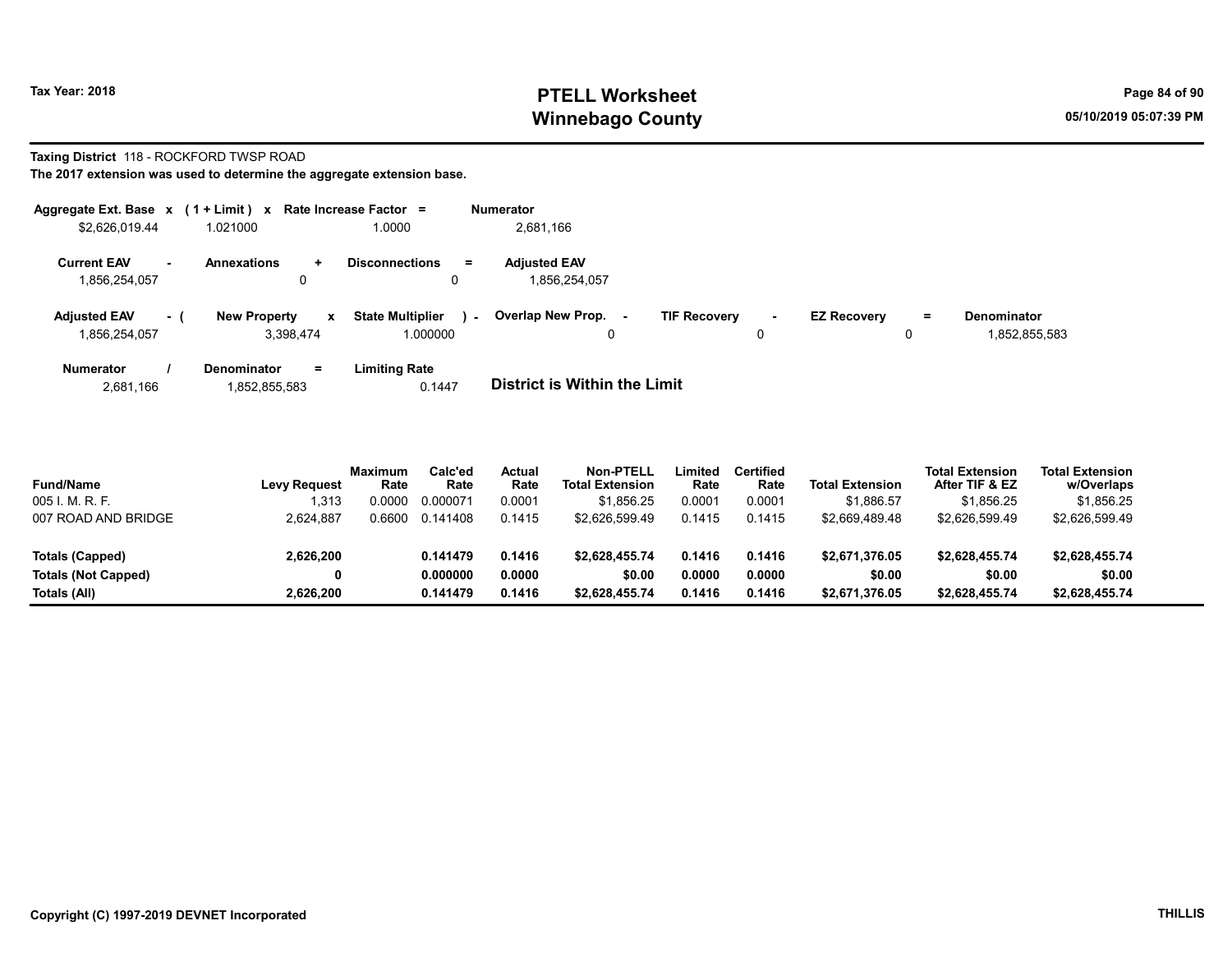## Tax Year: 2018 **PTELL Worksheet** Page 84 of 90 Winnebago County and the County of the County of the County of the County of the County of the County of the County of the County of the County of the County of the County of the County of the County of the County of the C

# Taxing District 118 - ROCKFORD TWSP ROAD

The 2017 extension was used to determine the aggregate extension base.

| Aggregate Ext. Base $x$ (1 + Limit) $x$ |        |                                       | Rate Increase Factor =                        | <b>Numerator</b>                     |                     |    |                    |          |                                     |
|-----------------------------------------|--------|---------------------------------------|-----------------------------------------------|--------------------------------------|---------------------|----|--------------------|----------|-------------------------------------|
| \$2,626,019.44                          |        | 1.021000                              | 1.0000                                        | 2,681,166                            |                     |    |                    |          |                                     |
| <b>Current EAV</b><br>1,856,254,057     | $\sim$ | <b>Annexations</b><br>$\ddot{}$<br>0  | <b>Disconnections</b><br>$=$<br>0             | <b>Adiusted EAV</b><br>1.856.254.057 |                     |    |                    |          |                                     |
| <b>Adiusted EAV</b><br>1.856.254.057    | $-1$   | <b>New Property</b><br>x<br>3.398.474 | <b>State Multiplier</b><br>$\sim$<br>1.000000 | Overlap New Prop. -<br>0             | <b>TIF Recovery</b> | ۰. | <b>EZ Recoverv</b> | $=$<br>0 | <b>Denominator</b><br>1,852,855,583 |
| <b>Numerator</b>                        |        | Denominator<br>$\equiv$               | Limiting Rate                                 |                                      |                     |    |                    |          |                                     |

2,681,166 1,852,855,583 0.1447 District is Within the Limit

| <b>Fund/Name</b>           | <b>Levy Request</b> | Maximum<br>Rate | Calc'ed<br>Rate | <b>Actual</b><br>Rate | Non-PTELL<br><b>Total Extension</b> | Limited<br>Rate | <b>Certified</b><br>Rate | <b>Total Extension</b> | <b>Total Extension</b><br>After TIF & EZ | <b>Total Extension</b><br>w/Overlaps |  |
|----------------------------|---------------------|-----------------|-----------------|-----------------------|-------------------------------------|-----------------|--------------------------|------------------------|------------------------------------------|--------------------------------------|--|
| 005 I. M. R. F.            | 1.313               | 0.0000          | 0.000071        | 0.0001                | \$1.856.25                          | 0.0001          | 0.0001                   | \$1.886.57             | \$1.856.25                               | \$1,856.25                           |  |
| 007 ROAD AND BRIDGE        | 2,624,887           | 0.6600          | 0.141408        | 0.1415                | \$2.626.599.49                      | 0.1415          | 0.1415                   | \$2.669.489.48         | \$2.626.599.49                           | \$2.626.599.49                       |  |
| Totals (Capped)            | 2,626,200           |                 | 0.141479        | 0.1416                | \$2.628.455.74                      | 0.1416          | 0.1416                   | \$2,671,376.05         | \$2.628.455.74                           | \$2,628,455.74                       |  |
| <b>Totals (Not Capped)</b> |                     |                 | 0.000000        | 0.0000                | \$0.00                              | 0.0000          | 0.0000                   | \$0.00                 | \$0.00                                   | \$0.00                               |  |
| Totals (All)               | 2.626.200           |                 | 0.141479        | 0.1416                | \$2,628,455.74                      | 0.1416          | 0.1416                   | \$2,671,376.05         | \$2.628.455.74                           | \$2,628,455.74                       |  |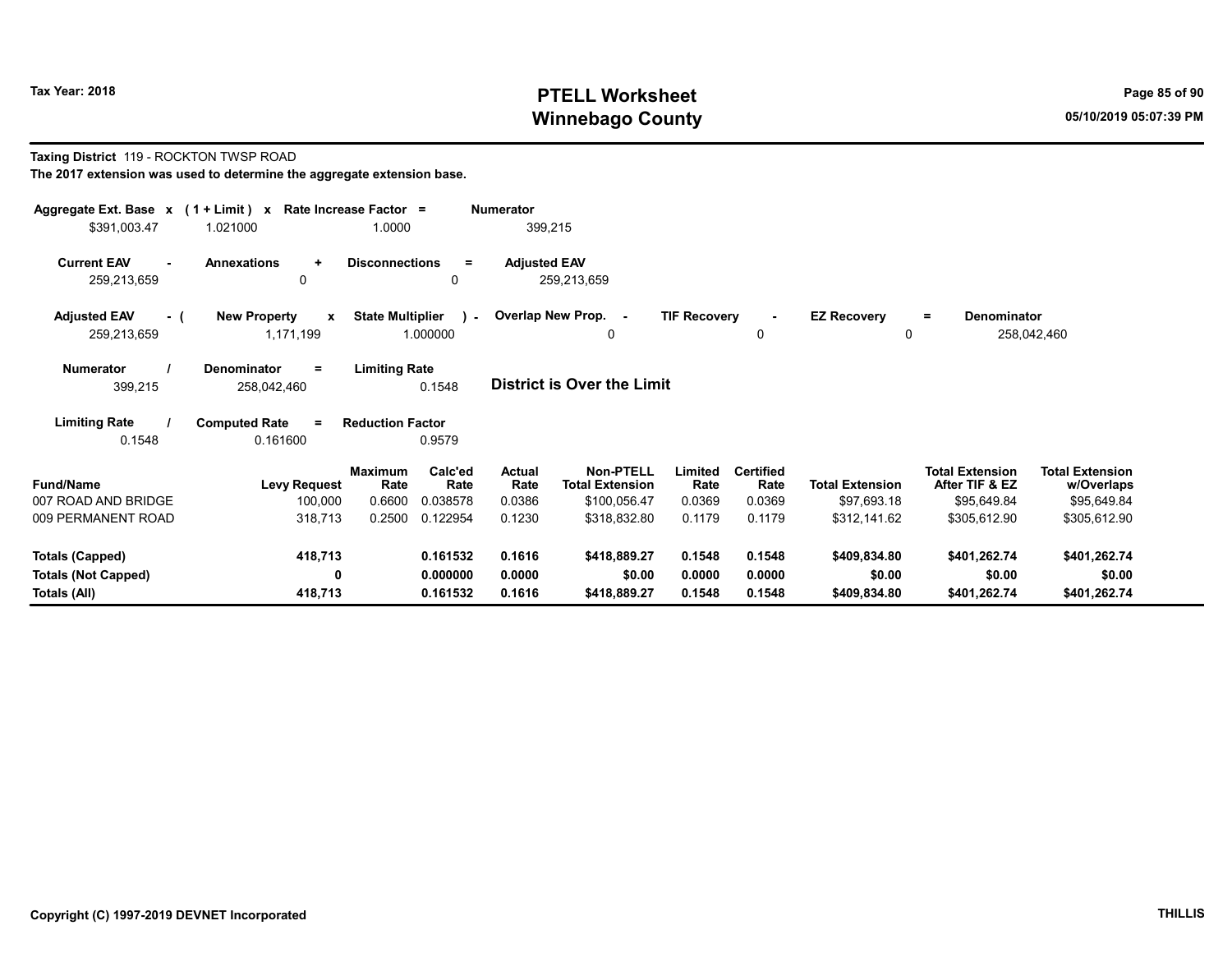## Tax Year: 2018 **PTELL Worksheet** Page 85 of 90 Winnebago County and the County of the County of the County of the County of the County of the County of the County of the County of the County of the County of the County of the County of the County of the County of the C

#### Taxing District 119 - ROCKTON TWSP ROAD The 2017 extension was used to determine the aggregate extension base.

| Aggregate Ext. Base x (1 + Limit) x<br>\$391,003.47 | 1.021000                                         | Rate Increase Factor =<br>1.0000 |                          | <b>Numerator</b><br>399,215 |                                     |                     |                          |                             |                                          |                                      |  |
|-----------------------------------------------------|--------------------------------------------------|----------------------------------|--------------------------|-----------------------------|-------------------------------------|---------------------|--------------------------|-----------------------------|------------------------------------------|--------------------------------------|--|
| <b>Current EAV</b><br>259,213,659                   | <b>Annexations</b><br>$\ddot{}$<br>0             | <b>Disconnections</b>            | $=$<br>0                 | <b>Adjusted EAV</b>         | 259,213,659                         |                     |                          |                             |                                          |                                      |  |
| <b>Adjusted EAV</b><br>- (<br>259,213,659           | <b>New Property</b><br>$\mathbf{x}$<br>1,171,199 | <b>State Multiplier</b>          | $\mathbf{L}$<br>1.000000 |                             | Overlap New Prop. -<br>0            | <b>TIF Recovery</b> | $\blacksquare$<br>0      | <b>EZ Recovery</b><br>0     | <b>Denominator</b><br>$=$                | 258,042,460                          |  |
| <b>Numerator</b><br>399,215                         | <b>Denominator</b><br>$=$<br>258,042,460         | <b>Limiting Rate</b>             | 0.1548                   |                             | <b>District is Over the Limit</b>   |                     |                          |                             |                                          |                                      |  |
| <b>Limiting Rate</b><br>0.1548                      | <b>Computed Rate</b><br>$=$<br>0.161600          | <b>Reduction Factor</b>          | 0.9579                   |                             |                                     |                     |                          |                             |                                          |                                      |  |
| <b>Fund/Name</b>                                    | <b>Levy Request</b>                              | Maximum<br>Rate                  | Calc'ed<br>Rate          | <b>Actual</b><br>Rate       | Non-PTELL<br><b>Total Extension</b> | Limited<br>Rate     | <b>Certified</b><br>Rate | <b>Total Extension</b>      | <b>Total Extension</b><br>After TIF & EZ | <b>Total Extension</b><br>w/Overlaps |  |
| 007 ROAD AND BRIDGE<br>009 PERMANENT ROAD           | 100,000<br>318,713                               | 0.6600<br>0.2500                 | 0.038578<br>0.122954     | 0.0386<br>0.1230            | \$100,056.47<br>\$318,832.80        | 0.0369<br>0.1179    | 0.0369<br>0.1179         | \$97,693.18<br>\$312,141.62 | \$95,649.84<br>\$305,612.90              | \$95,649.84<br>\$305,612.90          |  |
| Totals (Capped)<br><b>Totals (Not Capped)</b>       | 418,713<br>0                                     |                                  | 0.161532<br>0.000000     | 0.1616<br>0.0000            | \$418,889.27<br>\$0.00              | 0.1548<br>0.0000    | 0.1548<br>0.0000         | \$409,834.80<br>\$0.00      | \$401,262.74<br>\$0.00                   | \$401,262.74<br>\$0.00               |  |
| Totals (All)                                        | 418,713                                          |                                  | 0.161532                 | 0.1616                      | \$418,889.27                        | 0.1548              | 0.1548                   | \$409,834.80                | \$401,262.74                             | \$401,262.74                         |  |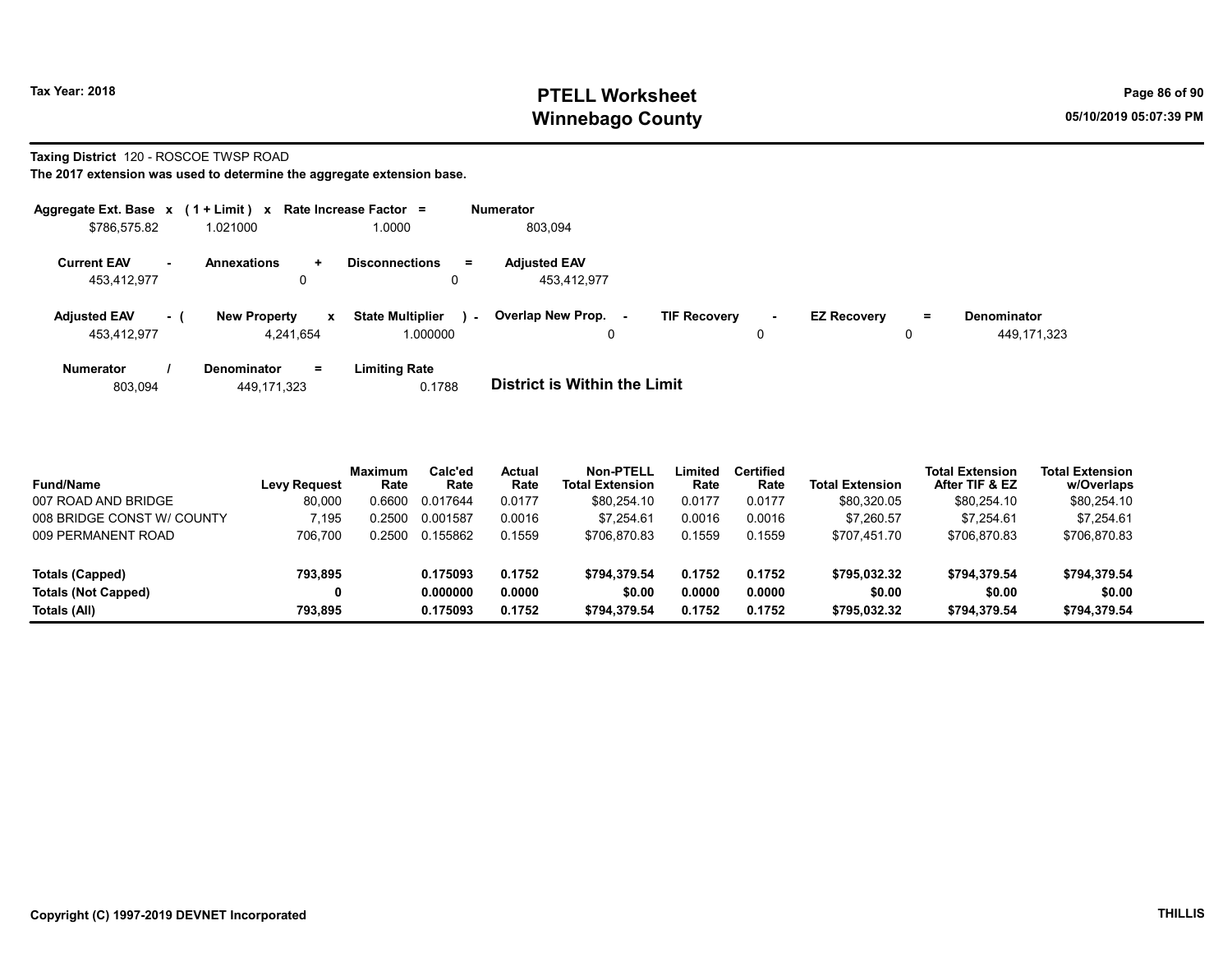## Tax Year: 2018 **PTELL Worksheet** Page 86 of 90 Winnebago County and the County of the County of the County of the County of the County of the County of the County of the County of the County of the County of the County of the County of the County of the County of the C

#### Taxing District 120 - ROSCOE TWSP ROAD

| Aggregate Ext. Base $x$ (1 + Limit) $x$ |     |                                        |              | Rate Increase Factor =              |        | <b>Numerator</b>                   |                     |             |                    |     |                                   |
|-----------------------------------------|-----|----------------------------------------|--------------|-------------------------------------|--------|------------------------------------|---------------------|-------------|--------------------|-----|-----------------------------------|
| \$786,575.82                            |     | 1.021000                               |              | 1.0000                              |        | 803,094                            |                     |             |                    |     |                                   |
| <b>Current EAV</b><br>453,412,977       | н.  | <b>Annexations</b><br>$\ddotmark$<br>0 |              | <b>Disconnections</b><br>$=$<br>0   |        | <b>Adjusted EAV</b><br>453.412.977 |                     |             |                    |     |                                   |
| <b>Adjusted EAV</b><br>453.412.977      | - 1 | <b>New Property</b><br>4.241.654       | $\mathbf{x}$ | <b>State Multiplier</b><br>1.000000 | $\sim$ | Overlap New Prop.<br>$\sim$        | <b>TIF Recovery</b> | $\sim$<br>0 | <b>EZ Recovery</b> | $=$ | <b>Denominator</b><br>449,171,323 |
| <b>Numerator</b>                        |     | <b>Denominator</b>                     | $=$          | <b>Limiting Rate</b>                |        |                                    |                     |             |                    |     |                                   |

| 0.1788<br>803,094<br>449,171,323 | District is Within the Limit |
|----------------------------------|------------------------------|
|----------------------------------|------------------------------|

| <b>Fund/Name</b>           | <b>Levy Request</b> | <b>Maximum</b><br>Rate | Calc'ed<br>Rate | <b>Actual</b><br>Rate | Non-PTELL<br><b>Total Extension</b> | Limited<br>Rate | <b>Certified</b><br>Rate | <b>Total Extension</b> | <b>Total Extension</b><br>After TIF & EZ | <b>Total Extension</b><br>w/Overlaps |
|----------------------------|---------------------|------------------------|-----------------|-----------------------|-------------------------------------|-----------------|--------------------------|------------------------|------------------------------------------|--------------------------------------|
| 007 ROAD AND BRIDGE        | 80,000              | 0.6600                 | 0.017644        | 0.0177                | \$80,254.10                         | 0.0177          | 0.0177                   | \$80,320.05            | \$80,254.10                              | \$80,254.10                          |
| 008 BRIDGE CONST W/ COUNTY | 195'                | 0.2500                 | 0.001587        | 0.0016                | \$7.254.61                          | 0.0016          | 0.0016                   | \$7.260.57             | \$7.254.61                               | \$7.254.61                           |
| 009 PERMANENT ROAD         | 706.700             | 0.2500                 | 0.155862        | 0.1559                | \$706,870.83                        | 0.1559          | 0.1559                   | \$707.451.70           | \$706.870.83                             | \$706,870.83                         |
|                            |                     |                        |                 |                       |                                     |                 |                          |                        |                                          |                                      |
| Totals (Capped)            | 793.895             |                        | 0.175093        | 0.1752                | \$794.379.54                        | 0.1752          | 0.1752                   | \$795.032.32           | \$794.379.54                             | \$794,379.54                         |
| <b>Totals (Not Capped)</b> |                     |                        | 0.000000        | 0.0000                | \$0.00                              | 0.0000          | 0.0000                   | \$0.00                 | \$0.00                                   | \$0.00                               |
| Totals (All)               | 793.895             |                        | 0.175093        | 0.1752                | \$794.379.54                        | 0.1752          | 0.1752                   | \$795.032.32           | \$794.379.54                             | \$794,379.54                         |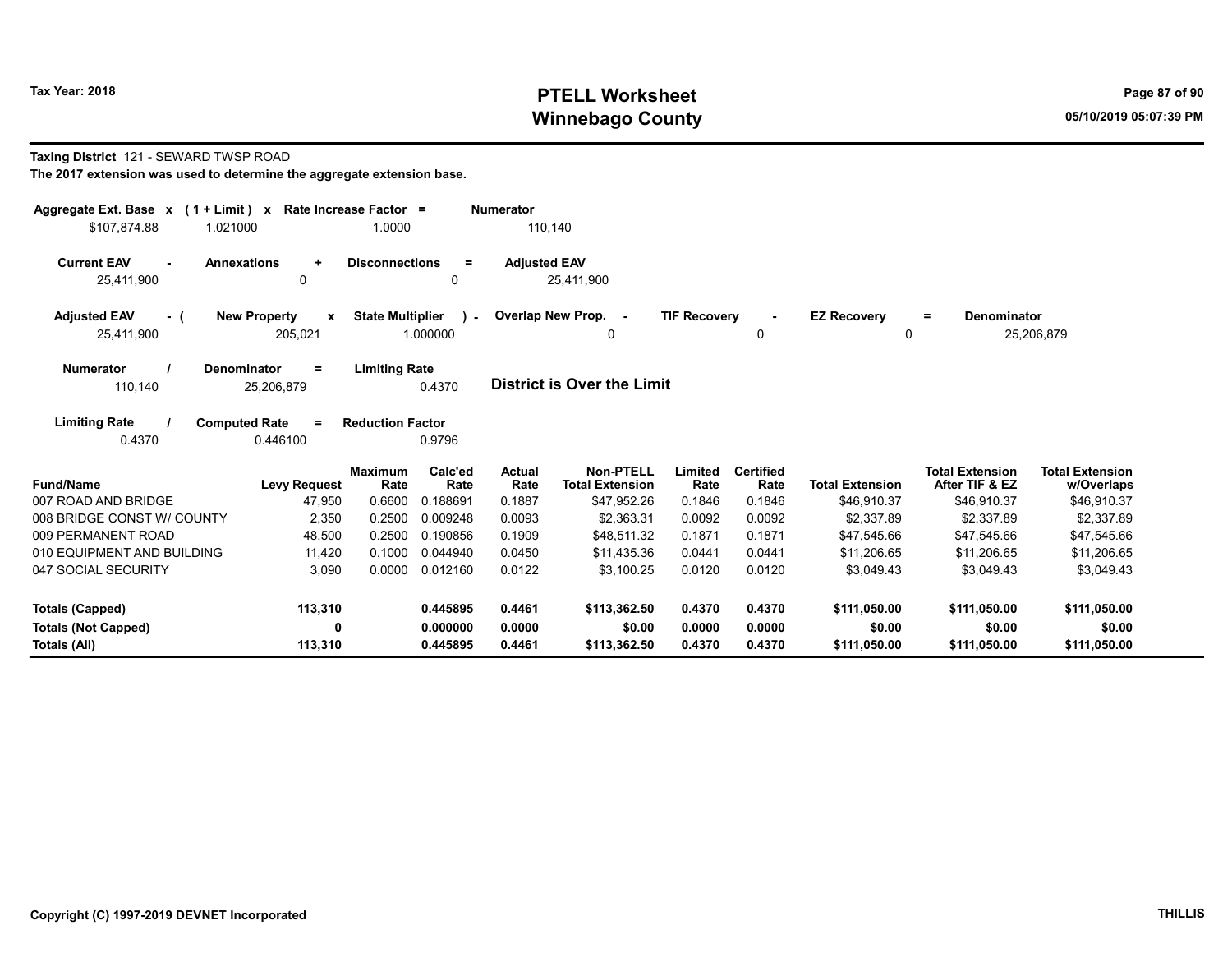## Tax Year: 2018 **PTELL Worksheet** Page 87 of 90 Winnebago County and the County of the County of the County of the County of the County of the County of the County of the County of the County of the County of the County of the County of the County of the County of the C

#### Taxing District 121 - SEWARD TWSP ROAD

| Aggregate Ext. Base $x$ (1 + Limit) $x$<br>\$107,874.88<br>1.021000 |                                                | Rate Increase Factor =<br>1.0000 |                      | <b>Numerator</b><br>110,140 |                                            |                     |                          |                                |                                          |                                      |
|---------------------------------------------------------------------|------------------------------------------------|----------------------------------|----------------------|-----------------------------|--------------------------------------------|---------------------|--------------------------|--------------------------------|------------------------------------------|--------------------------------------|
| <b>Current EAV</b><br><b>Annexations</b><br>$\sim$<br>25,411,900    | $\ddot{}$<br>$\mathbf{0}$                      | <b>Disconnections</b>            | $=$<br>0             | <b>Adjusted EAV</b>         | 25,411,900                                 |                     |                          |                                |                                          |                                      |
| <b>Adjusted EAV</b><br>- (<br>25,411,900                            | <b>New Property</b><br>$\mathbf{x}$<br>205,021 | <b>State Multiplier</b>          | 1.000000             |                             | - Overlap New Prop. -<br>0                 | <b>TIF Recovery</b> | $\blacksquare$<br>0      | <b>EZ Recovery</b><br>$\Omega$ | Denominator<br>=                         | 25,206,879                           |
| <b>Numerator</b><br>Denominator<br>110,140                          | $\equiv$<br>25,206,879                         | <b>Limiting Rate</b>             | 0.4370               |                             | <b>District is Over the Limit</b>          |                     |                          |                                |                                          |                                      |
| <b>Limiting Rate</b><br><b>Computed Rate</b><br>0.4370              | $\equiv$<br>0.446100                           | <b>Reduction Factor</b>          | 0.9796               |                             |                                            |                     |                          |                                |                                          |                                      |
| <b>Fund/Name</b>                                                    | <b>Levy Request</b>                            | <b>Maximum</b><br>Rate           | Calc'ed<br>Rate      | Actual<br>Rate              | <b>Non-PTELL</b><br><b>Total Extension</b> | Limited<br>Rate     | <b>Certified</b><br>Rate | <b>Total Extension</b>         | <b>Total Extension</b><br>After TIF & EZ | <b>Total Extension</b><br>w/Overlaps |
| 007 ROAD AND BRIDGE<br>008 BRIDGE CONST W/ COUNTY                   | 47,950<br>2,350                                | 0.6600<br>0.2500                 | 0.188691<br>0.009248 | 0.1887<br>0.0093            | \$47,952.26<br>\$2,363.31                  | 0.1846<br>0.0092    | 0.1846<br>0.0092         | \$46,910.37<br>\$2,337.89      | \$46,910.37<br>\$2,337.89                | \$46,910.37<br>\$2,337.89            |
| 009 PERMANENT ROAD                                                  | 48,500                                         | 0.2500                           | 0.190856             | 0.1909                      | \$48,511.32                                | 0.1871              | 0.1871                   | \$47,545.66                    | \$47,545.66                              | \$47,545.66                          |
| 010 EQUIPMENT AND BUILDING                                          | 11,420                                         | 0.1000                           | 0.044940             | 0.0450                      | \$11,435.36                                | 0.0441              | 0.0441                   | \$11.206.65                    | \$11.206.65                              | \$11,206.65                          |
| 047 SOCIAL SECURITY                                                 | 3,090                                          | 0.0000                           | 0.012160             | 0.0122                      | \$3,100.25                                 | 0.0120              | 0.0120                   | \$3,049.43                     | \$3,049.43                               | \$3,049.43                           |
| <b>Totals (Capped)</b>                                              | 113,310                                        |                                  | 0.445895             | 0.4461                      | \$113,362.50                               | 0.4370              | 0.4370                   | \$111,050.00                   | \$111,050.00                             | \$111,050.00                         |
| <b>Totals (Not Capped)</b><br>Totals (All)                          | O<br>113,310                                   |                                  | 0.000000<br>0.445895 | 0.0000<br>0.4461            | \$0.00<br>\$113,362.50                     | 0.0000<br>0.4370    | 0.0000<br>0.4370         | \$0.00<br>\$111,050.00         | \$0.00<br>\$111,050.00                   | \$0.00<br>\$111,050.00               |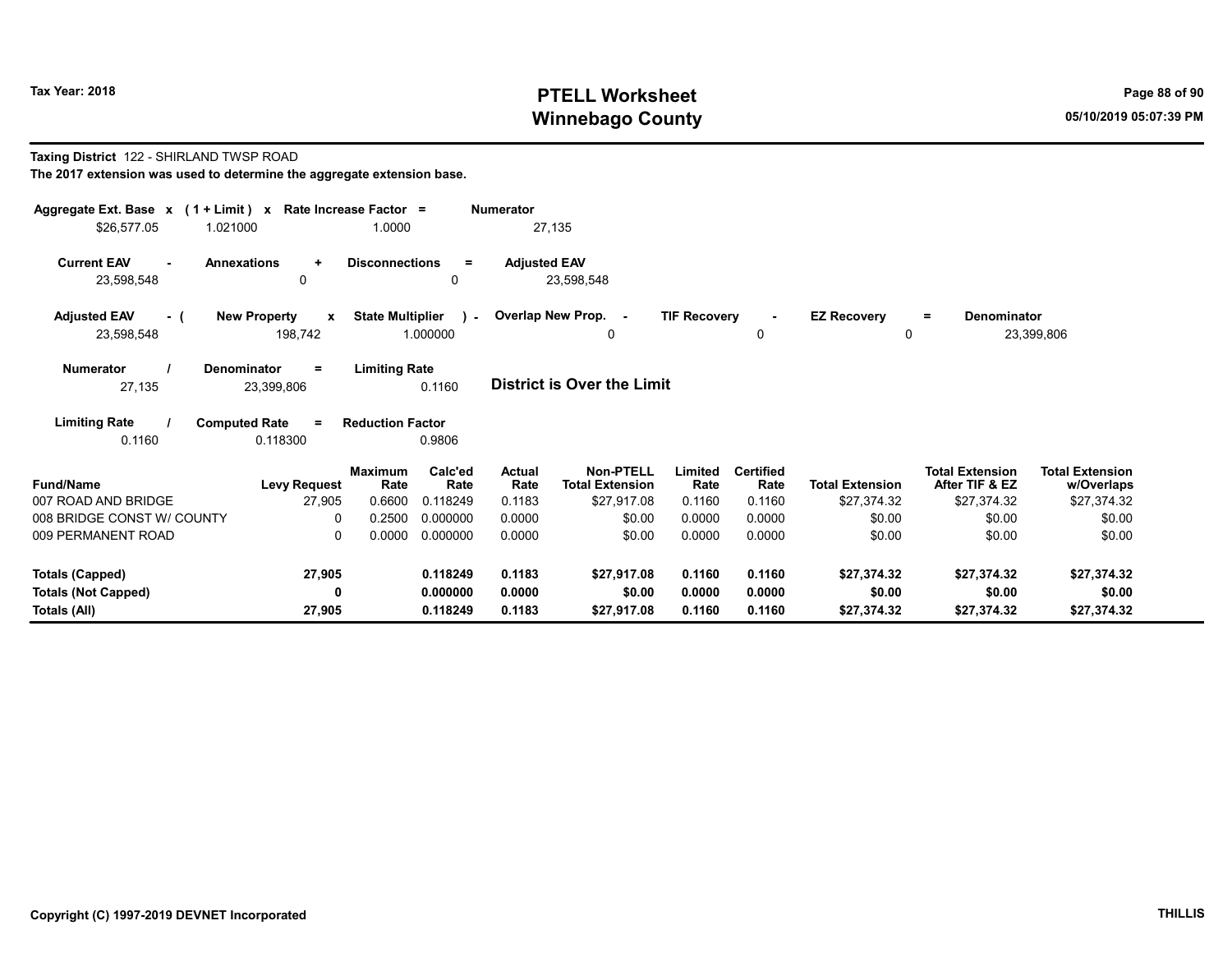## Tax Year: 2018 **PTELL Worksheet** Page 88 of 90 Winnebago County and the County of the County of the County of the County of the County of the County of the County of the County of the County of the County of the County of the County of the County of the County of the C

#### Taxing District 122 - SHIRLAND TWSP ROAD The 2017 extension was used to determine the aggregate extension base.

| Aggregate Ext. Base $x$ (1 + Limit) x Rate Increase Factor =<br>\$26,577.05 | 1.021000                                       | 1.0000                  |                       | <b>Numerator</b><br>27,135 |                                            |                     |                          |                         |                                          |                                      |
|-----------------------------------------------------------------------------|------------------------------------------------|-------------------------|-----------------------|----------------------------|--------------------------------------------|---------------------|--------------------------|-------------------------|------------------------------------------|--------------------------------------|
| <b>Current EAV</b><br>23,598,548                                            | <b>Annexations</b><br>$\ddot{}$<br>0           | <b>Disconnections</b>   | $=$<br>0              | <b>Adjusted EAV</b>        | 23,598,548                                 |                     |                          |                         |                                          |                                      |
| <b>Adjusted EAV</b><br>- (<br>23,598,548                                    | <b>New Property</b><br>$\mathbf{x}$<br>198,742 | <b>State Multiplier</b> | $\lambda$<br>1.000000 |                            | Overlap New Prop. -<br>0                   | <b>TIF Recovery</b> | $\sim$<br>0              | <b>EZ Recovery</b><br>0 | <b>Denominator</b><br>$\equiv$           | 23,399,806                           |
| <b>Numerator</b><br>27,135                                                  | Denominator<br>$\equiv$<br>23,399,806          | <b>Limiting Rate</b>    | 0.1160                |                            | District is Over the Limit                 |                     |                          |                         |                                          |                                      |
| <b>Limiting Rate</b><br>0.1160                                              | <b>Computed Rate</b><br>$\equiv$<br>0.118300   | <b>Reduction Factor</b> | 0.9806                |                            |                                            |                     |                          |                         |                                          |                                      |
| <b>Fund/Name</b>                                                            | <b>Levy Request</b>                            | <b>Maximum</b><br>Rate  | Calc'ed<br>Rate       | Actual<br>Rate             | <b>Non-PTELL</b><br><b>Total Extension</b> | Limited<br>Rate     | <b>Certified</b><br>Rate | <b>Total Extension</b>  | <b>Total Extension</b><br>After TIF & EZ | <b>Total Extension</b><br>w/Overlaps |
| 007 ROAD AND BRIDGE<br>008 BRIDGE CONST W/ COUNTY                           | 27,905<br>$\Omega$                             | 0.6600<br>0.2500        | 0.118249<br>0.000000  | 0.1183<br>0.0000           | \$27,917.08<br>\$0.00                      | 0.1160<br>0.0000    | 0.1160<br>0.0000         | \$27,374.32<br>\$0.00   | \$27,374.32<br>\$0.00                    | \$27,374.32<br>\$0.00                |
| 009 PERMANENT ROAD                                                          | 0                                              | 0.0000                  | 0.000000              | 0.0000                     | \$0.00                                     | 0.0000              | 0.0000                   | \$0.00                  | \$0.00                                   | \$0.00                               |
| <b>Totals (Capped)</b>                                                      | 27,905                                         |                         | 0.118249              | 0.1183                     | \$27,917.08                                | 0.1160              | 0.1160                   | \$27,374.32             | \$27,374.32                              | \$27,374.32                          |
| <b>Totals (Not Capped)</b><br>Totals (All)                                  | 0<br>27,905                                    |                         | 0.000000<br>0.118249  | 0.0000<br>0.1183           | \$0.00<br>\$27,917.08                      | 0.0000<br>0.1160    | 0.0000<br>0.1160         | \$0.00<br>\$27,374.32   | \$0.00<br>\$27,374.32                    | \$0.00<br>\$27,374.32                |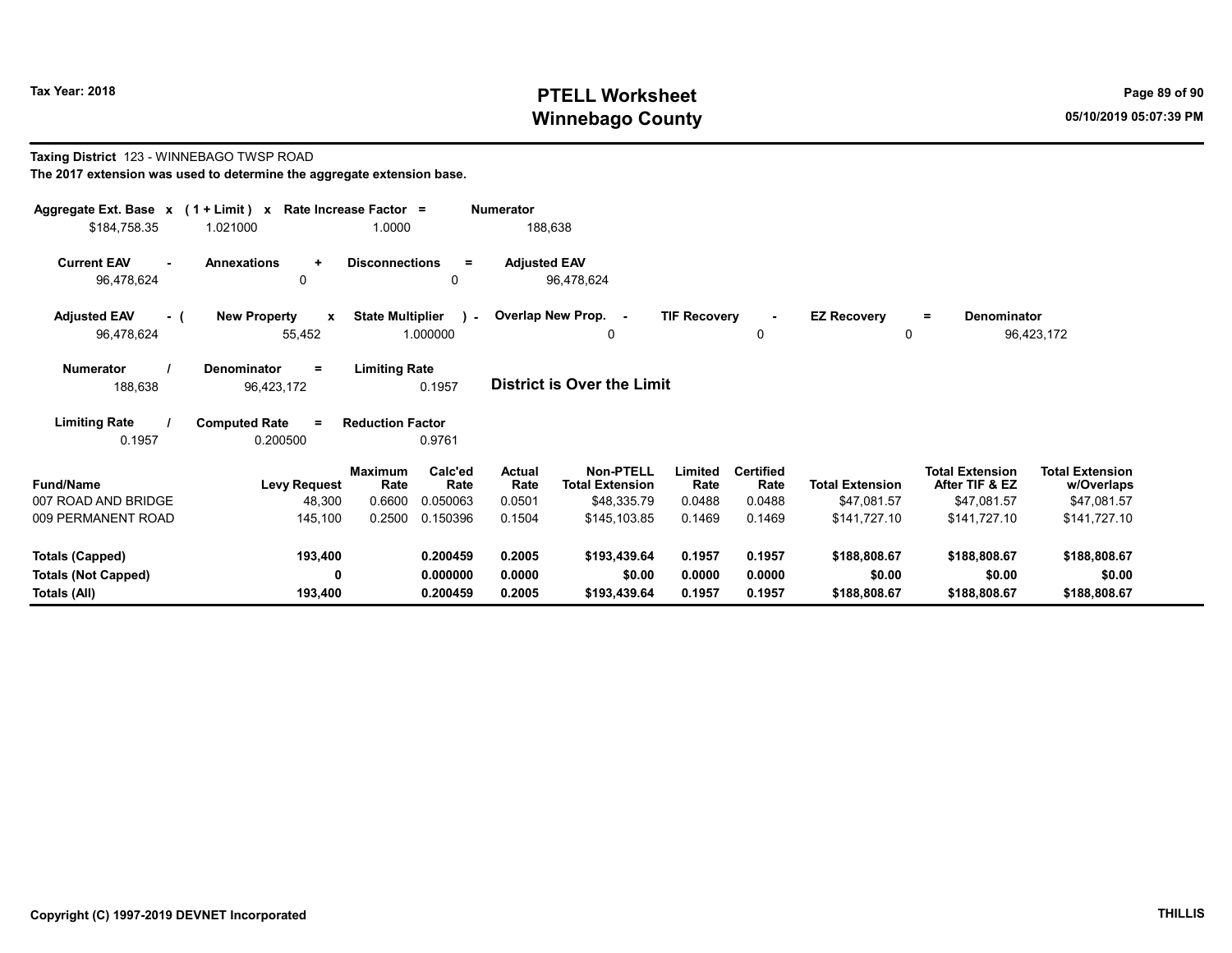# Tax Year: 2018 **PTELL Worksheet** Page 89 of 90 Winnebago County and the County of the County of the County of the County of the County of the County of the County of the County of the County of the County of the County of the County of the County of the County of the C

#### Taxing District 123 - WINNEBAGO TWSP ROAD The 2017 extension was used to determine the aggregate extension base. Aggregate Ext. Base  $x$  (1 + Limit)  $x$  Rate Increase Factor = Numerator \$184,758.35 1.021000 1.0000 188,638 Current EAV - Annexations + Disconnections = Adjusted EAV

96,478,624 0 0 96,478,624

| <b>Adjusted EAV</b> | <b>New Property</b> | <b>State Multiplier</b> | Overlap New Prop. | <b>TIF Recovery</b> | <b>EZ Recovery</b><br>= | <b>Denominator</b> |
|---------------------|---------------------|-------------------------|-------------------|---------------------|-------------------------|--------------------|
| 96,478,624          | 55.452              | .000000                 |                   |                     |                         | 96.423.172         |
|                     |                     |                         |                   |                     |                         |                    |

| <b>Numerator</b> | Denominator | <b>Limiting Rate</b> |                                   |
|------------------|-------------|----------------------|-----------------------------------|
| 188.638          | 96.423.172  | 0.1957               | <b>District is Over the Limit</b> |

Limiting Rate / Computed Rate = 0.1957 0.200500 Reduction Factor 0.9761

| <b>Fund/Name</b>           | <b>Levy Request</b> | <b>Maximum</b><br>Rate | Calc'ed<br>Rate | Actual<br>Rate | <b>Non-PTELL</b><br><b>Total Extension</b> | Limited<br>Rate | <b>Certified</b><br>Rate | <b>Total Extension</b> | <b>Total Extension</b><br>After TIF & EZ | <b>Total Extension</b><br>w/Overlaps |
|----------------------------|---------------------|------------------------|-----------------|----------------|--------------------------------------------|-----------------|--------------------------|------------------------|------------------------------------------|--------------------------------------|
| 007 ROAD AND BRIDGE        | 48,300              | 0.6600                 | 0.050063        | 0.0501         | \$48.335.79                                | 0.0488          | 0.0488                   | \$47.081.57            | \$47.081.57                              | \$47,081.57                          |
| 009 PERMANENT ROAD         | 145.100             | 0.2500                 | 0.150396        | 0.1504         | \$145,103.85                               | 0.1469          | 0.1469                   | \$141.727.10           | \$141.727.10                             | \$141.727.10                         |
| Totals (Capped)            | 193,400             |                        | 0.200459        | 0.2005         | \$193,439.64                               | 0.1957          | 0.1957                   | \$188,808.67           | \$188,808.67                             | \$188,808.67                         |
| <b>Totals (Not Capped)</b> |                     |                        | 0.000000        | 0.0000         | \$0.00                                     | 0.0000          | 0.0000                   | \$0.00                 | \$0.00                                   | \$0.00                               |
| Totals (All)               | 193.400             |                        | 0.200459        | 0.2005         | \$193,439.64                               | 0.1957          | 0.1957                   | \$188,808.67           | \$188,808.67                             | \$188,808.67                         |